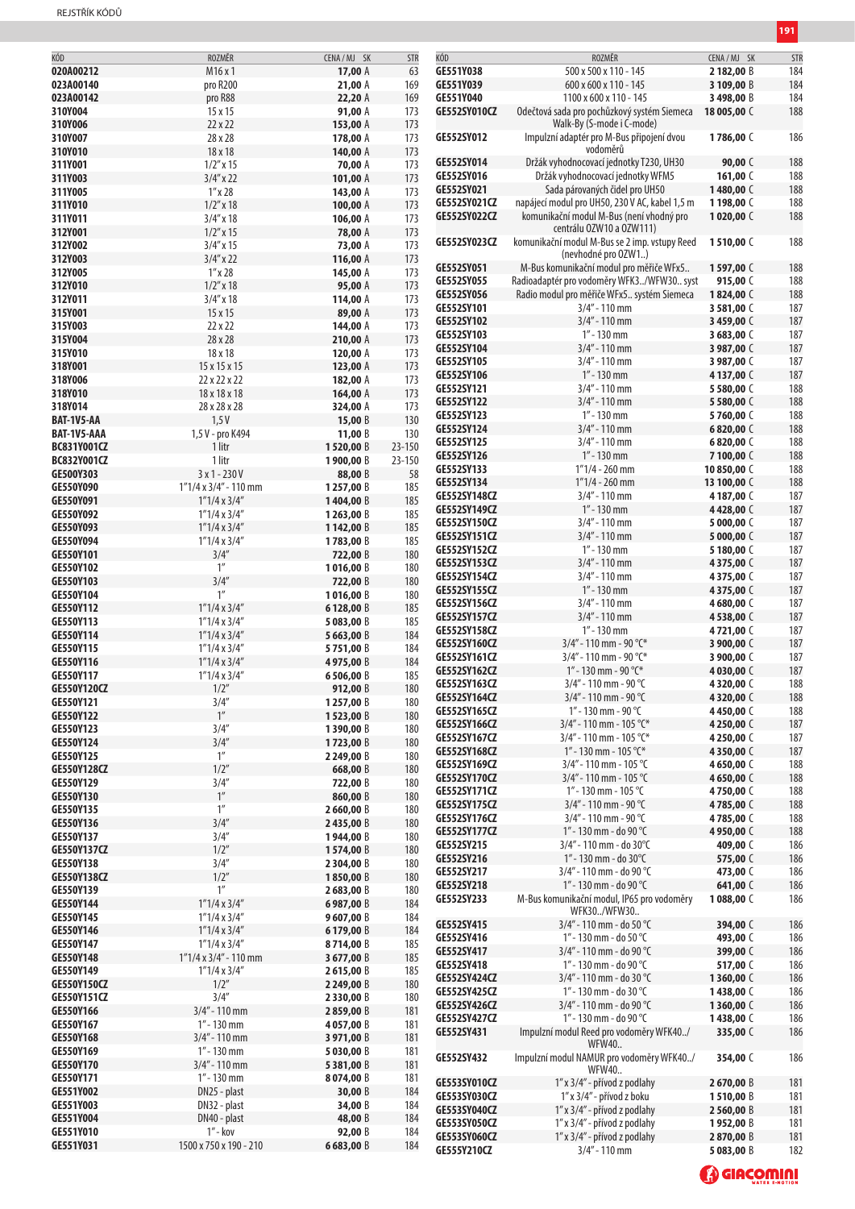| KÓD                | ROZMĚR                       | CENA/MJ SK   | <b>STR</b> | KÓD                 | ROZMĚR                                         | CENA/MJ SK  | STR |
|--------------------|------------------------------|--------------|------------|---------------------|------------------------------------------------|-------------|-----|
| 020A00212          | M <sub>16</sub> x 1          | 17,00 A      | 63         | GE551Y038           | 500 x 500 x 110 - 145                          | 2182,00 B   | 184 |
| 023A00140          | pro R200                     | 21,00 A      | 169        | GE551Y039           | 600 x 600 x 110 - 145                          | 3 109,00 B  | 184 |
| 023A00142          |                              |              |            | GE551Y040           |                                                |             |     |
|                    | pro R88                      | 22,20 A      | 169        |                     | 1100 x 600 x 110 - 145                         | 3498,00 B   | 184 |
| 310Y004            | 15x15                        | 91,00 A      | 173        | GE552SY010CZ        | Odečtová sada pro pochůzkový systém Siemeca    | 18 005,00 C | 188 |
| 310Y006            | 22 x 22                      | 153,00 A     | 173        |                     | Walk-By (S-mode i C-mode)                      |             |     |
| 310Y007            | 28 x 28                      | 178,00 A     | 173        | GE552SY012          | Impulzní adaptér pro M-Bus připojení dvou      | 1786,00 C   | 186 |
| 310Y010            | 18 x 18                      | 140,00 A     | 173        |                     | vodoměrů                                       |             |     |
| 311Y001            | $1/2''$ x 15                 | 70,00 A      | 173        | GE552SY014          | Držák vyhodnocovací jednotky T230, UH30        | 90,00 $C$   | 188 |
| 311Y003            | $3/4''$ x 22                 | 101,00 A     | 173        | GE552SY016          | Držák vyhodnocovací jednotky WFM5              | 161,00 $C$  | 188 |
|                    |                              |              |            | GE552SY021          | Sada párovaných čidel pro UH50                 | 1480,00 C   | 188 |
| 311Y005            | $1''$ x 28                   | 143,00 A     | 173        |                     |                                                |             |     |
| 311Y010            | $1/2$ " x 18                 | 100,00 $A$   | 173        | GE552SY021CZ        | napájecí modul pro UH50, 230 V AC, kabel 1,5 m | 1198,00 C   | 188 |
| 311Y011            | $3/4''$ x 18                 | 106,00 A     | 173        | GE552SY022CZ        | komunikační modul M-Bus (není vhodný pro       | 1020,00 $C$ | 188 |
| 312Y001            | $1/2''$ x 15                 | 78,00 A      | 173        |                     | centrálu OZW10 a OZW111)                       |             |     |
| 312Y002            | $3/4''$ x 15                 | 73,00 A      | 173        | GE552SY023CZ        | komunikační modul M-Bus se 2 imp. vstupy Reed  | 1510,00 C   | 188 |
| 312Y003            | $3/4''$ x 22                 | 116,00 A     | 173        |                     | (nevhodné pro OZW1)                            |             |     |
| 312Y005            | $1''$ x 28                   |              | 173        | GE552SY051          | M-Bus komunikační modul pro měřiče WFx5        | 1597,00 C   | 188 |
|                    |                              | 145,00 A     |            | GE552SY055          | Radioadaptér pro vodoměry WFK3/WFW30 syst      | 915,00 C    | 188 |
| 312Y010            | $1/2''$ x 18                 | 95,00 A      | 173        | GE552SY056          | Radio modul pro měřiče WFx5 systém Siemeca     | 1824,00 C   | 188 |
| 312Y011            | $3/4''$ x 18                 | 114,00 A     | 173        |                     |                                                |             |     |
| 315Y001            | $15 \times 15$               | 89,00 A      | 173        | GE552SY101          | $3/4" - 110$ mm                                | 3 581,00 C  | 187 |
| 315Y003            | 22x22                        | 144,00 A     | 173        | GE552SY102          | $3/4"$ - 110 mm                                | 3459,00 C   | 187 |
| 315Y004            | 28 x 28                      | 210,00 A     | 173        | GE552SY103          | $1" - 130$ mm                                  | 3683,00 C   | 187 |
| 315Y010            | 18 x 18                      | 120,00 A     | 173        | GE552SY104          | $3/4"$ - 110 mm                                | 3 987,00 C  | 187 |
|                    |                              |              |            | GE552SY105          | $3/4" - 110$ mm                                | 3 987,00 C  | 187 |
| 318Y001            | 15 x 15 x 15                 | 123,00 A     | 173        | GE552SY106          | $1" - 130$ mm                                  | 4137,00 C   | 187 |
| 318Y006            | 22 x 22 x 22                 | 182,00 A     | 173        | GE552SY121          | $3/4"$ - 110 mm                                | 5 580,00 C  | 188 |
| 318Y010            | 18 x 18 x 18                 | 164,00 A     | 173        | GE552SY122          | $3/4" - 110$ mm                                |             | 188 |
| 318Y014            | 28 x 28 x 28                 | 324,00 A     | 173        |                     |                                                | 5580,00 C   |     |
| BAT-1V5-AA         | 1,5V                         | 15,00 $B$    | 130        | GE552SY123          | $1" - 130$ mm                                  | 5760,00 C   | 188 |
| BAT-1V5-AAA        | 1,5 V - pro K494             | 11,00 $B$    | 130        | GE552SY124          | $3/4" - 110$ mm                                | 6820,00 C   | 188 |
| BC831Y001CZ        | 1 litr                       | 1520,00 B    | 23-150     | GE552SY125          | $3/4"$ - 110 mm                                | 6820.00 C   | 188 |
|                    |                              |              |            | GE552SY126          | $1'' - 130$ mm                                 | 7100,00 C   | 188 |
| BC832Y001CZ        | 1 litr                       | 1900,00 B    | 23-150     | GE552SY133          | $1"1/4 - 260$ mm                               | 10850,00 C  | 188 |
| GE500Y303          | $3x1 - 230V$                 | 88,00 B      | 58         | GE552SY134          | $1"1/4 - 260$ mm                               | 13 100,00 C | 188 |
| GE550Y090          | $1"1/4 \times 3/4" - 110$ mm | 1257,00 B    | 185        |                     |                                                |             |     |
| GE550Y091          | $1"1/4 \times 3/4"$          | 1404,00 B    | 185        | GE552SY148CZ        | $3/4"$ - 110 mm                                | 4187,00 C   | 187 |
| GE550Y092          | $1"1/4 \times 3/4"$          | 1263,00 B    | 185        | GE552SY149CZ        | $1" - 130$ mm                                  | 4428,00 C   | 187 |
| GE550Y093          | $1"1/4 \times 3/4"$          | 1142,00 B    | 185        | GE552SY150CZ        | $3/4"$ - 110 mm                                | 5 000,00 C  | 187 |
| GE550Y094          | $1"1/4 \times 3/4"$          | 1783,00 B    | 185        | <b>GE552SY151CZ</b> | $3/4"$ - 110 mm                                | 5 000,00 C  | 187 |
| GE550Y101          | 3/4''                        | 722,00 B     | 180        | GE552SY152CZ        | $1" - 130$ mm                                  | 5180,00 C   | 187 |
|                    |                              |              |            | GE552SY153CZ        | $3/4"$ - 110 mm                                | 4375,00 C   | 187 |
| GE550Y102          | 1 <sup>''</sup>              | 1016,00 B    | 180        | <b>GE552SY154CZ</b> | $3/4"$ - 110 mm                                | 4375,00 C   | 187 |
| GE550Y103          | 3/4''                        | 722,00 B     | 180        |                     | $1'' - 130$ mm                                 |             | 187 |
| GE550Y104          | 1 <sup>''</sup>              | 1016,00 B    | 180        | <b>GE552SY155CZ</b> |                                                | 4375,00 C   |     |
| GE550Y112          | $1"1/4 \times 3/4"$          | 6128,00 B    | 185        | GE552SY156CZ        | $3/4"$ - 110 mm                                | 4680,00 C   | 187 |
| GE550Y113          | $1"1/4 \times 3/4"$          | 5 083,00 B   | 185        | <b>GE552SY157CZ</b> | $3/4"$ - 110 mm                                | 4538,00 C   | 187 |
| GE550Y114          | $1"1/4 \times 3/4"$          | 5 663,00 B   | 184        | GE552SY158CZ        | $1" - 130$ mm                                  | 4721,00 C   | 187 |
| GE550Y115          | $1"1/4 \times 3/4"$          |              | 184        | GE552SY160CZ        | $3/4"$ - 110 mm - 90 °C*                       | 3 900,00 C  | 187 |
|                    |                              | 5751,00 B    |            | GE552SY161CZ        | $3/4"$ - 110 mm - 90 °C*                       | 3 900,00 C  | 187 |
| GE550Y116          | $1"1/4 \times 3/4"$          | 4975,00 B    | 184        | GE552SY162CZ        | 1" - 130 mm - 90 °C*                           | 4030,00 C   | 187 |
| GE550Y117          | $1"1/4 \times 3/4"$          | 6506,00B     | 185        | GE552SY163CZ        | 3/4" - 110 mm - 90 °C                          | 4320,00 C   | 188 |
| <b>GE550Y120CZ</b> | 1/2"                         | 912,00 B     | 180        |                     |                                                |             |     |
| GE550Y121          | 3/4''                        | 1257,00 B    | 180        | <b>GE552SY164CZ</b> | $3/4$ " - 110 mm - 90 °C                       | 4 320,00 (  | 188 |
| GE550Y122          | $1''$                        | 1523,00 B    | 180        | GE552SY165CZ        | 1" - 130 mm - 90 °C                            | 4450,00 C   | 188 |
| GE550Y123          | 3/4''                        | 1390,00 B    | 180        | GE552SY166CZ        | $3/4"$ - 110 mm - 105 °C*                      | 4250,00 C   | 187 |
| GE550Y124          | 3/4''                        | 1723,00 B    | 180        | GE552SY167CZ        | $3/4"$ - 110 mm - 105 °C*                      | 4 250,00 C  | 187 |
| GE550Y125          | 1''                          | 2 249,00 B   | 180        | GE552SY168CZ        | 1" - 130 mm - 105 °C*                          | 4350,00 C   | 187 |
|                    |                              |              |            | GE552SY169CZ        | $3/4"$ - 110 mm - 105 °C                       | 4650,00 C   | 188 |
| <b>GE550Y128CZ</b> | 1/2''                        | 668,00 B     | 180        | <b>GE552SY170CZ</b> | $3/4"$ - 110 mm - 105 °C                       | 4650,00 C   | 188 |
| GE550Y129          | 3/4''                        | 722,00 B     | 180        | <b>GE552SY171CZ</b> | 1" - 130 mm - 105 °C                           | 4750,00 C   | 188 |
| GE550Y130          | $1''$                        | 860,00 B     | 180        |                     |                                                |             |     |
| GE550Y135          | 1''                          | 2660,00 B    | 180        | GE552SY175CZ        | 3/4" - 110 mm - 90 °C                          | 4785,00 C   | 188 |
| GE550Y136          | 3/4''                        | 2435,00 B    | 180        | GE552SY176CZ        | $3/4"$ - 110 mm - 90 °C                        | 4785,00 C   | 188 |
| GE550Y137          | 3/4''                        | 1944,00 B    | 180        | <b>GE552SY177CZ</b> | 1" - 130 mm - do 90 °C                         | 4950,00 C   | 188 |
| GE550Y137CZ        | 1/2"                         | 1574,00 B    | 180        | GE552SY215          | 3/4" - 110 mm - do 30°C                        | 409,00 C    | 186 |
| GE550Y138          | 3/4''                        |              | 180        | GE552SY216          | 1" - 130 mm - do 30°C                          | 575,00 C    | 186 |
|                    |                              | 2 3 0 4,00 B |            | GE552SY217          | 3/4" - 110 mm - do 90 °C                       | 473,00 C    | 186 |
| <b>GE550Y138CZ</b> | 1/2"                         | 1850,00 B    | 180        | GE552SY218          | 1" - 130 mm - do 90 °C                         | 641,00 C    | 186 |
| GE550Y139          | 1 <sup>''</sup>              | 2683,00 B    | 180        |                     | M-Bus komunikační modul, IP65 pro vodoměry     | 1088,00 C   | 186 |
| GE550Y144          | $1"1/4 \times 3/4"$          | 6987,00 B    | 184        | GE552SY233          |                                                |             |     |
| GE550Y145          | $1"1/4 \times 3/4"$          | 9607,00 B    | 184        |                     | WFK30/WFW30                                    |             |     |
| GE550Y146          | $1"1/4 \times 3/4"$          | 6179,00 B    | 184        | GE552SY415          | $3/4"$ - 110 mm - do 50 °C                     | 394,00 C    | 186 |
| GE550Y147          | $1"1/4 \times 3/4"$          | 8714,00 B    | 185        | GE552SY416          | 1" - 130 mm - do 50 °C                         | 493,00 C    | 186 |
| GE550Y148          | $1"1/4 \times 3/4" - 110$ mm | 3677,00 B    | 185        | GE552SY417          | 3/4" - 110 mm - do 90 °C                       | 399,00 C    | 186 |
| GE550Y149          | $1"1/4 \times 3/4"$          |              | 185        | GE552SY418          | 1" - 130 mm - do 90 °C                         | 517,00 C    | 186 |
|                    |                              | 2615,00 B    |            | GE552SY424CZ        | 3/4" - 110 mm - do 30 °C                       | 1360,00 C   | 186 |
| <b>GE550Y150CZ</b> | 1/2"                         | 2 249,00 B   | 180        | GE552SY425CZ        | 1" - 130 mm - do 30 °C                         | 1438,00 C   | 186 |
| <b>GE550Y151CZ</b> | 3/4''                        | 2330,00 B    | 180        | GE552SY426CZ        | 3/4" - 110 mm - do 90 °C                       | 1360,00 C   | 186 |
| GE550Y166          | $3/4" - 110$ mm              | 2859,00 B    | 181        |                     |                                                |             |     |
| GE550Y167          | $1" - 130$ mm                | 4057,00 B    | 181        | GE552SY427CZ        | 1" - 130 mm - do 90 °C                         | 1438,00 C   | 186 |
| GE550Y168          | $3/4" - 110$ mm              | 3971,00 B    | 181        | GE552SY431          | Impulzní modul Reed pro vodoměry WFK40/        | 335,00 C    | 186 |
| GE550Y169          | $1" - 130$ mm                | 5030,00 B    | 181        |                     | WFW40                                          |             |     |
| GE550Y170          | $3/4" - 110$ mm              | 5381,00 B    | 181        | GE552SY432          | Impulzní modul NAMUR pro vodoměry WFK40/       | 354,00 C    | 186 |
|                    |                              |              |            |                     | WFW40                                          |             |     |
| GE550Y171          | $1" - 130$ mm                | 8074,00 B    | 181        | GE553SY010CZ        | 1" x 3/4" - přívod z podlahy                   | 2670,00 B   | 181 |
| GE551Y002          | DN25 - plast                 | 30,00 $B$    | 184        | GE553SY030CZ        | 1" x 3/4" - přívod z boku                      | 1510,00 B   | 181 |
| GE551Y003          | DN32 - plast                 | 34,00 B      | 184        | GE553SY040CZ        | 1" x 3/4" - přívod z podlahy                   | 2560,00 B   | 181 |
| GE551Y004          | DN40 - plast                 | 48,00 B      | 184        | GE553SY050CZ        | 1" x 3/4" - přívod z podlahy                   | 1952,00 B   | 181 |
| GE551Y010          | $1''$ - kov                  | 92,00 B      | 184        |                     |                                                |             |     |
| GE551Y031          | 1500 x 750 x 190 - 210       | 6683,00 B    | 184        | GE553SY060CZ        | 1" x 3/4" - přívod z podlahy                   | 2870,00 B   | 181 |
|                    |                              |              |            | GE555Y210CZ         | 3/4" - 110 mm                                  | 5 083,00 B  | 182 |

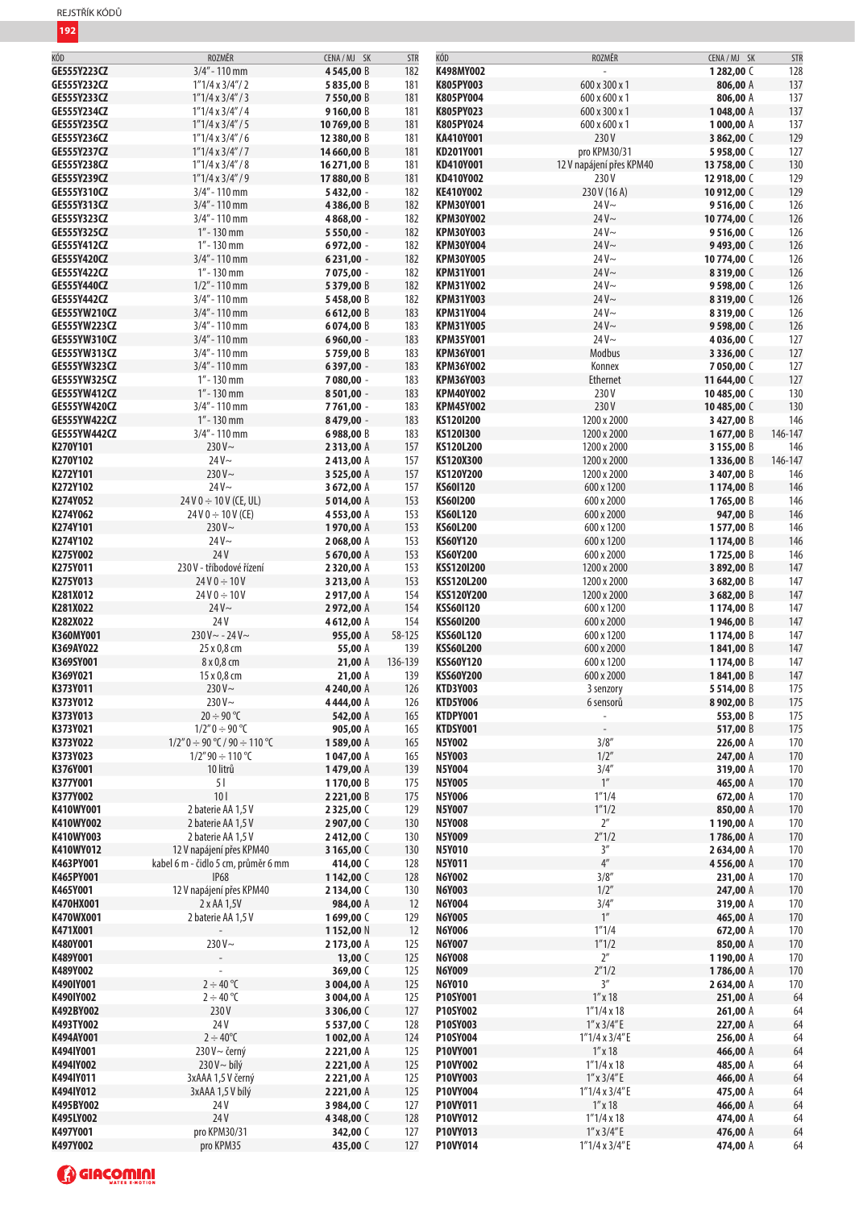| KÓD                 | ROZMĚR                              | CENA/MJ SK      | <b>STR</b> | KÓD               | ROZMĚR                   | CENA / MJ SK | STR     |
|---------------------|-------------------------------------|-----------------|------------|-------------------|--------------------------|--------------|---------|
| GE555Y223CZ         | $3/4" - 110$ mm                     | 4545,00 B       | 182        | K498MY002         |                          | 1282,00 C    | 128     |
| GE555Y232CZ         | $1"1/4 \times 3/4" / 2$             | 5835,00 B       | 181        | K805PY003         | 600 x 300 x 1            | 806,00 A     | 137     |
|                     |                                     |                 |            |                   |                          |              |         |
| GE555Y233CZ         | $1"1/4 \times 3/4" / 3$             | 7550,00 B       | 181        | K805PY004         | 600 x 600 x 1            | 806,00 A     | 137     |
| GE555Y234CZ         | $1"1/4 \times 3/4" / 4$             | 9160,00 B       | 181        | K805PY023         | 600 x 300 x 1            | 1048,00 A    | 137     |
| <b>GE555Y235CZ</b>  | $1"1/4 \times 3/4" / 5$             | 10769,00 B      | 181        | K805PY024         | 600 x 600 x 1            | 1000,00 A    | 137     |
| GE555Y236CZ         | $1"1/4 \times 3/4" / 6$             | 12 380,00 B     | 181        | KA410Y001         | 230V                     | 3862,00 C    | 129     |
| <b>GE555Y237CZ</b>  | $1"1/4 \times 3/4" / 7$             | 14 660,00 B     | 181        | KD201Y001         | pro KPM30/31             | 5958,00 C    | 127     |
| GE555Y238CZ         | $1"1/4 \times 3/4" / 8$             | 16 271,00 B     | 181        | KD410Y001         | 12 V napájení přes KPM40 | 13758,00 C   | 130     |
| GE555Y239CZ         | $1"1/4 \times 3/4" / 9$             | 17880,00 B      | 181        | KD410Y002         | 230V                     | 12 918,00 C  | 129     |
|                     |                                     |                 |            |                   |                          |              |         |
| GE555Y310CZ         | $3/4" - 110$ mm                     | 5432,00 -       | 182        | <b>KE410Y002</b>  | 230 V (16 A)             | 10 912,00 C  | 129     |
| GE555Y313CZ         | $3/4" - 110$ mm                     | 4386,00 B       | 182        | <b>KPM30Y001</b>  | $24V -$                  | 9516,00 C    | 126     |
| GE555Y323CZ         | $3/4" - 110$ mm                     | 4 8 68,00 -     | 182        | <b>KPM30Y002</b>  | $24V -$                  | 10774,00 C   | 126     |
| GE555Y325CZ         | $1'' - 130$ mm                      | 5 5 5 0 , 0 0 - | 182        | <b>KPM30Y003</b>  | $24V -$                  | 9516,00 C    | 126     |
| GE555Y412CZ         | $1" - 130$ mm                       | 6972,00 -       | 182        | <b>KPM30Y004</b>  | $24V -$                  | 9493,00 C    | 126     |
| GE555Y420CZ         | 3/4" - 110 mm                       | $6231,00 -$     | 182        | <b>KPM30Y005</b>  | $24V -$                  | 10774,00 C   | 126     |
| GE555Y422CZ         | $1" - 130$ mm                       | 7 075,00 -      | 182        | <b>KPM31Y001</b>  | $24V -$                  | 8319,00 C    | 126     |
|                     |                                     |                 |            |                   |                          |              |         |
| GE555Y440CZ         | $1/2"$ - 110 mm                     | 5379,00 B       | 182        | <b>KPM31Y002</b>  | $24V -$                  | 9598,00 C    | 126     |
| GE555Y442CZ         | $3/4" - 110$ mm                     | 5458,00 B       | 182        | <b>KPM31Y003</b>  | $24V -$                  | 8319,00 C    | 126     |
| <b>GE555YW210CZ</b> | $3/4"$ - 110 mm                     | 6612,00 B       | 183        | <b>KPM31Y004</b>  | $24V -$                  | 8319,00 C    | 126     |
| <b>GE555YW223CZ</b> | $3/4" - 110$ mm                     | 6074,00 B       | 183        | <b>KPM31Y005</b>  | $24V -$                  | 9598,00 C    | 126     |
| <b>GE555YW310CZ</b> | $3/4" - 110$ mm                     | 6 9 6 0 , 0 0 - | 183        | <b>KPM35Y001</b>  | $24V -$                  | 4036,00 C    | 127     |
| <b>GE555YW313CZ</b> | $3/4" - 110$ mm                     | 5759,00 B       | 183        | <b>KPM36Y001</b>  | Modbus                   | 3336,00 C    | 127     |
| <b>GE555YW323CZ</b> | $3/4" - 110$ mm                     | 6397,00 -       | 183        | <b>KPM36Y002</b>  | Konnex                   | 7050,00 C    | 127     |
| <b>GE555YW325CZ</b> | $1" - 130$ mm                       | 7 080,00 -      | 183        | <b>KPM36Y003</b>  | Ethernet                 | 11644,00 C   | 127     |
|                     |                                     |                 |            |                   |                          |              |         |
| <b>GE555YW412CZ</b> | $1'' - 130$ mm                      | $8501,00 -$     | 183        | <b>KPM40Y002</b>  | 230V                     | 10485,00 C   | 130     |
| GE555YW420CZ        | $3/4"$ - 110 mm                     | 7761,00 -       | 183        | <b>KPM45Y002</b>  | 230V                     | 10485,00 C   | 130     |
| <b>GE555YW422CZ</b> | $1" - 130$ mm                       | 8479,00 -       | 183        | KS120I200         | 1200 x 2000              | 3427,00 B    | 146     |
| GE555YW442CZ        | $3/4" - 110$ mm                     | 6988,00 B       | 183        | KS1201300         | 1200 x 2000              | 1677,00 B    | 146-147 |
| K270Y101            | $230V -$                            | 2313,00 A       | 157        | KS120L200         | 1200 x 2000              | 3 155,00 B   | 146     |
| K270Y102            | $24V -$                             | 2413,00 A       | 157        | KS120X300         | 1200 x 2000              | 1336,00 B    | 146-147 |
| K272Y101            | 230 $V \sim$                        | 3 525,00 A      | 157        | KS120Y200         | 1200 x 2000              | 3407,00 B    | 146     |
| K272Y102            | $24V -$                             | 3672,00 A       | 157        | KS601120          | 600 x 1200               | 1174,00 B    | 146     |
| K274Y052            | $24V0 \div 10V$ (CE, UL)            |                 | 153        |                   |                          |              |         |
|                     |                                     | 5014,00 A       |            | KS601200          | 600 x 2000               | 1765,00 B    | 146     |
| K274Y062            | $24 V 0 \div 10 V (CE)$             | 4553,00 A       | 153        | <b>KS60L120</b>   | 600 x 2000               | 947,00 B     | 146     |
| K274Y101            | $230V -$                            | 1970,00 A       | 153        | <b>KS60L200</b>   | 600 x 1200               | 1577,00 B    | 146     |
| K274Y102            | $24V -$                             | 2068,00 A       | 153        | <b>KS60Y120</b>   | 600 x 1200               | 1174,00 B    | 146     |
| K275Y002            | 24V                                 | 5670,00 A       | 153        | <b>KS60Y200</b>   | 600 x 2000               | 1725,00 B    | 146     |
| K275Y011            | 230 V - tříbodové řízení            | 2320,00 A       | 153        | KSS120I200        | 1200 x 2000              | 3892,00 B    | 147     |
| K275Y013            | $24V0 \div 10V$                     | 3 213,00 A      | 153        | KSS120L200        | 1200 x 2000              | 3682,00 B    | 147     |
| K281X012            | $24V0 \div 10V$                     | 2917,00 A       | 154        | <b>KSS120Y200</b> | 1200 x 2000              | 3 682,00 B   | 147     |
| K281X022            | $24V -$                             | 2972,00 A       | 154        | <b>KSS601120</b>  | 600 x 1200               | 1174,00 B    | 147     |
| K282X022            | 24 V                                | 4612,00 A       | 154        | <b>KSS601200</b>  | 600 x 2000               | 1946,00 B    | 147     |
| K360MY001           | $230 V - - 24 V -$                  | 955,00 A        | 58-125     | <b>KSS60L120</b>  | 600 x 1200               | 1174,00 B    | 147     |
| K369AY022           | 25 x 0,8 cm                         | 55,00 A         | 139        | <b>KSS60L200</b>  | 600 x 2000               | 1841,00 B    | 147     |
| K369SY001           | 8 x 0,8 cm                          | 21,00 A         | 136-139    | <b>KSS60Y120</b>  | 600 x 1200               | 1174,00 B    | 147     |
| K369Y021            | 15 x 0,8 cm                         | 21,00 A         | 139        | <b>KSS60Y200</b>  | 600 x 2000               | 1841,00 B    | 147     |
| K373Y011            | $230V -$                            | 4 240,00 A      | 126        | <b>KTD3Y003</b>   | 3 senzory                | 5514,00B     | 175     |
| K373Y012            | 230 $V \sim$                        | 4444,00 A       | 126        | <b>KTD5Y006</b>   | 6 sensorů                | 8902,00 B    | 175     |
| K373Y013            | $20 \div 90$ °C                     | 542,00 A        | 165        | KTDPY001          | $\overline{\phantom{a}}$ |              |         |
|                     |                                     |                 |            |                   |                          | 553,00 B     | 175     |
| K373Y021            | $1/2"0 \div 90$ °C                  | 905,00 A        | 165        | KTDSY001          |                          | 517,00 B     | 175     |
| K373Y022            | $1/2"0 \div 90 °C / 90 \div 110 °C$ | 1589,00 A       | 165        | <b>N5Y002</b>     | 3/8''                    | 226,00 A     | 170     |
| K373Y023            | $1/2''$ 90 $\div$ 110 °C            | 1047,00 A       | 165        | <b>N5Y003</b>     | 1/2"                     | 247,00 A     | 170     |
| K376Y001            | 10 litrů                            | 1479,00 A       | 139        | <b>N5Y004</b>     | 3/4''                    | 319,00 A     | 170     |
| K377Y001            | 51                                  | 1170,00 B       | 175        | <b>N5Y005</b>     | $1^{\prime\prime}$       | 465,00 A     | 170     |
| K377Y002            | 101                                 | 2 2 2 1,00 B    | 175        | <b>N5Y006</b>     | 1''1/4                   | 672,00 A     | 170     |
| K410WY001           | 2 baterie AA 1,5 V                  | 2325,00 C       | 129        | <b>N5Y007</b>     | 1''1/2                   | 850,00 A     | 170     |
| K410WY002           | 2 baterie AA 1,5 V                  | 2 907,00 C      | 130        | <b>N5Y008</b>     | $2^{\prime\prime}$       | 1190,00 A    | 170     |
| K410WY003           | 2 baterie AA 1,5 V                  | 2412,00 C       | 130        | <b>N5Y009</b>     | 2''1/2                   | 1786,00 A    | 170     |
| K410WY012           | 12 V napájení přes KPM40            | 3 165,00 C      | 130        | <b>N5Y010</b>     | 3''                      | 2634,00 A    | 170     |
| K463PY001           | kabel 6 m - čidlo 5 cm, průměr 6 mm | 414,00 C        | 128        | N5Y011            | $4^{\prime\prime}$       | 4556,00 A    | 170     |
| K465PY001           | <b>IP68</b>                         | 1142,00 C       | 128        | <b>N6Y002</b>     | 3/8''                    | 231,00 A     | 170     |
|                     |                                     |                 |            | <b>N6Y003</b>     | 1/2''                    |              |         |
| K465Y001            | 12 V napájení přes KPM40            | 2134,00 C       | 130        |                   |                          | 247,00 A     | 170     |
| <b>K470HX001</b>    | 2 x AA 1,5V                         | 984,00 A        | 12         | <b>N6Y004</b>     | 3/4''                    | 319,00 A     | 170     |
| K470WX001           | 2 baterie AA 1,5 V                  | 1699,00 C       | 129        | <b>N6Y005</b>     | 1''                      | 465,00 A     | 170     |
| K471X001            |                                     | 1152,00 N       | 12         | <b>N6Y006</b>     | 1''1/4                   | 672,00 A     | 170     |
| K480Y001            | 230 $V \sim$                        | 2173,00 A       | 125        | <b>N6Y007</b>     | 1''1/2                   | 850,00 A     | 170     |
| K489Y001            |                                     | 13,00 $C$       | 125        | <b>N6Y008</b>     | $2^{\prime\prime}$       | 1190,00 A    | 170     |
| K489Y002            |                                     | 369,00 C        | 125        | <b>N6Y009</b>     | 2''1/2                   | 1786,00 A    | 170     |
| K490IY001           | $2 \div 40^{\circ}C$                | 3 004,00 A      | 125        | <b>N6Y010</b>     | 3''                      | 2634,00 A    | 170     |
| K490IY002           | $2 \div 40$ °C                      | 3 004,00 A      | 125        | P10SY001          | $1''$ x 18               | 251,00 A     | 64      |
| K492BY002           | 230V                                | 3 306,00 C      | 127        | P10SY002          | $1''1/4 \times 18$       | 261,00 A     | 64      |
| K493TY002           | 24V                                 | 5537,00 C       | 128        | P10SY003          | $1''$ x $3/4''$ E        | 227,00 A     | 64      |
| K494AY001           | $2 \div 40^{\circ}C$                | 1002,00 A       | 124        | P10SY004          | $1"1/4 \times 3/4"E$     | 256,00 A     | 64      |
| K494IY001           | $230V - černý$                      | 2 2 2 1,00 A    | 125        | P10VY001          | $1''$ x $18$             | 466,00 A     | 64      |
| K494IY002           | 230V ~ bílý                         | 2 2 2 1,00 A    | 125        | P10VY002          | 1"1/4x18                 | 485,00 A     | 64      |
| K494IY011           | 3xAAA 1,5 V černý                   | 2 221,00 A      | 125        | P10VY003          | $1''$ x $3/4''$ E        | 466,00 A     | 64      |
|                     |                                     |                 |            |                   |                          |              |         |
| K494IY012           | 3xAAA 1,5 V bílý                    | 2 221,00 A      | 125        | P10VY004          | 1"1/4x3/4"E              | 475,00 A     | 64      |
| K495BY002           | 24V                                 | 3984,00 C       | 127        | P10VY011          | $1''$ x 18               | 466,00 A     | 64      |
| K495LY002           | 24V                                 | 4348,00 C       | 128        | P10VY012          | 1"1/4x18                 | 474,00 A     | 64      |
| K497Y001            | pro KPM30/31                        | 342,00 C        | 127        | P10VY013          | $1''$ x $3/4''$ E        | 476,00 A     | 64      |
| K497Y002            | pro KPM35                           | 435,00 C        | 127        | P10VY014          | $1"1/4 \times 3/4"E$     | 474,00 A     | 64      |
|                     |                                     |                 |            |                   |                          |              |         |

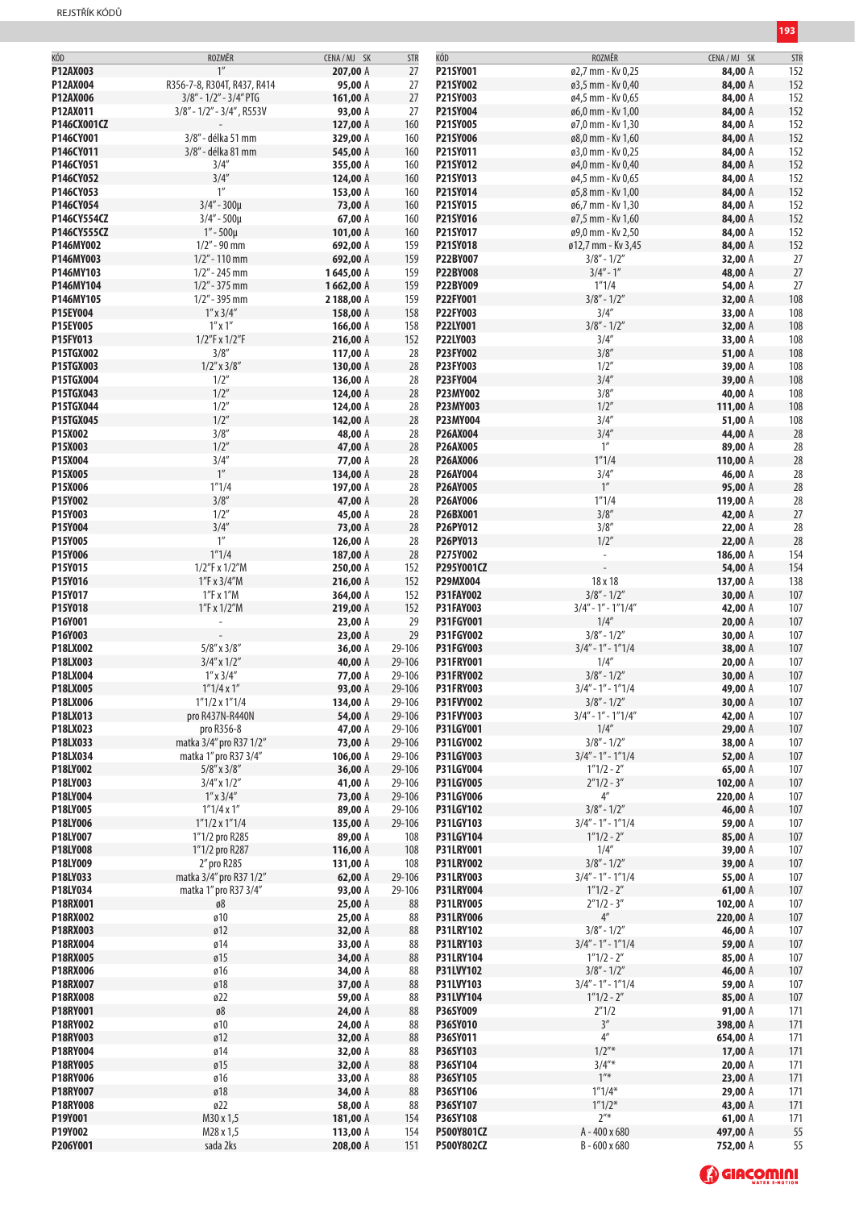| KÓD             | ROZMĚR                       | CENA / MJ SK | <b>STR</b> | KÓD              | ROZMĚR                   | CENA / MJ SK | <b>STR</b> |
|-----------------|------------------------------|--------------|------------|------------------|--------------------------|--------------|------------|
| P12AX003        | 1 <sup>''</sup>              | 207,00 A     | 27         | P21SY001         | ø2,7 mm - Kv 0,25        | 84,00 A      | 152        |
| P12AX004        | R356-7-8, R304T, R437, R414  | 95,00 A      | 27         | P21SY002         | ø3,5 mm - Kv 0,40        | 84,00 A      | 152        |
| P12AX006        | $3/8"$ - $1/2"$ - $3/4"$ PTG | 161,00 A     | 27         | P21SY003         | ø4,5 mm - Kv 0,65        | 84,00 A      | 152        |
|                 |                              |              |            |                  |                          |              |            |
| P12AX011        | $3/8" - 1/2" - 3/4"$ , R553V | 93,00 A      | 27         | P21SY004         | ø6,0 mm - Kv 1,00        | 84,00 A      | 152        |
| P146CX001CZ     |                              | 127,00 A     | 160        | P21SY005         | ø7,0 mm - Kv 1,30        | 84,00 A      | 152        |
| P146CY001       | 3/8" - délka 51 mm           | 329,00 A     | 160        | P21SY006         | ø8,0 mm - Kv 1,60        | 84,00 A      | 152        |
| P146CY011       | 3/8" - délka 81 mm           | 545,00 A     | 160        | P21SY011         | ø3,0 mm - Kv 0,25        | 84,00 A      | 152        |
| P146CY051       | 3/4''                        | 355,00 A     | 160        | P21SY012         | ø4,0 mm - Kv 0,40        | 84,00 A      | 152        |
| P146CY052       | 3/4''                        | 124,00 A     | 160        | P21SY013         | ø4,5 mm - Kv 0,65        | 84,00 A      | 152        |
| P146CY053       | 1''                          | 153,00 A     | 160        | P21SY014         | ø5,8 mm - Kv 1,00        | 84,00 A      | 152        |
|                 |                              |              |            | P21SY015         |                          |              |            |
| P146CY054       | $3/4'' - 300\mu$             | 73,00 A      | 160        |                  | ø6,7 mm - Kv 1,30        | 84,00 A      | 152        |
| P146CY554CZ     | $3/4" - 500\mu$              | 67,00 A      | 160        | P21SY016         | ø7,5 mm - Kv 1,60        | 84,00 A      | 152        |
| P146CY555CZ     | $1'' - 500\mu$               | 101,00 A     | 160        | P21SY017         | ø9,0 mm - Kv 2,50        | 84,00 A      | 152        |
| P146MY002       | $1/2" - 90$ mm               | 692,00 A     | 159        | P21SY018         | ø12,7 mm - Kv 3,45       | 84,00 A      | 152        |
| P146MY003       | $1/2" - 110$ mm              | 692,00 A     | 159        | P22BY007         | $3/8" - 1/2"$            | 32,00 A      | 27         |
| P146MY103       | $1/2" - 245$ mm              | 1645,00 A    | 159        | <b>P22BY008</b>  | $3/4" - 1"$              | 48,00 A      | 27         |
| P146MY104       | $1/2" - 375$ mm              | 1662,00 A    | 159        | P22BY009         | 1"1/4                    | 54,00 A      | 27         |
| P146MY105       | $1/2"$ - 395 mm              |              |            | P22FY001         | $3/8" - 1/2"$            |              |            |
|                 |                              | 2188,00 A    | 159        |                  |                          | 32,00 A      | 108        |
| P15EY004        | $1''$ x $3/4''$              | 158,00 A     | 158        | P22FY003         | 3/4''                    | 33,00 A      | 108        |
| P15EY005        | $1''$ x $1''$                | 166,00 A     | 158        | P22LY001         | $3/8" - 1/2"$            | 32,00 A      | 108        |
| P15FY013        | 1/2"F x 1/2"F                | 216,00 A     | 152        | P22LY003         | 3/4''                    | 33,00 A      | 108        |
| P15TGX002       | 3/8''                        | 117,00 A     | 28         | P23FY002         | 3/8''                    | 51,00 A      | 108        |
| P15TGX003       | $1/2''$ x $3/8''$            | 130,00 A     | 28         | P23FY003         | 1/2''                    | 39,00 A      | 108        |
| P15TGX004       | 1/2"                         | 136,00 A     | 28         | P23FY004         | 3/4''                    | 39,00 A      | 108        |
| P15TGX043       | 1/2''                        | 124,00 A     |            | P23MY002         | 3/8''                    |              |            |
|                 |                              |              | 28         |                  |                          | 40,00 A      | 108        |
| P15TGX044       | 1/2''                        | 124,00 A     | 28         | <b>P23MY003</b>  | 1/2''                    | 111,00 A     | 108        |
| P15TGX045       | 1/2''                        | 142,00 A     | 28         | P23MY004         | 3/4''                    | 51,00 A      | 108        |
| P15X002         | 3/8''                        | 48,00 A      | 28         | P26AX004         | 3/4''                    | 44,00 A      | 28         |
| P15X003         | 1/2''                        | 47,00 A      | 28         | <b>P26AX005</b>  | $1^{\prime\prime}$       | 89,00 A      | 28         |
| P15X004         | 3/4''                        | 77,00 A      | 28         | P26AX006         | 1''1/4                   | 110,00 A     | 28         |
| P15X005         | $1^{\prime\prime}$           | 134,00 A     | 28         | P26AY004         | 3/4''                    | 46,00 A      | 28         |
| P15X006         | 1''1/4                       |              |            |                  | 1''                      |              |            |
|                 |                              | 197,00 A     | 28         | <b>P26AY005</b>  |                          | 95,00 A      | 28         |
| P15Y002         | 3/8''                        | 47,00 A      | 28         | P26AY006         | 1''1/4                   | 119,00 A     | 28         |
| P15Y003         | 1/2''                        | 45,00 A      | 28         | P26BX001         | 3/8''                    | 42,00 A      | 27         |
| P15Y004         | 3/4''                        | 73,00 A      | 28         | <b>P26PY012</b>  | 3/8''                    | 22,00 A      | 28         |
| P15Y005         | 1 <sup>n</sup>               | 126,00 A     | 28         | P26PY013         | 1/2''                    | 22,00 A      | 28         |
| P15Y006         | 1''1/4                       | 187,00 A     | 28         | P275Y002         | $\overline{\phantom{a}}$ | 186,00 A     | 154        |
| P15Y015         | 1/2"F x 1/2"M                | 250,00 A     | 152        | P295Y001CZ       |                          | 54,00 A      | 154        |
|                 |                              |              |            |                  |                          |              |            |
| P15Y016         | 1"F x 3/4"M                  | 216,00 A     | 152        | <b>P29MX004</b>  | 18 x 18                  | 137,00 A     | 138        |
| P15Y017         | 1"F x 1"M                    | 364,00 A     | 152        | <b>P31FAY002</b> | $3/8" - 1/2"$            | 30,00 A      | 107        |
| P15Y018         | 1"F x 1/2"M                  | 219,00 A     | 152        | <b>P31FAY003</b> | $3/4" - 1" - 1"1/4"$     | 42,00 A      | 107        |
| P16Y001         |                              | 23,00 A      | 29         | P31FGY001        | 1/4''                    | 20,00 A      | 107        |
| P16Y003         |                              | 23,00 A      | 29         | P31FGY002        | $3/8" - 1/2"$            | 30,00 A      | 107        |
| P18LX002        | $5/8''$ x $3/8''$            | 36,00 A      | 29-106     | P31FGY003        | $3/4" - 1" - 1"1/4$      | 38,00 A      | 107        |
| P18LX003        | $3/4''$ x $1/2''$            |              |            | <b>P31FRY001</b> | 1/4''                    |              |            |
|                 |                              | 40,00 A      | 29-106     |                  |                          | 20,00 A      | 107        |
| P18LX004        | $1''$ x $3/4''$              | 77,00 A      | 29-106     | <b>P31FRY002</b> | $3/8" - 1/2"$            | 30,00 A      | 107        |
| P18LX005        | 1''1/4x1''                   | 93,00 A      | 29-106     | <b>P31FRY003</b> | $3/4" - 1" - 1"1/4$      | 49,00 A      | 107        |
| P18LX006        | $1"1/2 \times 1"1/4$         | 134,00 A     | 29-106     | P31FVY002        | $3/8" - 1/2"$            | 30,00 A      | 107        |
| P18LX013        | pro R437N-R440N              | 54,00 A      | 29-106     | P31FVY003        | $3/4" - 1" - 1"1/4"$     | 42,00 A      | 107        |
| P18LX023        | pro R356-8                   | 47,00 A      | 29-106     | P31LGY001        | 1/4''                    | 29,00 A      | 107        |
| P18LX033        | matka 3/4" pro R37 1/2"      | 73,00 A      | 29-106     | <b>P31LGY002</b> | $3/8" - 1/2"$            | 38,00 A      | 107        |
| P18LX034        | matka 1" pro R37 3/4"        |              | 29-106     | P31LGY003        | $3/4" - 1" - 1"1/4$      | 52,00 A      |            |
|                 |                              | 106,00 A     |            |                  |                          |              | 107        |
| P18LY002        | $5/8''$ x $3/8''$            | 36,00 A      | 29-106     | P31LGY004        | $1"1/2 - 2"$             | 65,00 A      | 107        |
| P18LY003        | $3/4''$ x $1/2''$            | 41,00 A      | 29-106     | <b>P31LGY005</b> | $2''1/2 - 3''$           | 102,00 A     | 107        |
| P18LY004        | $1''$ x $3/4''$              | 73,00 A      | 29-106     | <b>P31LGY006</b> | $4^{\prime\prime}$       | 220,00 A     | 107        |
| P18LY005        | $1''1/4 \times 1''$          | 89,00 A      | 29-106     | <b>P31LGY102</b> | $3/8" - 1/2"$            | 46,00 A      | 107        |
| P18LY006        | $1"1/2 \times 1"1/4$         | 135,00 A     | 29-106     | P31LGY103        | $3/4" - 1" - 1"1/4$      | 59,00 A      | 107        |
| P18LY007        | 1"1/2 pro R285               | 89,00 A      | 108        | <b>P31LGY104</b> | $1''1/2 - 2''$           | 85,00 A      | 107        |
| P18LY008        | 1"1/2 pro R287               | 116,00 A     | 108        | <b>P31LRY001</b> | 1/4''                    | 39,00 A      | 107        |
|                 |                              |              |            |                  |                          |              |            |
| P18LY009        | 2" pro R285                  | 131,00 A     | 108        | <b>P31LRY002</b> | $3/8" - 1/2"$            | 39,00 A      | 107        |
| P18LY033        | matka 3/4" pro R37 1/2"      | 62,00 $A$    | 29-106     | <b>P31LRY003</b> | $3/4" - 1" - 1"1/4$      | 55,00 A      | 107        |
| P18LY034        | matka 1" pro R37 3/4"        | 93,00 A      | 29-106     | <b>P31LRY004</b> | $1"1/2 - 2"$             | 61,00 A      | 107        |
| P18RX001        | ø8                           | 25,00 A      | 88         | <b>P31LRY005</b> | $2''1/2 - 3''$           | 102,00 A     | 107        |
| P18RX002        | ø10                          | 25,00 A      | 88         | <b>P31LRY006</b> | $4^{\prime\prime}$       | 220,00 A     | 107        |
| P18RX003        | ø12                          | 32,00 A      | 88         | <b>P31LRY102</b> | $3/8" - 1/2"$            | 46,00 A      | 107        |
| P18RX004        | ø14                          | 33,00 A      | 88         | <b>P31LRY103</b> | $3/4" - 1" - 1"1/4$      | 59,00 A      | 107        |
| <b>P18RX005</b> | ø15                          |              | 88         |                  |                          |              | 107        |
|                 |                              | 34,00 A      |            | <b>P31LRY104</b> | $1"1/2 - 2"$             | 85,00 A      |            |
| P18RX006        | ø16                          | 34,00 A      | 88         | P31LVY102        | $3/8" - 1/2"$            | 46,00 A      | 107        |
| <b>P18RX007</b> | ø18                          | 37,00 A      | 88         | P31LVY103        | $3/4"$ - 1" - 1"1/4      | 59,00 A      | 107        |
| <b>P18RX008</b> | ø22                          | 59,00 A      | 88         | P31LVY104        | $1"1/2 - 2"$             | 85,00 A      | 107        |
| P18RY001        | $\mathfrak{g} \mathbf{8}$    | 24,00 A      | 88         | P36SY009         | 2''1/2                   | 91,00 A      | 171        |
| P18RY002        | ø10                          | 24,00 A      | 88         | P36SY010         | 3''                      | 398,00 A     | 171        |
| P18RY003        | ø12                          | 32,00 A      | 88         | P36SY011         | $4^{\prime\prime}$       | 654,00 A     | 171        |
|                 |                              |              |            |                  |                          |              |            |
| P18RY004        | ø14                          | 32,00 A      | 88         | P36SY103         | $1/2$ "*                 | 17,00 A      | 171        |
| P18RY005        | ø15                          | 32,00 A      | 88         | P36SY104         | $3/4''*$                 | 20,00 A      | 171        |
| P18RY006        | ø16                          | 33,00 A      | 88         | P36SY105         | $1^{\prime\prime\ast}$   | 23,00 A      | 171        |
| P18RY007        | ø18                          | 34,00 A      | 88         | <b>P36SY106</b>  | $1''1/4*$                | 29,00 A      | 171        |
| <b>P18RY008</b> | ø22                          | 58,00 A      | 88         | P36SY107         | $1''1/2*$                | 43,00 A      | 171        |
| P19Y001         | M30 x 1,5                    | 181,00 A     | 154        | P36SY108         | $2^{\prime\prime\ast}$   | 61,00 A      | 171        |
| P19Y002         |                              |              |            |                  |                          |              |            |
|                 | M28 x 1,5                    | 113,00 A     | 154        | P500Y801CZ       | A-400 x 680              | 497,00 A     | 55         |
| P206Y001        | sada 2ks                     | 208,00 A     | 151        | P500Y802CZ       | B-600 x 680              | 752,00 A     | 55         |

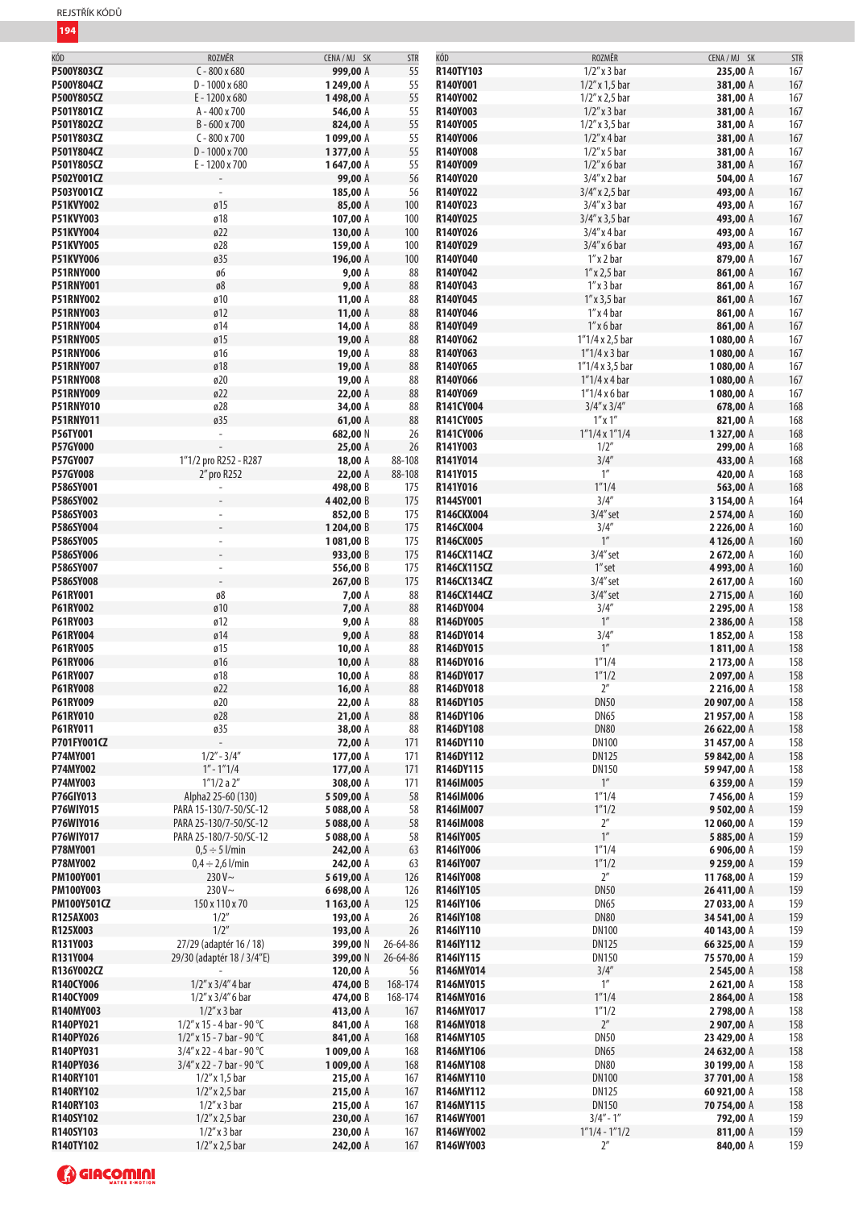| KÓD                |                              |              |            | KÓD               |                         | CENA/MJ SK  |     |
|--------------------|------------------------------|--------------|------------|-------------------|-------------------------|-------------|-----|
|                    | ROZMĚR                       | CENA / MJ SK | <b>STR</b> |                   | ROZMĚR                  |             | STR |
| P500Y803CZ         | $C - 800 \times 680$         | 999,00 A     | 55         | R140TY103         | $1/2''$ x 3 bar         | 235,00 A    | 167 |
| P500Y804CZ         | $D - 1000 \times 680$        | 1249,00 A    | 55         | R140Y001          | $1/2''$ x 1,5 bar       | 381,00 A    | 167 |
| P500Y805CZ         | E-1200 x 680                 | 1498,00 A    | 55         | R140Y002          | $1/2''$ x 2,5 bar       | 381,00 A    | 167 |
|                    |                              |              |            |                   |                         |             |     |
| P501Y801CZ         | A-400 x 700                  | 546,00 A     | 55         | R140Y003          | $1/2''$ x 3 bar         | 381,00 A    | 167 |
| P501Y802CZ         | B-600 x 700                  | 824,00 A     | 55         | R140Y005          | $1/2''$ x 3,5 bar       | 381,00 A    | 167 |
| P501Y803CZ         | $C - 800 \times 700$         | 1099,00 A    | 55         | R140Y006          | $1/2$ " x 4 bar         | 381,00 A    | 167 |
|                    |                              |              |            |                   |                         |             |     |
| P501Y804CZ         | $D - 1000 \times 700$        | 1377,00 A    | 55         | R140Y008          | $1/2$ " x 5 bar         | 381,00 A    | 167 |
| P501Y805CZ         | E-1200 x 700                 | 1647,00 A    | 55         | R140Y009          | $1/2$ " x 6 bar         | 381,00 A    | 167 |
| P502Y001CZ         |                              | 99,00 A      | 56         | R140Y020          | $3/4''$ x 2 bar         | 504,00 A    | 167 |
|                    |                              |              |            |                   |                         |             |     |
| P503Y001CZ         | $\overline{\phantom{a}}$     | 185,00 A     | 56         | R140Y022          | 3/4" x 2,5 bar          | 493,00 A    | 167 |
| P51KVY002          | Ø15                          | 85,00 A      | 100        | R140Y023          | $3/4''$ x 3 bar         | 493,00 A    | 167 |
| <b>P51KVY003</b>   | ø18                          | 107,00 A     | 100        | R140Y025          | $3/4''$ x 3,5 bar       | 493,00 A    | 167 |
|                    |                              |              |            |                   |                         |             |     |
| <b>P51KVY004</b>   | Ø22                          | 130,00 A     | 100        | R140Y026          | $3/4''$ x 4 bar         | 493,00 A    | 167 |
| <b>P51KVY005</b>   | ø28                          | 159,00 A     | 100        | R140Y029          | $3/4''$ x 6 bar         | 493,00 A    | 167 |
| P51KVY006          | ø35                          | 196,00 A     | 100        | R140Y040          | $1''$ x 2 bar           |             |     |
|                    |                              |              |            |                   |                         | 879,00 A    | 167 |
| <b>P51RNY000</b>   | ø6                           | 9,00A        | 88         | R140Y042          | $1''$ x 2,5 bar         | 861,00 A    | 167 |
| <b>P51RNY001</b>   | $\mathfrak{g} \mathfrak{g}$  | 9,00A        | 88         | R140Y043          | $1''$ x 3 bar           | 861,00 A    | 167 |
| <b>P51RNY002</b>   | ø10                          |              | 88         | R140Y045          | $1''$ x 3,5 bar         |             | 167 |
|                    |                              | 11,00 A      |            |                   |                         | 861,00 A    |     |
| <b>P51RNY003</b>   | Ø12                          | 11,00 A      | 88         | R140Y046          | $1''$ x 4 bar           | 861,00 A    | 167 |
| <b>P51RNY004</b>   | ø14                          | 14,00 A      | 88         | R140Y049          | $1''$ x 6 bar           | 861,00 A    | 167 |
| <b>P51RNY005</b>   | Ø15                          | 19,00 A      | 88         | R140Y062          | $1''1/4 \times 2,5$ bar | 1080,00 A   | 167 |
|                    |                              |              |            |                   |                         |             |     |
| <b>P51RNY006</b>   | ø16                          | 19,00 A      | 88         | R140Y063          | $1''1/4x3$ bar          | 1080,00 A   | 167 |
| <b>P51RNY007</b>   | ø18                          | 19,00 A      | 88         | R140Y065          | $1''1/4 \times 3.5$ bar | 1080,00 A   | 167 |
| <b>P51RNY008</b>   | ø20                          | 19,00 A      | 88         | R140Y066          | $1''1/4x4$ bar          | 1080,00 A   | 167 |
|                    |                              |              |            |                   |                         |             |     |
| <b>P51RNY009</b>   | Ø22                          | 22,00 A      | 88         | R140Y069          | $1''1/4x6$ bar          | 1080,00 A   | 167 |
| <b>P51RNY010</b>   | ø28                          | 34,00 A      | 88         | R141CY004         | $3/4''$ x $3/4''$       | 678,00 A    | 168 |
| <b>P51RNY011</b>   | ø35                          | 61,00 A      | 88         | R141CY005         | $1''$ x $1''$           | 821,00 A    | 168 |
|                    |                              |              |            |                   |                         |             |     |
| P56TY001           | ÷,                           | 682,00 N     | 26         | R141CY006         | $1"1/4 \times 1"1/4$    | 1327,00 A   | 168 |
| <b>P57GY000</b>    |                              | 25,00 A      | 26         | R141Y003          | 1/2"                    | 299,00 A    | 168 |
| P57GY007           | 1"1/2 pro R252 - R287        | 18,00 A      | 88-108     | R141Y014          | 3/4''                   | 433,00 A    | 168 |
|                    |                              |              |            |                   |                         |             |     |
| <b>P57GY008</b>    | 2" pro R252                  | 22,00 A      | 88-108     | R141Y015          | $1^{\prime\prime}$      | 420,00 A    | 168 |
| P586SY001          |                              | 498,00 B     | 175        | R141Y016          | 1''1/4                  | 563,00 A    | 168 |
| P586SY002          |                              | 4402,00 B    | 175        | R144SY001         | 3/4''                   | 3 154,00 A  | 164 |
|                    |                              |              |            |                   |                         |             |     |
| P586SY003          | $\overline{\phantom{a}}$     | 852,00 B     | 175        | <b>R146CKX004</b> | $3/4$ " set             | 2574,00 A   | 160 |
| P586SY004          |                              | 1204,00 B    | 175        | R146CX004         | 3/4''                   | 2 226,00 A  | 160 |
| P586SY005          | $\overline{\phantom{a}}$     | 1081,00 B    | 175        | R146CX005         | 1 <sup>''</sup>         | 4126,00 A   | 160 |
|                    |                              |              |            |                   |                         |             |     |
| P586SY006          |                              | 933,00 B     | 175        | R146CX114CZ       | $3/4$ " set             | 2672,00 A   | 160 |
| P586SY007          | $\overline{\phantom{a}}$     | 556,00 B     | 175        | R146CX115CZ       | 1" set                  | 4993,00 A   | 160 |
| P586SY008          | $\overline{\phantom{a}}$     | 267,00 B     | 175        | R146CX134CZ       | $3/4$ " set             | 2617,00 A   | 160 |
|                    |                              |              |            |                   |                         |             |     |
| P61RY001           | ø8                           | 7,00 A       | 88         | R146CX144CZ       | $3/4$ " set             | 2715,00 A   | 160 |
| P61RY002           | ø10                          | 7,00 A       | 88         | R146DY004         | 3/4''                   | 2 295,00 A  | 158 |
| P61RY003           | ø12                          | 9,00A        | 88         | R146DY005         | $1^{\prime\prime}$      | 2 386,00 A  | 158 |
|                    |                              |              |            |                   |                         |             |     |
| P61RY004           | ø14                          | 9,00A        | 88         | R146DY014         | 3/4''                   | 1852,00 A   | 158 |
| P61RY005           | ø15                          | 10,00 A      | 88         | R146DY015         | $1''$                   | 1811,00 A   | 158 |
| P61RY006           | ø16                          | 10,00 A      | 88         | R146DY016         | 1''1/4                  | 2173,00 A   | 158 |
|                    |                              |              |            |                   |                         |             |     |
| P61RY007           | ø18                          | 10,00 A      | 88         | R146DY017         | 1''1/2                  | 2097,00 A   | 158 |
| P61RY008           | Ø22                          | 16,00 A      | 88         | R146DY018         | $2^{\prime\prime}$      | 2 216,00 A  | 158 |
| P61RY009           | ø20                          | 22,00 A      | 88         | R146DY105         | <b>DN50</b>             | 20 907,00 A | 158 |
|                    |                              |              |            |                   |                         |             |     |
| P61RY010           | ø28                          | 21,00 A      | 88         | R146DY106         | <b>DN65</b>             | 21957,00 A  | 158 |
| P61RY011           | ø35                          | 38,00 A      | 88         | R146DY108         | <b>DN80</b>             | 26 622,00 A | 158 |
| P701FY001CZ        |                              | 72,00 A      | 171        | R146DY110         | <b>DN100</b>            | 31457,00 A  | 158 |
|                    |                              |              |            |                   |                         |             |     |
| P74MY001           | $1/2" - 3/4"$                | 177,00 A     | 171        | R146DY112         | <b>DN125</b>            | 59 842,00 A | 158 |
| P74MY002           | $1'' - 1''' 1/4$             | 177,00 A     | 171        | R146DY115         | <b>DN150</b>            | 59 947,00 A | 158 |
| P74MY003           | 1''1/2a2''                   | 308,00 A     | 171        | R146IM005         | $1^{\prime\prime}$      | 6359,00 A   | 159 |
|                    |                              |              |            |                   |                         |             |     |
| <b>P76GIY013</b>   | Alpha2 25-60 (130)           | 5 509,00 A   | 58         | R146IM006         | 1''1/4                  | 7456,00 A   | 159 |
| P76WIY015          | PARA 15-130/7-50/SC-12       | 5088,00 A    | 58         | R146IM007         | 1''1/2                  | 9502,00 A   | 159 |
| P76WIY016          | PARA 25-130/7-50/SC-12       | 5088,00 A    | 58         | R146IM008         | 2 <sup>''</sup>         | 12 060,00 A | 159 |
| P76WIY017          | PARA 25-180/7-50/SC-12       |              | 58         | R146IY005         | $1^{\prime\prime}$      | 5885,00 A   | 159 |
|                    |                              | 5 088,00 A   |            |                   |                         |             |     |
| P78MY001           | $0.5 \div 5$ l/min           | 242,00 A     | 63         | R146IY006         | 1''1/4                  | 6906,00 A   | 159 |
| P78MY002           | $0,4 \div 2,6$ l/min         | 242,00 A     | 63         | R146IY007         | 1''1/2                  | 9 259,00 A  | 159 |
| PM100Y001          | $230V \sim$                  | 5619,00 A    | 126        | R146IY008         | $2^{\prime\prime}$      | 11768,00 A  | 159 |
|                    |                              |              |            |                   |                         |             |     |
| <b>PM100Y003</b>   | $230V -$                     | 6698,00 A    | 126        | R146IY105         | <b>DN50</b>             | 26411,00 A  | 159 |
| <b>PM100Y501CZ</b> | 150 x 110 x 70               | 1163,00 A    | 125        | R146IY106         | <b>DN65</b>             | 27 033,00 A | 159 |
| R125AX003          | 1/2''                        | 193,00 A     | 26         | R146IY108         | <b>DN80</b>             | 34 541,00 A | 159 |
|                    |                              |              |            |                   |                         |             |     |
| R125X003           | 1/2''                        | 193,00 A     | 26         | R146IY110         | <b>DN100</b>            | 40 143,00 A | 159 |
| R131Y003           | 27/29 (adaptér 16 / 18)      | 399,00 N     | 26-64-86   | R146IY112         | <b>DN125</b>            | 66 325,00 A | 159 |
| R131Y004           | 29/30 (adaptér 18 / 3/4"E)   | 399,00 N     | 26-64-86   | R146IY115         | <b>DN150</b>            | 75 570,00 A | 159 |
|                    |                              |              |            |                   |                         |             |     |
| R136Y002CZ         |                              | 120,00 A     | 56         | R146MY014         | 3/4''                   | 2545,00 A   | 158 |
| R140CY006          | $1/2$ " x $3/4$ " 4 bar      | 474,00 B     | 168-174    | R146MY015         | $1^{\prime\prime}$      | 2621,00 A   | 158 |
| R140CY009          | $1/2$ " x $3/4$ " 6 bar      | 474,00 B     | 168-174    | R146MY016         | 1''1/4                  | 2864,00 A   | 158 |
|                    |                              |              |            |                   |                         |             |     |
| R140MY003          | $1/2$ " x 3 bar              | 413,00 A     | 167        | R146MY017         | 1''1/2                  | 2798,00 A   | 158 |
| R140PY021          | $1/2''$ x 15 - 4 bar - 90 °C | 841,00 A     | 168        | R146MY018         | $2^{\prime\prime}$      | 2 907,00 A  | 158 |
| R140PY026          | $1/2''$ x 15 - 7 bar - 90 °C | 841,00 A     | 168        | R146MY105         | <b>DN50</b>             | 23 429,00 A | 158 |
|                    |                              |              |            |                   |                         |             |     |
| R140PY031          | $3/4''$ x 22 - 4 bar - 90 °C | 1009,00 A    | 168        | R146MY106         | <b>DN65</b>             | 24 632,00 A | 158 |
| R140PY036          | $3/4''$ x 22 - 7 bar - 90 °C | 1009,00 A    | 168        | R146MY108         | <b>DN80</b>             | 30 199,00 A | 158 |
| R140RY101          | $1/2''$ x 1,5 bar            | 215,00 A     | 167        | R146MY110         | <b>DN100</b>            | 37 701,00 A | 158 |
|                    |                              |              |            |                   |                         |             |     |
| R140RY102          | $1/2''$ x 2,5 bar            | 215,00 A     | 167        | R146MY112         | <b>DN125</b>            | 60 921,00 A | 158 |
| R140RY103          | $1/2$ " x 3 bar              | 215,00 A     | 167        | R146MY115         | <b>DN150</b>            | 70 754,00 A | 158 |
| R140SY102          | $1/2''$ x 2,5 bar            | 230,00 A     | 167        | R146WY001         | $3/4" - 1"$             | 792,00 A    | 159 |
| R140SY103          |                              |              |            |                   |                         |             |     |
|                    | $1/2$ " x 3 bar              | 230,00 A     | 167        | R146WY002         | $1"1/4 - 1"1/2$         | 811,00 A    | 159 |
| R140TY102          | $1/2''$ x 2,5 bar            | 242,00 A     | 167        | R146WY003         | $2^{\prime\prime}$      | 840,00 A    | 159 |

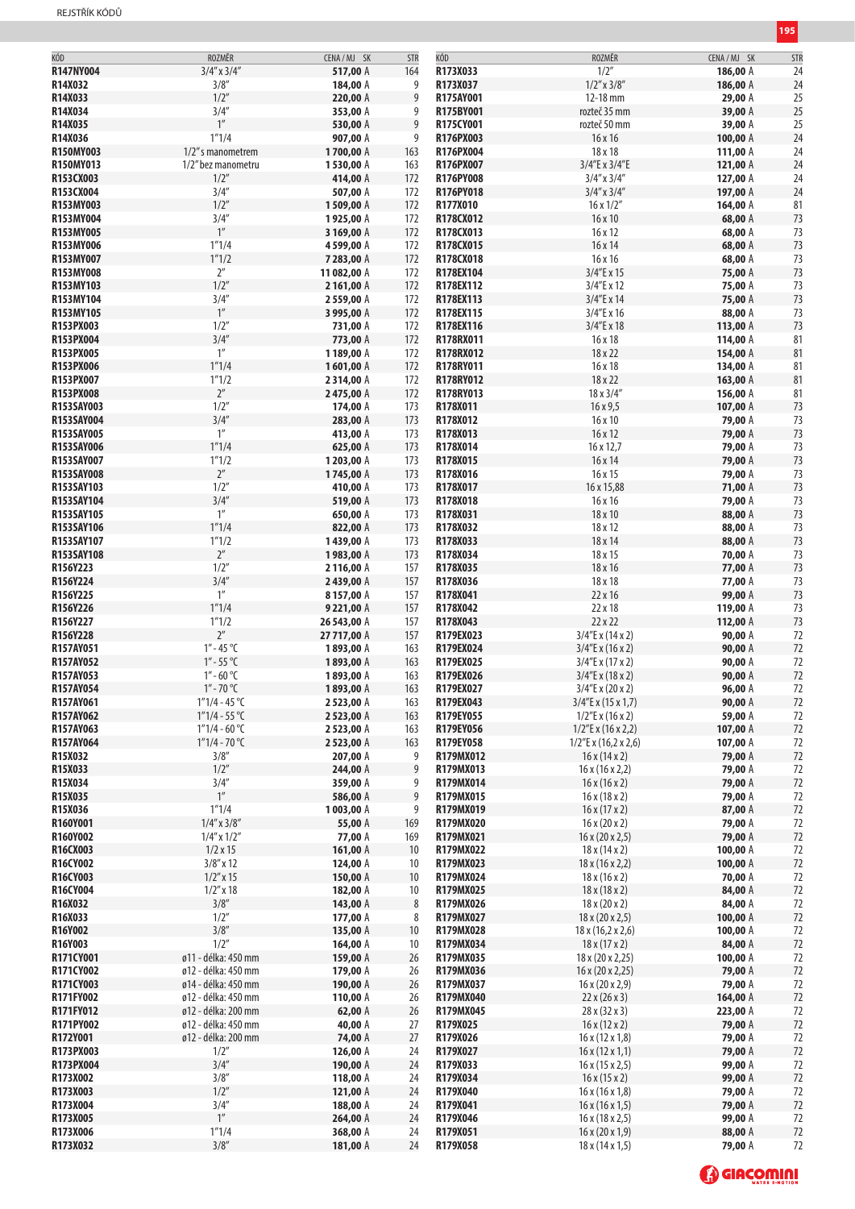| KÓD              | ROZMĚR              | CENA / MJ SK | <b>STR</b> | KÓD       | ROZMĚR                          | CENA / MJ SK | STR |
|------------------|---------------------|--------------|------------|-----------|---------------------------------|--------------|-----|
| R147NY004        | $3/4''$ x $3/4''$   | 517,00 A     | 164        | R173X033  | 1/2''                           | 186,00 A     | 24  |
| R14X032          | 3/8''               | 184,00 A     | 9          | R173X037  | $1/2''$ x $3/8''$               | 186,00 A     | 24  |
|                  | 1/2''               | 220,00 A     |            |           |                                 |              |     |
| R14X033          |                     |              | 9          | R175AY001 | 12-18 mm                        | 29,00 A      | 25  |
| R14X034          | 3/4''               | 353,00 A     | 9          | R175BY001 | rozteč 35 mm                    | 39,00 A      | 25  |
| R14X035          | 1''                 | 530,00 A     | 9          | R175CY001 | rozteč 50 mm                    | 39,00 A      | 25  |
| R14X036          | 1''1/4              | 907,00 A     | 9          | R176PX003 | 16 x 16                         | 100,00 A     | 24  |
| <b>R150MY003</b> | 1/2" s manometrem   | 1700,00 A    | 163        | R176PX004 | 18 x 18                         | 111,00 A     | 24  |
| R150MY013        | 1/2" bez manometru  | 1530,00 A    | 163        | R176PX007 | 3/4"E x 3/4"E                   | 121,00 A     | 24  |
| R153CX003        | $1/2$ "             | 414,00 A     | 172        | R176PY008 | $3/4''$ x $3/4''$               | 127,00 A     | 24  |
| R153CX004        | 3/4''               | 507,00 A     | 172        | R176PY018 | $3/4''$ x $3/4''$               | 197,00 A     | 24  |
| R153MY003        | 1/2''               | 1509,00 A    | 172        | R177X010  | $16 \times 1/2$ "               | 164,00 A     | 81  |
| R153MY004        | 3/4''               | 1925,00 A    | 172        | R178CX012 | 16x10                           | 68,00 A      | 73  |
| R153MY005        | $1^{\prime\prime}$  | 3 169,00 A   | 172        | R178CX013 | 16x12                           | 68,00 A      | 73  |
| R153MY006        | 1''1/4              | 4599,00 A    | 172        | R178CX015 | 16 x 14                         | 68,00 A      | 73  |
| R153MY007        | 1''1/2              | 7 283,00 A   | 172        | R178CX018 | 16 x 16                         | 68,00 A      | 73  |
| R153MY008        | $2^{\prime\prime}$  | 11 082,00 A  | 172        | R178EX104 | 3/4"E x 15                      | 75,00 A      | 73  |
| R153MY103        | 1/2''               | 2 161,00 A   | 172        | R178EX112 | 3/4"E x 12                      | 75,00 A      | 73  |
|                  | 3/4''               |              |            |           | 3/4"E x 14                      |              |     |
| R153MY104        | 1''                 | 2559,00 A    | 172        | R178EX113 |                                 | 75,00 A      | 73  |
| R153MY105        |                     | 3 995,00 A   | 172        | R178EX115 | 3/4"E x 16                      | 88,00 A      | 73  |
| R153PX003        | 1/2''               | 731,00 A     | 172        | R178EX116 | 3/4"E x 18                      | 113,00 A     | 73  |
| R153PX004        | 3/4''               | 773,00 A     | 172        | R178RX011 | 16 x 18                         | 114,00 A     | 81  |
| R153PX005        | 1''                 | 1189,00 A    | 172        | R178RX012 | 18 x 22                         | 154,00 A     | 81  |
| R153PX006        | 1''1/4              | 1601,00 A    | 172        | R178RY011 | 16 x 18                         | 134,00 A     | 81  |
| R153PX007        | 1''1/2              | 2314,00 A    | 172        | R178RY012 | 18 x 22                         | 163,00 A     | 81  |
| R153PX008        | $2^{\prime\prime}$  | 2475,00 A    | 172        | R178RY013 | 18 x 3/4"                       | 156,00 A     | 81  |
| R153SAY003       | 1/2"                | 174,00 A     | 173        | R178X011  | 16x9,5                          | 107,00 A     | 73  |
| R153SAY004       | 3/4''               | 283,00 A     | 173        | R178X012  | 16x10                           | 79,00 A      | 73  |
| R153SAY005       | 1''                 | 413,00 A     | 173        | R178X013  | 16x12                           | 79,00 A      | 73  |
| R153SAY006       | 1''1/4              | 625,00 A     | 173        | R178X014  | 16 x 12,7                       | 79,00 A      | 73  |
| R153SAY007       | 1''1/2              | 1203,00 A    | 173        | R178X015  | 16 x 14                         | 79,00 A      | 73  |
| R153SAY008       | $2^{\prime\prime}$  | 1745,00 A    | 173        | R178X016  | 16x15                           | 79,00 A      | 73  |
| R153SAY103       | 1/2"                | 410,00 A     | 173        | R178X017  | 16 x 15,88                      | 71,00 A      | 73  |
| R153SAY104       | 3/4''               | 519,00 A     | 173        | R178X018  | 16 x 16                         | 79,00 A      | 73  |
| R153SAY105       | 1''                 | 650,00 A     | 173        | R178X031  | 18 x 10                         | 88,00 A      | 73  |
| R153SAY106       | 1''1/4              | 822,00 A     | 173        | R178X032  | 18 x 12                         | 88,00 A      | 73  |
| R153SAY107       | 1''1/2              | 1439,00 A    | 173        | R178X033  | 18 x 14                         | 88,00 A      | 73  |
| R153SAY108       | $2^{\prime\prime}$  | 1983,00 A    | 173        | R178X034  | 18 x 15                         | 70,00 A      | 73  |
|                  | 1/2''               |              |            |           |                                 |              |     |
| R156Y223         |                     | 2116,00 A    | 157        | R178X035  | 18 x 16                         | 77,00 A      | 73  |
| R156Y224         | 3/4''               | 2439,00 A    | 157        | R178X036  | 18 x 18                         | 77,00 A      | 73  |
| R156Y225         | 1''                 | 8157,00 A    | 157        | R178X041  | 22 x 16                         | 99,00 A      | 73  |
| R156Y226         | 1''1/4              | 9 221,00 A   | 157        | R178X042  | 22 x 18                         | 119,00 A     | 73  |
| R156Y227         | 1''1/2              | 26 543,00 A  | 157        | R178X043  | 22 x 22                         | 112,00 A     | 73  |
| R156Y228         | $2^{\prime\prime}$  | 27 717,00 A  | 157        | R179EX023 | 3/4"E x (14 x 2)                | 90,00 A      | 72  |
| R157AY051        | $1'' - 45$ °C       | 1893,00 A    | 163        | R179EX024 | 3/4"E x (16 x 2)                | 90,00 A      | 72  |
| R157AY052        | $1'' - 55$ °C       | 1893,00 A    | 163        | R179EX025 | 3/4"E x (17 x 2)                | 90,00 A      | 72  |
| R157AY053        | $1'' - 60$ °C       | 1893,00 A    | 163        | R179EX026 | 3/4"E x (18x2)                  | 90,00 A      | 72  |
| R157AY054        | 1″ - 70 °C          | 1893,00 A    | 163        | R179EX027 | 3/4"E x (20 x 2)                | 96,00 A      | 72  |
| R157AY061        | $1"1/4 - 45 °C$     | 2 523,00 A   | 163        | R179EX043 | $3/4$ "E x (15 x 1,7)           | 90,00 A      | 72  |
| R157AY062        | $1"1/4 - 55 °C$     | 2523,00 A    | 163        | R179EY055 | $1/2$ "E x (16 x 2)             | 59,00 A      | 72  |
| R157AY063        | $1"1/4 - 60 °C$     | 2 523,00 A   | 163        | R179EY056 | $1/2$ "E x (16 x 2,2)           | 107,00 A     | 72  |
| R157AY064        | $1"1/4 - 70 °C$     | 2523,00 A    | 163        | R179EY058 | $1/2$ "E x (16,2 x 2,6)         | 107,00 A     | 72  |
| R15X032          | 3/8''               | 207,00 A     | 9          | R179MX012 | 16x(14x2)                       | 79,00 A      | 72  |
| R15X033          | 1/2"                | 244,00 A     | 9          | R179MX013 | 16x(16x2,2)                     | 79,00 A      | 72  |
| R15X034          | 3/4''               | 359,00 A     | 9          | R179MX014 | 16x(16x2)                       | 79,00 A      | 72  |
| R15X035          | $1^{\prime\prime}$  | 586,00 A     | 9          | R179MX015 | 16x(18x2)                       | 79,00 A      | 72  |
| R15X036          | 1''1/4              | 1003,00 A    | 9          | R179MX019 | 16x(17x2)                       | 87,00 A      | 72  |
| R160Y001         | $1/4''$ x $3/8''$   | 55,00 A      | 169        | R179MX020 | $16 \times (20 \times 2)$       | 79,00 A      | 72  |
| R160Y002         | $1/4''$ x $1/2''$   | 77,00 A      | 169        | R179MX021 | $16 \times (20 \times 2,5)$     | 79,00 A      | 72  |
| R16CX003         | $1/2 \times 15$     | 161,00 A     | 10         | R179MX022 | 18x(14x2)                       | 100,00 A     | 72  |
| R16CY002         | $3/8''$ x 12        | 124,00 A     | 10         | R179MX023 | 18x(16x2,2)                     | 100,00 A     | 72  |
| R16CY003         | $1/2$ " x 15        | 150,00 A     | 10         | R179MX024 | 18x(16x2)                       | 70,00 A      | 72  |
| R16CY004         | $1/2''$ x 18        | 182,00 A     | 10         | R179MX025 | 18x(18x2)                       | 84,00 A      | 72  |
| R16X032          | 3/8''               | 143,00 A     | 8          | R179MX026 | $18 \times (20 \times 2)$       | 84,00 A      | 72  |
| R16X033          | 1/2"                | 177,00 A     | 8          | R179MX027 | $18 \times (20 \times 2,5)$     | 100,00 $A$   | 72  |
| R16Y002          | 3/8''               | 135,00 A     | 10         | R179MX028 | $18 \times (16, 2 \times 2, 6)$ | 100,00 A     | 72  |
| R16Y003          | 1/2"                | 164,00 A     | 10         | R179MX034 | 18x(17x2)                       | 84,00 A      | 72  |
| R171CY001        | ø11 - délka: 450 mm | 159,00 A     | 26         | R179MX035 | 18 x (20 x 2,25)                | 100,00 A     | 72  |
| R171CY002        | ø12 - délka: 450 mm | 179,00 A     | 26         | R179MX036 | $16 \times (20 \times 2,25)$    | 79,00 A      | 72  |
| R171CY003        | ø14 - délka: 450 mm | 190,00 A     | 26         | R179MX037 | $16 \times (20 \times 2,9)$     | 79,00 A      | 72  |
| R171FY002        | ø12 - délka: 450 mm | 110,00 A     | 26         | R179MX040 | 22x(26x3)                       | 164,00 A     | 72  |
| R171FY012        | ø12 - délka: 200 mm | 62,00 $A$    | 26         | R179MX045 | 28x(32x3)                       | 223,00 A     | 72  |
| R171PY002        | ø12 - délka: 450 mm | 40,00 A      | 27         | R179X025  | 16x(12x2)                       | 79,00 A      | 72  |
| R172Y001         | ø12 - délka: 200 mm | 74,00 A      | 27         | R179X026  |                                 |              |     |
|                  |                     |              |            |           | 16x(12x1,8)                     | 79,00 A      | 72  |
| R173PX003        | 1/2"                | 126,00 A     | 24         | R179X027  | 16x(12x1,1)                     | 79,00 A      | 72  |
| R173PX004        | 3/4''               | 190,00 A     | 24         | R179X033  | 16x(15x2,5)                     | 99,00 A      | 72  |
| R173X002         | 3/8''               | 118,00 A     | 24         | R179X034  | 16x(15x2)                       | 99,00 A      | 72  |
| R173X003         | 1/2''               | 121,00 A     | 24         | R179X040  | 16x(16x1,8)                     | 79,00 A      | 72  |
| R173X004         | 3/4''               | 188,00 A     | 24         | R179X041  | 16x(16x1,5)                     | 79,00 A      | 72  |
| R173X005         | $1''$               | 264,00 A     | 24         | R179X046  | 16x(18x2,5)                     | 99,00 A      | 72  |
| R173X006         | 1''1/4              | 368,00 A     | 24         | R179X051  | $16 \times (20 \times 1,9)$     | 88,00 A      | 72  |
| R173X032         | 3/8''               | 181,00 A     | 24         | R179X058  | 18x(14x1,5)                     | 79,00 A      | 72  |
|                  |                     |              |            |           |                                 |              |     |

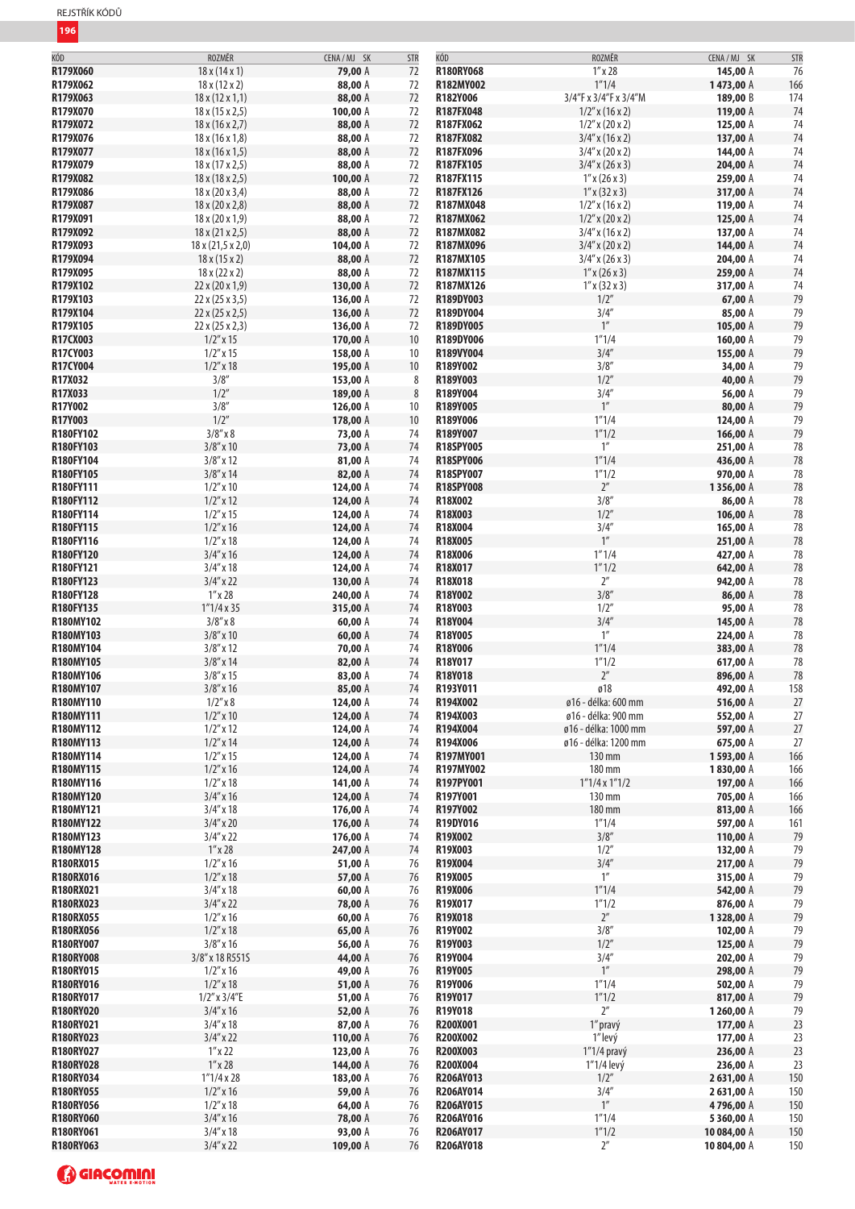| KÓD              | ROZMĚR                       | CENA / MJ SK | <b>STR</b> | KÓD              | ROZMĚR                | CENA / MJ SK | <b>STR</b> |
|------------------|------------------------------|--------------|------------|------------------|-----------------------|--------------|------------|
| R179X060         | 18x(14x1)                    | 79,00 A      | 72         | R180RY068        | $1''$ x 28            | 145,00 A     | 76         |
| R179X062         | $18 \times (12 \times 2)$    | 88,00 A      | 72         | R182MY002        | 1''1/4                | 1473,00 A    | 166        |
| R179X063         | $18 \times (12 \times 1, 1)$ | 88,00 A      | 72         | R182Y006         | 3/4"F x 3/4"F x 3/4"M | 189,00 B     | 174        |
| R179X070         | $18 \times (15 \times 2, 5)$ | 100,00 A     | 72         | R187FX048        | $1/2''$ x (16 x 2)    | 119,00 A     | 74         |
| R179X072         | 18x(16x2,7)                  | 88,00 A      | 72         | R187FX062        | $1/2''$ x (20 x 2)    | 125,00 A     | 74         |
|                  |                              |              |            |                  |                       |              |            |
| R179X076         | 18x(16x1,8)                  | 88,00 A      | 72         | R187FX082        | $3/4''$ x (16 x 2)    | 137,00 A     | 74         |
| R179X077         | 18x(16x1,5)                  | 88,00 A      | 72         | R187FX096        | $3/4''$ x (20 x 2)    | 144,00 A     | 74         |
| R179X079         | 18x(17x2,5)                  | 88,00 A      | 72         | R187FX105        | $3/4''$ x (26 x 3)    | 204,00 A     | 74         |
| R179X082         | 18x(18x2,5)                  | 100,00 A     | 72         | R187FX115        | $1''$ x (26 x 3)      | 259,00 A     | 74         |
| R179X086         | 18 x (20 x 3,4)              | 88,00 A      | 72         | R187FX126        | $1''$ x (32 x 3)      | 317,00 A     | 74         |
| R179X087         | 18 x (20 x 2,8)              | 88,00 A      | 72         | R187MX048        | $1/2''$ x (16 x 2)    | 119,00 A     | 74         |
| R179X091         | $18 \times (20 \times 1, 9)$ | 88,00 A      | 72         | R187MX062        | $1/2''$ x (20 x 2)    | 125,00 A     | 74         |
| R179X092         | $18 \times (21 \times 2,5)$  | 88,00 A      | 72         | R187MX082        | $3/4''$ x (16 x 2)    | 137,00 A     | 74         |
| R179X093         |                              | 104,00 A     | 72         | R187MX096        | $3/4''$ x (20 x 2)    | 144,00 A     | 74         |
|                  | 18 x (21,5 x 2,0)            |              |            |                  |                       |              |            |
| R179X094         | 18 x (15 x 2)                | 88,00 A      | 72         | R187MX105        | $3/4''$ x (26 x 3)    | 204,00 A     | 74         |
| R179X095         | $18 \times (22 \times 2)$    | 88,00 A      | 72         | R187MX115        | $1''$ x (26 x 3)      | 259,00 A     | 74         |
| R179X102         | 22 x (20 x 1,9)              | 130,00 A     | 72         | R187MX126        | $1''$ x (32 x 3)      | 317,00 A     | 74         |
| R179X103         | 22 x (25 x 3,5)              | 136,00 A     | 72         | R189DY003        | 1/2"                  | 67,00 A      | 79         |
| R179X104         | 22x(25x2,5)                  | 136,00 A     | 72         | R189DY004        | 3/4''                 | 85,00 A      | 79         |
| R179X105         | 22 x (25 x 2,3)              | 136,00 A     | 72         | R189DY005        | $1^{\prime\prime}$    | 105,00 A     | 79         |
| R17CX003         | $1/2''$ x 15                 | 170,00 A     | 10         | R189DY006        | 1''1/4                | 160,00 A     | 79         |
| R17CY003         | $1/2''$ x 15                 | 158,00 A     | 10         | R189VY004        | 3/4''                 | 155,00 A     | 79         |
| R17CY004         | $1/2''$ x 18                 | 195,00 A     | 10         | R189Y002         | 3/8''                 | 34,00 A      | 79         |
| R17X032          | 3/8''                        | 153,00 A     | 8          | R189Y003         | 1/2''                 | 40,00 A      | 79         |
| R17X033          | 1/2''                        |              |            |                  | 3/4''                 |              |            |
|                  |                              | 189,00 A     | $\,8\,$    | R189Y004         |                       | 56,00 A      | 79         |
| R17Y002          | 3/8''                        | 126,00 A     | 10         | R189Y005         | $1^{\prime\prime}$    | 80,00 A      | 79         |
| R17Y003          | 1/2''                        | 178,00 A     | 10         | R189Y006         | 1''1/4                | 124,00 A     | 79         |
| R180FY102        | $3/8''$ x $8$                | 73,00 A      | 74         | R189Y007         | 1''1/2                | 166,00 A     | 79         |
| R180FY103        | $3/8''$ x 10                 | 73,00 A      | 74         | <b>R18SPY005</b> | 1''                   | 251,00 A     | 78         |
| R180FY104        | $3/8''$ x 12                 | 81,00 A      | 74         | <b>R18SPY006</b> | 1''1/4                | 436,00 A     | 78         |
| R180FY105        | $3/8''$ x 14                 | 82,00 A      | 74         | R18SPY007        | 1''1/2                | 970,00 A     | 78         |
| R180FY111        | $1/2$ " x 10                 | 124,00 A     | 74         | <b>R18SPY008</b> | $2^{\prime\prime}$    | 1356,00 A    | 78         |
| R180FY112        | $1/2''$ x 12                 | 124,00 A     | 74         | R18X002          | 3/8''                 | 86,00 A      | 78         |
| R180FY114        | $1/2''$ x 15                 | 124,00 A     | 74         | R18X003          | 1/2''                 | 106,00 A     | 78         |
| R180FY115        | $1/2$ " x 16                 | 124,00 A     | 74         | R18X004          | 3/4''                 | 165,00 A     | 78         |
|                  |                              |              |            |                  | $1^{\prime\prime}$    |              |            |
| R180FY116        | $1/2''$ x 18                 | 124,00 A     | 74         | R18X005          |                       | 251,00 A     | 78         |
| R180FY120        | $3/4''$ x 16                 | 124,00 A     | 74         | R18X006          | 1''1/4                | 427,00 A     | 78         |
| R180FY121        | $3/4''$ x 18                 | 124,00 A     | 74         | R18X017          | 1''1/2                | 642,00 A     | 78         |
| R180FY123        | $3/4''$ x 22                 | 130,00 A     | 74         | R18X018          | $2^{\prime\prime}$    | 942,00 A     | 78         |
| R180FY128        | $1''$ x 28                   | 240,00 A     | 74         | R18Y002          | 3/8''                 | 86,00 A      | 78         |
| R180FY135        | 1''1/4x35                    | 315,00 A     | 74         | R18Y003          | 1/2''                 | 95,00 A      | 78         |
| R180MY102        | $3/8''$ x $8$                | 60,00 A      | 74         | R18Y004          | 3/4''                 | 145,00 A     | 78         |
| R180MY103        | $3/8''$ x 10                 | 60,00 A      | 74         | R18Y005          | $1''$                 | 224,00 A     | 78         |
| R180MY104        | $3/8''$ x 12                 | 70,00 A      | 74         | R18Y006          | 1''1/4                | 383,00 A     | 78         |
| R180MY105        | $3/8''$ x 14                 | 82,00 A      | 74         | R18Y017          | 1''1/2                | 617,00 A     | 78         |
| R180MY106        | $3/8''$ x 15                 | 83,00 A      | 74         | R18Y018          | $2^{\prime\prime}$    | 896,00 A     | 78         |
| R180MY107        | $3/8''$ x 16                 | 85,00 A      | 74         | R193Y011         | ø18                   | 492,00 A     | 158        |
|                  |                              |              |            |                  |                       |              |            |
| R180MY110        | $1/2''$ x $8$                | 124,00 A     | 74         | R194X002         | ø16 - délka: 600 mm   | 516,00 A     | 27         |
| R180MY111        | $1/2''$ x $10$               | 124,00 A     | 74         | R194X003         | ø16 - délka: 900 mm   | 552,00 A     | 27         |
| R180MY112        | $1/2''$ x 12                 | 124,00 A     | 74         | R194X004         | ø16 - délka: 1000 mm  | 597,00 A     | 27         |
| R180MY113        | $1/2''$ x 14                 | 124,00 A     | 74         | R194X006         | ø16 - délka: 1200 mm  | 675,00 A     | 27         |
| R180MY114        | $1/2''$ x 15                 | 124,00 A     | 74         | R197MY001        | 130 mm                | 1593,00 A    | 166        |
| R180MY115        | $1/2''$ x 16                 | 124,00 A     | 74         | R197MY002        | 180 mm                | 1830,00 A    | 166        |
| R180MY116        | $1/2''$ x 18                 | 141,00 A     | 74         | R197PY001        | $1"1/4 \times 1"1/2$  | 197,00 A     | 166        |
| R180MY120        | $3/4''$ x 16                 | 124,00 A     | 74         | R197Y001         | 130 mm                | 705,00 A     | 166        |
| R180MY121        | $3/4''$ x 18                 | 176,00 A     | 74         | R197Y002         | 180 mm                | 813,00 A     | 166        |
| R180MY122        | $3/4''$ x 20                 | 176,00 A     | 74         | R19DY016         | 1''1/4                | 597,00 A     | 161        |
| R180MY123        | $3/4''$ x 22                 | 176,00 A     | 74         | <b>R19X002</b>   | 3/8''                 | 110,00 A     | 79         |
| R180MY128        | $1^{\prime\prime}$ x 28      | 247,00 A     | 74         | R19X003          | 1/2"                  | 132,00 A     | 79         |
| R180RX015        |                              |              |            | R19X004          | 3/4''                 |              | 79         |
|                  | $1/2$ " x 16                 | 51,00 A      | 76         |                  |                       | 217,00 A     |            |
| R180RX016        | $1/2''$ x 18                 | 57,00 A      | 76         | R19X005          | 1''                   | 315,00 A     | 79         |
| R180RX021        | $3/4''$ x 18                 | 60,00 A      | 76         | R19X006          | 1''1/4                | 542,00 A     | 79         |
| <b>R180RX023</b> | $3/4''$ x 22                 | 78,00 A      | 76         | R19X017          | 1''1/2                | 876,00 A     | 79         |
| <b>R180RX055</b> | $1/2$ " x 16                 | 60,00 A      | 76         | R19X018          | $2^{\prime\prime}$    | 1328,00 A    | 79         |
| <b>R180RX056</b> | $1/2''$ x 18                 | 65,00 A      | 76         | R19Y002          | 3/8''                 | 102,00 A     | 79         |
| R180RY007        | $3/8''$ x 16                 | 56,00 A      | 76         | R19Y003          | 1/2''                 | 125,00 A     | 79         |
| <b>R180RY008</b> | 3/8" x 18 R551S              | 44,00 A      | 76         | R19Y004          | 3/4''                 | 202,00 A     | 79         |
| R180RY015        | $1/2$ " x 16                 | 49,00 A      | 76         | R19Y005          | 1''                   | 298,00 A     | 79         |
| R180RY016        | $1/2''$ x 18                 | 51,00 A      | 76         | R19Y006          | 1''1/4                | 502,00 A     | 79         |
| R180RY017        | $1/2''$ x $3/4''E$           | 51,00 A      | 76         | R19Y017          | 1''1/2                | 817,00 A     | 79         |
|                  |                              |              |            |                  | $2^{\prime\prime}$    |              |            |
| <b>R180RY020</b> | $3/4''$ x 16                 | 52,00 A      | 76         | R19Y018          |                       | 1260,00 A    | 79         |
| R180RY021        | $3/4''$ x 18                 | 87,00 A      | 76         | R200X001         | 1" pravý              | 177,00 A     | 23         |
| <b>R180RY023</b> | $3/4''$ x 22                 | 110,00 A     | 76         | <b>R200X002</b>  | 1"levý                | 177,00 A     | 23         |
| R180RY027        | $1''$ x 22                   | 123,00 A     | 76         | R200X003         | $1''1/4$ pravý        | 236,00 A     | 23         |
| <b>R180RY028</b> | $1^{\prime\prime}$ x 28      | 144,00 A     | 76         | <b>R200X004</b>  | 1"1/4 levý            | 236,00 A     | 23         |
| R180RY034        | 1''1/4 x 28                  | 183,00 A     | 76         | R206AY013        | 1/2"                  | 2631,00 A    | 150        |
| <b>R180RY055</b> | $1/2''$ x 16                 | 59,00 A      | 76         | R206AY014        | 3/4''                 | 2631,00 A    | 150        |
| R180RY056        | $1/2$ " x 18                 | 64,00 A      | 76         | R206AY015        | $1^{\prime\prime}$    | 4796,00 A    | 150        |
| <b>R180RY060</b> | $3/4$ " x 16                 | 78,00 A      | 76         | R206AY016        | 1''1/4                | 5360,00 A    | 150        |
| R180RY061        | $3/4''$ x 18                 | 93,00 A      | 76         | <b>R206AY017</b> | 1''1/2                | 10 084,00 A  | 150        |
|                  |                              |              | 76         | R206AY018        | 2 <sup>''</sup>       | 10 804,00 A  | 150        |
| R180RY063        | $3/4''$ x 22                 | 109,00 A     |            |                  |                       |              |            |

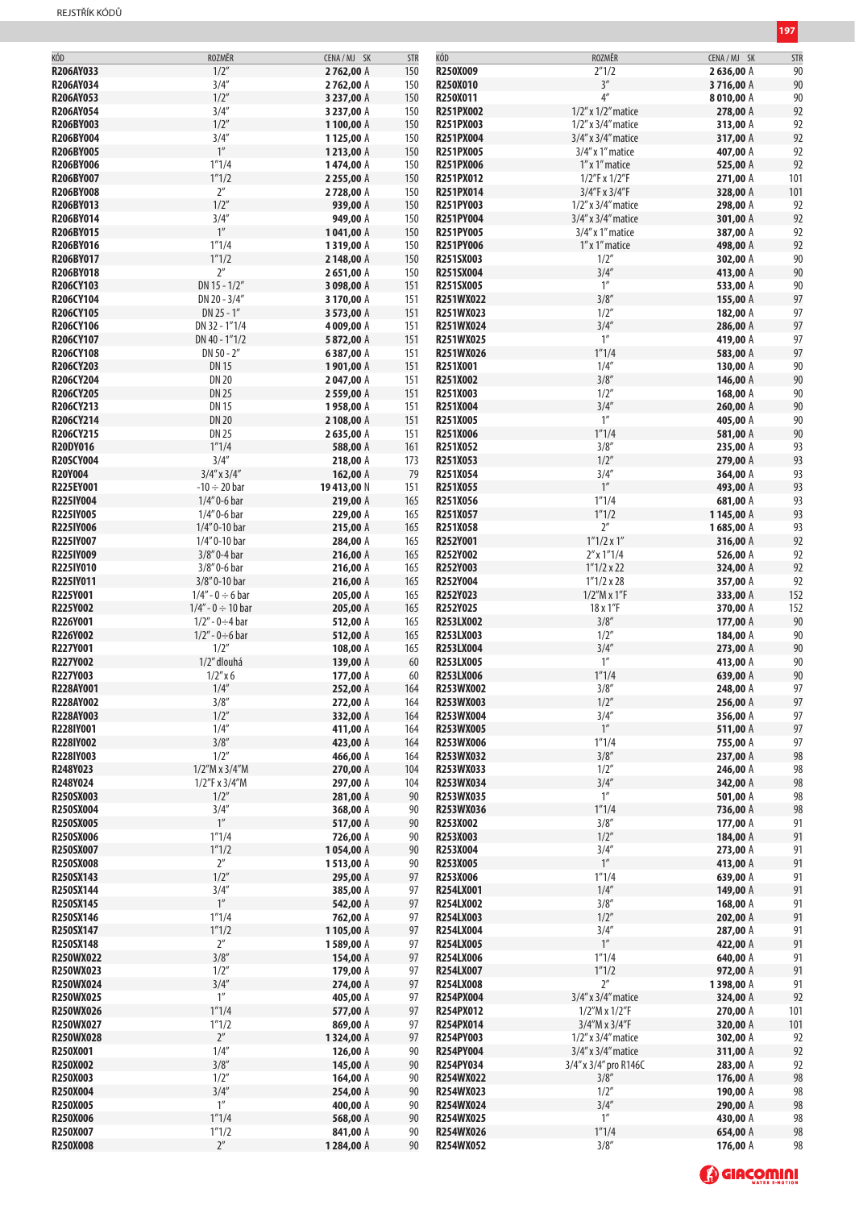| KÓD              | ROZMĚR                 | CENA/MJ SK | <b>STR</b> | KÓD              | ROZMĚR                   | CENA / MJ SK | <b>STR</b> |
|------------------|------------------------|------------|------------|------------------|--------------------------|--------------|------------|
| R206AY033        | 1/2''                  | 2762,00 A  | 150        | R250X009         | 2''1/2                   | 2636,00 A    | 90         |
| R206AY034        | 3/4''                  |            |            |                  | 3''                      |              |            |
|                  |                        | 2762,00 A  | 150        | <b>R250X010</b>  |                          | 3716,00 A    | 90         |
| R206AY053        | 1/2''                  | 3 237,00 A | 150        | R250X011         | $4^{\prime\prime}$       | 8010,00 A    | 90         |
| <b>R206AY054</b> | 3/4''                  | 3 237,00 A | 150        | <b>R251PX002</b> | $1/2$ " x $1/2$ " matice | 278,00 A     | 92         |
| R206BY003        | 1/2''                  | 1100,00 A  | 150        | R251PX003        | $1/2$ " x $3/4$ " matice | 313,00 A     | 92         |
| R206BY004        | 3/4''                  | 1125,00 A  | 150        | <b>R251PX004</b> | 3/4" x 3/4" matice       | 317,00 A     | 92         |
| <b>R206BY005</b> | $1^{\prime\prime}$     | 1213,00 A  | 150        | R251PX005        | $3/4''$ x 1" matice      | 407,00 A     | 92         |
| R206BY006        | 1''1/4                 | 1474,00 A  | 150        | R251PX006        | 1" x 1" matice           | 525,00 A     | 92         |
| R206BY007        | 1''1/2                 | 2 255,00 A | 150        | R251PX012        | $1/2$ "F x $1/2$ "F      | 271,00 A     |            |
|                  |                        |            |            |                  |                          |              | 101        |
| <b>R206BY008</b> | $2^{\prime\prime}$     | 2728,00 A  | 150        | R251PX014        | 3/4"F x 3/4"F            | 328,00 A     | 101        |
| R206BY013        | 1/2''                  | 939,00 A   | 150        | R251PY003        | $1/2$ " x $3/4$ " matice | 298,00 A     | 92         |
| R206BY014        | 3/4''                  | 949,00 A   | 150        | R251PY004        | 3/4" x 3/4" matice       | 301,00 A     | 92         |
| R206BY015        | 1''                    | 1041,00 A  | 150        | <b>R251PY005</b> | $3/4''$ x 1" matice      | 387,00 A     | 92         |
| R206BY016        | 1''1/4                 | 1319,00 A  | 150        | <b>R251PY006</b> | 1" x 1" matice           | 498,00 A     | 92         |
| R206BY017        | 1''1/2                 | 2148,00 A  | 150        | R251SX003        | 1/2"                     | 302,00 A     | 90         |
| R206BY018        | $2^{\prime\prime}$     | 2651,00 A  | 150        | R251SX004        | 3/4''                    | 413,00 A     | 90         |
|                  |                        |            |            |                  | 1''                      |              |            |
| R206CY103        | $DN 15 - 1/2"$         | 3 098,00 A | 151        | R251SX005        |                          | 533,00 A     | 90         |
| R206CY104        | DN 20 - 3/4"           | 3 170,00 A | 151        | <b>R251WX022</b> | 3/8''                    | 155,00 A     | 97         |
| <b>R206CY105</b> | $DN 25 - 1"$           | 3 573,00 A | 151        | R251WX023        | 1/2"                     | 182,00 A     | 97         |
| R206CY106        | DN 32 - 1"1/4          | 4 009,00 A | 151        | <b>R251WX024</b> | 3/4''                    | 286,00 A     | 97         |
| R206CY107        | DN 40 - 1"1/2          | 5872,00 A  | 151        | R251WX025        | $1^{\prime\prime}$       | 419,00 A     | 97         |
| R206CY108        | DN 50 - 2"             | 6387,00 A  | 151        | R251WX026        | 1''1/4                   | 583,00 A     | 97         |
| R206CY203        | <b>DN 15</b>           | 1901,00 A  | 151        | R251X001         | 1/4''                    | 130,00 A     | 90         |
|                  |                        |            |            |                  |                          |              |            |
| R206CY204        | <b>DN 20</b>           | 2047,00 A  | 151        | R251X002         | 3/8''                    | 146,00 A     | 90         |
| R206CY205        | <b>DN 25</b>           | 2559,00 A  | 151        | R251X003         | 1/2"                     | 168,00 A     | 90         |
| R206CY213        | <b>DN 15</b>           | 1958,00 A  | 151        | R251X004         | 3/4''                    | 260,00 A     | 90         |
| R206CY214        | <b>DN 20</b>           | 2 108,00 A | 151        | R251X005         | $1^{\prime\prime}$       | 405,00 A     | 90         |
| R206CY215        | <b>DN 25</b>           | 2635,00 A  | 151        | R251X006         | 1''1/4                   | 581,00 A     | 90         |
| <b>R20DY016</b>  | 1''1/4                 | 588,00 A   | 161        | R251X052         | 3/8''                    | 235,00 A     | 93         |
| <b>R20SCY004</b> | 3/4''                  | 218,00 A   | 173        | R251X053         | 1/2''                    | 279,00 A     | 93         |
| <b>R20Y004</b>   | $3/4''$ x $3/4''$      |            |            |                  | 3/4''                    |              |            |
|                  |                        | 162,00 A   | 79         | R251X054         |                          | 364,00 A     | 93         |
| R225EY001        | $-10 \div 20$ bar      | 19413,00 N | 151        | R251X055         | $1^{\prime\prime}$       | 493,00 A     | 93         |
| R225IY004        | 1/4" 0-6 bar           | 219,00 A   | 165        | R251X056         | 1''1/4                   | 681,00 A     | 93         |
| R225IY005        | $1/4"$ 0-6 bar         | 229,00 A   | 165        | R251X057         | 1''1/2                   | 1145,00 A    | 93         |
| R225IY006        | 1/4" 0-10 bar          | 215,00 A   | 165        | R251X058         | $2^{\prime\prime}$       | 1685,00 A    | 93         |
| R225IY007        | 1/4" 0-10 bar          | 284,00 A   | 165        | R252Y001         | $1''1/2 \times 1''$      | 316,00 A     | 92         |
| R225IY009        | 3/8" 0-4 bar           | 216,00 A   | 165        | R252Y002         | $2''$ x $1''$ $1/4$      | 526,00 A     | 92         |
| R225IY010        | 3/8" 0-6 bar           | 216,00 A   |            | R252Y003         | $1''1/2 \times 22$       |              | 92         |
|                  |                        |            | 165        |                  |                          | 324,00 A     |            |
| R225IY011        | 3/8" 0-10 bar          | 216,00 A   | 165        | R252Y004         | $1''1/2 \times 28$       | 357,00 A     | 92         |
| R225Y001         | $1/4" - 0 \div 6$ bar  | 205,00 A   | 165        | R252Y023         | $1/2''M \times 1''F$     | 333,00 A     | 152        |
| R225Y002         | $1/4" - 0 \div 10$ bar | 205,00 A   | 165        | R252Y025         | 18 x 1"F                 | 370,00 A     | 152        |
| R226Y001         | $1/2" - 0 \div 4$ bar  | 512,00 A   | 165        | <b>R253LX002</b> | 3/8''                    | 177,00 A     | 90         |
| R226Y002         | $1/2'' - 0 \div 6$ bar | 512,00 A   | 165        | R253LX003        | 1/2"                     | 184,00 A     | 90         |
| R227Y001         | 1/2"                   | 108,00 A   | 165        | R253LX004        | 3/4''                    | 273,00 A     | 90         |
| R227Y002         | 1/2" dlouhá            | 139,00 A   | 60         | R253LX005        | 1 <sup>''</sup>          | 413,00 A     | 90         |
| R227Y003         | $1/2''$ x 6            | 177,00 A   | 60         | R253LX006        | 1''1/4                   | 639,00 A     | 90         |
| R228AY001        | 1/4''                  | 252,00 A   | 164        | R253WX002        | 3/8''                    | 248,00 A     | 97         |
|                  |                        |            |            |                  |                          |              |            |
| <b>R228AY002</b> | 3/8''                  | 272,00 A   | 164        | R253WX003        | 1/2"                     | 256,00 A     | 97         |
| R228AY003        | 1/2''                  | 332,00 A   | 164        | R253WX004        | 3/4''                    | 356,00 A     | 97         |
| R228IY001        | 1/4''                  | 411,00 A   | 164        | R253WX005        | $1^{\prime\prime}$       | 511,00 A     | 97         |
| R228IY002        | 3/8''                  | 423,00 A   | 164        | R253WX006        | 1''1/4                   | 755,00 A     | 97         |
| R228IY003        | 1/2"                   | 466,00 A   | 164        | <b>R253WX032</b> | 3/8''                    | 237,00 A     | 98         |
| R248Y023         | $1/2''M \times 3/4''M$ | 270,00 A   | 104        | R253WX033        | 1/2"                     | 246,00 A     | 98         |
| R248Y024         | 1/2"F x 3/4"M          | 297,00 A   | 104        | R253WX034        | 3/4''                    | 342,00 A     | 98         |
| R250SX003        | 1/2"                   |            |            |                  | $1^{\prime\prime}$       |              |            |
|                  |                        | 281,00 A   | 90         | R253WX035        |                          | 501,00 A     | 98         |
| R250SX004        | 3/4''                  | 368,00 A   | 90         | R253WX036        | 1''1/4                   | 736,00 A     | 98         |
| R250SX005        | $1^{\prime\prime}$     | 517,00 A   | 90         | R253X002         | 3/8''                    | 177,00 A     | 91         |
| R250SX006        | 1''1/4                 | 726,00 A   | 90         | R253X003         | 1/2''                    | 184,00 A     | 91         |
| R250SX007        | 1''1/2                 | 1054,00 A  | 90         | R253X004         | 3/4''                    | 273,00 A     | 91         |
| <b>R250SX008</b> | $2^{\prime\prime}$     | 1513,00 A  | 90         | R253X005         | $1^{\prime\prime}$       | 413,00 A     | 91         |
| R250SX143        | 1/2''                  | 295,00 A   | 97         | R253X006         | 1''1/4                   | 639,00 A     | 91         |
| R250SX144        | 3/4''                  | 385,00 A   | 97         | R254LX001        | 1/4''                    | 149,00 A     | 91         |
|                  | $1^{\prime\prime}$     |            |            |                  |                          |              |            |
| R250SX145        |                        | 542,00 A   | 97         | R254LX002        | 3/8''                    | 168,00 A     | 91         |
| R250SX146        | 1''1/4                 | 762,00 A   | 97         | <b>R254LX003</b> | 1/2"                     | 202,00 A     | 91         |
| R250SX147        | 1''1/2                 | 1105,00 A  | 97         | R254LX004        | 3/4''                    | 287,00 A     | 91         |
| R250SX148        | $2^{\prime\prime}$     | 1589,00 A  | 97         | <b>R254LX005</b> | $1^{\prime\prime}$       | 422,00 A     | 91         |
| <b>R250WX022</b> | 3/8''                  | 154,00 A   | 97         | R254LX006        | 1''1/4                   | 640,00 A     | 91         |
| <b>R250WX023</b> | 1/2"                   | 179,00 A   | 97         | <b>R254LX007</b> | 1''1/2                   | 972,00 A     | 91         |
| <b>R250WX024</b> | 3/4''                  | 274,00 A   | 97         | <b>R254LX008</b> | $2^{\prime\prime}$       | 1398,00 A    | 91         |
| <b>R250WX025</b> | 1''                    | 405,00 A   | 97         | <b>R254PX004</b> | 3/4" x 3/4" matice       | 324,00 A     | 92         |
| <b>R250WX026</b> | 1''1/4                 |            | 97         | R254PX012        |                          |              |            |
|                  |                        | 577,00 A   |            |                  | 1/2''M x 1/2''F          | 270,00 A     | 101        |
| <b>R250WX027</b> | 1''1/2                 | 869,00 A   | 97         | <b>R254PX014</b> | 3/4''M x 3/4''F          | 320,00 A     | 101        |
| <b>R250WX028</b> | $2^{\prime\prime}$     | 1324,00 A  | 97         | R254PY003        | $1/2$ " x $3/4$ " matice | 302,00 A     | 92         |
| R250X001         | 1/4''                  | 126,00 A   | 90         | <b>R254PY004</b> | $3/4''$ x $3/4''$ matice | 311,00 A     | 92         |
| R250X002         | 3/8''                  | 145,00 A   | 90         | R254PY034        | 3/4" x 3/4" pro R146C    | 283,00 A     | 92         |
| R250X003         | 1/2"                   | 164,00 A   | 90         | R254WX022        | 3/8''                    | 176,00 A     | 98         |
| R250X004         | 3/4''                  | 254,00 A   | 90         | R254WX023        | 1/2"                     | 190,00 A     | 98         |
| R250X005         | $1^{\prime\prime}$     |            |            | R254WX024        | 3/4''                    | 290,00 A     | 98         |
|                  |                        | 400,00 A   | 90         |                  |                          |              |            |
| R250X006         | 1''1/4                 | 568,00 A   | 90         | <b>R254WX025</b> | $1^{\prime\prime}$       | 430,00 A     | 98         |
| R250X007         | 1"1/2                  | 841,00 A   | 90         | R254WX026        | 1''1/4                   | 654,00 A     | 98         |
| R250X008         | $2^{\prime\prime}$     | 1284,00 A  | 90         | R254WX052        | 3/8''                    | 176,00 A     | 98         |

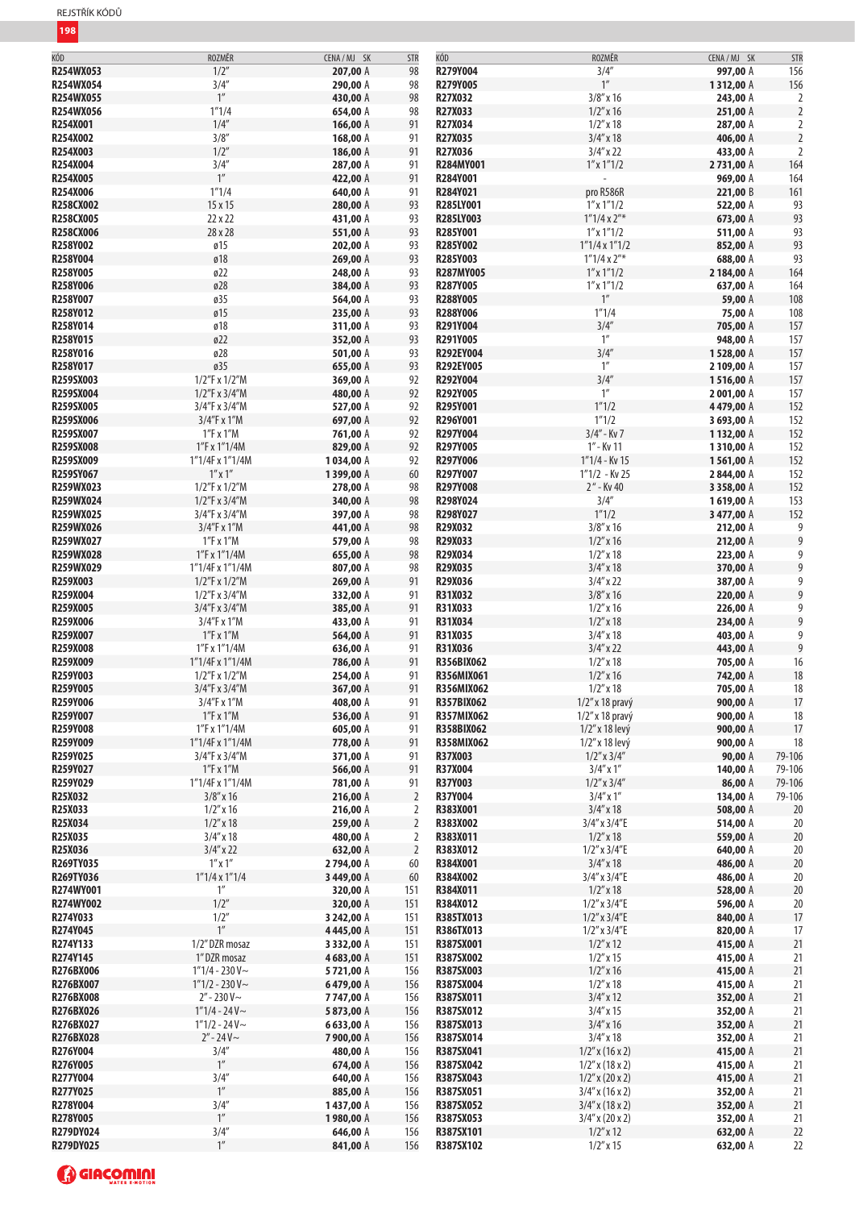| KÒD              | ROZMÉR               | CENA/MJ SK | <b>STR</b>     | KOD               | ROZMÉR                | CENA/MJ SK | <b>STR</b>     |
|------------------|----------------------|------------|----------------|-------------------|-----------------------|------------|----------------|
| R254WX053        | 1/2''                | 207,00 A   | 98             | R279Y004          | 3/4''                 | 997,00 A   | 156            |
| R254WX054        | 3/4''                | 290,00 A   | 98             | R279Y005          | $1^{\prime\prime}$    | 1312,00 A  | 156            |
|                  |                      |            |                |                   |                       |            |                |
| <b>R254WX055</b> | 1''                  | 430,00 A   | 98             | <b>R27X032</b>    | $3/8''$ x 16          | 243,00 A   | $\overline{2}$ |
| <b>R254WX056</b> | 1''1/4               | 654,00 A   | 98             | R27X033           | $1/2$ " x 16          | 251,00 A   | $\overline{2}$ |
| R254X001         | 1/4''                | 166,00 A   | 91             | R27X034           | $1/2$ " x 18          | 287,00 A   | $\overline{2}$ |
| R254X002         | 3/8''                | 168,00 A   | 91             | <b>R27X035</b>    | $3/4''$ x 18          | 406,00 A   | $\overline{2}$ |
|                  | 1/2''                |            |                |                   |                       |            |                |
| R254X003         |                      | 186,00 A   | 91             | R27X036           | $3/4''$ x 22          | 433,00 A   |                |
| R254X004         | 3/4''                | 287,00 A   | 91             | <b>R284MY001</b>  | $1''$ x $1''$ $1/2$   | 2731,00 A  | 164            |
| R254X005         | 1''                  | 422,00 A   | 91             | R284Y001          | i,                    | 969,00 A   | 164            |
| R254X006         | 1''1/4               | 640,00 A   | 91             | R284Y021          | pro R586R             | 221,00 B   | 161            |
| <b>R258CX002</b> |                      |            | 93             |                   | $1''$ x $1''$ $1/2$   |            |                |
|                  | 15 x 15              | 280,00 A   |                | R285LY001         |                       | 522,00 A   | 93             |
| R258CX005        | 22 x 22              | 431,00 A   | 93             | <b>R285LY003</b>  | $1''1/4x2''*$         | 673,00 A   | 93             |
| <b>R258CX006</b> | 28 x 28              | 551,00 A   | 93             | R285Y001          | $1''$ x $1''$ $1/2$   | 511,00 A   | 93             |
| R258Y002         | Ø15                  | 202,00 A   | 93             | R285Y002          | 1"1/4x1"1/2           | 852,00 A   | 93             |
| R258Y004         | ø18                  | 269,00 A   | 93             | R285Y003          | $1''1/4 \times 2''^*$ | 688,00 A   | 93             |
|                  |                      |            |                |                   |                       |            |                |
| R258Y005         | ø22                  | 248,00 A   | 93             | <b>R287MY005</b>  | $1''$ x $1''$ $1/2$   | 2184,00 A  | 164            |
| R258Y006         | ø28                  | 384,00 A   | 93             | R287Y005          | $1''$ x $1''$ 1/2     | 637,00 A   | 164            |
| R258Y007         | ø35                  | 564,00 A   | 93             | R288Y005          | $1^{\prime\prime}$    | 59,00 A    | 108            |
| R258Y012         | Ø15                  | 235,00 A   | 93             | R288Y006          | 1''1/4                | 75,00 A    | 108            |
|                  |                      |            |                |                   |                       |            |                |
| R258Y014         | ø18                  | 311,00 A   | 93             | R291Y004          | 3/4''                 | 705,00 A   | 157            |
| R258Y015         | ø22                  | 352,00 A   | 93             | R291Y005          | $1^{\prime\prime}$    | 948,00 A   | 157            |
| R258Y016         | ø28                  | 501,00 A   | 93             | R292EY004         | 3/4''                 | 1528,00 A  | 157            |
| R258Y017         | ø35                  | 655,00 A   | 93             | R292EY005         | $1^{\prime\prime}$    | 2 109,00 A | 157            |
|                  |                      |            |                |                   | 3/4''                 |            |                |
| R259SX003        | 1/2"F x 1/2"M        | 369,00 A   | 92             | R292Y004          |                       | 1516,00 A  | 157            |
| R259SX004        | 1/2"F x 3/4"M        | 480,00 A   | 92             | R292Y005          | $1^{\prime\prime}$    | 2001,00 A  | 157            |
| R259SX005        | 3/4"F x 3/4"M        | 527,00 A   | 92             | R295Y001          | 1''1/2                | 4479,00 A  | 152            |
| R259SX006        | 3/4"F x 1"M          | 697,00 A   | 92             | R296Y001          | 1''1/2                | 3693,00 A  | 152            |
|                  |                      |            |                | R297Y004          | $3/4'' -$ Kv 7        |            |                |
| R259SX007        | 1"F x 1"M            | 761,00 A   | 92             |                   |                       | 1132,00 A  | 152            |
| R259SX008        | 1"F x 1"1/4M         | 829,00 A   | 92             | R297Y005          | 1" - Kv 11            | 1310,00 A  | 152            |
| R259SX009        | 1"1/4F x 1"1/4M      | 1034,00 A  | 92             | R297Y006          | $1''1/4 -$ Kv 15      | 1561,00 A  | 152            |
| R259SY067        | $1''$ x $1''$        | 1399,00 A  | 60             | R297Y007          | $1''1/2$ - Kv 25      | 2844,00 A  | 152            |
| R259WX023        | 1/2"F x 1/2"M        | 278,00 A   | 98             | R297Y008          | 2" - Kv 40            | 3 358,00 A | 152            |
|                  |                      |            |                |                   |                       |            |                |
| R259WX024        | $1/2$ "F x $3/4$ "M  | 340,00 A   | 98             | R298Y024          | 3/4''                 | 1619,00 A  | 153            |
| R259WX025        | 3/4"F x 3/4"M        | 397,00 A   | 98             | R298Y027          | 1''1/2                | 3477,00 A  | 152            |
| <b>R259WX026</b> | 3/4"F x 1"M          | 441,00 A   | 98             | R29X032           | $3/8''$ x 16          | 212,00 A   | 9              |
| R259WX027        | 1"F x 1"M            | 579,00 A   | 98             | R29X033           | $1/2''$ x 16          | 212,00 A   | 9              |
| <b>R259WX028</b> | 1"F x 1"1/4M         | 655,00 A   | 98             | R29X034           | $1/2$ " x 18          | 223,00 A   |                |
|                  |                      |            |                |                   |                       |            | 9              |
| R259WX029        | 1"1/4F x 1"1/4M      | 807,00 A   | 98             | R29X035           | $3/4''$ x 18          | 370,00 A   | 9              |
| R259X003         | 1/2"F x 1/2"M        | 269,00 A   | 91             | R29X036           | $3/4''$ x 22          | 387,00 A   | 9              |
| R259X004         | $1/2$ "F x $3/4$ "M  | 332,00 A   | 91             | R31X032           | $3/8''$ x 16          | 220,00 A   | 9              |
| R259X005         | 3/4"F x 3/4"M        |            | 91             | R31X033           |                       |            |                |
|                  |                      | 385,00 A   |                |                   | $1/2$ " x 16          | 226,00 A   | 9              |
| R259X006         | 3/4"F x 1"M          | 433,00 A   | 91             | R31X034           | $1/2''$ x 18          | 234,00 A   | $\overline{9}$ |
| R259X007         | 1"F x 1"M            | 564,00 A   | 91             | R31X035           | $3/4''$ x 18          | 403,00 A   | 9              |
| R259X008         | 1"F x 1"1/4M         | 636,00 A   | 91             | R31X036           | $3/4''$ x 22          | 443,00 A   | 9              |
| R259X009         | 1"1/4F x 1"1/4M      | 786,00 A   | 91             | <b>R356BIX062</b> | $1/2''$ x 18          | 705,00 A   | 16             |
|                  |                      |            |                |                   |                       |            |                |
| R259Y003         | 1/2"F x 1/2"M        | 254,00 A   | 91             | <b>R356MIX061</b> | $1/2$ " x 16          | 742,00 A   | 18             |
| R259Y005         | 3/4"F x 3/4"M        | 367,00 A   | 91             | R356MIX062        | $1/2''$ x 18          | 705,00 A   | 18             |
| R259Y006         | 3/4"F x 1"M          | 408,00 A   | 91             | <b>R357BIX062</b> | 1/2″ x 18 pravý       | 900,00 A   | 17             |
| R259Y007         | 1"F x 1"M            | 536,00 A   | 91             | R357MIX062        | $1/2$ " x 18 pravý    | 900,00 A   | 18             |
| R259Y008         | 1"F x 1"1/4M         | 605,00 A   | 91             | <b>R358BIX062</b> | 1/2" x 18 levý        | 900,00 A   | 17             |
|                  |                      |            |                |                   |                       |            |                |
| R259Y009         | 1"1/4F x 1"1/4M      | 778,00 A   | 91             | R358MIX062        | $1/2$ " x 18 levý     | 900,00 A   | 18             |
| R259Y025         | $3/4"$ F x 3/4"M     | 371,00 A   | 91             | R37X003           | $1/2''$ x $3/4''$     | 90,00 A    | 79-106         |
| R259Y027         | 1"F x 1"M            | 566,00 A   | 91             | R37X004           | $3/4''$ x $1''$       | 140,00 A   | 79-106         |
| R259Y029         | 1"1/4F x 1"1/4M      | 781,00 A   | 91             | R37Y003           | $1/2$ " x $3/4$ "     | 86,00 A    | 79-106         |
|                  |                      |            |                |                   |                       |            |                |
| R25X032          | $3/8''$ x 16         | 216,00 A   | $\overline{2}$ | R37Y004           | $3/4''$ x $1''$       | 134,00 A   | 79-106         |
| R25X033          | $1/2''$ x 16         | 216,00 A   | 2              | R383X001          | $3/4''$ x 18          | 508,00 A   | 20             |
| R25X034          | $1/2''$ x 18         | 259,00 A   | $\overline{2}$ | R383X002          | $3/4''$ x $3/4''$ E   | 514,00 A   | 20             |
| R25X035          | $3/4''$ x 18         | 480,00 A   | 2              | R383X011          | $1/2$ " x 18          | 559,00 A   | 20             |
| R25X036          | $3/4''$ x 22         | 632,00 A   | $\overline{2}$ | R383X012          | $1/2$ " x $3/4$ "E    | 640,00 A   | 20             |
|                  |                      |            |                |                   |                       |            |                |
| R269TY035        | $1''$ x $1''$        | 2794,00 A  | 60             | R384X001          | $3/4''$ x 18          | 486,00 A   | 20             |
| R269TY036        | $1"1/4 \times 1"1/4$ | 3 449,00 A | 60             | R384X002          | $3/4''$ x $3/4''$ E   | 486,00 A   | 20             |
| R274WY001        | 1 <sup>n</sup>       | 320,00 A   | 151            | R384X011          | $1/2$ " x 18          | 528,00 A   | 20             |
| R274WY002        | 1/2''                | 320,00 A   | 151            | R384X012          | $1/2$ " x $3/4$ "E    | 596,00 A   | 20             |
| R274Y033         | 1/2''                | 3 242,00 A | 151            | R385TX013         | $1/2''$ x $3/4''E$    | 840,00 A   | 17             |
| R274Y045         | 1''                  |            |                | R386TX013         | $1/2$ " x $3/4$ "E    | 820,00 A   | 17             |
|                  |                      | 4445,00 A  | 151            |                   |                       |            |                |
| R274Y133         | 1/2" DZR mosaz       | 3332,00 A  | 151            | <b>R387SX001</b>  | $1/2''$ x 12          | 415,00 A   | 21             |
| R274Y145         | 1" DZR mosaz         | 4683,00 A  | 151            | R387SX002         | $1/2''$ x 15          | 415,00 A   | 21             |
| R276BX006        | $1"1/4 - 230V ~$     | 5721,00 A  | 156            | R387SX003         | $1/2''$ x 16          | 415,00 A   | 21             |
| R276BX007        | $1"1/2 - 230V ~$     | 6479,00 A  | 156            | R387SX004         | $1/2''$ x 18          | 415,00 A   | 21             |
|                  |                      |            |                |                   |                       |            |                |
| R276BX008        | $2'' - 230V$ ~       | 7747,00 A  | 156            | R387SX011         | $3/4''$ x 12          | 352,00 A   | 21             |
| R276BX026        | $1"1/4 - 24V \sim$   | 5873,00 A  | 156            | R387SX012         | $3/4''$ x 15          | 352,00 A   | 21             |
| R276BX027        | $1"1/2 - 24V$ ~      | 6633,00 A  | 156            | R387SX013         | $3/4''$ x 16          | 352,00 A   | 21             |
| R276BX028        | $2'' - 24V \sim$     | 7900,00 A  | 156            | R387SX014         | $3/4''$ x 18          | 352,00 A   | 21             |
|                  |                      |            |                |                   |                       |            |                |
| R276Y004         | 3/4''                | 480,00 A   | 156            | R387SX041         | $1/2''$ x (16 x 2)    | 415,00 A   | 21             |
| R276Y005         | $1^{\prime\prime}$   | 674,00 A   | 156            | R387SX042         | $1/2$ " x (18 x 2)    | 415,00 A   | 21             |
| R277Y004         | 3/4''                | 640,00 A   | 156            | R387SX043         | $1/2''$ x (20 x 2)    | 415,00 A   | 21             |
| R277Y025         | $1''$                | 885,00 A   | 156            | R387SX051         | $3/4''$ x (16 x 2)    | 352,00 A   | 21             |
| R278Y004         | 3/4''                | 1437,00 A  |                | R387SX052         | $3/4''$ x (18 x 2)    | 352,00 A   | 21             |
|                  |                      |            | 156            |                   |                       |            |                |
| R278Y005         | $1^{\prime\prime}$   | 1980,00 A  | 156            | R387SX053         | $3/4''$ x (20 x 2)    | 352,00 A   | 21             |
| R279DY024        | 3/4''                | 646,00 A   | 156            | R387SX101         | $1/2$ " x 12          | 632,00 A   | 22             |
| R279DY025        | $1^{\prime\prime}$   | 841,00 A   | 156            | R387SX102         | $1/2''$ x 15          | 632,00 A   | 22             |
|                  |                      |            |                |                   |                       |            |                |

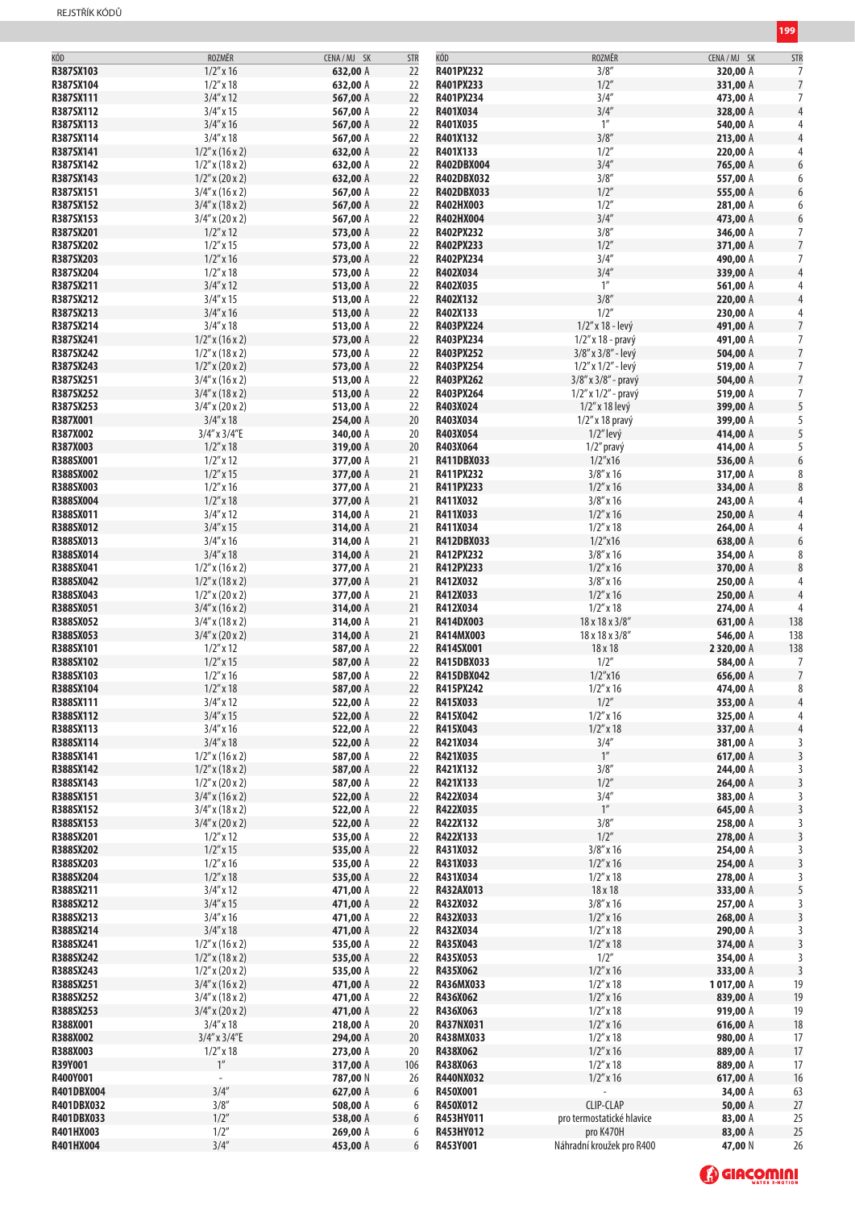| KÓD<br>ROZMĚR<br>KÓD<br>CENA / MJ SK<br><b>STR</b><br>R387SX103<br>$1/2''$ x 16<br>R401PX232<br>632,00 A<br>22<br>R387SX104<br>$1/2''$ x 18<br>R401PX233<br>632,00 A<br>22<br>$3/4''$ x 12<br>R387SX111<br>567,00 A<br>22<br>R401PX234<br>$3/4''$ x 15<br>R387SX112<br>567,00 A<br>22<br>R401X034<br>R387SX113<br>$3/4''$ x 16<br>567,00 A<br>22<br>R401X035<br>R387SX114<br>$3/4''$ x 18<br>22<br>R401X132<br>567,00 A<br>22<br>R387SX141<br>$1/2''$ x (16 x 2)<br>632,00 A<br>R401X133<br>R387SX142<br>22<br>$1/2$ " x (18 x 2)<br>632,00 A<br>R402DBX004<br>22<br>R387SX143<br>$1/2''$ x (20 x 2)<br>R402DBX032<br>632,00 A<br>R387SX151<br>$3/4''$ x (16 x 2)<br>567,00 A<br>22<br>R402DBX033<br>R387SX152<br>22<br>$3/4''$ x (18 x 2)<br>R402HX003<br>567,00 A<br>R387SX153<br>567,00 A<br>22<br>R402HX004<br>$3/4''$ x (20 x 2)<br>R387SX201<br>$1/2$ " x 12<br>573,00 A<br>22<br>R402PX232<br>R387SX202<br>$1/2''$ x 15<br>22<br>573,00 A<br>R402PX233<br>$1/2''$ x 16<br>22<br>R387SX203<br>573,00 A<br>R402PX234<br>R387SX204<br>$1/2$ " x 18<br>573,00 A<br>22<br>R402X034<br>R387SX211<br>$3/4''$ x 12<br>513,00 A<br>22<br>R402X035<br>R387SX212<br>$3/4''$ x 15<br>22<br>513,00 A<br>R402X132<br>R387SX213<br>$3/4''$ x 16<br>22<br>R402X133<br>513,00 A<br>$3/4''$ x 18<br>R387SX214<br>513,00 A<br>22<br>R403PX224<br>R387SX241<br>$1/2''$ x (16 x 2)<br>573,00 A<br>22<br>R403PX234<br>R387SX242<br>$1/2$ " x (18 x 2)<br>573,00 A<br>22<br>R403PX252<br>R387SX243<br>22<br>R403PX254<br>$1/2''$ x (20 x 2)<br>573,00 A<br>R387SX251<br>22<br>R403PX262<br>$3/4''$ x (16 x 2)<br>513,00 A | ROZMĚR<br>3/8''<br>1/2''<br>3/4''<br>3/4''<br>1''<br>3/8''<br>1/2''<br>3/4''<br>3/8''<br>1/2''<br>1/2''<br>3/4''<br>3/8''<br>1/2''<br>3/4''<br>3/4''<br>$1^{\prime\prime}$<br>3/8''<br>1/2''<br>1/2" x 18 - levý<br>$1/2$ " x 18 - pravý | CENA / MJ SK<br>320,00 A<br>331,00 A<br>473,00 A<br>328,00 A<br>540,00 A<br>213,00 A<br>220,00 A<br>765,00 A<br>557,00 A<br>555,00 A<br>281,00 A<br>473,00 A<br>346,00 A<br>371,00 A<br>490,00 A<br>339,00 A<br>561,00 A<br>220,00 A<br>230,00 A | <b>STR</b><br>7<br>$\overline{7}$<br>7<br>4<br>4<br>4<br>4<br>6<br>6<br>6<br>6<br>6<br>7<br>$\overline{7}$<br>7<br>4<br>4<br>$\overline{4}$ |
|-----------------------------------------------------------------------------------------------------------------------------------------------------------------------------------------------------------------------------------------------------------------------------------------------------------------------------------------------------------------------------------------------------------------------------------------------------------------------------------------------------------------------------------------------------------------------------------------------------------------------------------------------------------------------------------------------------------------------------------------------------------------------------------------------------------------------------------------------------------------------------------------------------------------------------------------------------------------------------------------------------------------------------------------------------------------------------------------------------------------------------------------------------------------------------------------------------------------------------------------------------------------------------------------------------------------------------------------------------------------------------------------------------------------------------------------------------------------------------------------------------------------------------------------------------------------------------------------------------------|------------------------------------------------------------------------------------------------------------------------------------------------------------------------------------------------------------------------------------------|--------------------------------------------------------------------------------------------------------------------------------------------------------------------------------------------------------------------------------------------------|---------------------------------------------------------------------------------------------------------------------------------------------|
|                                                                                                                                                                                                                                                                                                                                                                                                                                                                                                                                                                                                                                                                                                                                                                                                                                                                                                                                                                                                                                                                                                                                                                                                                                                                                                                                                                                                                                                                                                                                                                                                           |                                                                                                                                                                                                                                          |                                                                                                                                                                                                                                                  |                                                                                                                                             |
|                                                                                                                                                                                                                                                                                                                                                                                                                                                                                                                                                                                                                                                                                                                                                                                                                                                                                                                                                                                                                                                                                                                                                                                                                                                                                                                                                                                                                                                                                                                                                                                                           |                                                                                                                                                                                                                                          |                                                                                                                                                                                                                                                  |                                                                                                                                             |
|                                                                                                                                                                                                                                                                                                                                                                                                                                                                                                                                                                                                                                                                                                                                                                                                                                                                                                                                                                                                                                                                                                                                                                                                                                                                                                                                                                                                                                                                                                                                                                                                           |                                                                                                                                                                                                                                          |                                                                                                                                                                                                                                                  |                                                                                                                                             |
|                                                                                                                                                                                                                                                                                                                                                                                                                                                                                                                                                                                                                                                                                                                                                                                                                                                                                                                                                                                                                                                                                                                                                                                                                                                                                                                                                                                                                                                                                                                                                                                                           |                                                                                                                                                                                                                                          |                                                                                                                                                                                                                                                  |                                                                                                                                             |
|                                                                                                                                                                                                                                                                                                                                                                                                                                                                                                                                                                                                                                                                                                                                                                                                                                                                                                                                                                                                                                                                                                                                                                                                                                                                                                                                                                                                                                                                                                                                                                                                           |                                                                                                                                                                                                                                          |                                                                                                                                                                                                                                                  |                                                                                                                                             |
|                                                                                                                                                                                                                                                                                                                                                                                                                                                                                                                                                                                                                                                                                                                                                                                                                                                                                                                                                                                                                                                                                                                                                                                                                                                                                                                                                                                                                                                                                                                                                                                                           |                                                                                                                                                                                                                                          |                                                                                                                                                                                                                                                  |                                                                                                                                             |
|                                                                                                                                                                                                                                                                                                                                                                                                                                                                                                                                                                                                                                                                                                                                                                                                                                                                                                                                                                                                                                                                                                                                                                                                                                                                                                                                                                                                                                                                                                                                                                                                           |                                                                                                                                                                                                                                          |                                                                                                                                                                                                                                                  |                                                                                                                                             |
|                                                                                                                                                                                                                                                                                                                                                                                                                                                                                                                                                                                                                                                                                                                                                                                                                                                                                                                                                                                                                                                                                                                                                                                                                                                                                                                                                                                                                                                                                                                                                                                                           |                                                                                                                                                                                                                                          |                                                                                                                                                                                                                                                  |                                                                                                                                             |
|                                                                                                                                                                                                                                                                                                                                                                                                                                                                                                                                                                                                                                                                                                                                                                                                                                                                                                                                                                                                                                                                                                                                                                                                                                                                                                                                                                                                                                                                                                                                                                                                           |                                                                                                                                                                                                                                          |                                                                                                                                                                                                                                                  |                                                                                                                                             |
|                                                                                                                                                                                                                                                                                                                                                                                                                                                                                                                                                                                                                                                                                                                                                                                                                                                                                                                                                                                                                                                                                                                                                                                                                                                                                                                                                                                                                                                                                                                                                                                                           |                                                                                                                                                                                                                                          |                                                                                                                                                                                                                                                  |                                                                                                                                             |
|                                                                                                                                                                                                                                                                                                                                                                                                                                                                                                                                                                                                                                                                                                                                                                                                                                                                                                                                                                                                                                                                                                                                                                                                                                                                                                                                                                                                                                                                                                                                                                                                           |                                                                                                                                                                                                                                          |                                                                                                                                                                                                                                                  |                                                                                                                                             |
|                                                                                                                                                                                                                                                                                                                                                                                                                                                                                                                                                                                                                                                                                                                                                                                                                                                                                                                                                                                                                                                                                                                                                                                                                                                                                                                                                                                                                                                                                                                                                                                                           |                                                                                                                                                                                                                                          |                                                                                                                                                                                                                                                  |                                                                                                                                             |
|                                                                                                                                                                                                                                                                                                                                                                                                                                                                                                                                                                                                                                                                                                                                                                                                                                                                                                                                                                                                                                                                                                                                                                                                                                                                                                                                                                                                                                                                                                                                                                                                           |                                                                                                                                                                                                                                          |                                                                                                                                                                                                                                                  |                                                                                                                                             |
|                                                                                                                                                                                                                                                                                                                                                                                                                                                                                                                                                                                                                                                                                                                                                                                                                                                                                                                                                                                                                                                                                                                                                                                                                                                                                                                                                                                                                                                                                                                                                                                                           |                                                                                                                                                                                                                                          |                                                                                                                                                                                                                                                  |                                                                                                                                             |
|                                                                                                                                                                                                                                                                                                                                                                                                                                                                                                                                                                                                                                                                                                                                                                                                                                                                                                                                                                                                                                                                                                                                                                                                                                                                                                                                                                                                                                                                                                                                                                                                           |                                                                                                                                                                                                                                          |                                                                                                                                                                                                                                                  |                                                                                                                                             |
|                                                                                                                                                                                                                                                                                                                                                                                                                                                                                                                                                                                                                                                                                                                                                                                                                                                                                                                                                                                                                                                                                                                                                                                                                                                                                                                                                                                                                                                                                                                                                                                                           |                                                                                                                                                                                                                                          |                                                                                                                                                                                                                                                  |                                                                                                                                             |
|                                                                                                                                                                                                                                                                                                                                                                                                                                                                                                                                                                                                                                                                                                                                                                                                                                                                                                                                                                                                                                                                                                                                                                                                                                                                                                                                                                                                                                                                                                                                                                                                           |                                                                                                                                                                                                                                          |                                                                                                                                                                                                                                                  |                                                                                                                                             |
|                                                                                                                                                                                                                                                                                                                                                                                                                                                                                                                                                                                                                                                                                                                                                                                                                                                                                                                                                                                                                                                                                                                                                                                                                                                                                                                                                                                                                                                                                                                                                                                                           |                                                                                                                                                                                                                                          |                                                                                                                                                                                                                                                  |                                                                                                                                             |
|                                                                                                                                                                                                                                                                                                                                                                                                                                                                                                                                                                                                                                                                                                                                                                                                                                                                                                                                                                                                                                                                                                                                                                                                                                                                                                                                                                                                                                                                                                                                                                                                           |                                                                                                                                                                                                                                          |                                                                                                                                                                                                                                                  |                                                                                                                                             |
|                                                                                                                                                                                                                                                                                                                                                                                                                                                                                                                                                                                                                                                                                                                                                                                                                                                                                                                                                                                                                                                                                                                                                                                                                                                                                                                                                                                                                                                                                                                                                                                                           |                                                                                                                                                                                                                                          |                                                                                                                                                                                                                                                  |                                                                                                                                             |
|                                                                                                                                                                                                                                                                                                                                                                                                                                                                                                                                                                                                                                                                                                                                                                                                                                                                                                                                                                                                                                                                                                                                                                                                                                                                                                                                                                                                                                                                                                                                                                                                           |                                                                                                                                                                                                                                          |                                                                                                                                                                                                                                                  |                                                                                                                                             |
|                                                                                                                                                                                                                                                                                                                                                                                                                                                                                                                                                                                                                                                                                                                                                                                                                                                                                                                                                                                                                                                                                                                                                                                                                                                                                                                                                                                                                                                                                                                                                                                                           |                                                                                                                                                                                                                                          |                                                                                                                                                                                                                                                  |                                                                                                                                             |
|                                                                                                                                                                                                                                                                                                                                                                                                                                                                                                                                                                                                                                                                                                                                                                                                                                                                                                                                                                                                                                                                                                                                                                                                                                                                                                                                                                                                                                                                                                                                                                                                           |                                                                                                                                                                                                                                          |                                                                                                                                                                                                                                                  |                                                                                                                                             |
|                                                                                                                                                                                                                                                                                                                                                                                                                                                                                                                                                                                                                                                                                                                                                                                                                                                                                                                                                                                                                                                                                                                                                                                                                                                                                                                                                                                                                                                                                                                                                                                                           |                                                                                                                                                                                                                                          |                                                                                                                                                                                                                                                  |                                                                                                                                             |
|                                                                                                                                                                                                                                                                                                                                                                                                                                                                                                                                                                                                                                                                                                                                                                                                                                                                                                                                                                                                                                                                                                                                                                                                                                                                                                                                                                                                                                                                                                                                                                                                           |                                                                                                                                                                                                                                          |                                                                                                                                                                                                                                                  |                                                                                                                                             |
|                                                                                                                                                                                                                                                                                                                                                                                                                                                                                                                                                                                                                                                                                                                                                                                                                                                                                                                                                                                                                                                                                                                                                                                                                                                                                                                                                                                                                                                                                                                                                                                                           |                                                                                                                                                                                                                                          |                                                                                                                                                                                                                                                  | 4                                                                                                                                           |
|                                                                                                                                                                                                                                                                                                                                                                                                                                                                                                                                                                                                                                                                                                                                                                                                                                                                                                                                                                                                                                                                                                                                                                                                                                                                                                                                                                                                                                                                                                                                                                                                           |                                                                                                                                                                                                                                          |                                                                                                                                                                                                                                                  |                                                                                                                                             |
|                                                                                                                                                                                                                                                                                                                                                                                                                                                                                                                                                                                                                                                                                                                                                                                                                                                                                                                                                                                                                                                                                                                                                                                                                                                                                                                                                                                                                                                                                                                                                                                                           |                                                                                                                                                                                                                                          | 491,00 A                                                                                                                                                                                                                                         | 7                                                                                                                                           |
|                                                                                                                                                                                                                                                                                                                                                                                                                                                                                                                                                                                                                                                                                                                                                                                                                                                                                                                                                                                                                                                                                                                                                                                                                                                                                                                                                                                                                                                                                                                                                                                                           |                                                                                                                                                                                                                                          | 491,00 A                                                                                                                                                                                                                                         | 7                                                                                                                                           |
|                                                                                                                                                                                                                                                                                                                                                                                                                                                                                                                                                                                                                                                                                                                                                                                                                                                                                                                                                                                                                                                                                                                                                                                                                                                                                                                                                                                                                                                                                                                                                                                                           |                                                                                                                                                                                                                                          |                                                                                                                                                                                                                                                  | $\overline{7}$                                                                                                                              |
|                                                                                                                                                                                                                                                                                                                                                                                                                                                                                                                                                                                                                                                                                                                                                                                                                                                                                                                                                                                                                                                                                                                                                                                                                                                                                                                                                                                                                                                                                                                                                                                                           | 3/8" x 3/8" - levý                                                                                                                                                                                                                       | 504,00 A                                                                                                                                                                                                                                         |                                                                                                                                             |
|                                                                                                                                                                                                                                                                                                                                                                                                                                                                                                                                                                                                                                                                                                                                                                                                                                                                                                                                                                                                                                                                                                                                                                                                                                                                                                                                                                                                                                                                                                                                                                                                           | $1/2''$ x $1/2''$ - levý                                                                                                                                                                                                                 | 519,00 A                                                                                                                                                                                                                                         | 7                                                                                                                                           |
|                                                                                                                                                                                                                                                                                                                                                                                                                                                                                                                                                                                                                                                                                                                                                                                                                                                                                                                                                                                                                                                                                                                                                                                                                                                                                                                                                                                                                                                                                                                                                                                                           | 3/8" x 3/8" - pravý                                                                                                                                                                                                                      | 504,00 A                                                                                                                                                                                                                                         | $\overline{7}$                                                                                                                              |
|                                                                                                                                                                                                                                                                                                                                                                                                                                                                                                                                                                                                                                                                                                                                                                                                                                                                                                                                                                                                                                                                                                                                                                                                                                                                                                                                                                                                                                                                                                                                                                                                           |                                                                                                                                                                                                                                          |                                                                                                                                                                                                                                                  |                                                                                                                                             |
| 22<br>R387SX252<br>$3/4''$ x (18 x 2)<br>513,00 A<br>R403PX264                                                                                                                                                                                                                                                                                                                                                                                                                                                                                                                                                                                                                                                                                                                                                                                                                                                                                                                                                                                                                                                                                                                                                                                                                                                                                                                                                                                                                                                                                                                                            | $1/2''$ x $1/2''$ - pravý                                                                                                                                                                                                                | 519,00 A                                                                                                                                                                                                                                         | 7                                                                                                                                           |
| R387SX253<br>22<br>R403X024<br>$3/4''$ x (20 x 2)<br>513,00 A                                                                                                                                                                                                                                                                                                                                                                                                                                                                                                                                                                                                                                                                                                                                                                                                                                                                                                                                                                                                                                                                                                                                                                                                                                                                                                                                                                                                                                                                                                                                             | 1/2" x 18 levý                                                                                                                                                                                                                           | 399,00 A                                                                                                                                                                                                                                         | 5                                                                                                                                           |
| R387X001<br>20<br>$3/4''$ x 18<br>254,00 A<br>R403X034                                                                                                                                                                                                                                                                                                                                                                                                                                                                                                                                                                                                                                                                                                                                                                                                                                                                                                                                                                                                                                                                                                                                                                                                                                                                                                                                                                                                                                                                                                                                                    | $1/2$ " x 18 pravý                                                                                                                                                                                                                       | 399,00 A                                                                                                                                                                                                                                         | 5                                                                                                                                           |
|                                                                                                                                                                                                                                                                                                                                                                                                                                                                                                                                                                                                                                                                                                                                                                                                                                                                                                                                                                                                                                                                                                                                                                                                                                                                                                                                                                                                                                                                                                                                                                                                           |                                                                                                                                                                                                                                          |                                                                                                                                                                                                                                                  |                                                                                                                                             |
| R387X002<br>R403X054<br>3/4" x 3/4"E<br>340,00 A<br>20                                                                                                                                                                                                                                                                                                                                                                                                                                                                                                                                                                                                                                                                                                                                                                                                                                                                                                                                                                                                                                                                                                                                                                                                                                                                                                                                                                                                                                                                                                                                                    | $1/2$ " levý                                                                                                                                                                                                                             | 414,00 A                                                                                                                                                                                                                                         | 5                                                                                                                                           |
| $1/2''$ x 18<br>R387X003<br>20<br>R403X064<br>319,00 A                                                                                                                                                                                                                                                                                                                                                                                                                                                                                                                                                                                                                                                                                                                                                                                                                                                                                                                                                                                                                                                                                                                                                                                                                                                                                                                                                                                                                                                                                                                                                    | 1/2" pravý                                                                                                                                                                                                                               | 414,00 A                                                                                                                                                                                                                                         | 5                                                                                                                                           |
| R388SX001<br>$1/2''$ x 12<br>377,00 A<br>21<br>R411DBX033                                                                                                                                                                                                                                                                                                                                                                                                                                                                                                                                                                                                                                                                                                                                                                                                                                                                                                                                                                                                                                                                                                                                                                                                                                                                                                                                                                                                                                                                                                                                                 | $1/2''$ x16                                                                                                                                                                                                                              | 536,00 A                                                                                                                                                                                                                                         | 6                                                                                                                                           |
|                                                                                                                                                                                                                                                                                                                                                                                                                                                                                                                                                                                                                                                                                                                                                                                                                                                                                                                                                                                                                                                                                                                                                                                                                                                                                                                                                                                                                                                                                                                                                                                                           |                                                                                                                                                                                                                                          |                                                                                                                                                                                                                                                  |                                                                                                                                             |
| $1/2''$ x 15<br>R388SX002<br>377,00 A<br>21<br>R411PX232                                                                                                                                                                                                                                                                                                                                                                                                                                                                                                                                                                                                                                                                                                                                                                                                                                                                                                                                                                                                                                                                                                                                                                                                                                                                                                                                                                                                                                                                                                                                                  | $3/8''$ x 16                                                                                                                                                                                                                             | 317,00 A                                                                                                                                                                                                                                         | 8                                                                                                                                           |
| R388SX003<br>$1/2''$ x 16<br>377,00 A<br>21<br>R411PX233                                                                                                                                                                                                                                                                                                                                                                                                                                                                                                                                                                                                                                                                                                                                                                                                                                                                                                                                                                                                                                                                                                                                                                                                                                                                                                                                                                                                                                                                                                                                                  | $1/2''$ x 16                                                                                                                                                                                                                             | 334,00 A                                                                                                                                                                                                                                         | 8                                                                                                                                           |
| R388SX004<br>$1/2''$ x 18<br>377,00 A                                                                                                                                                                                                                                                                                                                                                                                                                                                                                                                                                                                                                                                                                                                                                                                                                                                                                                                                                                                                                                                                                                                                                                                                                                                                                                                                                                                                                                                                                                                                                                     |                                                                                                                                                                                                                                          |                                                                                                                                                                                                                                                  |                                                                                                                                             |
| 21<br>R411X032                                                                                                                                                                                                                                                                                                                                                                                                                                                                                                                                                                                                                                                                                                                                                                                                                                                                                                                                                                                                                                                                                                                                                                                                                                                                                                                                                                                                                                                                                                                                                                                            | $3/8''$ x 16                                                                                                                                                                                                                             | 243,00 A                                                                                                                                                                                                                                         | 4                                                                                                                                           |
| R388SX011<br>$3/4''$ x 12<br>314,00 A<br>21<br>R411X033                                                                                                                                                                                                                                                                                                                                                                                                                                                                                                                                                                                                                                                                                                                                                                                                                                                                                                                                                                                                                                                                                                                                                                                                                                                                                                                                                                                                                                                                                                                                                   | $1/2$ " x 16                                                                                                                                                                                                                             | 250,00 A                                                                                                                                                                                                                                         | $\overline{4}$                                                                                                                              |
| R388SX012<br>$3/4''$ x 15<br>314,00 A<br>21<br>R411X034                                                                                                                                                                                                                                                                                                                                                                                                                                                                                                                                                                                                                                                                                                                                                                                                                                                                                                                                                                                                                                                                                                                                                                                                                                                                                                                                                                                                                                                                                                                                                   | $1/2''$ x 18                                                                                                                                                                                                                             | 264,00 A                                                                                                                                                                                                                                         | 4                                                                                                                                           |
| R388SX013<br>$3/4''$ x 16<br>314,00 A<br>21<br>R412DBX033                                                                                                                                                                                                                                                                                                                                                                                                                                                                                                                                                                                                                                                                                                                                                                                                                                                                                                                                                                                                                                                                                                                                                                                                                                                                                                                                                                                                                                                                                                                                                 | $1/2''$ x16                                                                                                                                                                                                                              |                                                                                                                                                                                                                                                  | 6                                                                                                                                           |
|                                                                                                                                                                                                                                                                                                                                                                                                                                                                                                                                                                                                                                                                                                                                                                                                                                                                                                                                                                                                                                                                                                                                                                                                                                                                                                                                                                                                                                                                                                                                                                                                           |                                                                                                                                                                                                                                          | 638,00 A                                                                                                                                                                                                                                         |                                                                                                                                             |
| $3/4''$ x 18<br>R388SX014<br>314,00 A<br>21<br>R412PX232                                                                                                                                                                                                                                                                                                                                                                                                                                                                                                                                                                                                                                                                                                                                                                                                                                                                                                                                                                                                                                                                                                                                                                                                                                                                                                                                                                                                                                                                                                                                                  | $3/8''$ x 16                                                                                                                                                                                                                             | 354,00 A                                                                                                                                                                                                                                         | 8                                                                                                                                           |
| R388SX041<br>$1/2''$ x (16 x 2)<br>377,00 A<br>21<br>R412PX233                                                                                                                                                                                                                                                                                                                                                                                                                                                                                                                                                                                                                                                                                                                                                                                                                                                                                                                                                                                                                                                                                                                                                                                                                                                                                                                                                                                                                                                                                                                                            | $1/2$ " x 16                                                                                                                                                                                                                             | 370,00 A                                                                                                                                                                                                                                         | 8                                                                                                                                           |
|                                                                                                                                                                                                                                                                                                                                                                                                                                                                                                                                                                                                                                                                                                                                                                                                                                                                                                                                                                                                                                                                                                                                                                                                                                                                                                                                                                                                                                                                                                                                                                                                           |                                                                                                                                                                                                                                          |                                                                                                                                                                                                                                                  |                                                                                                                                             |
| R388SX042<br>$1/2''$ x (18 x 2)<br>377,00 A<br>21<br>R412X032                                                                                                                                                                                                                                                                                                                                                                                                                                                                                                                                                                                                                                                                                                                                                                                                                                                                                                                                                                                                                                                                                                                                                                                                                                                                                                                                                                                                                                                                                                                                             | $3/8''$ x 16                                                                                                                                                                                                                             | 250,00 A                                                                                                                                                                                                                                         | 4                                                                                                                                           |
| R388SX043<br>21<br>$1/2$ " x (20 x 2)<br>377,00 A<br>R412X033                                                                                                                                                                                                                                                                                                                                                                                                                                                                                                                                                                                                                                                                                                                                                                                                                                                                                                                                                                                                                                                                                                                                                                                                                                                                                                                                                                                                                                                                                                                                             | $1/2''$ x 16                                                                                                                                                                                                                             | 250,00 A                                                                                                                                                                                                                                         | 4                                                                                                                                           |
| R388SX051<br>314,00 A<br>21<br>$3/4''$ x (16 x 2)<br>R412X034                                                                                                                                                                                                                                                                                                                                                                                                                                                                                                                                                                                                                                                                                                                                                                                                                                                                                                                                                                                                                                                                                                                                                                                                                                                                                                                                                                                                                                                                                                                                             | $1/2''$ x 18                                                                                                                                                                                                                             | 274,00 A                                                                                                                                                                                                                                         | 4                                                                                                                                           |
|                                                                                                                                                                                                                                                                                                                                                                                                                                                                                                                                                                                                                                                                                                                                                                                                                                                                                                                                                                                                                                                                                                                                                                                                                                                                                                                                                                                                                                                                                                                                                                                                           |                                                                                                                                                                                                                                          |                                                                                                                                                                                                                                                  |                                                                                                                                             |
| R388SX052<br>21<br>R414DX003<br>$3/4''$ x (18 x 2)<br>314,00 A                                                                                                                                                                                                                                                                                                                                                                                                                                                                                                                                                                                                                                                                                                                                                                                                                                                                                                                                                                                                                                                                                                                                                                                                                                                                                                                                                                                                                                                                                                                                            | 18 x 18 x 3/8"                                                                                                                                                                                                                           | 631,00 A                                                                                                                                                                                                                                         | 138                                                                                                                                         |
| 21<br>R388SX053<br>$3/4''$ x (20 x 2)<br>314,00 A<br>R414MX003                                                                                                                                                                                                                                                                                                                                                                                                                                                                                                                                                                                                                                                                                                                                                                                                                                                                                                                                                                                                                                                                                                                                                                                                                                                                                                                                                                                                                                                                                                                                            | 18 x 18 x 3/8"                                                                                                                                                                                                                           | 546,00 A                                                                                                                                                                                                                                         | 138                                                                                                                                         |
| R388SX101<br>$1/2$ " x 12<br>R414SX001<br>587,00 A<br>22                                                                                                                                                                                                                                                                                                                                                                                                                                                                                                                                                                                                                                                                                                                                                                                                                                                                                                                                                                                                                                                                                                                                                                                                                                                                                                                                                                                                                                                                                                                                                  | 18 x 18                                                                                                                                                                                                                                  | 2320,00 A                                                                                                                                                                                                                                        | 138                                                                                                                                         |
|                                                                                                                                                                                                                                                                                                                                                                                                                                                                                                                                                                                                                                                                                                                                                                                                                                                                                                                                                                                                                                                                                                                                                                                                                                                                                                                                                                                                                                                                                                                                                                                                           |                                                                                                                                                                                                                                          |                                                                                                                                                                                                                                                  |                                                                                                                                             |
| $1/2''$ x 15<br>R388SX102<br>22<br>R415DBX033<br>587,00 A                                                                                                                                                                                                                                                                                                                                                                                                                                                                                                                                                                                                                                                                                                                                                                                                                                                                                                                                                                                                                                                                                                                                                                                                                                                                                                                                                                                                                                                                                                                                                 | 1/2''                                                                                                                                                                                                                                    | 584,00 A                                                                                                                                                                                                                                         | 7                                                                                                                                           |
| $1/2''$ x 16<br>R388SX103<br>587,00 A<br>22<br>R415DBX042                                                                                                                                                                                                                                                                                                                                                                                                                                                                                                                                                                                                                                                                                                                                                                                                                                                                                                                                                                                                                                                                                                                                                                                                                                                                                                                                                                                                                                                                                                                                                 | $1/2''$ x16                                                                                                                                                                                                                              | 656,00 A                                                                                                                                                                                                                                         | $\overline{7}$                                                                                                                              |
| R388SX104<br>$1/2''$ x 18<br>22<br>R415PX242<br>587,00 A                                                                                                                                                                                                                                                                                                                                                                                                                                                                                                                                                                                                                                                                                                                                                                                                                                                                                                                                                                                                                                                                                                                                                                                                                                                                                                                                                                                                                                                                                                                                                  | $1/2$ " x 16                                                                                                                                                                                                                             | 474,00 A                                                                                                                                                                                                                                         | 8                                                                                                                                           |
|                                                                                                                                                                                                                                                                                                                                                                                                                                                                                                                                                                                                                                                                                                                                                                                                                                                                                                                                                                                                                                                                                                                                                                                                                                                                                                                                                                                                                                                                                                                                                                                                           | 1/2''                                                                                                                                                                                                                                    |                                                                                                                                                                                                                                                  |                                                                                                                                             |
| $3/4''$ x 12<br>522,00 A<br>R415X033<br>R388SX111<br>22                                                                                                                                                                                                                                                                                                                                                                                                                                                                                                                                                                                                                                                                                                                                                                                                                                                                                                                                                                                                                                                                                                                                                                                                                                                                                                                                                                                                                                                                                                                                                   |                                                                                                                                                                                                                                          | 353,00 A                                                                                                                                                                                                                                         | 4                                                                                                                                           |
| $3/4''$ x 15<br>R388SX112<br>522,00 A<br>22<br>R415X042                                                                                                                                                                                                                                                                                                                                                                                                                                                                                                                                                                                                                                                                                                                                                                                                                                                                                                                                                                                                                                                                                                                                                                                                                                                                                                                                                                                                                                                                                                                                                   | $1/2''$ x 16                                                                                                                                                                                                                             | 325,00 A                                                                                                                                                                                                                                         |                                                                                                                                             |
| R388SX113<br>$3/4''$ x 16<br>522,00 A<br>22<br>R415X043                                                                                                                                                                                                                                                                                                                                                                                                                                                                                                                                                                                                                                                                                                                                                                                                                                                                                                                                                                                                                                                                                                                                                                                                                                                                                                                                                                                                                                                                                                                                                   | $1/2''$ x 18                                                                                                                                                                                                                             | 337,00 A                                                                                                                                                                                                                                         | 4                                                                                                                                           |
|                                                                                                                                                                                                                                                                                                                                                                                                                                                                                                                                                                                                                                                                                                                                                                                                                                                                                                                                                                                                                                                                                                                                                                                                                                                                                                                                                                                                                                                                                                                                                                                                           |                                                                                                                                                                                                                                          |                                                                                                                                                                                                                                                  |                                                                                                                                             |
| R388SX114<br>$3/4''$ x 18<br>522,00 A<br>22<br>R421X034                                                                                                                                                                                                                                                                                                                                                                                                                                                                                                                                                                                                                                                                                                                                                                                                                                                                                                                                                                                                                                                                                                                                                                                                                                                                                                                                                                                                                                                                                                                                                   | 3/4''                                                                                                                                                                                                                                    | 381,00 A                                                                                                                                                                                                                                         | 3                                                                                                                                           |
| R388SX141<br>$1/2$ " x (16 x 2)<br>587,00 A<br>22<br>R421X035                                                                                                                                                                                                                                                                                                                                                                                                                                                                                                                                                                                                                                                                                                                                                                                                                                                                                                                                                                                                                                                                                                                                                                                                                                                                                                                                                                                                                                                                                                                                             | $1^{\prime\prime}$                                                                                                                                                                                                                       | 617,00 A                                                                                                                                                                                                                                         | 3                                                                                                                                           |
| R388SX142<br>R421X132<br>$1/2''$ x (18 x 2)<br>587,00 A<br>22                                                                                                                                                                                                                                                                                                                                                                                                                                                                                                                                                                                                                                                                                                                                                                                                                                                                                                                                                                                                                                                                                                                                                                                                                                                                                                                                                                                                                                                                                                                                             | 3/8''                                                                                                                                                                                                                                    | 244,00 A                                                                                                                                                                                                                                         | 3                                                                                                                                           |
|                                                                                                                                                                                                                                                                                                                                                                                                                                                                                                                                                                                                                                                                                                                                                                                                                                                                                                                                                                                                                                                                                                                                                                                                                                                                                                                                                                                                                                                                                                                                                                                                           |                                                                                                                                                                                                                                          |                                                                                                                                                                                                                                                  |                                                                                                                                             |
| R388SX143<br>587,00 A<br>R421X133<br>$1/2$ " x (20 x 2)<br>22                                                                                                                                                                                                                                                                                                                                                                                                                                                                                                                                                                                                                                                                                                                                                                                                                                                                                                                                                                                                                                                                                                                                                                                                                                                                                                                                                                                                                                                                                                                                             | 1/2''                                                                                                                                                                                                                                    | 264,00 A                                                                                                                                                                                                                                         | 3                                                                                                                                           |
| R388SX151<br>$3/4''$ x (16 x 2)<br>522,00 A<br>22<br>R422X034                                                                                                                                                                                                                                                                                                                                                                                                                                                                                                                                                                                                                                                                                                                                                                                                                                                                                                                                                                                                                                                                                                                                                                                                                                                                                                                                                                                                                                                                                                                                             | 3/4''                                                                                                                                                                                                                                    | 383,00 A                                                                                                                                                                                                                                         | 3                                                                                                                                           |
| R388SX152<br>522,00 A<br>22<br>R422X035<br>$3/4''$ x (18 x 2)                                                                                                                                                                                                                                                                                                                                                                                                                                                                                                                                                                                                                                                                                                                                                                                                                                                                                                                                                                                                                                                                                                                                                                                                                                                                                                                                                                                                                                                                                                                                             | $1''$                                                                                                                                                                                                                                    | 645,00 A                                                                                                                                                                                                                                         | 3                                                                                                                                           |
|                                                                                                                                                                                                                                                                                                                                                                                                                                                                                                                                                                                                                                                                                                                                                                                                                                                                                                                                                                                                                                                                                                                                                                                                                                                                                                                                                                                                                                                                                                                                                                                                           |                                                                                                                                                                                                                                          |                                                                                                                                                                                                                                                  |                                                                                                                                             |
| R388SX153<br>522,00 A<br>22<br>R422X132<br>$3/4''$ x (20 x 2)                                                                                                                                                                                                                                                                                                                                                                                                                                                                                                                                                                                                                                                                                                                                                                                                                                                                                                                                                                                                                                                                                                                                                                                                                                                                                                                                                                                                                                                                                                                                             | 3/8''                                                                                                                                                                                                                                    | 258,00 A                                                                                                                                                                                                                                         | 3                                                                                                                                           |
| R388SX201<br>$1/2$ " x 12<br>535,00 A<br>22<br>R422X133                                                                                                                                                                                                                                                                                                                                                                                                                                                                                                                                                                                                                                                                                                                                                                                                                                                                                                                                                                                                                                                                                                                                                                                                                                                                                                                                                                                                                                                                                                                                                   | 1/2"                                                                                                                                                                                                                                     | 278,00 A                                                                                                                                                                                                                                         | 3                                                                                                                                           |
| R388SX202<br>$1/2$ " x 15<br>22<br>R431X032<br>535,00 A                                                                                                                                                                                                                                                                                                                                                                                                                                                                                                                                                                                                                                                                                                                                                                                                                                                                                                                                                                                                                                                                                                                                                                                                                                                                                                                                                                                                                                                                                                                                                   | $3/8''$ x 16                                                                                                                                                                                                                             | 254,00 A                                                                                                                                                                                                                                         | 3                                                                                                                                           |
|                                                                                                                                                                                                                                                                                                                                                                                                                                                                                                                                                                                                                                                                                                                                                                                                                                                                                                                                                                                                                                                                                                                                                                                                                                                                                                                                                                                                                                                                                                                                                                                                           |                                                                                                                                                                                                                                          |                                                                                                                                                                                                                                                  |                                                                                                                                             |
| R388SX203<br>$1/2''$ x 16<br>22<br>R431X033<br>535,00 A                                                                                                                                                                                                                                                                                                                                                                                                                                                                                                                                                                                                                                                                                                                                                                                                                                                                                                                                                                                                                                                                                                                                                                                                                                                                                                                                                                                                                                                                                                                                                   | $1/2$ " x 16                                                                                                                                                                                                                             | 254,00 A                                                                                                                                                                                                                                         | 3                                                                                                                                           |
| R388SX204<br>$1/2''$ x 18<br>R431X034<br>22<br>535,00 A                                                                                                                                                                                                                                                                                                                                                                                                                                                                                                                                                                                                                                                                                                                                                                                                                                                                                                                                                                                                                                                                                                                                                                                                                                                                                                                                                                                                                                                                                                                                                   | $1/2''$ x 18                                                                                                                                                                                                                             | 278,00 A                                                                                                                                                                                                                                         | 3                                                                                                                                           |
| R388SX211<br>$3/4''$ x 12<br>471,00 A<br>22<br>R432AX013                                                                                                                                                                                                                                                                                                                                                                                                                                                                                                                                                                                                                                                                                                                                                                                                                                                                                                                                                                                                                                                                                                                                                                                                                                                                                                                                                                                                                                                                                                                                                  | 18 x 18                                                                                                                                                                                                                                  | 333,00 A                                                                                                                                                                                                                                         | 5                                                                                                                                           |
|                                                                                                                                                                                                                                                                                                                                                                                                                                                                                                                                                                                                                                                                                                                                                                                                                                                                                                                                                                                                                                                                                                                                                                                                                                                                                                                                                                                                                                                                                                                                                                                                           |                                                                                                                                                                                                                                          |                                                                                                                                                                                                                                                  |                                                                                                                                             |
| R388SX212<br>$3/4''$ x 15<br>471,00 A<br>22<br>R432X032                                                                                                                                                                                                                                                                                                                                                                                                                                                                                                                                                                                                                                                                                                                                                                                                                                                                                                                                                                                                                                                                                                                                                                                                                                                                                                                                                                                                                                                                                                                                                   | $3/8''$ x 16                                                                                                                                                                                                                             | 257,00 A                                                                                                                                                                                                                                         | 3                                                                                                                                           |
| R388SX213<br>$3/4''$ x 16<br>471,00 A<br>22<br>R432X033                                                                                                                                                                                                                                                                                                                                                                                                                                                                                                                                                                                                                                                                                                                                                                                                                                                                                                                                                                                                                                                                                                                                                                                                                                                                                                                                                                                                                                                                                                                                                   | $1/2$ " x 16                                                                                                                                                                                                                             | 268,00 A                                                                                                                                                                                                                                         | 3                                                                                                                                           |
| R388SX214<br>$3/4''$ x 18<br>471,00 A<br>22<br>R432X034                                                                                                                                                                                                                                                                                                                                                                                                                                                                                                                                                                                                                                                                                                                                                                                                                                                                                                                                                                                                                                                                                                                                                                                                                                                                                                                                                                                                                                                                                                                                                   | $1/2$ " x 18                                                                                                                                                                                                                             | 290,00 A                                                                                                                                                                                                                                         | 3                                                                                                                                           |
|                                                                                                                                                                                                                                                                                                                                                                                                                                                                                                                                                                                                                                                                                                                                                                                                                                                                                                                                                                                                                                                                                                                                                                                                                                                                                                                                                                                                                                                                                                                                                                                                           |                                                                                                                                                                                                                                          |                                                                                                                                                                                                                                                  |                                                                                                                                             |
| R388SX241<br>535,00 A<br>22<br>R435X043<br>$1/2''$ x (16 x 2)                                                                                                                                                                                                                                                                                                                                                                                                                                                                                                                                                                                                                                                                                                                                                                                                                                                                                                                                                                                                                                                                                                                                                                                                                                                                                                                                                                                                                                                                                                                                             | $1/2$ " x 18                                                                                                                                                                                                                             | 374,00 A                                                                                                                                                                                                                                         | 3                                                                                                                                           |
| R388SX242<br>535,00 A<br>22<br>$1/2$ " x (18 x 2)<br>R435X053                                                                                                                                                                                                                                                                                                                                                                                                                                                                                                                                                                                                                                                                                                                                                                                                                                                                                                                                                                                                                                                                                                                                                                                                                                                                                                                                                                                                                                                                                                                                             | 1/2"                                                                                                                                                                                                                                     | 354,00 A                                                                                                                                                                                                                                         | 3                                                                                                                                           |
| R388SX243<br>22<br>R435X062<br>$1/2$ " x (20 x 2)<br>535,00 A                                                                                                                                                                                                                                                                                                                                                                                                                                                                                                                                                                                                                                                                                                                                                                                                                                                                                                                                                                                                                                                                                                                                                                                                                                                                                                                                                                                                                                                                                                                                             | $1/2''$ x 16                                                                                                                                                                                                                             | 333,00 A                                                                                                                                                                                                                                         | $\overline{3}$                                                                                                                              |
|                                                                                                                                                                                                                                                                                                                                                                                                                                                                                                                                                                                                                                                                                                                                                                                                                                                                                                                                                                                                                                                                                                                                                                                                                                                                                                                                                                                                                                                                                                                                                                                                           |                                                                                                                                                                                                                                          |                                                                                                                                                                                                                                                  |                                                                                                                                             |
| R388SX251<br>$3/4''$ x (16 x 2)<br>471,00 A<br>22<br>R436MX033                                                                                                                                                                                                                                                                                                                                                                                                                                                                                                                                                                                                                                                                                                                                                                                                                                                                                                                                                                                                                                                                                                                                                                                                                                                                                                                                                                                                                                                                                                                                            | $1/2''$ x 18                                                                                                                                                                                                                             | 1017,00 A                                                                                                                                                                                                                                        | 19                                                                                                                                          |
| R388SX252<br>22<br>R436X062<br>$3/4''$ x (18 x 2)<br>471,00 A                                                                                                                                                                                                                                                                                                                                                                                                                                                                                                                                                                                                                                                                                                                                                                                                                                                                                                                                                                                                                                                                                                                                                                                                                                                                                                                                                                                                                                                                                                                                             | $1/2''$ x 16                                                                                                                                                                                                                             | 839,00 A                                                                                                                                                                                                                                         | 19                                                                                                                                          |
| R388SX253<br>471,00 A<br>22<br>R436X063                                                                                                                                                                                                                                                                                                                                                                                                                                                                                                                                                                                                                                                                                                                                                                                                                                                                                                                                                                                                                                                                                                                                                                                                                                                                                                                                                                                                                                                                                                                                                                   | $1/2$ " x 18                                                                                                                                                                                                                             | 919,00 A                                                                                                                                                                                                                                         | 19                                                                                                                                          |
| $3/4''$ x (20 x 2)                                                                                                                                                                                                                                                                                                                                                                                                                                                                                                                                                                                                                                                                                                                                                                                                                                                                                                                                                                                                                                                                                                                                                                                                                                                                                                                                                                                                                                                                                                                                                                                        |                                                                                                                                                                                                                                          |                                                                                                                                                                                                                                                  |                                                                                                                                             |
| R388X001<br>$3/4''$ x 18<br>218,00 A<br>20<br>R437NX031                                                                                                                                                                                                                                                                                                                                                                                                                                                                                                                                                                                                                                                                                                                                                                                                                                                                                                                                                                                                                                                                                                                                                                                                                                                                                                                                                                                                                                                                                                                                                   | $1/2''$ x 16                                                                                                                                                                                                                             | 616,00 A                                                                                                                                                                                                                                         | 18                                                                                                                                          |
| R388X002<br>$3/4''$ x $3/4''$ E<br>294,00 A<br>20<br>R438MX033                                                                                                                                                                                                                                                                                                                                                                                                                                                                                                                                                                                                                                                                                                                                                                                                                                                                                                                                                                                                                                                                                                                                                                                                                                                                                                                                                                                                                                                                                                                                            | $1/2$ " x 18                                                                                                                                                                                                                             | 980,00 A                                                                                                                                                                                                                                         | 17                                                                                                                                          |
|                                                                                                                                                                                                                                                                                                                                                                                                                                                                                                                                                                                                                                                                                                                                                                                                                                                                                                                                                                                                                                                                                                                                                                                                                                                                                                                                                                                                                                                                                                                                                                                                           |                                                                                                                                                                                                                                          |                                                                                                                                                                                                                                                  |                                                                                                                                             |
| R388X003<br>$1/2''$ x 18<br>273,00 A<br>20<br>R438X062                                                                                                                                                                                                                                                                                                                                                                                                                                                                                                                                                                                                                                                                                                                                                                                                                                                                                                                                                                                                                                                                                                                                                                                                                                                                                                                                                                                                                                                                                                                                                    | $1/2''$ x 16                                                                                                                                                                                                                             | 889,00 A                                                                                                                                                                                                                                         | 17                                                                                                                                          |
| $1^{\prime\prime}$<br>R39Y001<br>R438X063<br>317,00 A<br>106                                                                                                                                                                                                                                                                                                                                                                                                                                                                                                                                                                                                                                                                                                                                                                                                                                                                                                                                                                                                                                                                                                                                                                                                                                                                                                                                                                                                                                                                                                                                              | $1/2$ " x 18                                                                                                                                                                                                                             | 889,00 A                                                                                                                                                                                                                                         | 17                                                                                                                                          |
| R400Y001<br><b>R440NX032</b><br>ä,<br>787,00 N<br>26                                                                                                                                                                                                                                                                                                                                                                                                                                                                                                                                                                                                                                                                                                                                                                                                                                                                                                                                                                                                                                                                                                                                                                                                                                                                                                                                                                                                                                                                                                                                                      | $1/2$ " x 16                                                                                                                                                                                                                             | 617,00 A                                                                                                                                                                                                                                         | 16                                                                                                                                          |
|                                                                                                                                                                                                                                                                                                                                                                                                                                                                                                                                                                                                                                                                                                                                                                                                                                                                                                                                                                                                                                                                                                                                                                                                                                                                                                                                                                                                                                                                                                                                                                                                           |                                                                                                                                                                                                                                          |                                                                                                                                                                                                                                                  |                                                                                                                                             |
| 3/4''<br>R401DBX004<br>627,00 A<br>6<br>R450X001                                                                                                                                                                                                                                                                                                                                                                                                                                                                                                                                                                                                                                                                                                                                                                                                                                                                                                                                                                                                                                                                                                                                                                                                                                                                                                                                                                                                                                                                                                                                                          |                                                                                                                                                                                                                                          | 34,00 A                                                                                                                                                                                                                                          | 63                                                                                                                                          |
| 3/8''<br>R401DBX032<br>R450X012<br>508,00 A<br>6                                                                                                                                                                                                                                                                                                                                                                                                                                                                                                                                                                                                                                                                                                                                                                                                                                                                                                                                                                                                                                                                                                                                                                                                                                                                                                                                                                                                                                                                                                                                                          | CLIP-CLAP                                                                                                                                                                                                                                | 50,00 A                                                                                                                                                                                                                                          | 27                                                                                                                                          |
| 1/2''<br>R401DBX033<br>6<br>R453HY011<br>538,00 A                                                                                                                                                                                                                                                                                                                                                                                                                                                                                                                                                                                                                                                                                                                                                                                                                                                                                                                                                                                                                                                                                                                                                                                                                                                                                                                                                                                                                                                                                                                                                         | pro termostatické hlavice                                                                                                                                                                                                                | 83,00 A                                                                                                                                                                                                                                          | 25                                                                                                                                          |
|                                                                                                                                                                                                                                                                                                                                                                                                                                                                                                                                                                                                                                                                                                                                                                                                                                                                                                                                                                                                                                                                                                                                                                                                                                                                                                                                                                                                                                                                                                                                                                                                           |                                                                                                                                                                                                                                          |                                                                                                                                                                                                                                                  |                                                                                                                                             |
| R401HX003<br>1/2"<br>269,00 A<br>R453HY012<br>6                                                                                                                                                                                                                                                                                                                                                                                                                                                                                                                                                                                                                                                                                                                                                                                                                                                                                                                                                                                                                                                                                                                                                                                                                                                                                                                                                                                                                                                                                                                                                           | pro K470H                                                                                                                                                                                                                                | 83,00 A                                                                                                                                                                                                                                          | 25                                                                                                                                          |
| 3/4''<br>R401HX004<br>6<br>R453Y001<br>453,00 A                                                                                                                                                                                                                                                                                                                                                                                                                                                                                                                                                                                                                                                                                                                                                                                                                                                                                                                                                                                                                                                                                                                                                                                                                                                                                                                                                                                                                                                                                                                                                           | Náhradní kroužek pro R400                                                                                                                                                                                                                | 47,00 N                                                                                                                                                                                                                                          | 26                                                                                                                                          |

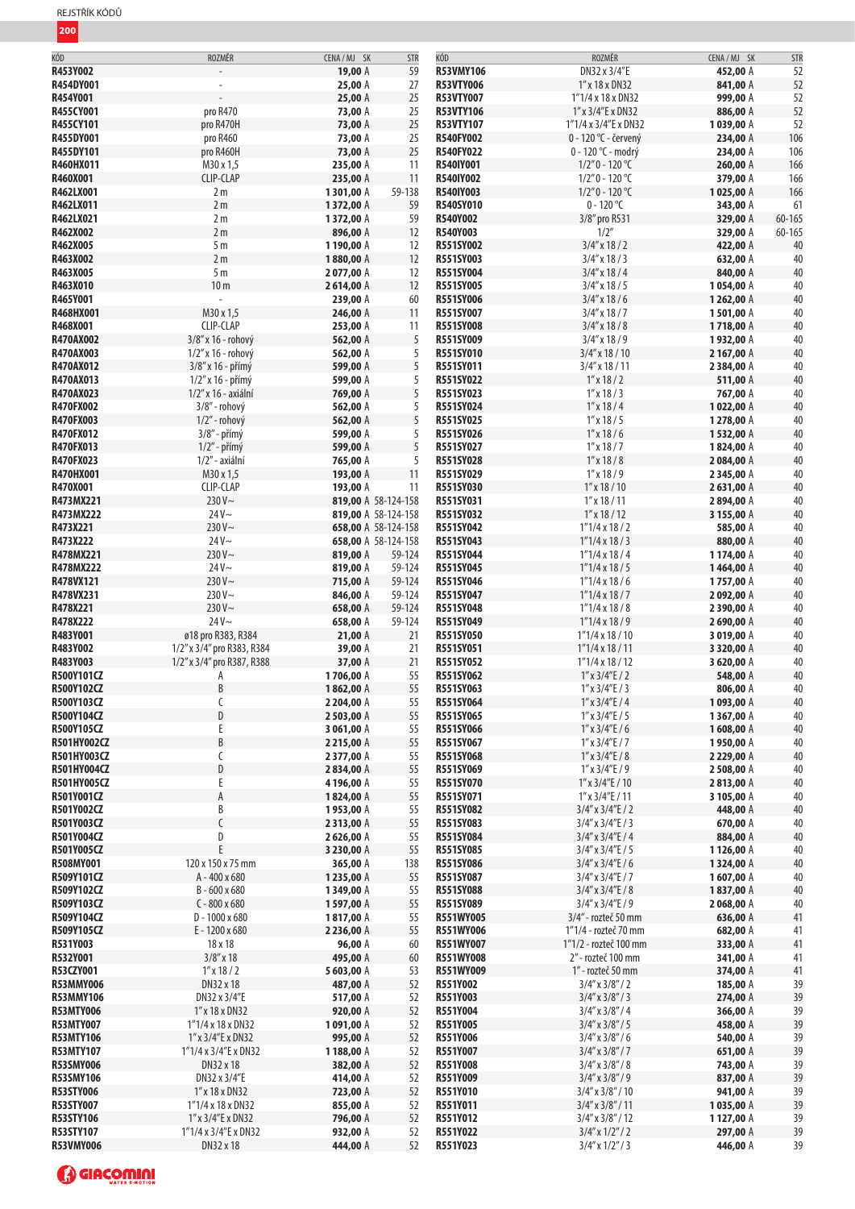| REJSTŘÍK KÓDŮ |  |
|---------------|--|
|---------------|--|

| KÓD                | ROZMĚR                     | CENA / MJ SK | <b>STR</b>          | KÓD              | ROZMĚR                  | CENA / MJ SK          | <b>STR</b> |
|--------------------|----------------------------|--------------|---------------------|------------------|-------------------------|-----------------------|------------|
| R453Y002           |                            | 19,00 A      | 59                  | <b>R53VMY106</b> | DN32 x 3/4"E            | 452,00 A              | 52         |
| R454DY001          |                            | 25,00 A      | 27                  | <b>R53VTY006</b> | 1" x 18 x DN32          | 841,00 A              | 52         |
| R454Y001           |                            | 25,00 A      | 25                  | <b>R53VTY007</b> | 1"1/4x18xDN32           | 999,00 A              | 52         |
| R455CY001          | pro R470                   | 73,00 A      | 25                  | <b>R53VTY106</b> | 1" x 3/4" E x DN32      | 886,00 A              | 52         |
| R455CY101          | pro R470H                  | 73,00 A      | 25                  | <b>R53VTY107</b> | 1"1/4 x 3/4"E x D N32   | 1039,00 A             | 52         |
| R455DY001          | pro R460                   | 73,00 A      | 25                  | <b>R540FY002</b> | 0 - 120 °C - červený    | 234,00 A              | 106        |
| R455DY101          | pro R460H                  | 73,00 A      | 25                  | <b>R540FY022</b> | 0 - 120 °C - modrý      | 234,00 A              | 106        |
|                    |                            |              |                     |                  |                         |                       |            |
| R460HX011          | M30 x 1,5                  | 235,00 A     | 11                  | R540IY001        | $1/2"0 - 120 °C$        | 260,00 A              | 166        |
| R460X001           | <b>CLIP-CLAP</b>           | 235,00 A     | 11                  | R540IY002        | $1/2"0 - 120 °C$        | 379,00 A              | 166        |
| R462LX001          | 2m                         | 1301,00 A    | 59-138              | R540IY003        | $1/2"0 - 120 °C$        | 1025,00 A             | 166        |
| R462LX011          | 2m                         | 1372,00 A    | 59                  | R540SY010        | $0 - 120$ °C            | 343,00 A              | 61         |
| R462LX021          | 2 <sub>m</sub>             | 1372,00 A    | 59                  | R540Y002         | 3/8" pro R531           | 329,00 A              | 60-165     |
| R462X002           | 2 <sub>m</sub>             | 896,00 A     | 12                  | R540Y003         | 1/2"                    | 329,00 A              | $60 - 165$ |
| R462X005           | 5m                         | 1190,00 A    | 12                  | <b>R551SY002</b> | $3/4''$ x 18 / 2        | 422,00 A              | 40         |
| R463X002           | 2 <sub>m</sub>             | 1880,00 A    | 12                  | R551SY003        | $3/4''$ x 18 / 3        | 632,00 A              | 40         |
| R463X005           | 5 <sub>m</sub>             | 2077,00 A    | 12                  | R551SY004        | $3/4''$ x 18 / 4        | 840,00 A              | 40         |
| R463X010           | 10 <sub>m</sub>            | 2614,00 A    | 12                  | R551SY005        | $3/4''$ x 18 / 5        | 1054,00 A             | 40         |
| R465Y001           |                            | 239,00 A     | 60                  | R551SY006        | $3/4''$ x 18 / 6        | 1262,00 A             | 40         |
| R468HX001          | M30 x 1,5                  | 246,00 A     | 11                  | R551SY007        | $3/4''$ x 18 / 7        | 1501,00 A             | $40\,$     |
| R468X001           | CLIP-CLAP                  | 253,00 A     | 11                  | <b>R551SY008</b> | $3/4''$ x 18 / 8        | 1718,00 A             | 40         |
| R470AX002          | 3/8" x 16 - rohový         | 562,00 A     | 5                   | R551SY009        | $3/4''$ x $18/9$        | 1932,00 A             | 40         |
| <b>R470AX003</b>   | $1/2$ " x 16 - rohový      | 562,00 A     | 5                   | <b>R551SY010</b> | $3/4$ " x 18 / 10       | 2 167,00 A            | 40         |
| R470AX012          | 3/8" x 16 - přímý          | 599,00 A     | 5                   | R551SY011        | $3/4$ " x 18 / 11       | 2384,00 A             | 40         |
| R470AX013          | $1/2''$ x 16 - přímý       | 599,00 A     | 5                   | R551SY022        | $1''$ x 18 / 2          | 511,00 A              | 40         |
| R470AX023          | 1/2" x 16 - axiální        | 769,00 A     | 5                   | R551SY023        | $1''$ x 18 / 3          | 767,00 A              | $40\,$     |
| R470FX002          | 3/8" - rohový              | 562,00 A     | 5                   | R551SY024        | $1''$ x 18 / 4          | 1022,00 A             | 40         |
| <b>R470FX003</b>   | $1/2$ " - rohový           | 562,00 A     | 5                   | R551SY025        | $1''$ x 18 / 5          | 1278,00 A             | 40         |
| <b>R470FX012</b>   | $3/8''$ - přímý            | 599,00 A     | 5                   | R551SY026        | $1''$ x 18 / 6          | 1532,00 A             | 40         |
| <b>R470FX013</b>   | $1/2$ " - přímý            | 599,00 A     | 5                   | R551SY027        | $1''$ x 18 / 7          | 1824,00 A             | 40         |
| R470FX023          | 1/2" - axiální             | 765,00 A     | 5                   | R551SY028        | $1''$ x $18/8$          | 2084,00 A             | 40         |
| <b>R470HX001</b>   | M30 x 1,5                  |              | 11                  |                  | $1''$ x $18/9$          |                       | 40         |
|                    |                            | 193,00 A     |                     | R551SY029        |                         | 2345,00 A             |            |
| R470X001           | CLIP-CLAP                  | 193,00 A     | 11                  | R551SY030        | $1''$ x $18/10$         | 2631,00 A             | 40         |
| R473MX221          | 230 V~                     |              | 819,00 A 58-124-158 | R551SY031        | $1''$ x 18 / 11         | 2894,00 A             | 40         |
| R473MX222          | $24V -$                    |              | 819,00 A 58-124-158 | R551SY032        | $1''$ x 18 / 12         | 3 155,00 A            | 40         |
| R473X221           | 230 V~                     |              | 658,00 A 58-124-158 | R551SY042        | $1''1/4 \times 18/2$    | 585,00 A              | 40         |
| R473X222           | $24V -$                    |              | 658,00 A 58-124-158 | R551SY043        | $1''1/4 \times 18/3$    | 880,00 A              | 40         |
| R478MX221          | 230V~                      | 819,00 A     | 59-124              | R551SY044        | $1''1/4 \times 18/4$    | 1174,00 A             | 40         |
| R478MX222          | $24V -$                    | 819,00 A     | 59-124              | R551SY045        | $1''1/4 \times 18/5$    | 1464,00 A             | 40         |
| R478VX121          | $230V -$                   | 715,00 A     | 59-124              | R551SY046        | $1''1/4 \times 18/6$    | 1757,00 A             | 40         |
| R478VX231          | $230V -$                   | 846,00 A     | 59-124              | R551SY047        | 1"1/4x18/7              | 2092,00 A             | 40         |
| R478X221           | $230V -$                   | 658,00 A     | 59-124              | R551SY048        | $1''1/4 \times 18 / 8$  | 2390,00 A             | 40         |
| R478X222           | $24V -$                    | 658,00 A     | 59-124              | R551SY049        | $1"1/4 \times 18/9$     | 2690,00 A             | 40         |
| R483Y001           | ø18 pro R383, R384         | 21,00 A      | 21                  | <b>R551SY050</b> | $1"1/4 \times 18/10$    | 3019,00 A             | 40         |
| R483Y002           | 1/2" x 3/4" pro R383, R384 | 39,00 A      | 21                  | R551SY051        | $1"1/4 \times 18/11$    | 3 320,00 A            | 40         |
| R483Y003           | 1/2" x 3/4" pro R387, R388 | 37,00 A      | 21                  | R551SY052        | $1''1/4 \times 18/12$   | 3 620,00 A            | 40         |
| R500Y101CZ         | Α                          | 1706,00 A    | 55                  | R551SY062        | $1''$ x $3/4''E/2$      | 548,00 A              | 40         |
| R500Y102CZ         | R                          | 1862,00 A    | 55                  | R551SY063        | $1''$ x $3/4''$ E / 3   | 806,00 A              | 40         |
| <b>R500Y103CZ</b>  | C                          | 2 204,00 A   | 55                  | <b>R551SY064</b> | $1''$ x $3/4''$ E / 4   | 1093,00 A             | 40         |
| R500Y104CZ         | D                          | 2 503,00 A   | 55                  | R551SY065        | $1''$ x $3/4''$ E / 5   | 1367,00 A             | 40         |
| R500Y105CZ         | E                          | 3 061,00 A   | 55                  | R551SY066        | $1''$ x $3/4''$ E / 6   | 1608,00 A             | 40         |
| R501HY002CZ        | B                          | 2215,00 A    | 55                  | R551SY067        | $1''$ x $3/4''$ E / 7   | 1950,00 A             | 40         |
| <b>R501HY003CZ</b> | С                          | 2377,00 A    | 55                  | <b>R551SY068</b> | $1''$ x $3/4''$ E / 8   | 2 229,00 A            | 40         |
| <b>R501HY004CZ</b> | D                          | 2834,00 A    | 55                  | R551SY069        | $1''$ x $3/4''$ E / 9   | 2508,00 A             | 40         |
| <b>R501HY005CZ</b> | E                          | 4196,00 A    | 55                  | R551SY070        | $1''$ x $3/4''$ E / 10  | 2813,00 A             | 40         |
| <b>R501Y001CZ</b>  | A                          | 1824,00 A    | 55                  | R551SY071        | $1''$ x $3/4''$ E / 11  | 3 105,00 A            | 40         |
| R501Y002CZ         | B                          | 1953,00 A    | 55                  | <b>R551SY082</b> | $3/4''$ x $3/4''$ E / 2 | 448,00 A              | 40         |
| R501Y003CZ         |                            | 2313,00 A    | 55                  | R551SY083        | $3/4''$ x $3/4''$ E / 3 | 670,00 A              | 40         |
| R501Y004CZ         | D                          | 2626,00 A    | 55                  | R551SY084        | $3/4''$ x $3/4''$ E / 4 | 884,00 A              | 40         |
| R501Y005CZ         |                            | 3 230,00 A   | 55                  | R551SY085        | $3/4$ " x $3/4$ "E / 5  | 1126,00 A             | 40         |
| R508MY001          | 120 x 150 x 75 mm          | 365,00 A     | 138                 | <b>R551SY086</b> | $3/4''$ x $3/4''$ E / 6 | 1324,00 A             | 40         |
| <b>R509Y101CZ</b>  | A-400 x 680                | 1235,00 A    | 55                  | R551SY087        | $3/4''$ x $3/4''$ E / 7 | 1607,00 A             | 40         |
| R509Y102CZ         | B-600 x 680                | 1349,00 A    | 55                  | R551SY088        | $3/4''$ x $3/4''$ E / 8 | 1837,00 A             | 40         |
| <b>R509Y103CZ</b>  | $C - 800 \times 680$       |              | 55                  | R551SY089        | $3/4''$ x $3/4''$ E / 9 |                       | 40         |
| R509Y104CZ         | $D - 1000 \times 680$      | 1597,00 A    | 55                  | <b>R551WY005</b> | 3/4" - rozteč 50 mm     | 2068,00 A<br>636,00 A | 41         |
|                    |                            | 1817,00 A    | 55                  |                  |                         |                       | 41         |
| <b>R509Y105CZ</b>  | E-1200 x 680               | 2236,00 A    |                     | <b>R551WY006</b> | 1"1/4 - rozteč 70 mm    | 682,00 A              |            |
| R531Y003           | 18 x 18                    | 96,00 A      | 60                  | R551WY007        | 1"1/2 - rozteč 100 mm   | 333,00 A              | 41         |
| R532Y001           | $3/8''$ x 18               | 495,00 A     | 60                  | R551WY008        | 2" - rozteč 100 mm      | 341,00 A              | 41         |
| R53CZY001          | $1''$ x 18 / 2             | 5603,00 A    | 53                  | R551WY009        | 1" - rozteč 50 mm       | 374,00 A              | 41         |
| <b>R53MMY006</b>   | DN32 x 18                  | 487,00 A     | 52                  | R551Y002         | $3/4''$ x $3/8''/2$     | 185,00 A              | 39         |
| <b>R53MMY106</b>   | DN32 x 3/4"E               | 517,00 A     | 52                  | R551Y003         | $3/4''$ x $3/8''/3$     | 274,00 A              | 39         |
| <b>R53MTY006</b>   | $1''$ x $18$ x DN32        | 920,00 A     | 52                  | R551Y004         | $3/4''$ x $3/8''/4$     | 366,00 A              | 39         |
| <b>R53MTY007</b>   | 1"1/4x18xDN32              | 1091,00 A    | 52                  | R551Y005         | $3/4''$ x $3/8''/5$     | 458,00 A              | 39         |
| <b>R53MTY106</b>   | 1" x 3/4"E x DN32          | 995,00 A     | 52                  | R551Y006         | $3/4''$ x $3/8''/6$     | 540,00 A              | 39         |
| <b>R53MTY107</b>   | 1"1/4 x 3/4"E x DN32       | 1188,00 A    | 52                  | R551Y007         | $3/4''$ x $3/8''/7$     | 651,00 A              | 39         |
| <b>R53SMY006</b>   | DN32 x 18                  | 382,00 A     | 52                  | R551Y008         | $3/4''$ x $3/8''/8$     | 743,00 A              | 39         |
| <b>R53SMY106</b>   | DN32 x 3/4"E               | 414,00 A     | 52                  | R551Y009         | $3/4''$ x $3/8''/9$     | 837,00 A              | 39         |
| <b>R53STY006</b>   | $1''$ x $18$ x DN32        | 723,00 A     | 52                  | R551Y010         | $3/4$ " x $3/8$ " / 10  | 941,00 A              | 39         |
| <b>R53STY007</b>   | 1"1/4x18xDN32              | 855,00 A     | 52                  | R551Y011         | $3/4$ " x $3/8$ " / 11  | 1035,00 A             | 39         |
| <b>R53STY106</b>   | 1" x 3/4" E x DN32         | 796,00 A     | 52                  | R551Y012         | $3/4$ " x $3/8$ " / 12  | 1127,00 A             | 39         |
| <b>R53STY107</b>   | 1"1/4 x 3/4"E x DN32       | 932,00 A     | 52                  | R551Y022         | $3/4''$ x $1/2''/2$     | 297,00 A              | 39         |
| <b>R53VMY006</b>   | DN32 x 18                  | 444,00 A     | 52                  | R551Y023         | $3/4''$ x $1/2''/3$     | 446,00 A              | 39         |
|                    |                            |              |                     |                  |                         |                       |            |

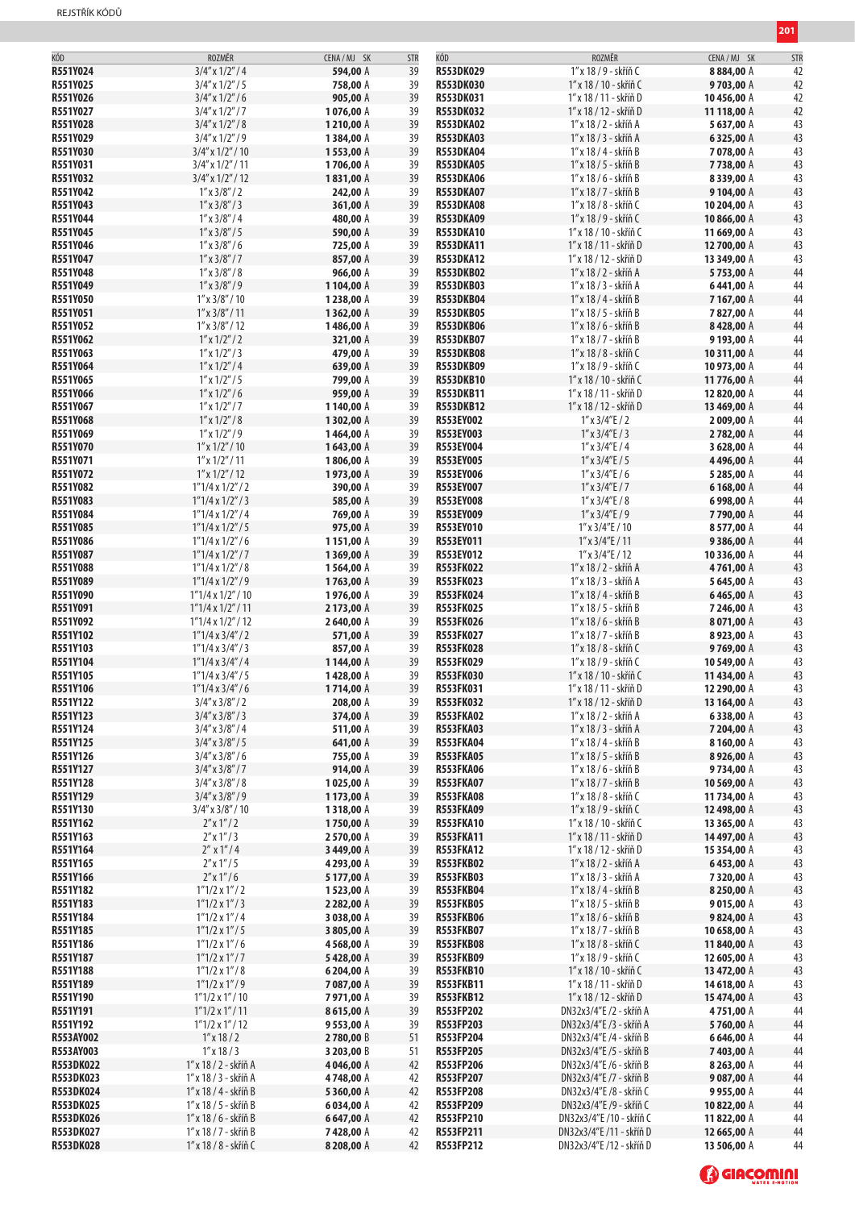| R551Y024<br>39<br>1" x 18 / 9 - skříň C<br>$3/4''$ x $1/2''/4$<br>594,00 A<br>R553DK029<br>8884,00 A<br>42<br>R551Y025<br>$3/4''$ x $1/2''/5$<br>758,00 A<br>39<br><b>R553DK030</b><br>1" x 18 / 10 - skříň C<br>9703,00 A<br>39<br>R551Y026<br>$3/4''$ x $1/2''/6$<br>905,00 A<br>R553DK031<br>1″ x 18 / 11 - skříň D<br>10456,00 A<br>R551Y027<br>$3/4''$ x $1/2''/7$<br>39<br><b>R553DK032</b><br>1076,00 A<br>1″ x 18 / 12 - skříň D<br>11 118,00 A<br>39<br>R551Y028<br>$3/4''$ x $1/2''/8$<br>1210,00 A<br><b>R553DKA02</b><br>1" x 18 / 2 - skříň A<br>5637,00 A<br>R551Y029<br>39<br>1" x 18 / 3 - skříň A<br>43<br>$3/4''$ x $1/2''/9$<br>1384,00 A<br><b>R553DKA03</b><br>6325,00 A<br>R551Y030<br>39<br>$3/4''$ x $1/2''/10$<br>1553,00 A<br><b>R553DKA04</b><br>1" x 18 / 4 - skříň B<br>7078,00 A<br>43<br>R551Y031<br>43<br>$3/4''$ x $1/2''/11$<br>1706,00 A<br>39<br><b>R553DKA05</b><br>1" x 18 / 5 - skříň B<br>7738,00 A<br>R551Y032<br>$3/4''$ x $1/2''/12$<br>1831,00 A<br>39<br><b>R553DKA06</b><br>1" x 18 / 6 - skříň B<br>8339,00 A<br>39<br>R551Y042<br>$1''$ x $3/8''/2$<br>242,00 A<br><b>R553DKA07</b><br>1" x 18 / 7 - skříň B<br>9104,00 A<br>R551Y043<br>39<br>$1''$ x $3/8''/3$<br>361,00 A<br><b>R553DKA08</b><br>1" x 18 / 8 - skříň C<br>10 204,00 A<br>R551Y044<br>$1''$ x $3/8''/4$<br>480,00 A<br>39<br><b>R553DKA09</b><br>1" x 18 / 9 - skříň C<br>10866,00 A<br>39<br>R551Y045<br>$1''$ x $3/8''/5$<br>590,00 A<br><b>R553DKA10</b><br>1" x 18 / 10 - skříň C<br>11 669,00 A<br>R551Y046<br>$1''$ x $3/8''/6$<br>725,00 A<br>39<br><b>R553DKA11</b><br>1" x 18 / 11 - skříň D<br>12 700,00 A<br>R551Y047<br>39<br>43<br>$1''$ x $3/8''/7$<br>857,00 A<br><b>R553DKA12</b><br>1" x 18 / 12 - skříň D<br>13 349,00 A<br>R551Y048<br>$1''$ x $3/8''/8$<br><b>R553DKB02</b><br>1" x 18 / 2 - skříň A<br>44<br>966,00 A<br>39<br>5753,00 A<br>44<br>R551Y049<br>$1''$ x $3/8''/9$<br>1104,00 A<br>39<br><b>R553DKB03</b><br>1" x 18 / 3 - skříň A<br>6441,00 A<br>R551Y050<br>$1''$ x $3/8''/10$<br>1238,00 A<br>39<br><b>R553DKB04</b><br>1" x 18 / 4 - skříň B<br>7167,00 A<br>39<br>R551Y051<br>$1''$ x $3/8''/11$<br>1362,00 A<br><b>R553DKB05</b><br>1" x 18 / 5 - skříň B<br>7827,00 A<br>R551Y052<br>39<br>$1''$ x $3/8''/12$<br>1486,00 A<br><b>R553DKB06</b><br>1" x 18 / 6 - skříň B<br>8428,00 A<br>R551Y062<br>$1''$ x $1/2''/2$<br>321,00 A<br>39<br><b>R553DKB07</b><br>1″ x 18 / 7 - skříň B<br>9193,00 A<br>R551Y063<br>$1''$ x $1/2''/3$<br>479,00 A<br>39<br><b>R553DKB08</b><br>1" x 18 / 8 - skříň C<br>10 311,00 A<br>R551Y064<br>$1''$ x $1/2''/4$<br>39<br>639,00 A<br><b>R553DKB09</b><br>1″ x 18 / 9 - skříň C<br>10 973,00 A<br>44<br>R551Y065<br>$1''$ x $1/2''/5$<br>39<br><b>R553DKB10</b><br>1" x 18 / 10 - skříň C<br>44<br>799,00 A<br>11776,00 A<br>R551Y066<br>$1''$ x $1/2''/6$<br>959,00 A<br>39<br><b>R553DKB11</b><br>1″ x 18 / 11 - skříň D<br>12 820,00 A<br>R551Y067<br>$1''$ x $1/2''/7$<br>1140,00 A<br>39<br><b>R553DKB12</b><br>1" x 18 / 12 - skříň D<br>13 469,00 A<br>$1''$ x $1/2''/8$<br>R551Y068<br>1302,00 A<br>39<br>R553EY002<br>$1''$ x $3/4''$ E / 2<br>2009,00 A<br>39<br>R551Y069<br>$1''$ x $1/2''/9$<br>1464,00 A<br>R553EY003<br>$1''$ x $3/4''$ E / 3<br>2782,00 A<br>R551Y070<br>$1''$ x $1/2''/10$<br>39<br>1643,00 A<br>R553EY004<br>$1''$ x $3/4''$ E / 4<br>3 628,00 A<br>R551Y071<br>$1''$ x $1/2''/11$<br>39<br><b>R553EY005</b><br>$1''$ x $3/4''$ E / 5<br>4496,00 A<br>1806,00 A<br>39<br>R551Y072<br>$1''$ x $1/2''/12$<br>1973,00 A<br><b>R553EY006</b><br>$1''$ x $3/4''$ E / 6<br>5 285,00 A<br>R551Y082<br>$1"1/4 \times 1/2" / 2$<br>390,00 A<br>39<br>R553EY007<br>$1''$ x $3/4''$ E / 7<br>6168,00 A<br>44<br>R551Y083<br>39<br>R553EY008<br>$1''$ x $3/4''$ E / 8<br>44<br>$1"1/4 \times 1/2" / 3$<br>585,00 A<br>6998,00 A<br>44<br>R551Y084<br>$1"1/4 \times 1/2" / 4$<br>769,00 A<br>39<br>R553EY009<br>$1''$ x $3/4''$ E / 9<br>7790,00 A<br>R551Y085<br>$1"1/4 \times 1/2" / 5$<br>975,00 A<br>39<br>R553EY010<br>$1''$ x $3/4''$ E / 10<br>44<br>8577,00 A<br>R551Y086<br>39<br>44<br>$1"1/4 \times 1/2" / 6$<br>1151,00 A<br>R553EY011<br>$1''$ x $3/4''$ E / 11<br>9386,00 A<br>39<br>R551Y087<br>1369,00 A<br>R553EY012<br>$1''$ x $3/4''$ E / 12<br>44<br>$1"1/4 \times 1/2" / 7$<br>10336,00 A<br>43<br>R551Y088<br>$1"1/4 \times 1/2" / 8$<br>39<br><b>R553FK022</b><br>1" x 18 / 2 - skříň A<br>1564,00 A<br>4761,00 A<br>R551Y089<br>$1"1/4 \times 1/2" / 9$<br>1763,00 A<br>39<br><b>R553FK023</b><br>1" x 18 / 3 - skříň A<br>5645,00 A<br>39<br>R551Y090<br>$1"1/4 \times 1/2" / 10$<br>1976,00 A<br><b>R553FK024</b><br>1" x 18 / 4 - skříň B<br>6465,00 A<br>R551Y091<br>39<br>$1"1/4 \times 1/2" / 11$<br>2173,00 A<br><b>R553FK025</b><br>1" x 18 / 5 - skříň B<br>7246,00 A<br>R551Y092<br>2640,00 A<br>39<br><b>R553FK026</b><br>1" x 18 / 6 - skříň B<br>$1"1/4 \times 1/2" / 12$<br>8071,00 A<br><b>R553FK027</b><br>R551Y102<br>$1"1/4 \times 3/4" / 2$<br>571,00 A<br>39<br>1" x 18 / 7 - skříň B<br>8923,00 A<br>R551Y103<br>$1"1/4 \times 3/4" / 3$<br>857,00 A<br>39<br><b>R553FK028</b><br>1" x 18 / 8 - skříň C<br>9769,00 A<br>39<br>R551Y104<br>1"1/4 x 3/4" / 4<br>1144,00 A<br><b>R553FK029</b><br>1" x 18 / 9 - skříň C<br>10 549,00 A<br>R551Y105<br>39<br><b>R553FK030</b><br>$1"1/4 \times 3/4" / 5$<br>1428,00 A<br>1" x 18 / 10 - skříň C<br>11434,00 A<br>39<br>R551Y106<br>1"1/4 x 3/4" / 6<br>R553FK031<br>1" x 18 / 11 - skříň D<br>12 290,00 A<br>1714,00 A<br>R551Y122<br>208,00 A<br><b>R553FK032</b><br>13 164,00 A<br>$3/4''$ x $3/8''/2$<br>1″ x 18 / 12 - skříň D<br>39<br>R551Y123<br>$3/4''$ x $3/8''/3$<br>374,00 A<br>39<br><b>R553FKA02</b><br>1" x 18 / 2 - skříň A<br>6338,00 A<br>43<br>R551Y124<br>$3/4''$ x $3/8''/4$<br>511,00 A<br><b>R553FKA03</b><br>1" x 18 / 3 - skříň A<br>7 204,00 A<br>43<br>39<br>R551Y125<br>39<br><b>R553FKA04</b><br>1" x 18 / 4 - skříň B<br>8160,00 A<br>43<br>$3/4''$ x $3/8''/5$<br>641,00 A<br>R551Y126<br>$3/4''$ x $3/8''/6$<br>755,00 A<br>39<br><b>R553FKA05</b><br>1" x 18 / 5 - skříň B<br>8926,00 A<br>R551Y127<br>914,00 A<br>39<br><b>R553FKA06</b><br>1" x 18 / 6 - skříň B<br>$3/4''$ x $3/8''/7$<br>9734,00 A<br>R551Y128<br>39<br><b>R553FKA07</b><br>$3/4''$ x $3/8''/8$<br>1025,00 A<br>1" x 18 / 7 - skříň B<br>10 569,00 A<br>R551Y129<br>1173,00 A<br>39<br>$3/4''$ x $3/8''/9$<br><b>R553FKA08</b><br>1″ x 18 / 8 - skříň C<br>11734,00 A<br>R551Y130<br>$3/4''$ x $3/8''/10$<br>1318,00 A<br>39<br><b>R553FKA09</b><br>1" x 18 / 9 - skříň C<br>12 498,00 A<br>R551Y162<br>$2''$ x $1''/2$<br>1750,00 A<br>39<br><b>R553FKA10</b><br>1" x 18 / 10 - skříň C<br>13 365,00 A<br>$2''$ x $1''/3$<br>R551Y163<br>2570,00 A<br>39<br><b>R553FKA11</b><br>1" x 18 / 11 - skříň D<br>14497,00 A<br>R551Y164<br>$2''$ x $1''/4$<br>3 449,00 A<br>39<br><b>R553FKA12</b><br>1″ x 18 / 12 - skříň D<br>15 354,00 A<br>43<br>R551Y165<br>$2''$ x $1''/5$<br>39<br><b>R553FKB02</b><br>1" x 18 / 2 - skříň A<br>4 293,00 A<br>6453,00 A<br>39<br>R551Y166<br>$2''$ x $1''/6$<br>5 177,00 A<br><b>R553FKB03</b><br>7320,00 A<br>43<br>1″ x 18 / 3 - skříň A<br>R551Y182<br>$1"1/2 \times 1" / 2$<br>39<br><b>R553FKB04</b><br>43<br>1523,00 A<br>1" x 18 / 4 - skříň B<br>8250,00 A<br>R551Y183<br>$1"1/2 \times 1" / 3$<br>2 282,00 A<br>39<br><b>R553FKB05</b><br>9015,00 A<br>43<br>1″ x 18 / 5 - skříň B<br>43<br>R551Y184<br>$1"1/2 \times 1" / 4$<br>3 038,00 A<br>39<br><b>R553FKB06</b><br>1" x 18 / 6 - skříň B<br>9824,00 A<br>R551Y185<br>$1"1/2 \times 1" / 5$<br>39<br><b>R553FKB07</b><br>3805,00 A<br>1″ x 18 / 7 - skříň B<br>10 658,00 A<br>R551Y186<br><b>R553FKB08</b><br>1" x 18 / 8 - skříň C<br>11840,00 A<br>$1"1/2 \times 1" / 6$<br>4568,00 A<br>39<br>R551Y187<br>$1"1/2 \times 1" / 7$<br>39<br><b>R553FKB09</b><br>1" x 18 / 9 - skříň C<br>5428,00 A<br>12 605,00 A<br>R551Y188<br>6 204,00 A<br><b>R553FKB10</b><br>13 472,00 A<br>$1"1/2 \times 1" / 8$<br>39<br>1" x 18 / 10 - skříň C<br>R551Y189<br>$1"1/2 \times 1" / 9$<br>7087,00 A<br>39<br><b>R553FKB11</b><br>1" x 18 / 11 - skříň D<br>14 618,00 A<br>R551Y190<br>$1''1/2 \times 1''/10$<br>7971,00 A<br>39<br><b>R553FKB12</b><br>1" x 18 / 12 - skříň D<br>15 474,00 A<br>R551Y191<br>39<br>$1"1/2 \times 1" / 11$<br>8615,00 A<br><b>R553FP202</b><br>DN32x3/4"E /2 - skříň A<br>4751,00 A<br>R551Y192<br>9553,00 A<br>$1"1/2 \times 1" / 12$<br>39<br>R553FP203<br>DN32x3/4"E /3 - skříň A<br>5760,00 A<br>R553AY002<br>$1''$ x 18 / 2<br>2780,00 B<br>51<br>R553FP204<br>DN32x3/4"E /4 - skříň B<br>6646,00 A<br>44<br>R553AY003<br>$1''$ x 18 / 3<br>51<br>R553FP205<br>DN32x3/4"E /5 - skříň B<br>3 203,00 B<br>7403,00 A<br><b>R553DK022</b><br>1" x 18 / 2 - skříň A<br>42<br>R553FP206<br>4046,00 A<br>DN32x3/4"E /6 - skříň B<br>8263,00 A<br>44<br>44<br>4748,00 A<br>R553FP207<br><b>R553DK023</b><br>1″ x 18 / 3 - skříň A<br>42<br>DN32x3/4"E /7 - skříň B<br>9087,00 A<br><b>R553DK024</b><br>1" x 18 / 4 - skříň B<br>5360,00 A<br>42<br>R553FP208<br>9955,00 A<br>44<br>DN32x3/4"E /8 - skříň C<br><b>R553DK025</b><br>R553FP209<br>1" x 18 / 5 - skříň B<br>6034,00 A<br>42<br>DN32x3/4"E /9 - skříň C<br>10822,00 A<br>42<br>R553FP210<br><b>R553DK026</b><br>1" x 18 / 6 - skříň B<br>6647,00 A<br>DN32x3/4"E /10 - skříň C<br>11822,00 A<br><b>R553DK027</b><br>1" x 18 / 7 - skříň B<br>7428,00 A<br>42<br>R553FP211<br>DN32x3/4"E /11 - skříň D<br>12 665,00 A<br><b>R553DK028</b><br>1" x 18 / 8 - skříň C<br>42<br>R553FP212<br>DN32x3/4"E /12 - skříň D<br>8 208,00 A<br>13 506,00 A | KÓD | ROZMĚR | CENA / MJ SK |            | KÓD | ROZMĚR | CENA / MJ SK |            |
|----------------------------------------------------------------------------------------------------------------------------------------------------------------------------------------------------------------------------------------------------------------------------------------------------------------------------------------------------------------------------------------------------------------------------------------------------------------------------------------------------------------------------------------------------------------------------------------------------------------------------------------------------------------------------------------------------------------------------------------------------------------------------------------------------------------------------------------------------------------------------------------------------------------------------------------------------------------------------------------------------------------------------------------------------------------------------------------------------------------------------------------------------------------------------------------------------------------------------------------------------------------------------------------------------------------------------------------------------------------------------------------------------------------------------------------------------------------------------------------------------------------------------------------------------------------------------------------------------------------------------------------------------------------------------------------------------------------------------------------------------------------------------------------------------------------------------------------------------------------------------------------------------------------------------------------------------------------------------------------------------------------------------------------------------------------------------------------------------------------------------------------------------------------------------------------------------------------------------------------------------------------------------------------------------------------------------------------------------------------------------------------------------------------------------------------------------------------------------------------------------------------------------------------------------------------------------------------------------------------------------------------------------------------------------------------------------------------------------------------------------------------------------------------------------------------------------------------------------------------------------------------------------------------------------------------------------------------------------------------------------------------------------------------------------------------------------------------------------------------------------------------------------------------------------------------------------------------------------------------------------------------------------------------------------------------------------------------------------------------------------------------------------------------------------------------------------------------------------------------------------------------------------------------------------------------------------------------------------------------------------------------------------------------------------------------------------------------------------------------------------------------------------------------------------------------------------------------------------------------------------------------------------------------------------------------------------------------------------------------------------------------------------------------------------------------------------------------------------------------------------------------------------------------------------------------------------------------------------------------------------------------------------------------------------------------------------------------------------------------------------------------------------------------------------------------------------------------------------------------------------------------------------------------------------------------------------------------------------------------------------------------------------------------------------------------------------------------------------------------------------------------------------------------------------------------------------------------------------------------------------------------------------------------------------------------------------------------------------------------------------------------------------------------------------------------------------------------------------------------------------------------------------------------------------------------------------------------------------------------------------------------------------------------------------------------------------------------------------------------------------------------------------------------------------------------------------------------------------------------------------------------------------------------------------------------------------------------------------------------------------------------------------------------------------------------------------------------------------------------------------------------------------------------------------------------------------------------------------------------------------------------------------------------------------------------------------------------------------------------------------------------------------------------------------------------------------------------------------------------------------------------------------------------------------------------------------------------------------------------------------------------------------------------------------------------------------------------------------------------------------------------------------------------------------------------------------------------------------------------------------------------------------------------------------------------------------------------------------------------------------------------------------------------------------------------------------------------------------------------------------------------------------------------------------------------------------------------------------------------------------------------------------------------------------------------------------------------------------------------------------------------------------------------------------------------------------------------------------------------------------------------------------------------------------------------------------------------------------------------------------------------------------------------------------------------------------------------------------------------------------------------------------------------------------------------------------------------------------------------------------------------------------------------------------------------------------------------------------------------------------------------------------------------------------------------------------------------------------------------------------------------------------------------------------------------------------------------------------------------------------------------------------------------------------------------------------------------------------------------------------------------------------------------------------------------------------------------------------------------------------------------------------------------------------------------------------------------------------------------------------------------------------------------------------------------------------------------------------------------------------------------------------------------------------------------------------------------------------------------------------------------------------------------------------------------------------------------------------------------------------------------------------------------------------------------------------------------------------------------------------------------------------------------------------------------------------------------------------------------------------------------------------------------------------------------------------------------------------------------------------------------------------------------------------------------------------------------------------------------------------------------------------------------------------------------------------------------------------------------------------------------------------------------------------------------------------------------------------------------------------------------------------------------------------------------------------------------------------------------------------------------------------------------------------------------------------------------------------------------------------------------|-----|--------|--------------|------------|-----|--------|--------------|------------|
|                                                                                                                                                                                                                                                                                                                                                                                                                                                                                                                                                                                                                                                                                                                                                                                                                                                                                                                                                                                                                                                                                                                                                                                                                                                                                                                                                                                                                                                                                                                                                                                                                                                                                                                                                                                                                                                                                                                                                                                                                                                                                                                                                                                                                                                                                                                                                                                                                                                                                                                                                                                                                                                                                                                                                                                                                                                                                                                                                                                                                                                                                                                                                                                                                                                                                                                                                                                                                                                                                                                                                                                                                                                                                                                                                                                                                                                                                                                                                                                                                                                                                                                                                                                                                                                                                                                                                                                                                                                                                                                                                                                                                                                                                                                                                                                                                                                                                                                                                                                                                                                                                                                                                                                                                                                                                                                                                                                                                                                                                                                                                                                                                                                                                                                                                                                                                                                                                                                                                                                                                                                                                                                                                                                                                                                                                                                                                                                                                                                                                                                                                                                                                                                                                                                                                                                                                                                                                                                                                                                                                                                                                                                                                                                                                                                                                                                                                                                                                                                                                                                                                                                                                                                                                                                                                                                                                                                                                                                                                                                                                                                                                                                                                                                                                                                                                                                                                                                                                                                                                                                                                                                                                                                                                                                                                                                                                                                                                                                                                                                                                                                                                                                                                                                                                                                                                                                                                                                                                                                                                                                                                                                                                                        |     |        |              | <b>STR</b> |     |        |              | <b>STR</b> |
|                                                                                                                                                                                                                                                                                                                                                                                                                                                                                                                                                                                                                                                                                                                                                                                                                                                                                                                                                                                                                                                                                                                                                                                                                                                                                                                                                                                                                                                                                                                                                                                                                                                                                                                                                                                                                                                                                                                                                                                                                                                                                                                                                                                                                                                                                                                                                                                                                                                                                                                                                                                                                                                                                                                                                                                                                                                                                                                                                                                                                                                                                                                                                                                                                                                                                                                                                                                                                                                                                                                                                                                                                                                                                                                                                                                                                                                                                                                                                                                                                                                                                                                                                                                                                                                                                                                                                                                                                                                                                                                                                                                                                                                                                                                                                                                                                                                                                                                                                                                                                                                                                                                                                                                                                                                                                                                                                                                                                                                                                                                                                                                                                                                                                                                                                                                                                                                                                                                                                                                                                                                                                                                                                                                                                                                                                                                                                                                                                                                                                                                                                                                                                                                                                                                                                                                                                                                                                                                                                                                                                                                                                                                                                                                                                                                                                                                                                                                                                                                                                                                                                                                                                                                                                                                                                                                                                                                                                                                                                                                                                                                                                                                                                                                                                                                                                                                                                                                                                                                                                                                                                                                                                                                                                                                                                                                                                                                                                                                                                                                                                                                                                                                                                                                                                                                                                                                                                                                                                                                                                                                                                                                                                                        |     |        |              |            |     |        |              |            |
|                                                                                                                                                                                                                                                                                                                                                                                                                                                                                                                                                                                                                                                                                                                                                                                                                                                                                                                                                                                                                                                                                                                                                                                                                                                                                                                                                                                                                                                                                                                                                                                                                                                                                                                                                                                                                                                                                                                                                                                                                                                                                                                                                                                                                                                                                                                                                                                                                                                                                                                                                                                                                                                                                                                                                                                                                                                                                                                                                                                                                                                                                                                                                                                                                                                                                                                                                                                                                                                                                                                                                                                                                                                                                                                                                                                                                                                                                                                                                                                                                                                                                                                                                                                                                                                                                                                                                                                                                                                                                                                                                                                                                                                                                                                                                                                                                                                                                                                                                                                                                                                                                                                                                                                                                                                                                                                                                                                                                                                                                                                                                                                                                                                                                                                                                                                                                                                                                                                                                                                                                                                                                                                                                                                                                                                                                                                                                                                                                                                                                                                                                                                                                                                                                                                                                                                                                                                                                                                                                                                                                                                                                                                                                                                                                                                                                                                                                                                                                                                                                                                                                                                                                                                                                                                                                                                                                                                                                                                                                                                                                                                                                                                                                                                                                                                                                                                                                                                                                                                                                                                                                                                                                                                                                                                                                                                                                                                                                                                                                                                                                                                                                                                                                                                                                                                                                                                                                                                                                                                                                                                                                                                                                                        |     |        |              |            |     |        |              | 42         |
|                                                                                                                                                                                                                                                                                                                                                                                                                                                                                                                                                                                                                                                                                                                                                                                                                                                                                                                                                                                                                                                                                                                                                                                                                                                                                                                                                                                                                                                                                                                                                                                                                                                                                                                                                                                                                                                                                                                                                                                                                                                                                                                                                                                                                                                                                                                                                                                                                                                                                                                                                                                                                                                                                                                                                                                                                                                                                                                                                                                                                                                                                                                                                                                                                                                                                                                                                                                                                                                                                                                                                                                                                                                                                                                                                                                                                                                                                                                                                                                                                                                                                                                                                                                                                                                                                                                                                                                                                                                                                                                                                                                                                                                                                                                                                                                                                                                                                                                                                                                                                                                                                                                                                                                                                                                                                                                                                                                                                                                                                                                                                                                                                                                                                                                                                                                                                                                                                                                                                                                                                                                                                                                                                                                                                                                                                                                                                                                                                                                                                                                                                                                                                                                                                                                                                                                                                                                                                                                                                                                                                                                                                                                                                                                                                                                                                                                                                                                                                                                                                                                                                                                                                                                                                                                                                                                                                                                                                                                                                                                                                                                                                                                                                                                                                                                                                                                                                                                                                                                                                                                                                                                                                                                                                                                                                                                                                                                                                                                                                                                                                                                                                                                                                                                                                                                                                                                                                                                                                                                                                                                                                                                                                                        |     |        |              |            |     |        |              | 42         |
|                                                                                                                                                                                                                                                                                                                                                                                                                                                                                                                                                                                                                                                                                                                                                                                                                                                                                                                                                                                                                                                                                                                                                                                                                                                                                                                                                                                                                                                                                                                                                                                                                                                                                                                                                                                                                                                                                                                                                                                                                                                                                                                                                                                                                                                                                                                                                                                                                                                                                                                                                                                                                                                                                                                                                                                                                                                                                                                                                                                                                                                                                                                                                                                                                                                                                                                                                                                                                                                                                                                                                                                                                                                                                                                                                                                                                                                                                                                                                                                                                                                                                                                                                                                                                                                                                                                                                                                                                                                                                                                                                                                                                                                                                                                                                                                                                                                                                                                                                                                                                                                                                                                                                                                                                                                                                                                                                                                                                                                                                                                                                                                                                                                                                                                                                                                                                                                                                                                                                                                                                                                                                                                                                                                                                                                                                                                                                                                                                                                                                                                                                                                                                                                                                                                                                                                                                                                                                                                                                                                                                                                                                                                                                                                                                                                                                                                                                                                                                                                                                                                                                                                                                                                                                                                                                                                                                                                                                                                                                                                                                                                                                                                                                                                                                                                                                                                                                                                                                                                                                                                                                                                                                                                                                                                                                                                                                                                                                                                                                                                                                                                                                                                                                                                                                                                                                                                                                                                                                                                                                                                                                                                                                                        |     |        |              |            |     |        |              | 42         |
|                                                                                                                                                                                                                                                                                                                                                                                                                                                                                                                                                                                                                                                                                                                                                                                                                                                                                                                                                                                                                                                                                                                                                                                                                                                                                                                                                                                                                                                                                                                                                                                                                                                                                                                                                                                                                                                                                                                                                                                                                                                                                                                                                                                                                                                                                                                                                                                                                                                                                                                                                                                                                                                                                                                                                                                                                                                                                                                                                                                                                                                                                                                                                                                                                                                                                                                                                                                                                                                                                                                                                                                                                                                                                                                                                                                                                                                                                                                                                                                                                                                                                                                                                                                                                                                                                                                                                                                                                                                                                                                                                                                                                                                                                                                                                                                                                                                                                                                                                                                                                                                                                                                                                                                                                                                                                                                                                                                                                                                                                                                                                                                                                                                                                                                                                                                                                                                                                                                                                                                                                                                                                                                                                                                                                                                                                                                                                                                                                                                                                                                                                                                                                                                                                                                                                                                                                                                                                                                                                                                                                                                                                                                                                                                                                                                                                                                                                                                                                                                                                                                                                                                                                                                                                                                                                                                                                                                                                                                                                                                                                                                                                                                                                                                                                                                                                                                                                                                                                                                                                                                                                                                                                                                                                                                                                                                                                                                                                                                                                                                                                                                                                                                                                                                                                                                                                                                                                                                                                                                                                                                                                                                                                                        |     |        |              |            |     |        |              | 43         |
|                                                                                                                                                                                                                                                                                                                                                                                                                                                                                                                                                                                                                                                                                                                                                                                                                                                                                                                                                                                                                                                                                                                                                                                                                                                                                                                                                                                                                                                                                                                                                                                                                                                                                                                                                                                                                                                                                                                                                                                                                                                                                                                                                                                                                                                                                                                                                                                                                                                                                                                                                                                                                                                                                                                                                                                                                                                                                                                                                                                                                                                                                                                                                                                                                                                                                                                                                                                                                                                                                                                                                                                                                                                                                                                                                                                                                                                                                                                                                                                                                                                                                                                                                                                                                                                                                                                                                                                                                                                                                                                                                                                                                                                                                                                                                                                                                                                                                                                                                                                                                                                                                                                                                                                                                                                                                                                                                                                                                                                                                                                                                                                                                                                                                                                                                                                                                                                                                                                                                                                                                                                                                                                                                                                                                                                                                                                                                                                                                                                                                                                                                                                                                                                                                                                                                                                                                                                                                                                                                                                                                                                                                                                                                                                                                                                                                                                                                                                                                                                                                                                                                                                                                                                                                                                                                                                                                                                                                                                                                                                                                                                                                                                                                                                                                                                                                                                                                                                                                                                                                                                                                                                                                                                                                                                                                                                                                                                                                                                                                                                                                                                                                                                                                                                                                                                                                                                                                                                                                                                                                                                                                                                                                                        |     |        |              |            |     |        |              |            |
|                                                                                                                                                                                                                                                                                                                                                                                                                                                                                                                                                                                                                                                                                                                                                                                                                                                                                                                                                                                                                                                                                                                                                                                                                                                                                                                                                                                                                                                                                                                                                                                                                                                                                                                                                                                                                                                                                                                                                                                                                                                                                                                                                                                                                                                                                                                                                                                                                                                                                                                                                                                                                                                                                                                                                                                                                                                                                                                                                                                                                                                                                                                                                                                                                                                                                                                                                                                                                                                                                                                                                                                                                                                                                                                                                                                                                                                                                                                                                                                                                                                                                                                                                                                                                                                                                                                                                                                                                                                                                                                                                                                                                                                                                                                                                                                                                                                                                                                                                                                                                                                                                                                                                                                                                                                                                                                                                                                                                                                                                                                                                                                                                                                                                                                                                                                                                                                                                                                                                                                                                                                                                                                                                                                                                                                                                                                                                                                                                                                                                                                                                                                                                                                                                                                                                                                                                                                                                                                                                                                                                                                                                                                                                                                                                                                                                                                                                                                                                                                                                                                                                                                                                                                                                                                                                                                                                                                                                                                                                                                                                                                                                                                                                                                                                                                                                                                                                                                                                                                                                                                                                                                                                                                                                                                                                                                                                                                                                                                                                                                                                                                                                                                                                                                                                                                                                                                                                                                                                                                                                                                                                                                                                                        |     |        |              |            |     |        |              |            |
|                                                                                                                                                                                                                                                                                                                                                                                                                                                                                                                                                                                                                                                                                                                                                                                                                                                                                                                                                                                                                                                                                                                                                                                                                                                                                                                                                                                                                                                                                                                                                                                                                                                                                                                                                                                                                                                                                                                                                                                                                                                                                                                                                                                                                                                                                                                                                                                                                                                                                                                                                                                                                                                                                                                                                                                                                                                                                                                                                                                                                                                                                                                                                                                                                                                                                                                                                                                                                                                                                                                                                                                                                                                                                                                                                                                                                                                                                                                                                                                                                                                                                                                                                                                                                                                                                                                                                                                                                                                                                                                                                                                                                                                                                                                                                                                                                                                                                                                                                                                                                                                                                                                                                                                                                                                                                                                                                                                                                                                                                                                                                                                                                                                                                                                                                                                                                                                                                                                                                                                                                                                                                                                                                                                                                                                                                                                                                                                                                                                                                                                                                                                                                                                                                                                                                                                                                                                                                                                                                                                                                                                                                                                                                                                                                                                                                                                                                                                                                                                                                                                                                                                                                                                                                                                                                                                                                                                                                                                                                                                                                                                                                                                                                                                                                                                                                                                                                                                                                                                                                                                                                                                                                                                                                                                                                                                                                                                                                                                                                                                                                                                                                                                                                                                                                                                                                                                                                                                                                                                                                                                                                                                                                                        |     |        |              |            |     |        |              |            |
|                                                                                                                                                                                                                                                                                                                                                                                                                                                                                                                                                                                                                                                                                                                                                                                                                                                                                                                                                                                                                                                                                                                                                                                                                                                                                                                                                                                                                                                                                                                                                                                                                                                                                                                                                                                                                                                                                                                                                                                                                                                                                                                                                                                                                                                                                                                                                                                                                                                                                                                                                                                                                                                                                                                                                                                                                                                                                                                                                                                                                                                                                                                                                                                                                                                                                                                                                                                                                                                                                                                                                                                                                                                                                                                                                                                                                                                                                                                                                                                                                                                                                                                                                                                                                                                                                                                                                                                                                                                                                                                                                                                                                                                                                                                                                                                                                                                                                                                                                                                                                                                                                                                                                                                                                                                                                                                                                                                                                                                                                                                                                                                                                                                                                                                                                                                                                                                                                                                                                                                                                                                                                                                                                                                                                                                                                                                                                                                                                                                                                                                                                                                                                                                                                                                                                                                                                                                                                                                                                                                                                                                                                                                                                                                                                                                                                                                                                                                                                                                                                                                                                                                                                                                                                                                                                                                                                                                                                                                                                                                                                                                                                                                                                                                                                                                                                                                                                                                                                                                                                                                                                                                                                                                                                                                                                                                                                                                                                                                                                                                                                                                                                                                                                                                                                                                                                                                                                                                                                                                                                                                                                                                                                                        |     |        |              |            |     |        |              |            |
|                                                                                                                                                                                                                                                                                                                                                                                                                                                                                                                                                                                                                                                                                                                                                                                                                                                                                                                                                                                                                                                                                                                                                                                                                                                                                                                                                                                                                                                                                                                                                                                                                                                                                                                                                                                                                                                                                                                                                                                                                                                                                                                                                                                                                                                                                                                                                                                                                                                                                                                                                                                                                                                                                                                                                                                                                                                                                                                                                                                                                                                                                                                                                                                                                                                                                                                                                                                                                                                                                                                                                                                                                                                                                                                                                                                                                                                                                                                                                                                                                                                                                                                                                                                                                                                                                                                                                                                                                                                                                                                                                                                                                                                                                                                                                                                                                                                                                                                                                                                                                                                                                                                                                                                                                                                                                                                                                                                                                                                                                                                                                                                                                                                                                                                                                                                                                                                                                                                                                                                                                                                                                                                                                                                                                                                                                                                                                                                                                                                                                                                                                                                                                                                                                                                                                                                                                                                                                                                                                                                                                                                                                                                                                                                                                                                                                                                                                                                                                                                                                                                                                                                                                                                                                                                                                                                                                                                                                                                                                                                                                                                                                                                                                                                                                                                                                                                                                                                                                                                                                                                                                                                                                                                                                                                                                                                                                                                                                                                                                                                                                                                                                                                                                                                                                                                                                                                                                                                                                                                                                                                                                                                                                                        |     |        |              |            |     |        |              | 43         |
|                                                                                                                                                                                                                                                                                                                                                                                                                                                                                                                                                                                                                                                                                                                                                                                                                                                                                                                                                                                                                                                                                                                                                                                                                                                                                                                                                                                                                                                                                                                                                                                                                                                                                                                                                                                                                                                                                                                                                                                                                                                                                                                                                                                                                                                                                                                                                                                                                                                                                                                                                                                                                                                                                                                                                                                                                                                                                                                                                                                                                                                                                                                                                                                                                                                                                                                                                                                                                                                                                                                                                                                                                                                                                                                                                                                                                                                                                                                                                                                                                                                                                                                                                                                                                                                                                                                                                                                                                                                                                                                                                                                                                                                                                                                                                                                                                                                                                                                                                                                                                                                                                                                                                                                                                                                                                                                                                                                                                                                                                                                                                                                                                                                                                                                                                                                                                                                                                                                                                                                                                                                                                                                                                                                                                                                                                                                                                                                                                                                                                                                                                                                                                                                                                                                                                                                                                                                                                                                                                                                                                                                                                                                                                                                                                                                                                                                                                                                                                                                                                                                                                                                                                                                                                                                                                                                                                                                                                                                                                                                                                                                                                                                                                                                                                                                                                                                                                                                                                                                                                                                                                                                                                                                                                                                                                                                                                                                                                                                                                                                                                                                                                                                                                                                                                                                                                                                                                                                                                                                                                                                                                                                                                                        |     |        |              |            |     |        |              | 43         |
|                                                                                                                                                                                                                                                                                                                                                                                                                                                                                                                                                                                                                                                                                                                                                                                                                                                                                                                                                                                                                                                                                                                                                                                                                                                                                                                                                                                                                                                                                                                                                                                                                                                                                                                                                                                                                                                                                                                                                                                                                                                                                                                                                                                                                                                                                                                                                                                                                                                                                                                                                                                                                                                                                                                                                                                                                                                                                                                                                                                                                                                                                                                                                                                                                                                                                                                                                                                                                                                                                                                                                                                                                                                                                                                                                                                                                                                                                                                                                                                                                                                                                                                                                                                                                                                                                                                                                                                                                                                                                                                                                                                                                                                                                                                                                                                                                                                                                                                                                                                                                                                                                                                                                                                                                                                                                                                                                                                                                                                                                                                                                                                                                                                                                                                                                                                                                                                                                                                                                                                                                                                                                                                                                                                                                                                                                                                                                                                                                                                                                                                                                                                                                                                                                                                                                                                                                                                                                                                                                                                                                                                                                                                                                                                                                                                                                                                                                                                                                                                                                                                                                                                                                                                                                                                                                                                                                                                                                                                                                                                                                                                                                                                                                                                                                                                                                                                                                                                                                                                                                                                                                                                                                                                                                                                                                                                                                                                                                                                                                                                                                                                                                                                                                                                                                                                                                                                                                                                                                                                                                                                                                                                                                                        |     |        |              |            |     |        |              | 43         |
|                                                                                                                                                                                                                                                                                                                                                                                                                                                                                                                                                                                                                                                                                                                                                                                                                                                                                                                                                                                                                                                                                                                                                                                                                                                                                                                                                                                                                                                                                                                                                                                                                                                                                                                                                                                                                                                                                                                                                                                                                                                                                                                                                                                                                                                                                                                                                                                                                                                                                                                                                                                                                                                                                                                                                                                                                                                                                                                                                                                                                                                                                                                                                                                                                                                                                                                                                                                                                                                                                                                                                                                                                                                                                                                                                                                                                                                                                                                                                                                                                                                                                                                                                                                                                                                                                                                                                                                                                                                                                                                                                                                                                                                                                                                                                                                                                                                                                                                                                                                                                                                                                                                                                                                                                                                                                                                                                                                                                                                                                                                                                                                                                                                                                                                                                                                                                                                                                                                                                                                                                                                                                                                                                                                                                                                                                                                                                                                                                                                                                                                                                                                                                                                                                                                                                                                                                                                                                                                                                                                                                                                                                                                                                                                                                                                                                                                                                                                                                                                                                                                                                                                                                                                                                                                                                                                                                                                                                                                                                                                                                                                                                                                                                                                                                                                                                                                                                                                                                                                                                                                                                                                                                                                                                                                                                                                                                                                                                                                                                                                                                                                                                                                                                                                                                                                                                                                                                                                                                                                                                                                                                                                                                                        |     |        |              |            |     |        |              | 43         |
|                                                                                                                                                                                                                                                                                                                                                                                                                                                                                                                                                                                                                                                                                                                                                                                                                                                                                                                                                                                                                                                                                                                                                                                                                                                                                                                                                                                                                                                                                                                                                                                                                                                                                                                                                                                                                                                                                                                                                                                                                                                                                                                                                                                                                                                                                                                                                                                                                                                                                                                                                                                                                                                                                                                                                                                                                                                                                                                                                                                                                                                                                                                                                                                                                                                                                                                                                                                                                                                                                                                                                                                                                                                                                                                                                                                                                                                                                                                                                                                                                                                                                                                                                                                                                                                                                                                                                                                                                                                                                                                                                                                                                                                                                                                                                                                                                                                                                                                                                                                                                                                                                                                                                                                                                                                                                                                                                                                                                                                                                                                                                                                                                                                                                                                                                                                                                                                                                                                                                                                                                                                                                                                                                                                                                                                                                                                                                                                                                                                                                                                                                                                                                                                                                                                                                                                                                                                                                                                                                                                                                                                                                                                                                                                                                                                                                                                                                                                                                                                                                                                                                                                                                                                                                                                                                                                                                                                                                                                                                                                                                                                                                                                                                                                                                                                                                                                                                                                                                                                                                                                                                                                                                                                                                                                                                                                                                                                                                                                                                                                                                                                                                                                                                                                                                                                                                                                                                                                                                                                                                                                                                                                                                                        |     |        |              |            |     |        |              | 43         |
|                                                                                                                                                                                                                                                                                                                                                                                                                                                                                                                                                                                                                                                                                                                                                                                                                                                                                                                                                                                                                                                                                                                                                                                                                                                                                                                                                                                                                                                                                                                                                                                                                                                                                                                                                                                                                                                                                                                                                                                                                                                                                                                                                                                                                                                                                                                                                                                                                                                                                                                                                                                                                                                                                                                                                                                                                                                                                                                                                                                                                                                                                                                                                                                                                                                                                                                                                                                                                                                                                                                                                                                                                                                                                                                                                                                                                                                                                                                                                                                                                                                                                                                                                                                                                                                                                                                                                                                                                                                                                                                                                                                                                                                                                                                                                                                                                                                                                                                                                                                                                                                                                                                                                                                                                                                                                                                                                                                                                                                                                                                                                                                                                                                                                                                                                                                                                                                                                                                                                                                                                                                                                                                                                                                                                                                                                                                                                                                                                                                                                                                                                                                                                                                                                                                                                                                                                                                                                                                                                                                                                                                                                                                                                                                                                                                                                                                                                                                                                                                                                                                                                                                                                                                                                                                                                                                                                                                                                                                                                                                                                                                                                                                                                                                                                                                                                                                                                                                                                                                                                                                                                                                                                                                                                                                                                                                                                                                                                                                                                                                                                                                                                                                                                                                                                                                                                                                                                                                                                                                                                                                                                                                                                                        |     |        |              |            |     |        |              | 43         |
|                                                                                                                                                                                                                                                                                                                                                                                                                                                                                                                                                                                                                                                                                                                                                                                                                                                                                                                                                                                                                                                                                                                                                                                                                                                                                                                                                                                                                                                                                                                                                                                                                                                                                                                                                                                                                                                                                                                                                                                                                                                                                                                                                                                                                                                                                                                                                                                                                                                                                                                                                                                                                                                                                                                                                                                                                                                                                                                                                                                                                                                                                                                                                                                                                                                                                                                                                                                                                                                                                                                                                                                                                                                                                                                                                                                                                                                                                                                                                                                                                                                                                                                                                                                                                                                                                                                                                                                                                                                                                                                                                                                                                                                                                                                                                                                                                                                                                                                                                                                                                                                                                                                                                                                                                                                                                                                                                                                                                                                                                                                                                                                                                                                                                                                                                                                                                                                                                                                                                                                                                                                                                                                                                                                                                                                                                                                                                                                                                                                                                                                                                                                                                                                                                                                                                                                                                                                                                                                                                                                                                                                                                                                                                                                                                                                                                                                                                                                                                                                                                                                                                                                                                                                                                                                                                                                                                                                                                                                                                                                                                                                                                                                                                                                                                                                                                                                                                                                                                                                                                                                                                                                                                                                                                                                                                                                                                                                                                                                                                                                                                                                                                                                                                                                                                                                                                                                                                                                                                                                                                                                                                                                                                                        |     |        |              |            |     |        |              |            |
|                                                                                                                                                                                                                                                                                                                                                                                                                                                                                                                                                                                                                                                                                                                                                                                                                                                                                                                                                                                                                                                                                                                                                                                                                                                                                                                                                                                                                                                                                                                                                                                                                                                                                                                                                                                                                                                                                                                                                                                                                                                                                                                                                                                                                                                                                                                                                                                                                                                                                                                                                                                                                                                                                                                                                                                                                                                                                                                                                                                                                                                                                                                                                                                                                                                                                                                                                                                                                                                                                                                                                                                                                                                                                                                                                                                                                                                                                                                                                                                                                                                                                                                                                                                                                                                                                                                                                                                                                                                                                                                                                                                                                                                                                                                                                                                                                                                                                                                                                                                                                                                                                                                                                                                                                                                                                                                                                                                                                                                                                                                                                                                                                                                                                                                                                                                                                                                                                                                                                                                                                                                                                                                                                                                                                                                                                                                                                                                                                                                                                                                                                                                                                                                                                                                                                                                                                                                                                                                                                                                                                                                                                                                                                                                                                                                                                                                                                                                                                                                                                                                                                                                                                                                                                                                                                                                                                                                                                                                                                                                                                                                                                                                                                                                                                                                                                                                                                                                                                                                                                                                                                                                                                                                                                                                                                                                                                                                                                                                                                                                                                                                                                                                                                                                                                                                                                                                                                                                                                                                                                                                                                                                                                                        |     |        |              |            |     |        |              |            |
|                                                                                                                                                                                                                                                                                                                                                                                                                                                                                                                                                                                                                                                                                                                                                                                                                                                                                                                                                                                                                                                                                                                                                                                                                                                                                                                                                                                                                                                                                                                                                                                                                                                                                                                                                                                                                                                                                                                                                                                                                                                                                                                                                                                                                                                                                                                                                                                                                                                                                                                                                                                                                                                                                                                                                                                                                                                                                                                                                                                                                                                                                                                                                                                                                                                                                                                                                                                                                                                                                                                                                                                                                                                                                                                                                                                                                                                                                                                                                                                                                                                                                                                                                                                                                                                                                                                                                                                                                                                                                                                                                                                                                                                                                                                                                                                                                                                                                                                                                                                                                                                                                                                                                                                                                                                                                                                                                                                                                                                                                                                                                                                                                                                                                                                                                                                                                                                                                                                                                                                                                                                                                                                                                                                                                                                                                                                                                                                                                                                                                                                                                                                                                                                                                                                                                                                                                                                                                                                                                                                                                                                                                                                                                                                                                                                                                                                                                                                                                                                                                                                                                                                                                                                                                                                                                                                                                                                                                                                                                                                                                                                                                                                                                                                                                                                                                                                                                                                                                                                                                                                                                                                                                                                                                                                                                                                                                                                                                                                                                                                                                                                                                                                                                                                                                                                                                                                                                                                                                                                                                                                                                                                                                                        |     |        |              |            |     |        |              |            |
|                                                                                                                                                                                                                                                                                                                                                                                                                                                                                                                                                                                                                                                                                                                                                                                                                                                                                                                                                                                                                                                                                                                                                                                                                                                                                                                                                                                                                                                                                                                                                                                                                                                                                                                                                                                                                                                                                                                                                                                                                                                                                                                                                                                                                                                                                                                                                                                                                                                                                                                                                                                                                                                                                                                                                                                                                                                                                                                                                                                                                                                                                                                                                                                                                                                                                                                                                                                                                                                                                                                                                                                                                                                                                                                                                                                                                                                                                                                                                                                                                                                                                                                                                                                                                                                                                                                                                                                                                                                                                                                                                                                                                                                                                                                                                                                                                                                                                                                                                                                                                                                                                                                                                                                                                                                                                                                                                                                                                                                                                                                                                                                                                                                                                                                                                                                                                                                                                                                                                                                                                                                                                                                                                                                                                                                                                                                                                                                                                                                                                                                                                                                                                                                                                                                                                                                                                                                                                                                                                                                                                                                                                                                                                                                                                                                                                                                                                                                                                                                                                                                                                                                                                                                                                                                                                                                                                                                                                                                                                                                                                                                                                                                                                                                                                                                                                                                                                                                                                                                                                                                                                                                                                                                                                                                                                                                                                                                                                                                                                                                                                                                                                                                                                                                                                                                                                                                                                                                                                                                                                                                                                                                                                                        |     |        |              |            |     |        |              |            |
|                                                                                                                                                                                                                                                                                                                                                                                                                                                                                                                                                                                                                                                                                                                                                                                                                                                                                                                                                                                                                                                                                                                                                                                                                                                                                                                                                                                                                                                                                                                                                                                                                                                                                                                                                                                                                                                                                                                                                                                                                                                                                                                                                                                                                                                                                                                                                                                                                                                                                                                                                                                                                                                                                                                                                                                                                                                                                                                                                                                                                                                                                                                                                                                                                                                                                                                                                                                                                                                                                                                                                                                                                                                                                                                                                                                                                                                                                                                                                                                                                                                                                                                                                                                                                                                                                                                                                                                                                                                                                                                                                                                                                                                                                                                                                                                                                                                                                                                                                                                                                                                                                                                                                                                                                                                                                                                                                                                                                                                                                                                                                                                                                                                                                                                                                                                                                                                                                                                                                                                                                                                                                                                                                                                                                                                                                                                                                                                                                                                                                                                                                                                                                                                                                                                                                                                                                                                                                                                                                                                                                                                                                                                                                                                                                                                                                                                                                                                                                                                                                                                                                                                                                                                                                                                                                                                                                                                                                                                                                                                                                                                                                                                                                                                                                                                                                                                                                                                                                                                                                                                                                                                                                                                                                                                                                                                                                                                                                                                                                                                                                                                                                                                                                                                                                                                                                                                                                                                                                                                                                                                                                                                                                                        |     |        |              |            |     |        |              | 44         |
|                                                                                                                                                                                                                                                                                                                                                                                                                                                                                                                                                                                                                                                                                                                                                                                                                                                                                                                                                                                                                                                                                                                                                                                                                                                                                                                                                                                                                                                                                                                                                                                                                                                                                                                                                                                                                                                                                                                                                                                                                                                                                                                                                                                                                                                                                                                                                                                                                                                                                                                                                                                                                                                                                                                                                                                                                                                                                                                                                                                                                                                                                                                                                                                                                                                                                                                                                                                                                                                                                                                                                                                                                                                                                                                                                                                                                                                                                                                                                                                                                                                                                                                                                                                                                                                                                                                                                                                                                                                                                                                                                                                                                                                                                                                                                                                                                                                                                                                                                                                                                                                                                                                                                                                                                                                                                                                                                                                                                                                                                                                                                                                                                                                                                                                                                                                                                                                                                                                                                                                                                                                                                                                                                                                                                                                                                                                                                                                                                                                                                                                                                                                                                                                                                                                                                                                                                                                                                                                                                                                                                                                                                                                                                                                                                                                                                                                                                                                                                                                                                                                                                                                                                                                                                                                                                                                                                                                                                                                                                                                                                                                                                                                                                                                                                                                                                                                                                                                                                                                                                                                                                                                                                                                                                                                                                                                                                                                                                                                                                                                                                                                                                                                                                                                                                                                                                                                                                                                                                                                                                                                                                                                                                                        |     |        |              |            |     |        |              | 44         |
|                                                                                                                                                                                                                                                                                                                                                                                                                                                                                                                                                                                                                                                                                                                                                                                                                                                                                                                                                                                                                                                                                                                                                                                                                                                                                                                                                                                                                                                                                                                                                                                                                                                                                                                                                                                                                                                                                                                                                                                                                                                                                                                                                                                                                                                                                                                                                                                                                                                                                                                                                                                                                                                                                                                                                                                                                                                                                                                                                                                                                                                                                                                                                                                                                                                                                                                                                                                                                                                                                                                                                                                                                                                                                                                                                                                                                                                                                                                                                                                                                                                                                                                                                                                                                                                                                                                                                                                                                                                                                                                                                                                                                                                                                                                                                                                                                                                                                                                                                                                                                                                                                                                                                                                                                                                                                                                                                                                                                                                                                                                                                                                                                                                                                                                                                                                                                                                                                                                                                                                                                                                                                                                                                                                                                                                                                                                                                                                                                                                                                                                                                                                                                                                                                                                                                                                                                                                                                                                                                                                                                                                                                                                                                                                                                                                                                                                                                                                                                                                                                                                                                                                                                                                                                                                                                                                                                                                                                                                                                                                                                                                                                                                                                                                                                                                                                                                                                                                                                                                                                                                                                                                                                                                                                                                                                                                                                                                                                                                                                                                                                                                                                                                                                                                                                                                                                                                                                                                                                                                                                                                                                                                                                                        |     |        |              |            |     |        |              | 44         |
|                                                                                                                                                                                                                                                                                                                                                                                                                                                                                                                                                                                                                                                                                                                                                                                                                                                                                                                                                                                                                                                                                                                                                                                                                                                                                                                                                                                                                                                                                                                                                                                                                                                                                                                                                                                                                                                                                                                                                                                                                                                                                                                                                                                                                                                                                                                                                                                                                                                                                                                                                                                                                                                                                                                                                                                                                                                                                                                                                                                                                                                                                                                                                                                                                                                                                                                                                                                                                                                                                                                                                                                                                                                                                                                                                                                                                                                                                                                                                                                                                                                                                                                                                                                                                                                                                                                                                                                                                                                                                                                                                                                                                                                                                                                                                                                                                                                                                                                                                                                                                                                                                                                                                                                                                                                                                                                                                                                                                                                                                                                                                                                                                                                                                                                                                                                                                                                                                                                                                                                                                                                                                                                                                                                                                                                                                                                                                                                                                                                                                                                                                                                                                                                                                                                                                                                                                                                                                                                                                                                                                                                                                                                                                                                                                                                                                                                                                                                                                                                                                                                                                                                                                                                                                                                                                                                                                                                                                                                                                                                                                                                                                                                                                                                                                                                                                                                                                                                                                                                                                                                                                                                                                                                                                                                                                                                                                                                                                                                                                                                                                                                                                                                                                                                                                                                                                                                                                                                                                                                                                                                                                                                                                                        |     |        |              |            |     |        |              | 44         |
|                                                                                                                                                                                                                                                                                                                                                                                                                                                                                                                                                                                                                                                                                                                                                                                                                                                                                                                                                                                                                                                                                                                                                                                                                                                                                                                                                                                                                                                                                                                                                                                                                                                                                                                                                                                                                                                                                                                                                                                                                                                                                                                                                                                                                                                                                                                                                                                                                                                                                                                                                                                                                                                                                                                                                                                                                                                                                                                                                                                                                                                                                                                                                                                                                                                                                                                                                                                                                                                                                                                                                                                                                                                                                                                                                                                                                                                                                                                                                                                                                                                                                                                                                                                                                                                                                                                                                                                                                                                                                                                                                                                                                                                                                                                                                                                                                                                                                                                                                                                                                                                                                                                                                                                                                                                                                                                                                                                                                                                                                                                                                                                                                                                                                                                                                                                                                                                                                                                                                                                                                                                                                                                                                                                                                                                                                                                                                                                                                                                                                                                                                                                                                                                                                                                                                                                                                                                                                                                                                                                                                                                                                                                                                                                                                                                                                                                                                                                                                                                                                                                                                                                                                                                                                                                                                                                                                                                                                                                                                                                                                                                                                                                                                                                                                                                                                                                                                                                                                                                                                                                                                                                                                                                                                                                                                                                                                                                                                                                                                                                                                                                                                                                                                                                                                                                                                                                                                                                                                                                                                                                                                                                                                                        |     |        |              |            |     |        |              | 44         |
|                                                                                                                                                                                                                                                                                                                                                                                                                                                                                                                                                                                                                                                                                                                                                                                                                                                                                                                                                                                                                                                                                                                                                                                                                                                                                                                                                                                                                                                                                                                                                                                                                                                                                                                                                                                                                                                                                                                                                                                                                                                                                                                                                                                                                                                                                                                                                                                                                                                                                                                                                                                                                                                                                                                                                                                                                                                                                                                                                                                                                                                                                                                                                                                                                                                                                                                                                                                                                                                                                                                                                                                                                                                                                                                                                                                                                                                                                                                                                                                                                                                                                                                                                                                                                                                                                                                                                                                                                                                                                                                                                                                                                                                                                                                                                                                                                                                                                                                                                                                                                                                                                                                                                                                                                                                                                                                                                                                                                                                                                                                                                                                                                                                                                                                                                                                                                                                                                                                                                                                                                                                                                                                                                                                                                                                                                                                                                                                                                                                                                                                                                                                                                                                                                                                                                                                                                                                                                                                                                                                                                                                                                                                                                                                                                                                                                                                                                                                                                                                                                                                                                                                                                                                                                                                                                                                                                                                                                                                                                                                                                                                                                                                                                                                                                                                                                                                                                                                                                                                                                                                                                                                                                                                                                                                                                                                                                                                                                                                                                                                                                                                                                                                                                                                                                                                                                                                                                                                                                                                                                                                                                                                                                                        |     |        |              |            |     |        |              |            |
|                                                                                                                                                                                                                                                                                                                                                                                                                                                                                                                                                                                                                                                                                                                                                                                                                                                                                                                                                                                                                                                                                                                                                                                                                                                                                                                                                                                                                                                                                                                                                                                                                                                                                                                                                                                                                                                                                                                                                                                                                                                                                                                                                                                                                                                                                                                                                                                                                                                                                                                                                                                                                                                                                                                                                                                                                                                                                                                                                                                                                                                                                                                                                                                                                                                                                                                                                                                                                                                                                                                                                                                                                                                                                                                                                                                                                                                                                                                                                                                                                                                                                                                                                                                                                                                                                                                                                                                                                                                                                                                                                                                                                                                                                                                                                                                                                                                                                                                                                                                                                                                                                                                                                                                                                                                                                                                                                                                                                                                                                                                                                                                                                                                                                                                                                                                                                                                                                                                                                                                                                                                                                                                                                                                                                                                                                                                                                                                                                                                                                                                                                                                                                                                                                                                                                                                                                                                                                                                                                                                                                                                                                                                                                                                                                                                                                                                                                                                                                                                                                                                                                                                                                                                                                                                                                                                                                                                                                                                                                                                                                                                                                                                                                                                                                                                                                                                                                                                                                                                                                                                                                                                                                                                                                                                                                                                                                                                                                                                                                                                                                                                                                                                                                                                                                                                                                                                                                                                                                                                                                                                                                                                                                                        |     |        |              |            |     |        |              |            |
|                                                                                                                                                                                                                                                                                                                                                                                                                                                                                                                                                                                                                                                                                                                                                                                                                                                                                                                                                                                                                                                                                                                                                                                                                                                                                                                                                                                                                                                                                                                                                                                                                                                                                                                                                                                                                                                                                                                                                                                                                                                                                                                                                                                                                                                                                                                                                                                                                                                                                                                                                                                                                                                                                                                                                                                                                                                                                                                                                                                                                                                                                                                                                                                                                                                                                                                                                                                                                                                                                                                                                                                                                                                                                                                                                                                                                                                                                                                                                                                                                                                                                                                                                                                                                                                                                                                                                                                                                                                                                                                                                                                                                                                                                                                                                                                                                                                                                                                                                                                                                                                                                                                                                                                                                                                                                                                                                                                                                                                                                                                                                                                                                                                                                                                                                                                                                                                                                                                                                                                                                                                                                                                                                                                                                                                                                                                                                                                                                                                                                                                                                                                                                                                                                                                                                                                                                                                                                                                                                                                                                                                                                                                                                                                                                                                                                                                                                                                                                                                                                                                                                                                                                                                                                                                                                                                                                                                                                                                                                                                                                                                                                                                                                                                                                                                                                                                                                                                                                                                                                                                                                                                                                                                                                                                                                                                                                                                                                                                                                                                                                                                                                                                                                                                                                                                                                                                                                                                                                                                                                                                                                                                                                                        |     |        |              |            |     |        |              |            |
|                                                                                                                                                                                                                                                                                                                                                                                                                                                                                                                                                                                                                                                                                                                                                                                                                                                                                                                                                                                                                                                                                                                                                                                                                                                                                                                                                                                                                                                                                                                                                                                                                                                                                                                                                                                                                                                                                                                                                                                                                                                                                                                                                                                                                                                                                                                                                                                                                                                                                                                                                                                                                                                                                                                                                                                                                                                                                                                                                                                                                                                                                                                                                                                                                                                                                                                                                                                                                                                                                                                                                                                                                                                                                                                                                                                                                                                                                                                                                                                                                                                                                                                                                                                                                                                                                                                                                                                                                                                                                                                                                                                                                                                                                                                                                                                                                                                                                                                                                                                                                                                                                                                                                                                                                                                                                                                                                                                                                                                                                                                                                                                                                                                                                                                                                                                                                                                                                                                                                                                                                                                                                                                                                                                                                                                                                                                                                                                                                                                                                                                                                                                                                                                                                                                                                                                                                                                                                                                                                                                                                                                                                                                                                                                                                                                                                                                                                                                                                                                                                                                                                                                                                                                                                                                                                                                                                                                                                                                                                                                                                                                                                                                                                                                                                                                                                                                                                                                                                                                                                                                                                                                                                                                                                                                                                                                                                                                                                                                                                                                                                                                                                                                                                                                                                                                                                                                                                                                                                                                                                                                                                                                                                                        |     |        |              |            |     |        |              | 44         |
|                                                                                                                                                                                                                                                                                                                                                                                                                                                                                                                                                                                                                                                                                                                                                                                                                                                                                                                                                                                                                                                                                                                                                                                                                                                                                                                                                                                                                                                                                                                                                                                                                                                                                                                                                                                                                                                                                                                                                                                                                                                                                                                                                                                                                                                                                                                                                                                                                                                                                                                                                                                                                                                                                                                                                                                                                                                                                                                                                                                                                                                                                                                                                                                                                                                                                                                                                                                                                                                                                                                                                                                                                                                                                                                                                                                                                                                                                                                                                                                                                                                                                                                                                                                                                                                                                                                                                                                                                                                                                                                                                                                                                                                                                                                                                                                                                                                                                                                                                                                                                                                                                                                                                                                                                                                                                                                                                                                                                                                                                                                                                                                                                                                                                                                                                                                                                                                                                                                                                                                                                                                                                                                                                                                                                                                                                                                                                                                                                                                                                                                                                                                                                                                                                                                                                                                                                                                                                                                                                                                                                                                                                                                                                                                                                                                                                                                                                                                                                                                                                                                                                                                                                                                                                                                                                                                                                                                                                                                                                                                                                                                                                                                                                                                                                                                                                                                                                                                                                                                                                                                                                                                                                                                                                                                                                                                                                                                                                                                                                                                                                                                                                                                                                                                                                                                                                                                                                                                                                                                                                                                                                                                                                                        |     |        |              |            |     |        |              | 44         |
|                                                                                                                                                                                                                                                                                                                                                                                                                                                                                                                                                                                                                                                                                                                                                                                                                                                                                                                                                                                                                                                                                                                                                                                                                                                                                                                                                                                                                                                                                                                                                                                                                                                                                                                                                                                                                                                                                                                                                                                                                                                                                                                                                                                                                                                                                                                                                                                                                                                                                                                                                                                                                                                                                                                                                                                                                                                                                                                                                                                                                                                                                                                                                                                                                                                                                                                                                                                                                                                                                                                                                                                                                                                                                                                                                                                                                                                                                                                                                                                                                                                                                                                                                                                                                                                                                                                                                                                                                                                                                                                                                                                                                                                                                                                                                                                                                                                                                                                                                                                                                                                                                                                                                                                                                                                                                                                                                                                                                                                                                                                                                                                                                                                                                                                                                                                                                                                                                                                                                                                                                                                                                                                                                                                                                                                                                                                                                                                                                                                                                                                                                                                                                                                                                                                                                                                                                                                                                                                                                                                                                                                                                                                                                                                                                                                                                                                                                                                                                                                                                                                                                                                                                                                                                                                                                                                                                                                                                                                                                                                                                                                                                                                                                                                                                                                                                                                                                                                                                                                                                                                                                                                                                                                                                                                                                                                                                                                                                                                                                                                                                                                                                                                                                                                                                                                                                                                                                                                                                                                                                                                                                                                                                                        |     |        |              |            |     |        |              | 44         |
|                                                                                                                                                                                                                                                                                                                                                                                                                                                                                                                                                                                                                                                                                                                                                                                                                                                                                                                                                                                                                                                                                                                                                                                                                                                                                                                                                                                                                                                                                                                                                                                                                                                                                                                                                                                                                                                                                                                                                                                                                                                                                                                                                                                                                                                                                                                                                                                                                                                                                                                                                                                                                                                                                                                                                                                                                                                                                                                                                                                                                                                                                                                                                                                                                                                                                                                                                                                                                                                                                                                                                                                                                                                                                                                                                                                                                                                                                                                                                                                                                                                                                                                                                                                                                                                                                                                                                                                                                                                                                                                                                                                                                                                                                                                                                                                                                                                                                                                                                                                                                                                                                                                                                                                                                                                                                                                                                                                                                                                                                                                                                                                                                                                                                                                                                                                                                                                                                                                                                                                                                                                                                                                                                                                                                                                                                                                                                                                                                                                                                                                                                                                                                                                                                                                                                                                                                                                                                                                                                                                                                                                                                                                                                                                                                                                                                                                                                                                                                                                                                                                                                                                                                                                                                                                                                                                                                                                                                                                                                                                                                                                                                                                                                                                                                                                                                                                                                                                                                                                                                                                                                                                                                                                                                                                                                                                                                                                                                                                                                                                                                                                                                                                                                                                                                                                                                                                                                                                                                                                                                                                                                                                                                                        |     |        |              |            |     |        |              | 44         |
|                                                                                                                                                                                                                                                                                                                                                                                                                                                                                                                                                                                                                                                                                                                                                                                                                                                                                                                                                                                                                                                                                                                                                                                                                                                                                                                                                                                                                                                                                                                                                                                                                                                                                                                                                                                                                                                                                                                                                                                                                                                                                                                                                                                                                                                                                                                                                                                                                                                                                                                                                                                                                                                                                                                                                                                                                                                                                                                                                                                                                                                                                                                                                                                                                                                                                                                                                                                                                                                                                                                                                                                                                                                                                                                                                                                                                                                                                                                                                                                                                                                                                                                                                                                                                                                                                                                                                                                                                                                                                                                                                                                                                                                                                                                                                                                                                                                                                                                                                                                                                                                                                                                                                                                                                                                                                                                                                                                                                                                                                                                                                                                                                                                                                                                                                                                                                                                                                                                                                                                                                                                                                                                                                                                                                                                                                                                                                                                                                                                                                                                                                                                                                                                                                                                                                                                                                                                                                                                                                                                                                                                                                                                                                                                                                                                                                                                                                                                                                                                                                                                                                                                                                                                                                                                                                                                                                                                                                                                                                                                                                                                                                                                                                                                                                                                                                                                                                                                                                                                                                                                                                                                                                                                                                                                                                                                                                                                                                                                                                                                                                                                                                                                                                                                                                                                                                                                                                                                                                                                                                                                                                                                                                                        |     |        |              |            |     |        |              | 44         |
|                                                                                                                                                                                                                                                                                                                                                                                                                                                                                                                                                                                                                                                                                                                                                                                                                                                                                                                                                                                                                                                                                                                                                                                                                                                                                                                                                                                                                                                                                                                                                                                                                                                                                                                                                                                                                                                                                                                                                                                                                                                                                                                                                                                                                                                                                                                                                                                                                                                                                                                                                                                                                                                                                                                                                                                                                                                                                                                                                                                                                                                                                                                                                                                                                                                                                                                                                                                                                                                                                                                                                                                                                                                                                                                                                                                                                                                                                                                                                                                                                                                                                                                                                                                                                                                                                                                                                                                                                                                                                                                                                                                                                                                                                                                                                                                                                                                                                                                                                                                                                                                                                                                                                                                                                                                                                                                                                                                                                                                                                                                                                                                                                                                                                                                                                                                                                                                                                                                                                                                                                                                                                                                                                                                                                                                                                                                                                                                                                                                                                                                                                                                                                                                                                                                                                                                                                                                                                                                                                                                                                                                                                                                                                                                                                                                                                                                                                                                                                                                                                                                                                                                                                                                                                                                                                                                                                                                                                                                                                                                                                                                                                                                                                                                                                                                                                                                                                                                                                                                                                                                                                                                                                                                                                                                                                                                                                                                                                                                                                                                                                                                                                                                                                                                                                                                                                                                                                                                                                                                                                                                                                                                                                                        |     |        |              |            |     |        |              | 44         |
|                                                                                                                                                                                                                                                                                                                                                                                                                                                                                                                                                                                                                                                                                                                                                                                                                                                                                                                                                                                                                                                                                                                                                                                                                                                                                                                                                                                                                                                                                                                                                                                                                                                                                                                                                                                                                                                                                                                                                                                                                                                                                                                                                                                                                                                                                                                                                                                                                                                                                                                                                                                                                                                                                                                                                                                                                                                                                                                                                                                                                                                                                                                                                                                                                                                                                                                                                                                                                                                                                                                                                                                                                                                                                                                                                                                                                                                                                                                                                                                                                                                                                                                                                                                                                                                                                                                                                                                                                                                                                                                                                                                                                                                                                                                                                                                                                                                                                                                                                                                                                                                                                                                                                                                                                                                                                                                                                                                                                                                                                                                                                                                                                                                                                                                                                                                                                                                                                                                                                                                                                                                                                                                                                                                                                                                                                                                                                                                                                                                                                                                                                                                                                                                                                                                                                                                                                                                                                                                                                                                                                                                                                                                                                                                                                                                                                                                                                                                                                                                                                                                                                                                                                                                                                                                                                                                                                                                                                                                                                                                                                                                                                                                                                                                                                                                                                                                                                                                                                                                                                                                                                                                                                                                                                                                                                                                                                                                                                                                                                                                                                                                                                                                                                                                                                                                                                                                                                                                                                                                                                                                                                                                                                                        |     |        |              |            |     |        |              | 44         |
|                                                                                                                                                                                                                                                                                                                                                                                                                                                                                                                                                                                                                                                                                                                                                                                                                                                                                                                                                                                                                                                                                                                                                                                                                                                                                                                                                                                                                                                                                                                                                                                                                                                                                                                                                                                                                                                                                                                                                                                                                                                                                                                                                                                                                                                                                                                                                                                                                                                                                                                                                                                                                                                                                                                                                                                                                                                                                                                                                                                                                                                                                                                                                                                                                                                                                                                                                                                                                                                                                                                                                                                                                                                                                                                                                                                                                                                                                                                                                                                                                                                                                                                                                                                                                                                                                                                                                                                                                                                                                                                                                                                                                                                                                                                                                                                                                                                                                                                                                                                                                                                                                                                                                                                                                                                                                                                                                                                                                                                                                                                                                                                                                                                                                                                                                                                                                                                                                                                                                                                                                                                                                                                                                                                                                                                                                                                                                                                                                                                                                                                                                                                                                                                                                                                                                                                                                                                                                                                                                                                                                                                                                                                                                                                                                                                                                                                                                                                                                                                                                                                                                                                                                                                                                                                                                                                                                                                                                                                                                                                                                                                                                                                                                                                                                                                                                                                                                                                                                                                                                                                                                                                                                                                                                                                                                                                                                                                                                                                                                                                                                                                                                                                                                                                                                                                                                                                                                                                                                                                                                                                                                                                                                                        |     |        |              |            |     |        |              |            |
|                                                                                                                                                                                                                                                                                                                                                                                                                                                                                                                                                                                                                                                                                                                                                                                                                                                                                                                                                                                                                                                                                                                                                                                                                                                                                                                                                                                                                                                                                                                                                                                                                                                                                                                                                                                                                                                                                                                                                                                                                                                                                                                                                                                                                                                                                                                                                                                                                                                                                                                                                                                                                                                                                                                                                                                                                                                                                                                                                                                                                                                                                                                                                                                                                                                                                                                                                                                                                                                                                                                                                                                                                                                                                                                                                                                                                                                                                                                                                                                                                                                                                                                                                                                                                                                                                                                                                                                                                                                                                                                                                                                                                                                                                                                                                                                                                                                                                                                                                                                                                                                                                                                                                                                                                                                                                                                                                                                                                                                                                                                                                                                                                                                                                                                                                                                                                                                                                                                                                                                                                                                                                                                                                                                                                                                                                                                                                                                                                                                                                                                                                                                                                                                                                                                                                                                                                                                                                                                                                                                                                                                                                                                                                                                                                                                                                                                                                                                                                                                                                                                                                                                                                                                                                                                                                                                                                                                                                                                                                                                                                                                                                                                                                                                                                                                                                                                                                                                                                                                                                                                                                                                                                                                                                                                                                                                                                                                                                                                                                                                                                                                                                                                                                                                                                                                                                                                                                                                                                                                                                                                                                                                                                                        |     |        |              |            |     |        |              |            |
|                                                                                                                                                                                                                                                                                                                                                                                                                                                                                                                                                                                                                                                                                                                                                                                                                                                                                                                                                                                                                                                                                                                                                                                                                                                                                                                                                                                                                                                                                                                                                                                                                                                                                                                                                                                                                                                                                                                                                                                                                                                                                                                                                                                                                                                                                                                                                                                                                                                                                                                                                                                                                                                                                                                                                                                                                                                                                                                                                                                                                                                                                                                                                                                                                                                                                                                                                                                                                                                                                                                                                                                                                                                                                                                                                                                                                                                                                                                                                                                                                                                                                                                                                                                                                                                                                                                                                                                                                                                                                                                                                                                                                                                                                                                                                                                                                                                                                                                                                                                                                                                                                                                                                                                                                                                                                                                                                                                                                                                                                                                                                                                                                                                                                                                                                                                                                                                                                                                                                                                                                                                                                                                                                                                                                                                                                                                                                                                                                                                                                                                                                                                                                                                                                                                                                                                                                                                                                                                                                                                                                                                                                                                                                                                                                                                                                                                                                                                                                                                                                                                                                                                                                                                                                                                                                                                                                                                                                                                                                                                                                                                                                                                                                                                                                                                                                                                                                                                                                                                                                                                                                                                                                                                                                                                                                                                                                                                                                                                                                                                                                                                                                                                                                                                                                                                                                                                                                                                                                                                                                                                                                                                                                                        |     |        |              |            |     |        |              |            |
|                                                                                                                                                                                                                                                                                                                                                                                                                                                                                                                                                                                                                                                                                                                                                                                                                                                                                                                                                                                                                                                                                                                                                                                                                                                                                                                                                                                                                                                                                                                                                                                                                                                                                                                                                                                                                                                                                                                                                                                                                                                                                                                                                                                                                                                                                                                                                                                                                                                                                                                                                                                                                                                                                                                                                                                                                                                                                                                                                                                                                                                                                                                                                                                                                                                                                                                                                                                                                                                                                                                                                                                                                                                                                                                                                                                                                                                                                                                                                                                                                                                                                                                                                                                                                                                                                                                                                                                                                                                                                                                                                                                                                                                                                                                                                                                                                                                                                                                                                                                                                                                                                                                                                                                                                                                                                                                                                                                                                                                                                                                                                                                                                                                                                                                                                                                                                                                                                                                                                                                                                                                                                                                                                                                                                                                                                                                                                                                                                                                                                                                                                                                                                                                                                                                                                                                                                                                                                                                                                                                                                                                                                                                                                                                                                                                                                                                                                                                                                                                                                                                                                                                                                                                                                                                                                                                                                                                                                                                                                                                                                                                                                                                                                                                                                                                                                                                                                                                                                                                                                                                                                                                                                                                                                                                                                                                                                                                                                                                                                                                                                                                                                                                                                                                                                                                                                                                                                                                                                                                                                                                                                                                                                                        |     |        |              |            |     |        |              |            |
|                                                                                                                                                                                                                                                                                                                                                                                                                                                                                                                                                                                                                                                                                                                                                                                                                                                                                                                                                                                                                                                                                                                                                                                                                                                                                                                                                                                                                                                                                                                                                                                                                                                                                                                                                                                                                                                                                                                                                                                                                                                                                                                                                                                                                                                                                                                                                                                                                                                                                                                                                                                                                                                                                                                                                                                                                                                                                                                                                                                                                                                                                                                                                                                                                                                                                                                                                                                                                                                                                                                                                                                                                                                                                                                                                                                                                                                                                                                                                                                                                                                                                                                                                                                                                                                                                                                                                                                                                                                                                                                                                                                                                                                                                                                                                                                                                                                                                                                                                                                                                                                                                                                                                                                                                                                                                                                                                                                                                                                                                                                                                                                                                                                                                                                                                                                                                                                                                                                                                                                                                                                                                                                                                                                                                                                                                                                                                                                                                                                                                                                                                                                                                                                                                                                                                                                                                                                                                                                                                                                                                                                                                                                                                                                                                                                                                                                                                                                                                                                                                                                                                                                                                                                                                                                                                                                                                                                                                                                                                                                                                                                                                                                                                                                                                                                                                                                                                                                                                                                                                                                                                                                                                                                                                                                                                                                                                                                                                                                                                                                                                                                                                                                                                                                                                                                                                                                                                                                                                                                                                                                                                                                                                                        |     |        |              |            |     |        |              |            |
|                                                                                                                                                                                                                                                                                                                                                                                                                                                                                                                                                                                                                                                                                                                                                                                                                                                                                                                                                                                                                                                                                                                                                                                                                                                                                                                                                                                                                                                                                                                                                                                                                                                                                                                                                                                                                                                                                                                                                                                                                                                                                                                                                                                                                                                                                                                                                                                                                                                                                                                                                                                                                                                                                                                                                                                                                                                                                                                                                                                                                                                                                                                                                                                                                                                                                                                                                                                                                                                                                                                                                                                                                                                                                                                                                                                                                                                                                                                                                                                                                                                                                                                                                                                                                                                                                                                                                                                                                                                                                                                                                                                                                                                                                                                                                                                                                                                                                                                                                                                                                                                                                                                                                                                                                                                                                                                                                                                                                                                                                                                                                                                                                                                                                                                                                                                                                                                                                                                                                                                                                                                                                                                                                                                                                                                                                                                                                                                                                                                                                                                                                                                                                                                                                                                                                                                                                                                                                                                                                                                                                                                                                                                                                                                                                                                                                                                                                                                                                                                                                                                                                                                                                                                                                                                                                                                                                                                                                                                                                                                                                                                                                                                                                                                                                                                                                                                                                                                                                                                                                                                                                                                                                                                                                                                                                                                                                                                                                                                                                                                                                                                                                                                                                                                                                                                                                                                                                                                                                                                                                                                                                                                                                                        |     |        |              |            |     |        |              |            |
|                                                                                                                                                                                                                                                                                                                                                                                                                                                                                                                                                                                                                                                                                                                                                                                                                                                                                                                                                                                                                                                                                                                                                                                                                                                                                                                                                                                                                                                                                                                                                                                                                                                                                                                                                                                                                                                                                                                                                                                                                                                                                                                                                                                                                                                                                                                                                                                                                                                                                                                                                                                                                                                                                                                                                                                                                                                                                                                                                                                                                                                                                                                                                                                                                                                                                                                                                                                                                                                                                                                                                                                                                                                                                                                                                                                                                                                                                                                                                                                                                                                                                                                                                                                                                                                                                                                                                                                                                                                                                                                                                                                                                                                                                                                                                                                                                                                                                                                                                                                                                                                                                                                                                                                                                                                                                                                                                                                                                                                                                                                                                                                                                                                                                                                                                                                                                                                                                                                                                                                                                                                                                                                                                                                                                                                                                                                                                                                                                                                                                                                                                                                                                                                                                                                                                                                                                                                                                                                                                                                                                                                                                                                                                                                                                                                                                                                                                                                                                                                                                                                                                                                                                                                                                                                                                                                                                                                                                                                                                                                                                                                                                                                                                                                                                                                                                                                                                                                                                                                                                                                                                                                                                                                                                                                                                                                                                                                                                                                                                                                                                                                                                                                                                                                                                                                                                                                                                                                                                                                                                                                                                                                                                                        |     |        |              |            |     |        |              |            |
|                                                                                                                                                                                                                                                                                                                                                                                                                                                                                                                                                                                                                                                                                                                                                                                                                                                                                                                                                                                                                                                                                                                                                                                                                                                                                                                                                                                                                                                                                                                                                                                                                                                                                                                                                                                                                                                                                                                                                                                                                                                                                                                                                                                                                                                                                                                                                                                                                                                                                                                                                                                                                                                                                                                                                                                                                                                                                                                                                                                                                                                                                                                                                                                                                                                                                                                                                                                                                                                                                                                                                                                                                                                                                                                                                                                                                                                                                                                                                                                                                                                                                                                                                                                                                                                                                                                                                                                                                                                                                                                                                                                                                                                                                                                                                                                                                                                                                                                                                                                                                                                                                                                                                                                                                                                                                                                                                                                                                                                                                                                                                                                                                                                                                                                                                                                                                                                                                                                                                                                                                                                                                                                                                                                                                                                                                                                                                                                                                                                                                                                                                                                                                                                                                                                                                                                                                                                                                                                                                                                                                                                                                                                                                                                                                                                                                                                                                                                                                                                                                                                                                                                                                                                                                                                                                                                                                                                                                                                                                                                                                                                                                                                                                                                                                                                                                                                                                                                                                                                                                                                                                                                                                                                                                                                                                                                                                                                                                                                                                                                                                                                                                                                                                                                                                                                                                                                                                                                                                                                                                                                                                                                                                                        |     |        |              |            |     |        |              |            |
|                                                                                                                                                                                                                                                                                                                                                                                                                                                                                                                                                                                                                                                                                                                                                                                                                                                                                                                                                                                                                                                                                                                                                                                                                                                                                                                                                                                                                                                                                                                                                                                                                                                                                                                                                                                                                                                                                                                                                                                                                                                                                                                                                                                                                                                                                                                                                                                                                                                                                                                                                                                                                                                                                                                                                                                                                                                                                                                                                                                                                                                                                                                                                                                                                                                                                                                                                                                                                                                                                                                                                                                                                                                                                                                                                                                                                                                                                                                                                                                                                                                                                                                                                                                                                                                                                                                                                                                                                                                                                                                                                                                                                                                                                                                                                                                                                                                                                                                                                                                                                                                                                                                                                                                                                                                                                                                                                                                                                                                                                                                                                                                                                                                                                                                                                                                                                                                                                                                                                                                                                                                                                                                                                                                                                                                                                                                                                                                                                                                                                                                                                                                                                                                                                                                                                                                                                                                                                                                                                                                                                                                                                                                                                                                                                                                                                                                                                                                                                                                                                                                                                                                                                                                                                                                                                                                                                                                                                                                                                                                                                                                                                                                                                                                                                                                                                                                                                                                                                                                                                                                                                                                                                                                                                                                                                                                                                                                                                                                                                                                                                                                                                                                                                                                                                                                                                                                                                                                                                                                                                                                                                                                                                                        |     |        |              |            |     |        |              | 43         |
|                                                                                                                                                                                                                                                                                                                                                                                                                                                                                                                                                                                                                                                                                                                                                                                                                                                                                                                                                                                                                                                                                                                                                                                                                                                                                                                                                                                                                                                                                                                                                                                                                                                                                                                                                                                                                                                                                                                                                                                                                                                                                                                                                                                                                                                                                                                                                                                                                                                                                                                                                                                                                                                                                                                                                                                                                                                                                                                                                                                                                                                                                                                                                                                                                                                                                                                                                                                                                                                                                                                                                                                                                                                                                                                                                                                                                                                                                                                                                                                                                                                                                                                                                                                                                                                                                                                                                                                                                                                                                                                                                                                                                                                                                                                                                                                                                                                                                                                                                                                                                                                                                                                                                                                                                                                                                                                                                                                                                                                                                                                                                                                                                                                                                                                                                                                                                                                                                                                                                                                                                                                                                                                                                                                                                                                                                                                                                                                                                                                                                                                                                                                                                                                                                                                                                                                                                                                                                                                                                                                                                                                                                                                                                                                                                                                                                                                                                                                                                                                                                                                                                                                                                                                                                                                                                                                                                                                                                                                                                                                                                                                                                                                                                                                                                                                                                                                                                                                                                                                                                                                                                                                                                                                                                                                                                                                                                                                                                                                                                                                                                                                                                                                                                                                                                                                                                                                                                                                                                                                                                                                                                                                                                                        |     |        |              |            |     |        |              | 43         |
|                                                                                                                                                                                                                                                                                                                                                                                                                                                                                                                                                                                                                                                                                                                                                                                                                                                                                                                                                                                                                                                                                                                                                                                                                                                                                                                                                                                                                                                                                                                                                                                                                                                                                                                                                                                                                                                                                                                                                                                                                                                                                                                                                                                                                                                                                                                                                                                                                                                                                                                                                                                                                                                                                                                                                                                                                                                                                                                                                                                                                                                                                                                                                                                                                                                                                                                                                                                                                                                                                                                                                                                                                                                                                                                                                                                                                                                                                                                                                                                                                                                                                                                                                                                                                                                                                                                                                                                                                                                                                                                                                                                                                                                                                                                                                                                                                                                                                                                                                                                                                                                                                                                                                                                                                                                                                                                                                                                                                                                                                                                                                                                                                                                                                                                                                                                                                                                                                                                                                                                                                                                                                                                                                                                                                                                                                                                                                                                                                                                                                                                                                                                                                                                                                                                                                                                                                                                                                                                                                                                                                                                                                                                                                                                                                                                                                                                                                                                                                                                                                                                                                                                                                                                                                                                                                                                                                                                                                                                                                                                                                                                                                                                                                                                                                                                                                                                                                                                                                                                                                                                                                                                                                                                                                                                                                                                                                                                                                                                                                                                                                                                                                                                                                                                                                                                                                                                                                                                                                                                                                                                                                                                                                                        |     |        |              |            |     |        |              | 43         |
|                                                                                                                                                                                                                                                                                                                                                                                                                                                                                                                                                                                                                                                                                                                                                                                                                                                                                                                                                                                                                                                                                                                                                                                                                                                                                                                                                                                                                                                                                                                                                                                                                                                                                                                                                                                                                                                                                                                                                                                                                                                                                                                                                                                                                                                                                                                                                                                                                                                                                                                                                                                                                                                                                                                                                                                                                                                                                                                                                                                                                                                                                                                                                                                                                                                                                                                                                                                                                                                                                                                                                                                                                                                                                                                                                                                                                                                                                                                                                                                                                                                                                                                                                                                                                                                                                                                                                                                                                                                                                                                                                                                                                                                                                                                                                                                                                                                                                                                                                                                                                                                                                                                                                                                                                                                                                                                                                                                                                                                                                                                                                                                                                                                                                                                                                                                                                                                                                                                                                                                                                                                                                                                                                                                                                                                                                                                                                                                                                                                                                                                                                                                                                                                                                                                                                                                                                                                                                                                                                                                                                                                                                                                                                                                                                                                                                                                                                                                                                                                                                                                                                                                                                                                                                                                                                                                                                                                                                                                                                                                                                                                                                                                                                                                                                                                                                                                                                                                                                                                                                                                                                                                                                                                                                                                                                                                                                                                                                                                                                                                                                                                                                                                                                                                                                                                                                                                                                                                                                                                                                                                                                                                                                                        |     |        |              |            |     |        |              | 43         |
|                                                                                                                                                                                                                                                                                                                                                                                                                                                                                                                                                                                                                                                                                                                                                                                                                                                                                                                                                                                                                                                                                                                                                                                                                                                                                                                                                                                                                                                                                                                                                                                                                                                                                                                                                                                                                                                                                                                                                                                                                                                                                                                                                                                                                                                                                                                                                                                                                                                                                                                                                                                                                                                                                                                                                                                                                                                                                                                                                                                                                                                                                                                                                                                                                                                                                                                                                                                                                                                                                                                                                                                                                                                                                                                                                                                                                                                                                                                                                                                                                                                                                                                                                                                                                                                                                                                                                                                                                                                                                                                                                                                                                                                                                                                                                                                                                                                                                                                                                                                                                                                                                                                                                                                                                                                                                                                                                                                                                                                                                                                                                                                                                                                                                                                                                                                                                                                                                                                                                                                                                                                                                                                                                                                                                                                                                                                                                                                                                                                                                                                                                                                                                                                                                                                                                                                                                                                                                                                                                                                                                                                                                                                                                                                                                                                                                                                                                                                                                                                                                                                                                                                                                                                                                                                                                                                                                                                                                                                                                                                                                                                                                                                                                                                                                                                                                                                                                                                                                                                                                                                                                                                                                                                                                                                                                                                                                                                                                                                                                                                                                                                                                                                                                                                                                                                                                                                                                                                                                                                                                                                                                                                                                                        |     |        |              |            |     |        |              | 43         |
|                                                                                                                                                                                                                                                                                                                                                                                                                                                                                                                                                                                                                                                                                                                                                                                                                                                                                                                                                                                                                                                                                                                                                                                                                                                                                                                                                                                                                                                                                                                                                                                                                                                                                                                                                                                                                                                                                                                                                                                                                                                                                                                                                                                                                                                                                                                                                                                                                                                                                                                                                                                                                                                                                                                                                                                                                                                                                                                                                                                                                                                                                                                                                                                                                                                                                                                                                                                                                                                                                                                                                                                                                                                                                                                                                                                                                                                                                                                                                                                                                                                                                                                                                                                                                                                                                                                                                                                                                                                                                                                                                                                                                                                                                                                                                                                                                                                                                                                                                                                                                                                                                                                                                                                                                                                                                                                                                                                                                                                                                                                                                                                                                                                                                                                                                                                                                                                                                                                                                                                                                                                                                                                                                                                                                                                                                                                                                                                                                                                                                                                                                                                                                                                                                                                                                                                                                                                                                                                                                                                                                                                                                                                                                                                                                                                                                                                                                                                                                                                                                                                                                                                                                                                                                                                                                                                                                                                                                                                                                                                                                                                                                                                                                                                                                                                                                                                                                                                                                                                                                                                                                                                                                                                                                                                                                                                                                                                                                                                                                                                                                                                                                                                                                                                                                                                                                                                                                                                                                                                                                                                                                                                                                                        |     |        |              |            |     |        |              | 43         |
|                                                                                                                                                                                                                                                                                                                                                                                                                                                                                                                                                                                                                                                                                                                                                                                                                                                                                                                                                                                                                                                                                                                                                                                                                                                                                                                                                                                                                                                                                                                                                                                                                                                                                                                                                                                                                                                                                                                                                                                                                                                                                                                                                                                                                                                                                                                                                                                                                                                                                                                                                                                                                                                                                                                                                                                                                                                                                                                                                                                                                                                                                                                                                                                                                                                                                                                                                                                                                                                                                                                                                                                                                                                                                                                                                                                                                                                                                                                                                                                                                                                                                                                                                                                                                                                                                                                                                                                                                                                                                                                                                                                                                                                                                                                                                                                                                                                                                                                                                                                                                                                                                                                                                                                                                                                                                                                                                                                                                                                                                                                                                                                                                                                                                                                                                                                                                                                                                                                                                                                                                                                                                                                                                                                                                                                                                                                                                                                                                                                                                                                                                                                                                                                                                                                                                                                                                                                                                                                                                                                                                                                                                                                                                                                                                                                                                                                                                                                                                                                                                                                                                                                                                                                                                                                                                                                                                                                                                                                                                                                                                                                                                                                                                                                                                                                                                                                                                                                                                                                                                                                                                                                                                                                                                                                                                                                                                                                                                                                                                                                                                                                                                                                                                                                                                                                                                                                                                                                                                                                                                                                                                                                                                                        |     |        |              |            |     |        |              | 43         |
|                                                                                                                                                                                                                                                                                                                                                                                                                                                                                                                                                                                                                                                                                                                                                                                                                                                                                                                                                                                                                                                                                                                                                                                                                                                                                                                                                                                                                                                                                                                                                                                                                                                                                                                                                                                                                                                                                                                                                                                                                                                                                                                                                                                                                                                                                                                                                                                                                                                                                                                                                                                                                                                                                                                                                                                                                                                                                                                                                                                                                                                                                                                                                                                                                                                                                                                                                                                                                                                                                                                                                                                                                                                                                                                                                                                                                                                                                                                                                                                                                                                                                                                                                                                                                                                                                                                                                                                                                                                                                                                                                                                                                                                                                                                                                                                                                                                                                                                                                                                                                                                                                                                                                                                                                                                                                                                                                                                                                                                                                                                                                                                                                                                                                                                                                                                                                                                                                                                                                                                                                                                                                                                                                                                                                                                                                                                                                                                                                                                                                                                                                                                                                                                                                                                                                                                                                                                                                                                                                                                                                                                                                                                                                                                                                                                                                                                                                                                                                                                                                                                                                                                                                                                                                                                                                                                                                                                                                                                                                                                                                                                                                                                                                                                                                                                                                                                                                                                                                                                                                                                                                                                                                                                                                                                                                                                                                                                                                                                                                                                                                                                                                                                                                                                                                                                                                                                                                                                                                                                                                                                                                                                                                                        |     |        |              |            |     |        |              | 43         |
|                                                                                                                                                                                                                                                                                                                                                                                                                                                                                                                                                                                                                                                                                                                                                                                                                                                                                                                                                                                                                                                                                                                                                                                                                                                                                                                                                                                                                                                                                                                                                                                                                                                                                                                                                                                                                                                                                                                                                                                                                                                                                                                                                                                                                                                                                                                                                                                                                                                                                                                                                                                                                                                                                                                                                                                                                                                                                                                                                                                                                                                                                                                                                                                                                                                                                                                                                                                                                                                                                                                                                                                                                                                                                                                                                                                                                                                                                                                                                                                                                                                                                                                                                                                                                                                                                                                                                                                                                                                                                                                                                                                                                                                                                                                                                                                                                                                                                                                                                                                                                                                                                                                                                                                                                                                                                                                                                                                                                                                                                                                                                                                                                                                                                                                                                                                                                                                                                                                                                                                                                                                                                                                                                                                                                                                                                                                                                                                                                                                                                                                                                                                                                                                                                                                                                                                                                                                                                                                                                                                                                                                                                                                                                                                                                                                                                                                                                                                                                                                                                                                                                                                                                                                                                                                                                                                                                                                                                                                                                                                                                                                                                                                                                                                                                                                                                                                                                                                                                                                                                                                                                                                                                                                                                                                                                                                                                                                                                                                                                                                                                                                                                                                                                                                                                                                                                                                                                                                                                                                                                                                                                                                                                                        |     |        |              |            |     |        |              | 43         |
|                                                                                                                                                                                                                                                                                                                                                                                                                                                                                                                                                                                                                                                                                                                                                                                                                                                                                                                                                                                                                                                                                                                                                                                                                                                                                                                                                                                                                                                                                                                                                                                                                                                                                                                                                                                                                                                                                                                                                                                                                                                                                                                                                                                                                                                                                                                                                                                                                                                                                                                                                                                                                                                                                                                                                                                                                                                                                                                                                                                                                                                                                                                                                                                                                                                                                                                                                                                                                                                                                                                                                                                                                                                                                                                                                                                                                                                                                                                                                                                                                                                                                                                                                                                                                                                                                                                                                                                                                                                                                                                                                                                                                                                                                                                                                                                                                                                                                                                                                                                                                                                                                                                                                                                                                                                                                                                                                                                                                                                                                                                                                                                                                                                                                                                                                                                                                                                                                                                                                                                                                                                                                                                                                                                                                                                                                                                                                                                                                                                                                                                                                                                                                                                                                                                                                                                                                                                                                                                                                                                                                                                                                                                                                                                                                                                                                                                                                                                                                                                                                                                                                                                                                                                                                                                                                                                                                                                                                                                                                                                                                                                                                                                                                                                                                                                                                                                                                                                                                                                                                                                                                                                                                                                                                                                                                                                                                                                                                                                                                                                                                                                                                                                                                                                                                                                                                                                                                                                                                                                                                                                                                                                                                                        |     |        |              |            |     |        |              | 43         |
|                                                                                                                                                                                                                                                                                                                                                                                                                                                                                                                                                                                                                                                                                                                                                                                                                                                                                                                                                                                                                                                                                                                                                                                                                                                                                                                                                                                                                                                                                                                                                                                                                                                                                                                                                                                                                                                                                                                                                                                                                                                                                                                                                                                                                                                                                                                                                                                                                                                                                                                                                                                                                                                                                                                                                                                                                                                                                                                                                                                                                                                                                                                                                                                                                                                                                                                                                                                                                                                                                                                                                                                                                                                                                                                                                                                                                                                                                                                                                                                                                                                                                                                                                                                                                                                                                                                                                                                                                                                                                                                                                                                                                                                                                                                                                                                                                                                                                                                                                                                                                                                                                                                                                                                                                                                                                                                                                                                                                                                                                                                                                                                                                                                                                                                                                                                                                                                                                                                                                                                                                                                                                                                                                                                                                                                                                                                                                                                                                                                                                                                                                                                                                                                                                                                                                                                                                                                                                                                                                                                                                                                                                                                                                                                                                                                                                                                                                                                                                                                                                                                                                                                                                                                                                                                                                                                                                                                                                                                                                                                                                                                                                                                                                                                                                                                                                                                                                                                                                                                                                                                                                                                                                                                                                                                                                                                                                                                                                                                                                                                                                                                                                                                                                                                                                                                                                                                                                                                                                                                                                                                                                                                                                                        |     |        |              |            |     |        |              |            |
|                                                                                                                                                                                                                                                                                                                                                                                                                                                                                                                                                                                                                                                                                                                                                                                                                                                                                                                                                                                                                                                                                                                                                                                                                                                                                                                                                                                                                                                                                                                                                                                                                                                                                                                                                                                                                                                                                                                                                                                                                                                                                                                                                                                                                                                                                                                                                                                                                                                                                                                                                                                                                                                                                                                                                                                                                                                                                                                                                                                                                                                                                                                                                                                                                                                                                                                                                                                                                                                                                                                                                                                                                                                                                                                                                                                                                                                                                                                                                                                                                                                                                                                                                                                                                                                                                                                                                                                                                                                                                                                                                                                                                                                                                                                                                                                                                                                                                                                                                                                                                                                                                                                                                                                                                                                                                                                                                                                                                                                                                                                                                                                                                                                                                                                                                                                                                                                                                                                                                                                                                                                                                                                                                                                                                                                                                                                                                                                                                                                                                                                                                                                                                                                                                                                                                                                                                                                                                                                                                                                                                                                                                                                                                                                                                                                                                                                                                                                                                                                                                                                                                                                                                                                                                                                                                                                                                                                                                                                                                                                                                                                                                                                                                                                                                                                                                                                                                                                                                                                                                                                                                                                                                                                                                                                                                                                                                                                                                                                                                                                                                                                                                                                                                                                                                                                                                                                                                                                                                                                                                                                                                                                                                                        |     |        |              |            |     |        |              |            |
|                                                                                                                                                                                                                                                                                                                                                                                                                                                                                                                                                                                                                                                                                                                                                                                                                                                                                                                                                                                                                                                                                                                                                                                                                                                                                                                                                                                                                                                                                                                                                                                                                                                                                                                                                                                                                                                                                                                                                                                                                                                                                                                                                                                                                                                                                                                                                                                                                                                                                                                                                                                                                                                                                                                                                                                                                                                                                                                                                                                                                                                                                                                                                                                                                                                                                                                                                                                                                                                                                                                                                                                                                                                                                                                                                                                                                                                                                                                                                                                                                                                                                                                                                                                                                                                                                                                                                                                                                                                                                                                                                                                                                                                                                                                                                                                                                                                                                                                                                                                                                                                                                                                                                                                                                                                                                                                                                                                                                                                                                                                                                                                                                                                                                                                                                                                                                                                                                                                                                                                                                                                                                                                                                                                                                                                                                                                                                                                                                                                                                                                                                                                                                                                                                                                                                                                                                                                                                                                                                                                                                                                                                                                                                                                                                                                                                                                                                                                                                                                                                                                                                                                                                                                                                                                                                                                                                                                                                                                                                                                                                                                                                                                                                                                                                                                                                                                                                                                                                                                                                                                                                                                                                                                                                                                                                                                                                                                                                                                                                                                                                                                                                                                                                                                                                                                                                                                                                                                                                                                                                                                                                                                                                                        |     |        |              |            |     |        |              |            |
|                                                                                                                                                                                                                                                                                                                                                                                                                                                                                                                                                                                                                                                                                                                                                                                                                                                                                                                                                                                                                                                                                                                                                                                                                                                                                                                                                                                                                                                                                                                                                                                                                                                                                                                                                                                                                                                                                                                                                                                                                                                                                                                                                                                                                                                                                                                                                                                                                                                                                                                                                                                                                                                                                                                                                                                                                                                                                                                                                                                                                                                                                                                                                                                                                                                                                                                                                                                                                                                                                                                                                                                                                                                                                                                                                                                                                                                                                                                                                                                                                                                                                                                                                                                                                                                                                                                                                                                                                                                                                                                                                                                                                                                                                                                                                                                                                                                                                                                                                                                                                                                                                                                                                                                                                                                                                                                                                                                                                                                                                                                                                                                                                                                                                                                                                                                                                                                                                                                                                                                                                                                                                                                                                                                                                                                                                                                                                                                                                                                                                                                                                                                                                                                                                                                                                                                                                                                                                                                                                                                                                                                                                                                                                                                                                                                                                                                                                                                                                                                                                                                                                                                                                                                                                                                                                                                                                                                                                                                                                                                                                                                                                                                                                                                                                                                                                                                                                                                                                                                                                                                                                                                                                                                                                                                                                                                                                                                                                                                                                                                                                                                                                                                                                                                                                                                                                                                                                                                                                                                                                                                                                                                                                                        |     |        |              |            |     |        |              |            |
|                                                                                                                                                                                                                                                                                                                                                                                                                                                                                                                                                                                                                                                                                                                                                                                                                                                                                                                                                                                                                                                                                                                                                                                                                                                                                                                                                                                                                                                                                                                                                                                                                                                                                                                                                                                                                                                                                                                                                                                                                                                                                                                                                                                                                                                                                                                                                                                                                                                                                                                                                                                                                                                                                                                                                                                                                                                                                                                                                                                                                                                                                                                                                                                                                                                                                                                                                                                                                                                                                                                                                                                                                                                                                                                                                                                                                                                                                                                                                                                                                                                                                                                                                                                                                                                                                                                                                                                                                                                                                                                                                                                                                                                                                                                                                                                                                                                                                                                                                                                                                                                                                                                                                                                                                                                                                                                                                                                                                                                                                                                                                                                                                                                                                                                                                                                                                                                                                                                                                                                                                                                                                                                                                                                                                                                                                                                                                                                                                                                                                                                                                                                                                                                                                                                                                                                                                                                                                                                                                                                                                                                                                                                                                                                                                                                                                                                                                                                                                                                                                                                                                                                                                                                                                                                                                                                                                                                                                                                                                                                                                                                                                                                                                                                                                                                                                                                                                                                                                                                                                                                                                                                                                                                                                                                                                                                                                                                                                                                                                                                                                                                                                                                                                                                                                                                                                                                                                                                                                                                                                                                                                                                                                                        |     |        |              |            |     |        |              | 43         |
|                                                                                                                                                                                                                                                                                                                                                                                                                                                                                                                                                                                                                                                                                                                                                                                                                                                                                                                                                                                                                                                                                                                                                                                                                                                                                                                                                                                                                                                                                                                                                                                                                                                                                                                                                                                                                                                                                                                                                                                                                                                                                                                                                                                                                                                                                                                                                                                                                                                                                                                                                                                                                                                                                                                                                                                                                                                                                                                                                                                                                                                                                                                                                                                                                                                                                                                                                                                                                                                                                                                                                                                                                                                                                                                                                                                                                                                                                                                                                                                                                                                                                                                                                                                                                                                                                                                                                                                                                                                                                                                                                                                                                                                                                                                                                                                                                                                                                                                                                                                                                                                                                                                                                                                                                                                                                                                                                                                                                                                                                                                                                                                                                                                                                                                                                                                                                                                                                                                                                                                                                                                                                                                                                                                                                                                                                                                                                                                                                                                                                                                                                                                                                                                                                                                                                                                                                                                                                                                                                                                                                                                                                                                                                                                                                                                                                                                                                                                                                                                                                                                                                                                                                                                                                                                                                                                                                                                                                                                                                                                                                                                                                                                                                                                                                                                                                                                                                                                                                                                                                                                                                                                                                                                                                                                                                                                                                                                                                                                                                                                                                                                                                                                                                                                                                                                                                                                                                                                                                                                                                                                                                                                                                                        |     |        |              |            |     |        |              | 43         |
|                                                                                                                                                                                                                                                                                                                                                                                                                                                                                                                                                                                                                                                                                                                                                                                                                                                                                                                                                                                                                                                                                                                                                                                                                                                                                                                                                                                                                                                                                                                                                                                                                                                                                                                                                                                                                                                                                                                                                                                                                                                                                                                                                                                                                                                                                                                                                                                                                                                                                                                                                                                                                                                                                                                                                                                                                                                                                                                                                                                                                                                                                                                                                                                                                                                                                                                                                                                                                                                                                                                                                                                                                                                                                                                                                                                                                                                                                                                                                                                                                                                                                                                                                                                                                                                                                                                                                                                                                                                                                                                                                                                                                                                                                                                                                                                                                                                                                                                                                                                                                                                                                                                                                                                                                                                                                                                                                                                                                                                                                                                                                                                                                                                                                                                                                                                                                                                                                                                                                                                                                                                                                                                                                                                                                                                                                                                                                                                                                                                                                                                                                                                                                                                                                                                                                                                                                                                                                                                                                                                                                                                                                                                                                                                                                                                                                                                                                                                                                                                                                                                                                                                                                                                                                                                                                                                                                                                                                                                                                                                                                                                                                                                                                                                                                                                                                                                                                                                                                                                                                                                                                                                                                                                                                                                                                                                                                                                                                                                                                                                                                                                                                                                                                                                                                                                                                                                                                                                                                                                                                                                                                                                                                                        |     |        |              |            |     |        |              | 43         |
|                                                                                                                                                                                                                                                                                                                                                                                                                                                                                                                                                                                                                                                                                                                                                                                                                                                                                                                                                                                                                                                                                                                                                                                                                                                                                                                                                                                                                                                                                                                                                                                                                                                                                                                                                                                                                                                                                                                                                                                                                                                                                                                                                                                                                                                                                                                                                                                                                                                                                                                                                                                                                                                                                                                                                                                                                                                                                                                                                                                                                                                                                                                                                                                                                                                                                                                                                                                                                                                                                                                                                                                                                                                                                                                                                                                                                                                                                                                                                                                                                                                                                                                                                                                                                                                                                                                                                                                                                                                                                                                                                                                                                                                                                                                                                                                                                                                                                                                                                                                                                                                                                                                                                                                                                                                                                                                                                                                                                                                                                                                                                                                                                                                                                                                                                                                                                                                                                                                                                                                                                                                                                                                                                                                                                                                                                                                                                                                                                                                                                                                                                                                                                                                                                                                                                                                                                                                                                                                                                                                                                                                                                                                                                                                                                                                                                                                                                                                                                                                                                                                                                                                                                                                                                                                                                                                                                                                                                                                                                                                                                                                                                                                                                                                                                                                                                                                                                                                                                                                                                                                                                                                                                                                                                                                                                                                                                                                                                                                                                                                                                                                                                                                                                                                                                                                                                                                                                                                                                                                                                                                                                                                                                                        |     |        |              |            |     |        |              | 43         |
|                                                                                                                                                                                                                                                                                                                                                                                                                                                                                                                                                                                                                                                                                                                                                                                                                                                                                                                                                                                                                                                                                                                                                                                                                                                                                                                                                                                                                                                                                                                                                                                                                                                                                                                                                                                                                                                                                                                                                                                                                                                                                                                                                                                                                                                                                                                                                                                                                                                                                                                                                                                                                                                                                                                                                                                                                                                                                                                                                                                                                                                                                                                                                                                                                                                                                                                                                                                                                                                                                                                                                                                                                                                                                                                                                                                                                                                                                                                                                                                                                                                                                                                                                                                                                                                                                                                                                                                                                                                                                                                                                                                                                                                                                                                                                                                                                                                                                                                                                                                                                                                                                                                                                                                                                                                                                                                                                                                                                                                                                                                                                                                                                                                                                                                                                                                                                                                                                                                                                                                                                                                                                                                                                                                                                                                                                                                                                                                                                                                                                                                                                                                                                                                                                                                                                                                                                                                                                                                                                                                                                                                                                                                                                                                                                                                                                                                                                                                                                                                                                                                                                                                                                                                                                                                                                                                                                                                                                                                                                                                                                                                                                                                                                                                                                                                                                                                                                                                                                                                                                                                                                                                                                                                                                                                                                                                                                                                                                                                                                                                                                                                                                                                                                                                                                                                                                                                                                                                                                                                                                                                                                                                                                                        |     |        |              |            |     |        |              | 43         |
|                                                                                                                                                                                                                                                                                                                                                                                                                                                                                                                                                                                                                                                                                                                                                                                                                                                                                                                                                                                                                                                                                                                                                                                                                                                                                                                                                                                                                                                                                                                                                                                                                                                                                                                                                                                                                                                                                                                                                                                                                                                                                                                                                                                                                                                                                                                                                                                                                                                                                                                                                                                                                                                                                                                                                                                                                                                                                                                                                                                                                                                                                                                                                                                                                                                                                                                                                                                                                                                                                                                                                                                                                                                                                                                                                                                                                                                                                                                                                                                                                                                                                                                                                                                                                                                                                                                                                                                                                                                                                                                                                                                                                                                                                                                                                                                                                                                                                                                                                                                                                                                                                                                                                                                                                                                                                                                                                                                                                                                                                                                                                                                                                                                                                                                                                                                                                                                                                                                                                                                                                                                                                                                                                                                                                                                                                                                                                                                                                                                                                                                                                                                                                                                                                                                                                                                                                                                                                                                                                                                                                                                                                                                                                                                                                                                                                                                                                                                                                                                                                                                                                                                                                                                                                                                                                                                                                                                                                                                                                                                                                                                                                                                                                                                                                                                                                                                                                                                                                                                                                                                                                                                                                                                                                                                                                                                                                                                                                                                                                                                                                                                                                                                                                                                                                                                                                                                                                                                                                                                                                                                                                                                                                                        |     |        |              |            |     |        |              | 43         |
|                                                                                                                                                                                                                                                                                                                                                                                                                                                                                                                                                                                                                                                                                                                                                                                                                                                                                                                                                                                                                                                                                                                                                                                                                                                                                                                                                                                                                                                                                                                                                                                                                                                                                                                                                                                                                                                                                                                                                                                                                                                                                                                                                                                                                                                                                                                                                                                                                                                                                                                                                                                                                                                                                                                                                                                                                                                                                                                                                                                                                                                                                                                                                                                                                                                                                                                                                                                                                                                                                                                                                                                                                                                                                                                                                                                                                                                                                                                                                                                                                                                                                                                                                                                                                                                                                                                                                                                                                                                                                                                                                                                                                                                                                                                                                                                                                                                                                                                                                                                                                                                                                                                                                                                                                                                                                                                                                                                                                                                                                                                                                                                                                                                                                                                                                                                                                                                                                                                                                                                                                                                                                                                                                                                                                                                                                                                                                                                                                                                                                                                                                                                                                                                                                                                                                                                                                                                                                                                                                                                                                                                                                                                                                                                                                                                                                                                                                                                                                                                                                                                                                                                                                                                                                                                                                                                                                                                                                                                                                                                                                                                                                                                                                                                                                                                                                                                                                                                                                                                                                                                                                                                                                                                                                                                                                                                                                                                                                                                                                                                                                                                                                                                                                                                                                                                                                                                                                                                                                                                                                                                                                                                                                                        |     |        |              |            |     |        |              | 43         |
|                                                                                                                                                                                                                                                                                                                                                                                                                                                                                                                                                                                                                                                                                                                                                                                                                                                                                                                                                                                                                                                                                                                                                                                                                                                                                                                                                                                                                                                                                                                                                                                                                                                                                                                                                                                                                                                                                                                                                                                                                                                                                                                                                                                                                                                                                                                                                                                                                                                                                                                                                                                                                                                                                                                                                                                                                                                                                                                                                                                                                                                                                                                                                                                                                                                                                                                                                                                                                                                                                                                                                                                                                                                                                                                                                                                                                                                                                                                                                                                                                                                                                                                                                                                                                                                                                                                                                                                                                                                                                                                                                                                                                                                                                                                                                                                                                                                                                                                                                                                                                                                                                                                                                                                                                                                                                                                                                                                                                                                                                                                                                                                                                                                                                                                                                                                                                                                                                                                                                                                                                                                                                                                                                                                                                                                                                                                                                                                                                                                                                                                                                                                                                                                                                                                                                                                                                                                                                                                                                                                                                                                                                                                                                                                                                                                                                                                                                                                                                                                                                                                                                                                                                                                                                                                                                                                                                                                                                                                                                                                                                                                                                                                                                                                                                                                                                                                                                                                                                                                                                                                                                                                                                                                                                                                                                                                                                                                                                                                                                                                                                                                                                                                                                                                                                                                                                                                                                                                                                                                                                                                                                                                                                                        |     |        |              |            |     |        |              | 43         |
|                                                                                                                                                                                                                                                                                                                                                                                                                                                                                                                                                                                                                                                                                                                                                                                                                                                                                                                                                                                                                                                                                                                                                                                                                                                                                                                                                                                                                                                                                                                                                                                                                                                                                                                                                                                                                                                                                                                                                                                                                                                                                                                                                                                                                                                                                                                                                                                                                                                                                                                                                                                                                                                                                                                                                                                                                                                                                                                                                                                                                                                                                                                                                                                                                                                                                                                                                                                                                                                                                                                                                                                                                                                                                                                                                                                                                                                                                                                                                                                                                                                                                                                                                                                                                                                                                                                                                                                                                                                                                                                                                                                                                                                                                                                                                                                                                                                                                                                                                                                                                                                                                                                                                                                                                                                                                                                                                                                                                                                                                                                                                                                                                                                                                                                                                                                                                                                                                                                                                                                                                                                                                                                                                                                                                                                                                                                                                                                                                                                                                                                                                                                                                                                                                                                                                                                                                                                                                                                                                                                                                                                                                                                                                                                                                                                                                                                                                                                                                                                                                                                                                                                                                                                                                                                                                                                                                                                                                                                                                                                                                                                                                                                                                                                                                                                                                                                                                                                                                                                                                                                                                                                                                                                                                                                                                                                                                                                                                                                                                                                                                                                                                                                                                                                                                                                                                                                                                                                                                                                                                                                                                                                                                                        |     |        |              |            |     |        |              |            |
|                                                                                                                                                                                                                                                                                                                                                                                                                                                                                                                                                                                                                                                                                                                                                                                                                                                                                                                                                                                                                                                                                                                                                                                                                                                                                                                                                                                                                                                                                                                                                                                                                                                                                                                                                                                                                                                                                                                                                                                                                                                                                                                                                                                                                                                                                                                                                                                                                                                                                                                                                                                                                                                                                                                                                                                                                                                                                                                                                                                                                                                                                                                                                                                                                                                                                                                                                                                                                                                                                                                                                                                                                                                                                                                                                                                                                                                                                                                                                                                                                                                                                                                                                                                                                                                                                                                                                                                                                                                                                                                                                                                                                                                                                                                                                                                                                                                                                                                                                                                                                                                                                                                                                                                                                                                                                                                                                                                                                                                                                                                                                                                                                                                                                                                                                                                                                                                                                                                                                                                                                                                                                                                                                                                                                                                                                                                                                                                                                                                                                                                                                                                                                                                                                                                                                                                                                                                                                                                                                                                                                                                                                                                                                                                                                                                                                                                                                                                                                                                                                                                                                                                                                                                                                                                                                                                                                                                                                                                                                                                                                                                                                                                                                                                                                                                                                                                                                                                                                                                                                                                                                                                                                                                                                                                                                                                                                                                                                                                                                                                                                                                                                                                                                                                                                                                                                                                                                                                                                                                                                                                                                                                                                                        |     |        |              |            |     |        |              |            |
|                                                                                                                                                                                                                                                                                                                                                                                                                                                                                                                                                                                                                                                                                                                                                                                                                                                                                                                                                                                                                                                                                                                                                                                                                                                                                                                                                                                                                                                                                                                                                                                                                                                                                                                                                                                                                                                                                                                                                                                                                                                                                                                                                                                                                                                                                                                                                                                                                                                                                                                                                                                                                                                                                                                                                                                                                                                                                                                                                                                                                                                                                                                                                                                                                                                                                                                                                                                                                                                                                                                                                                                                                                                                                                                                                                                                                                                                                                                                                                                                                                                                                                                                                                                                                                                                                                                                                                                                                                                                                                                                                                                                                                                                                                                                                                                                                                                                                                                                                                                                                                                                                                                                                                                                                                                                                                                                                                                                                                                                                                                                                                                                                                                                                                                                                                                                                                                                                                                                                                                                                                                                                                                                                                                                                                                                                                                                                                                                                                                                                                                                                                                                                                                                                                                                                                                                                                                                                                                                                                                                                                                                                                                                                                                                                                                                                                                                                                                                                                                                                                                                                                                                                                                                                                                                                                                                                                                                                                                                                                                                                                                                                                                                                                                                                                                                                                                                                                                                                                                                                                                                                                                                                                                                                                                                                                                                                                                                                                                                                                                                                                                                                                                                                                                                                                                                                                                                                                                                                                                                                                                                                                                                                                        |     |        |              |            |     |        |              |            |
|                                                                                                                                                                                                                                                                                                                                                                                                                                                                                                                                                                                                                                                                                                                                                                                                                                                                                                                                                                                                                                                                                                                                                                                                                                                                                                                                                                                                                                                                                                                                                                                                                                                                                                                                                                                                                                                                                                                                                                                                                                                                                                                                                                                                                                                                                                                                                                                                                                                                                                                                                                                                                                                                                                                                                                                                                                                                                                                                                                                                                                                                                                                                                                                                                                                                                                                                                                                                                                                                                                                                                                                                                                                                                                                                                                                                                                                                                                                                                                                                                                                                                                                                                                                                                                                                                                                                                                                                                                                                                                                                                                                                                                                                                                                                                                                                                                                                                                                                                                                                                                                                                                                                                                                                                                                                                                                                                                                                                                                                                                                                                                                                                                                                                                                                                                                                                                                                                                                                                                                                                                                                                                                                                                                                                                                                                                                                                                                                                                                                                                                                                                                                                                                                                                                                                                                                                                                                                                                                                                                                                                                                                                                                                                                                                                                                                                                                                                                                                                                                                                                                                                                                                                                                                                                                                                                                                                                                                                                                                                                                                                                                                                                                                                                                                                                                                                                                                                                                                                                                                                                                                                                                                                                                                                                                                                                                                                                                                                                                                                                                                                                                                                                                                                                                                                                                                                                                                                                                                                                                                                                                                                                                                                        |     |        |              |            |     |        |              |            |
|                                                                                                                                                                                                                                                                                                                                                                                                                                                                                                                                                                                                                                                                                                                                                                                                                                                                                                                                                                                                                                                                                                                                                                                                                                                                                                                                                                                                                                                                                                                                                                                                                                                                                                                                                                                                                                                                                                                                                                                                                                                                                                                                                                                                                                                                                                                                                                                                                                                                                                                                                                                                                                                                                                                                                                                                                                                                                                                                                                                                                                                                                                                                                                                                                                                                                                                                                                                                                                                                                                                                                                                                                                                                                                                                                                                                                                                                                                                                                                                                                                                                                                                                                                                                                                                                                                                                                                                                                                                                                                                                                                                                                                                                                                                                                                                                                                                                                                                                                                                                                                                                                                                                                                                                                                                                                                                                                                                                                                                                                                                                                                                                                                                                                                                                                                                                                                                                                                                                                                                                                                                                                                                                                                                                                                                                                                                                                                                                                                                                                                                                                                                                                                                                                                                                                                                                                                                                                                                                                                                                                                                                                                                                                                                                                                                                                                                                                                                                                                                                                                                                                                                                                                                                                                                                                                                                                                                                                                                                                                                                                                                                                                                                                                                                                                                                                                                                                                                                                                                                                                                                                                                                                                                                                                                                                                                                                                                                                                                                                                                                                                                                                                                                                                                                                                                                                                                                                                                                                                                                                                                                                                                                                                        |     |        |              |            |     |        |              |            |
|                                                                                                                                                                                                                                                                                                                                                                                                                                                                                                                                                                                                                                                                                                                                                                                                                                                                                                                                                                                                                                                                                                                                                                                                                                                                                                                                                                                                                                                                                                                                                                                                                                                                                                                                                                                                                                                                                                                                                                                                                                                                                                                                                                                                                                                                                                                                                                                                                                                                                                                                                                                                                                                                                                                                                                                                                                                                                                                                                                                                                                                                                                                                                                                                                                                                                                                                                                                                                                                                                                                                                                                                                                                                                                                                                                                                                                                                                                                                                                                                                                                                                                                                                                                                                                                                                                                                                                                                                                                                                                                                                                                                                                                                                                                                                                                                                                                                                                                                                                                                                                                                                                                                                                                                                                                                                                                                                                                                                                                                                                                                                                                                                                                                                                                                                                                                                                                                                                                                                                                                                                                                                                                                                                                                                                                                                                                                                                                                                                                                                                                                                                                                                                                                                                                                                                                                                                                                                                                                                                                                                                                                                                                                                                                                                                                                                                                                                                                                                                                                                                                                                                                                                                                                                                                                                                                                                                                                                                                                                                                                                                                                                                                                                                                                                                                                                                                                                                                                                                                                                                                                                                                                                                                                                                                                                                                                                                                                                                                                                                                                                                                                                                                                                                                                                                                                                                                                                                                                                                                                                                                                                                                                                                        |     |        |              |            |     |        |              |            |
|                                                                                                                                                                                                                                                                                                                                                                                                                                                                                                                                                                                                                                                                                                                                                                                                                                                                                                                                                                                                                                                                                                                                                                                                                                                                                                                                                                                                                                                                                                                                                                                                                                                                                                                                                                                                                                                                                                                                                                                                                                                                                                                                                                                                                                                                                                                                                                                                                                                                                                                                                                                                                                                                                                                                                                                                                                                                                                                                                                                                                                                                                                                                                                                                                                                                                                                                                                                                                                                                                                                                                                                                                                                                                                                                                                                                                                                                                                                                                                                                                                                                                                                                                                                                                                                                                                                                                                                                                                                                                                                                                                                                                                                                                                                                                                                                                                                                                                                                                                                                                                                                                                                                                                                                                                                                                                                                                                                                                                                                                                                                                                                                                                                                                                                                                                                                                                                                                                                                                                                                                                                                                                                                                                                                                                                                                                                                                                                                                                                                                                                                                                                                                                                                                                                                                                                                                                                                                                                                                                                                                                                                                                                                                                                                                                                                                                                                                                                                                                                                                                                                                                                                                                                                                                                                                                                                                                                                                                                                                                                                                                                                                                                                                                                                                                                                                                                                                                                                                                                                                                                                                                                                                                                                                                                                                                                                                                                                                                                                                                                                                                                                                                                                                                                                                                                                                                                                                                                                                                                                                                                                                                                                                                        |     |        |              |            |     |        |              | 43         |
|                                                                                                                                                                                                                                                                                                                                                                                                                                                                                                                                                                                                                                                                                                                                                                                                                                                                                                                                                                                                                                                                                                                                                                                                                                                                                                                                                                                                                                                                                                                                                                                                                                                                                                                                                                                                                                                                                                                                                                                                                                                                                                                                                                                                                                                                                                                                                                                                                                                                                                                                                                                                                                                                                                                                                                                                                                                                                                                                                                                                                                                                                                                                                                                                                                                                                                                                                                                                                                                                                                                                                                                                                                                                                                                                                                                                                                                                                                                                                                                                                                                                                                                                                                                                                                                                                                                                                                                                                                                                                                                                                                                                                                                                                                                                                                                                                                                                                                                                                                                                                                                                                                                                                                                                                                                                                                                                                                                                                                                                                                                                                                                                                                                                                                                                                                                                                                                                                                                                                                                                                                                                                                                                                                                                                                                                                                                                                                                                                                                                                                                                                                                                                                                                                                                                                                                                                                                                                                                                                                                                                                                                                                                                                                                                                                                                                                                                                                                                                                                                                                                                                                                                                                                                                                                                                                                                                                                                                                                                                                                                                                                                                                                                                                                                                                                                                                                                                                                                                                                                                                                                                                                                                                                                                                                                                                                                                                                                                                                                                                                                                                                                                                                                                                                                                                                                                                                                                                                                                                                                                                                                                                                                                                        |     |        |              |            |     |        |              | 43         |
|                                                                                                                                                                                                                                                                                                                                                                                                                                                                                                                                                                                                                                                                                                                                                                                                                                                                                                                                                                                                                                                                                                                                                                                                                                                                                                                                                                                                                                                                                                                                                                                                                                                                                                                                                                                                                                                                                                                                                                                                                                                                                                                                                                                                                                                                                                                                                                                                                                                                                                                                                                                                                                                                                                                                                                                                                                                                                                                                                                                                                                                                                                                                                                                                                                                                                                                                                                                                                                                                                                                                                                                                                                                                                                                                                                                                                                                                                                                                                                                                                                                                                                                                                                                                                                                                                                                                                                                                                                                                                                                                                                                                                                                                                                                                                                                                                                                                                                                                                                                                                                                                                                                                                                                                                                                                                                                                                                                                                                                                                                                                                                                                                                                                                                                                                                                                                                                                                                                                                                                                                                                                                                                                                                                                                                                                                                                                                                                                                                                                                                                                                                                                                                                                                                                                                                                                                                                                                                                                                                                                                                                                                                                                                                                                                                                                                                                                                                                                                                                                                                                                                                                                                                                                                                                                                                                                                                                                                                                                                                                                                                                                                                                                                                                                                                                                                                                                                                                                                                                                                                                                                                                                                                                                                                                                                                                                                                                                                                                                                                                                                                                                                                                                                                                                                                                                                                                                                                                                                                                                                                                                                                                                                                        |     |        |              |            |     |        |              | 43         |
|                                                                                                                                                                                                                                                                                                                                                                                                                                                                                                                                                                                                                                                                                                                                                                                                                                                                                                                                                                                                                                                                                                                                                                                                                                                                                                                                                                                                                                                                                                                                                                                                                                                                                                                                                                                                                                                                                                                                                                                                                                                                                                                                                                                                                                                                                                                                                                                                                                                                                                                                                                                                                                                                                                                                                                                                                                                                                                                                                                                                                                                                                                                                                                                                                                                                                                                                                                                                                                                                                                                                                                                                                                                                                                                                                                                                                                                                                                                                                                                                                                                                                                                                                                                                                                                                                                                                                                                                                                                                                                                                                                                                                                                                                                                                                                                                                                                                                                                                                                                                                                                                                                                                                                                                                                                                                                                                                                                                                                                                                                                                                                                                                                                                                                                                                                                                                                                                                                                                                                                                                                                                                                                                                                                                                                                                                                                                                                                                                                                                                                                                                                                                                                                                                                                                                                                                                                                                                                                                                                                                                                                                                                                                                                                                                                                                                                                                                                                                                                                                                                                                                                                                                                                                                                                                                                                                                                                                                                                                                                                                                                                                                                                                                                                                                                                                                                                                                                                                                                                                                                                                                                                                                                                                                                                                                                                                                                                                                                                                                                                                                                                                                                                                                                                                                                                                                                                                                                                                                                                                                                                                                                                                                                        |     |        |              |            |     |        |              | 43         |
|                                                                                                                                                                                                                                                                                                                                                                                                                                                                                                                                                                                                                                                                                                                                                                                                                                                                                                                                                                                                                                                                                                                                                                                                                                                                                                                                                                                                                                                                                                                                                                                                                                                                                                                                                                                                                                                                                                                                                                                                                                                                                                                                                                                                                                                                                                                                                                                                                                                                                                                                                                                                                                                                                                                                                                                                                                                                                                                                                                                                                                                                                                                                                                                                                                                                                                                                                                                                                                                                                                                                                                                                                                                                                                                                                                                                                                                                                                                                                                                                                                                                                                                                                                                                                                                                                                                                                                                                                                                                                                                                                                                                                                                                                                                                                                                                                                                                                                                                                                                                                                                                                                                                                                                                                                                                                                                                                                                                                                                                                                                                                                                                                                                                                                                                                                                                                                                                                                                                                                                                                                                                                                                                                                                                                                                                                                                                                                                                                                                                                                                                                                                                                                                                                                                                                                                                                                                                                                                                                                                                                                                                                                                                                                                                                                                                                                                                                                                                                                                                                                                                                                                                                                                                                                                                                                                                                                                                                                                                                                                                                                                                                                                                                                                                                                                                                                                                                                                                                                                                                                                                                                                                                                                                                                                                                                                                                                                                                                                                                                                                                                                                                                                                                                                                                                                                                                                                                                                                                                                                                                                                                                                                                                        |     |        |              |            |     |        |              | 43         |
|                                                                                                                                                                                                                                                                                                                                                                                                                                                                                                                                                                                                                                                                                                                                                                                                                                                                                                                                                                                                                                                                                                                                                                                                                                                                                                                                                                                                                                                                                                                                                                                                                                                                                                                                                                                                                                                                                                                                                                                                                                                                                                                                                                                                                                                                                                                                                                                                                                                                                                                                                                                                                                                                                                                                                                                                                                                                                                                                                                                                                                                                                                                                                                                                                                                                                                                                                                                                                                                                                                                                                                                                                                                                                                                                                                                                                                                                                                                                                                                                                                                                                                                                                                                                                                                                                                                                                                                                                                                                                                                                                                                                                                                                                                                                                                                                                                                                                                                                                                                                                                                                                                                                                                                                                                                                                                                                                                                                                                                                                                                                                                                                                                                                                                                                                                                                                                                                                                                                                                                                                                                                                                                                                                                                                                                                                                                                                                                                                                                                                                                                                                                                                                                                                                                                                                                                                                                                                                                                                                                                                                                                                                                                                                                                                                                                                                                                                                                                                                                                                                                                                                                                                                                                                                                                                                                                                                                                                                                                                                                                                                                                                                                                                                                                                                                                                                                                                                                                                                                                                                                                                                                                                                                                                                                                                                                                                                                                                                                                                                                                                                                                                                                                                                                                                                                                                                                                                                                                                                                                                                                                                                                                                                        |     |        |              |            |     |        |              | 43         |
|                                                                                                                                                                                                                                                                                                                                                                                                                                                                                                                                                                                                                                                                                                                                                                                                                                                                                                                                                                                                                                                                                                                                                                                                                                                                                                                                                                                                                                                                                                                                                                                                                                                                                                                                                                                                                                                                                                                                                                                                                                                                                                                                                                                                                                                                                                                                                                                                                                                                                                                                                                                                                                                                                                                                                                                                                                                                                                                                                                                                                                                                                                                                                                                                                                                                                                                                                                                                                                                                                                                                                                                                                                                                                                                                                                                                                                                                                                                                                                                                                                                                                                                                                                                                                                                                                                                                                                                                                                                                                                                                                                                                                                                                                                                                                                                                                                                                                                                                                                                                                                                                                                                                                                                                                                                                                                                                                                                                                                                                                                                                                                                                                                                                                                                                                                                                                                                                                                                                                                                                                                                                                                                                                                                                                                                                                                                                                                                                                                                                                                                                                                                                                                                                                                                                                                                                                                                                                                                                                                                                                                                                                                                                                                                                                                                                                                                                                                                                                                                                                                                                                                                                                                                                                                                                                                                                                                                                                                                                                                                                                                                                                                                                                                                                                                                                                                                                                                                                                                                                                                                                                                                                                                                                                                                                                                                                                                                                                                                                                                                                                                                                                                                                                                                                                                                                                                                                                                                                                                                                                                                                                                                                                                        |     |        |              |            |     |        |              | 44         |
|                                                                                                                                                                                                                                                                                                                                                                                                                                                                                                                                                                                                                                                                                                                                                                                                                                                                                                                                                                                                                                                                                                                                                                                                                                                                                                                                                                                                                                                                                                                                                                                                                                                                                                                                                                                                                                                                                                                                                                                                                                                                                                                                                                                                                                                                                                                                                                                                                                                                                                                                                                                                                                                                                                                                                                                                                                                                                                                                                                                                                                                                                                                                                                                                                                                                                                                                                                                                                                                                                                                                                                                                                                                                                                                                                                                                                                                                                                                                                                                                                                                                                                                                                                                                                                                                                                                                                                                                                                                                                                                                                                                                                                                                                                                                                                                                                                                                                                                                                                                                                                                                                                                                                                                                                                                                                                                                                                                                                                                                                                                                                                                                                                                                                                                                                                                                                                                                                                                                                                                                                                                                                                                                                                                                                                                                                                                                                                                                                                                                                                                                                                                                                                                                                                                                                                                                                                                                                                                                                                                                                                                                                                                                                                                                                                                                                                                                                                                                                                                                                                                                                                                                                                                                                                                                                                                                                                                                                                                                                                                                                                                                                                                                                                                                                                                                                                                                                                                                                                                                                                                                                                                                                                                                                                                                                                                                                                                                                                                                                                                                                                                                                                                                                                                                                                                                                                                                                                                                                                                                                                                                                                                                                                        |     |        |              |            |     |        |              | 44         |
|                                                                                                                                                                                                                                                                                                                                                                                                                                                                                                                                                                                                                                                                                                                                                                                                                                                                                                                                                                                                                                                                                                                                                                                                                                                                                                                                                                                                                                                                                                                                                                                                                                                                                                                                                                                                                                                                                                                                                                                                                                                                                                                                                                                                                                                                                                                                                                                                                                                                                                                                                                                                                                                                                                                                                                                                                                                                                                                                                                                                                                                                                                                                                                                                                                                                                                                                                                                                                                                                                                                                                                                                                                                                                                                                                                                                                                                                                                                                                                                                                                                                                                                                                                                                                                                                                                                                                                                                                                                                                                                                                                                                                                                                                                                                                                                                                                                                                                                                                                                                                                                                                                                                                                                                                                                                                                                                                                                                                                                                                                                                                                                                                                                                                                                                                                                                                                                                                                                                                                                                                                                                                                                                                                                                                                                                                                                                                                                                                                                                                                                                                                                                                                                                                                                                                                                                                                                                                                                                                                                                                                                                                                                                                                                                                                                                                                                                                                                                                                                                                                                                                                                                                                                                                                                                                                                                                                                                                                                                                                                                                                                                                                                                                                                                                                                                                                                                                                                                                                                                                                                                                                                                                                                                                                                                                                                                                                                                                                                                                                                                                                                                                                                                                                                                                                                                                                                                                                                                                                                                                                                                                                                                                                        |     |        |              |            |     |        |              | 44         |
|                                                                                                                                                                                                                                                                                                                                                                                                                                                                                                                                                                                                                                                                                                                                                                                                                                                                                                                                                                                                                                                                                                                                                                                                                                                                                                                                                                                                                                                                                                                                                                                                                                                                                                                                                                                                                                                                                                                                                                                                                                                                                                                                                                                                                                                                                                                                                                                                                                                                                                                                                                                                                                                                                                                                                                                                                                                                                                                                                                                                                                                                                                                                                                                                                                                                                                                                                                                                                                                                                                                                                                                                                                                                                                                                                                                                                                                                                                                                                                                                                                                                                                                                                                                                                                                                                                                                                                                                                                                                                                                                                                                                                                                                                                                                                                                                                                                                                                                                                                                                                                                                                                                                                                                                                                                                                                                                                                                                                                                                                                                                                                                                                                                                                                                                                                                                                                                                                                                                                                                                                                                                                                                                                                                                                                                                                                                                                                                                                                                                                                                                                                                                                                                                                                                                                                                                                                                                                                                                                                                                                                                                                                                                                                                                                                                                                                                                                                                                                                                                                                                                                                                                                                                                                                                                                                                                                                                                                                                                                                                                                                                                                                                                                                                                                                                                                                                                                                                                                                                                                                                                                                                                                                                                                                                                                                                                                                                                                                                                                                                                                                                                                                                                                                                                                                                                                                                                                                                                                                                                                                                                                                                                                                        |     |        |              |            |     |        |              |            |
|                                                                                                                                                                                                                                                                                                                                                                                                                                                                                                                                                                                                                                                                                                                                                                                                                                                                                                                                                                                                                                                                                                                                                                                                                                                                                                                                                                                                                                                                                                                                                                                                                                                                                                                                                                                                                                                                                                                                                                                                                                                                                                                                                                                                                                                                                                                                                                                                                                                                                                                                                                                                                                                                                                                                                                                                                                                                                                                                                                                                                                                                                                                                                                                                                                                                                                                                                                                                                                                                                                                                                                                                                                                                                                                                                                                                                                                                                                                                                                                                                                                                                                                                                                                                                                                                                                                                                                                                                                                                                                                                                                                                                                                                                                                                                                                                                                                                                                                                                                                                                                                                                                                                                                                                                                                                                                                                                                                                                                                                                                                                                                                                                                                                                                                                                                                                                                                                                                                                                                                                                                                                                                                                                                                                                                                                                                                                                                                                                                                                                                                                                                                                                                                                                                                                                                                                                                                                                                                                                                                                                                                                                                                                                                                                                                                                                                                                                                                                                                                                                                                                                                                                                                                                                                                                                                                                                                                                                                                                                                                                                                                                                                                                                                                                                                                                                                                                                                                                                                                                                                                                                                                                                                                                                                                                                                                                                                                                                                                                                                                                                                                                                                                                                                                                                                                                                                                                                                                                                                                                                                                                                                                                                                        |     |        |              |            |     |        |              |            |
|                                                                                                                                                                                                                                                                                                                                                                                                                                                                                                                                                                                                                                                                                                                                                                                                                                                                                                                                                                                                                                                                                                                                                                                                                                                                                                                                                                                                                                                                                                                                                                                                                                                                                                                                                                                                                                                                                                                                                                                                                                                                                                                                                                                                                                                                                                                                                                                                                                                                                                                                                                                                                                                                                                                                                                                                                                                                                                                                                                                                                                                                                                                                                                                                                                                                                                                                                                                                                                                                                                                                                                                                                                                                                                                                                                                                                                                                                                                                                                                                                                                                                                                                                                                                                                                                                                                                                                                                                                                                                                                                                                                                                                                                                                                                                                                                                                                                                                                                                                                                                                                                                                                                                                                                                                                                                                                                                                                                                                                                                                                                                                                                                                                                                                                                                                                                                                                                                                                                                                                                                                                                                                                                                                                                                                                                                                                                                                                                                                                                                                                                                                                                                                                                                                                                                                                                                                                                                                                                                                                                                                                                                                                                                                                                                                                                                                                                                                                                                                                                                                                                                                                                                                                                                                                                                                                                                                                                                                                                                                                                                                                                                                                                                                                                                                                                                                                                                                                                                                                                                                                                                                                                                                                                                                                                                                                                                                                                                                                                                                                                                                                                                                                                                                                                                                                                                                                                                                                                                                                                                                                                                                                                                                        |     |        |              |            |     |        |              |            |
|                                                                                                                                                                                                                                                                                                                                                                                                                                                                                                                                                                                                                                                                                                                                                                                                                                                                                                                                                                                                                                                                                                                                                                                                                                                                                                                                                                                                                                                                                                                                                                                                                                                                                                                                                                                                                                                                                                                                                                                                                                                                                                                                                                                                                                                                                                                                                                                                                                                                                                                                                                                                                                                                                                                                                                                                                                                                                                                                                                                                                                                                                                                                                                                                                                                                                                                                                                                                                                                                                                                                                                                                                                                                                                                                                                                                                                                                                                                                                                                                                                                                                                                                                                                                                                                                                                                                                                                                                                                                                                                                                                                                                                                                                                                                                                                                                                                                                                                                                                                                                                                                                                                                                                                                                                                                                                                                                                                                                                                                                                                                                                                                                                                                                                                                                                                                                                                                                                                                                                                                                                                                                                                                                                                                                                                                                                                                                                                                                                                                                                                                                                                                                                                                                                                                                                                                                                                                                                                                                                                                                                                                                                                                                                                                                                                                                                                                                                                                                                                                                                                                                                                                                                                                                                                                                                                                                                                                                                                                                                                                                                                                                                                                                                                                                                                                                                                                                                                                                                                                                                                                                                                                                                                                                                                                                                                                                                                                                                                                                                                                                                                                                                                                                                                                                                                                                                                                                                                                                                                                                                                                                                                                                                        |     |        |              |            |     |        |              |            |
|                                                                                                                                                                                                                                                                                                                                                                                                                                                                                                                                                                                                                                                                                                                                                                                                                                                                                                                                                                                                                                                                                                                                                                                                                                                                                                                                                                                                                                                                                                                                                                                                                                                                                                                                                                                                                                                                                                                                                                                                                                                                                                                                                                                                                                                                                                                                                                                                                                                                                                                                                                                                                                                                                                                                                                                                                                                                                                                                                                                                                                                                                                                                                                                                                                                                                                                                                                                                                                                                                                                                                                                                                                                                                                                                                                                                                                                                                                                                                                                                                                                                                                                                                                                                                                                                                                                                                                                                                                                                                                                                                                                                                                                                                                                                                                                                                                                                                                                                                                                                                                                                                                                                                                                                                                                                                                                                                                                                                                                                                                                                                                                                                                                                                                                                                                                                                                                                                                                                                                                                                                                                                                                                                                                                                                                                                                                                                                                                                                                                                                                                                                                                                                                                                                                                                                                                                                                                                                                                                                                                                                                                                                                                                                                                                                                                                                                                                                                                                                                                                                                                                                                                                                                                                                                                                                                                                                                                                                                                                                                                                                                                                                                                                                                                                                                                                                                                                                                                                                                                                                                                                                                                                                                                                                                                                                                                                                                                                                                                                                                                                                                                                                                                                                                                                                                                                                                                                                                                                                                                                                                                                                                                                                        |     |        |              |            |     |        |              |            |
|                                                                                                                                                                                                                                                                                                                                                                                                                                                                                                                                                                                                                                                                                                                                                                                                                                                                                                                                                                                                                                                                                                                                                                                                                                                                                                                                                                                                                                                                                                                                                                                                                                                                                                                                                                                                                                                                                                                                                                                                                                                                                                                                                                                                                                                                                                                                                                                                                                                                                                                                                                                                                                                                                                                                                                                                                                                                                                                                                                                                                                                                                                                                                                                                                                                                                                                                                                                                                                                                                                                                                                                                                                                                                                                                                                                                                                                                                                                                                                                                                                                                                                                                                                                                                                                                                                                                                                                                                                                                                                                                                                                                                                                                                                                                                                                                                                                                                                                                                                                                                                                                                                                                                                                                                                                                                                                                                                                                                                                                                                                                                                                                                                                                                                                                                                                                                                                                                                                                                                                                                                                                                                                                                                                                                                                                                                                                                                                                                                                                                                                                                                                                                                                                                                                                                                                                                                                                                                                                                                                                                                                                                                                                                                                                                                                                                                                                                                                                                                                                                                                                                                                                                                                                                                                                                                                                                                                                                                                                                                                                                                                                                                                                                                                                                                                                                                                                                                                                                                                                                                                                                                                                                                                                                                                                                                                                                                                                                                                                                                                                                                                                                                                                                                                                                                                                                                                                                                                                                                                                                                                                                                                                                                        |     |        |              |            |     |        |              | 44         |
|                                                                                                                                                                                                                                                                                                                                                                                                                                                                                                                                                                                                                                                                                                                                                                                                                                                                                                                                                                                                                                                                                                                                                                                                                                                                                                                                                                                                                                                                                                                                                                                                                                                                                                                                                                                                                                                                                                                                                                                                                                                                                                                                                                                                                                                                                                                                                                                                                                                                                                                                                                                                                                                                                                                                                                                                                                                                                                                                                                                                                                                                                                                                                                                                                                                                                                                                                                                                                                                                                                                                                                                                                                                                                                                                                                                                                                                                                                                                                                                                                                                                                                                                                                                                                                                                                                                                                                                                                                                                                                                                                                                                                                                                                                                                                                                                                                                                                                                                                                                                                                                                                                                                                                                                                                                                                                                                                                                                                                                                                                                                                                                                                                                                                                                                                                                                                                                                                                                                                                                                                                                                                                                                                                                                                                                                                                                                                                                                                                                                                                                                                                                                                                                                                                                                                                                                                                                                                                                                                                                                                                                                                                                                                                                                                                                                                                                                                                                                                                                                                                                                                                                                                                                                                                                                                                                                                                                                                                                                                                                                                                                                                                                                                                                                                                                                                                                                                                                                                                                                                                                                                                                                                                                                                                                                                                                                                                                                                                                                                                                                                                                                                                                                                                                                                                                                                                                                                                                                                                                                                                                                                                                                                                        |     |        |              |            |     |        |              | 44         |
|                                                                                                                                                                                                                                                                                                                                                                                                                                                                                                                                                                                                                                                                                                                                                                                                                                                                                                                                                                                                                                                                                                                                                                                                                                                                                                                                                                                                                                                                                                                                                                                                                                                                                                                                                                                                                                                                                                                                                                                                                                                                                                                                                                                                                                                                                                                                                                                                                                                                                                                                                                                                                                                                                                                                                                                                                                                                                                                                                                                                                                                                                                                                                                                                                                                                                                                                                                                                                                                                                                                                                                                                                                                                                                                                                                                                                                                                                                                                                                                                                                                                                                                                                                                                                                                                                                                                                                                                                                                                                                                                                                                                                                                                                                                                                                                                                                                                                                                                                                                                                                                                                                                                                                                                                                                                                                                                                                                                                                                                                                                                                                                                                                                                                                                                                                                                                                                                                                                                                                                                                                                                                                                                                                                                                                                                                                                                                                                                                                                                                                                                                                                                                                                                                                                                                                                                                                                                                                                                                                                                                                                                                                                                                                                                                                                                                                                                                                                                                                                                                                                                                                                                                                                                                                                                                                                                                                                                                                                                                                                                                                                                                                                                                                                                                                                                                                                                                                                                                                                                                                                                                                                                                                                                                                                                                                                                                                                                                                                                                                                                                                                                                                                                                                                                                                                                                                                                                                                                                                                                                                                                                                                                                                        |     |        |              |            |     |        |              | 44         |
|                                                                                                                                                                                                                                                                                                                                                                                                                                                                                                                                                                                                                                                                                                                                                                                                                                                                                                                                                                                                                                                                                                                                                                                                                                                                                                                                                                                                                                                                                                                                                                                                                                                                                                                                                                                                                                                                                                                                                                                                                                                                                                                                                                                                                                                                                                                                                                                                                                                                                                                                                                                                                                                                                                                                                                                                                                                                                                                                                                                                                                                                                                                                                                                                                                                                                                                                                                                                                                                                                                                                                                                                                                                                                                                                                                                                                                                                                                                                                                                                                                                                                                                                                                                                                                                                                                                                                                                                                                                                                                                                                                                                                                                                                                                                                                                                                                                                                                                                                                                                                                                                                                                                                                                                                                                                                                                                                                                                                                                                                                                                                                                                                                                                                                                                                                                                                                                                                                                                                                                                                                                                                                                                                                                                                                                                                                                                                                                                                                                                                                                                                                                                                                                                                                                                                                                                                                                                                                                                                                                                                                                                                                                                                                                                                                                                                                                                                                                                                                                                                                                                                                                                                                                                                                                                                                                                                                                                                                                                                                                                                                                                                                                                                                                                                                                                                                                                                                                                                                                                                                                                                                                                                                                                                                                                                                                                                                                                                                                                                                                                                                                                                                                                                                                                                                                                                                                                                                                                                                                                                                                                                                                                                                        |     |        |              |            |     |        |              | 44         |



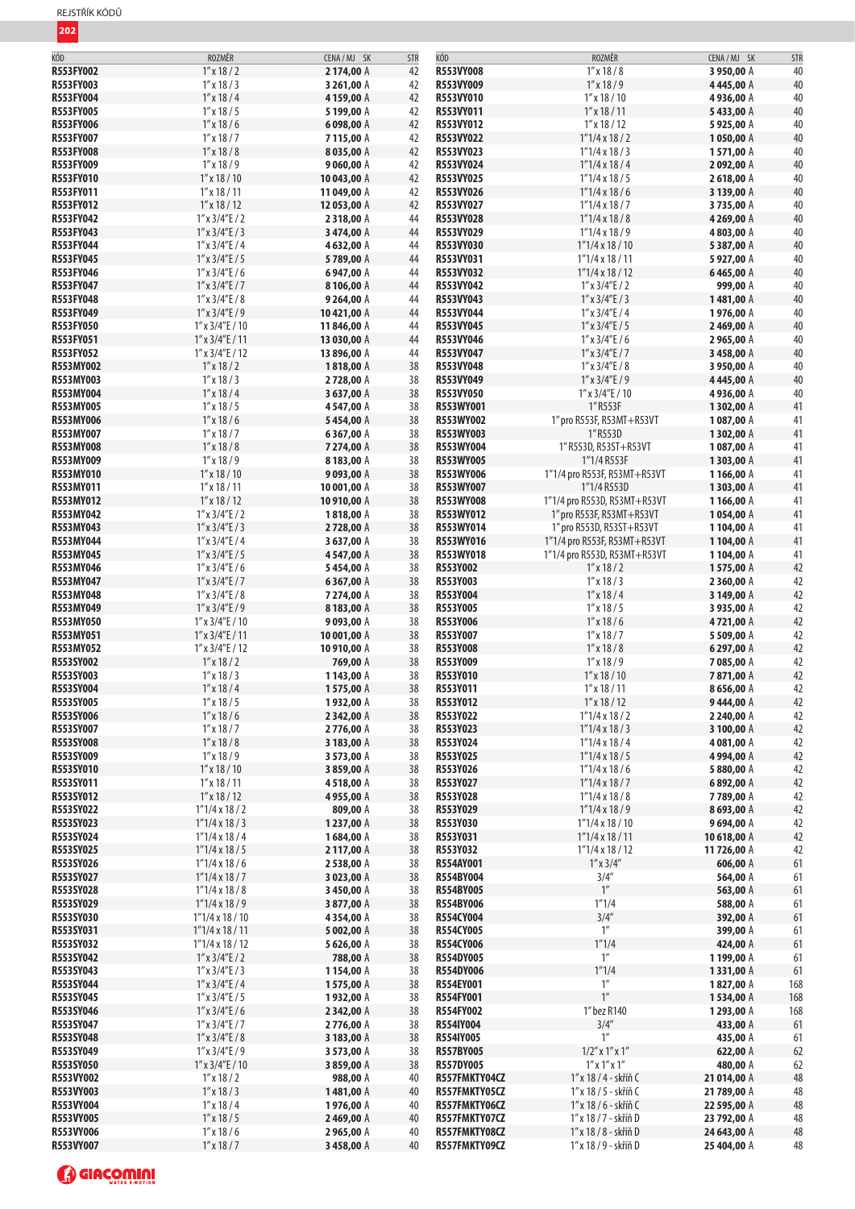| KÓD              | ROZMĚR                  | CENA/MJ SK  | <b>STR</b> | KÓD              | ROZMĚR                       | CENA / MJ SK | <b>STR</b> |
|------------------|-------------------------|-------------|------------|------------------|------------------------------|--------------|------------|
| <b>R553FY002</b> | $1''$ x 18 / 2          | 2174,00 A   | 42         | R553VY008        | $1''$ x $18/8$               | 3950,00 A    | 40         |
| R553FY003        | $1''$ x 18 / 3          | 3 261,00 A  | 42         | R553VY009        | $1''$ x $18/9$               | 4445,00 A    | 40         |
| R553FY004        | $1''$ x 18 / 4          | 4159,00 A   | 42         | R553VY010        | $1''$ x $18/10$              | 4936,00 A    | 40         |
| <b>R553FY005</b> | $1''$ x 18 / 5          | 5199,00 A   | 42         | R553VY011        | $1''$ x 18 / 11              | 5433,00 A    | 40         |
| <b>R553FY006</b> | $1''$ x 18 / 6          | 6098,00 A   | 42         | R553VY012        | $1''$ x $18/12$              | 5925,00 A    | 40         |
| <b>R553FY007</b> | $1''$ x $18/7$          | 7115,00 A   | 42         | R553VY022        | $1''1/4 \times 18/2$         | 1050,00 A    | 40         |
| <b>R553FY008</b> | $1''$ x $18/8$          | 8035,00 A   | 42         | R553VY023        | $1''1/4 \times 18/3$         | 1571,00 A    | 40         |
|                  |                         |             |            |                  |                              |              |            |
| R553FY009        | $1''$ x $18/9$          | 9060,00 A   | 42         | R553VY024        | $1''1/4 \times 18/4$         | 2092,00 A    | 40         |
| <b>R553FY010</b> | $1''$ x $18/10$         | 10 043,00 A | 42         | R553VY025        | $1''1/4 \times 18/5$         | 2618,00 A    | 40         |
| R553FY011        | $1''$ x $18/11$         | 11 049,00 A | 42         | R553VY026        | $1''1/4 \times 18/6$         | 3 139,00 A   | 40         |
| <b>R553FY012</b> | $1''$ x $18/12$         | 12 053,00 A | 42         | R553VY027        | $1"1/4 \times 18/7$          | 3735,00 A    | 40         |
| R553FY042        | $1''$ x $3/4''$ E / 2   | 2318,00 A   | 44         | R553VY028        | $1''1/4 \times 18/8$         | 4 269,00 A   | 40         |
| R553FY043        | $1''$ x $3/4''$ E / 3   | 3474,00 A   | 44         | R553VY029        | $1''1/4 \times 18/9$         | 4803,00 A    | 40         |
| R553FY044        | $1''$ x $3/4''$ E / 4   | 4632,00 A   | 44         | R553VY030        | $1"1/4 \times 18/10$         | 5387,00 A    | 40         |
| <b>R553FY045</b> | $1''$ x $3/4''$ E / 5   | 5789,00 A   | 44         | R553VY031        |                              |              | 40         |
|                  |                         |             |            |                  | $1"1/4 \times 18/11$         | 5927,00 A    |            |
| R553FY046        | $1''$ x $3/4''$ E / 6   | 6947,00 A   | 44         | R553VY032        | $1"1/4 \times 18/12$         | 6465,00 A    | 40         |
| R553FY047        | $1''$ x $3/4''$ E / 7   | 8106,00 A   | 44         | R553VY042        | $1''$ x $3/4''$ E / 2        | 999,00 A     | 40         |
| R553FY048        | $1''$ x $3/4''$ E / 8   | 9264,00 A   | 44         | R553VY043        | $1''$ x $3/4''$ E / 3        | 1481,00 A    | 40         |
| R553FY049        | $1''$ x $3/4''$ E / 9   | 10421,00 A  | 44         | R553VY044        | $1''$ x $3/4''$ E / 4        | 1976,00 A    | 40         |
| R553FY050        | $1''$ x $3/4''$ E / 10  | 11846,00 A  | 44         | R553VY045        | $1''$ x $3/4''$ E / 5        | 2469,00 A    | 40         |
| <b>R553FY051</b> | $1''$ x $3/4''$ E / 11  | 13 030,00 A | 44         | R553VY046        | $1''$ x $3/4''$ E / 6        | 2965,00 A    | 40         |
| <b>R553FY052</b> | $1''$ x $3/4''$ E / 12  | 13 896,00 A | 44         | R553VY047        | $1''$ x $3/4''$ E / 7        | 3458,00 A    | 40         |
|                  |                         |             |            |                  |                              |              |            |
| R553MY002        | $1''$ x 18 / 2          | 1818,00 A   | 38         | R553VY048        | $1''$ x $3/4''$ E / 8        | 3 950,00 A   | 40         |
| R553MY003        | $1''$ x 18 / 3          | 2728,00 A   | 38         | R553VY049        | $1''$ x $3/4''$ E / 9        | 4445,00 A    | 40         |
| R553MY004        | $1''$ x $18/4$          | 3637,00 A   | 38         | R553VY050        | $1''$ x $3/4''$ E / 10       | 4936,00 A    | 40         |
| R553MY005        | $1''$ x 18 / 5          | 4547,00 A   | 38         | R553WY001        | 1"R553F                      | 1302,00 A    | 41         |
| <b>R553MY006</b> | $1''$ x 18 / 6          | 5454,00 A   | 38         | R553WY002        | 1" pro R553F, R53MT+R53VT    | 1087,00 A    | 41         |
| R553MY007        | $1''$ x $18/7$          | 6367,00 A   | 38         | R553WY003        | 1" R553D                     | 1302,00 A    | 41         |
| <b>R553MY008</b> | $1''$ x 18 / 8          | 7274,00 A   | 38         | R553WY004        | 1" R553D, R53ST+R53VT        | 1087,00 A    | 41         |
| R553MY009        | $1''$ x $18/9$          |             | 38         | <b>R553WY005</b> | 1"1/4 R553F                  | 1303,00 A    | 41         |
|                  |                         | 8183,00 A   |            |                  |                              |              |            |
| R553MY010        | $1''$ x $18/10$         | 9093,00 A   | 38         | R553WY006        | 1"1/4 pro R553F, R53MT+R53VT | 1166,00 A    | 41         |
| R553MY011        | $1''$ x 18 / 11         | 10 001,00 A | 38         | R553WY007        | 1"1/4 R553D                  | 1303,00 A    | 41         |
| R553MY012        | $1''$ x $18/12$         | 10 910,00 A | 38         | <b>R553WY008</b> | 1"1/4 pro R553D, R53MT+R53VT | 1166,00 A    | 41         |
| R553MY042        | $1''$ x $3/4''E/2$      | 1818,00 A   | 38         | <b>R553WY012</b> | 1" pro R553F, R53MT+R53VT    | 1054,00 A    | 41         |
| R553MY043        | $1''$ x $3/4''$ E / 3   | 2728,00 A   | 38         | R553WY014        | 1" pro R553D, R53ST+R53VT    | 1104,00 A    | 41         |
| R553MY044        | $1''$ x $3/4''$ E / 4   | 3637,00 A   | 38         | <b>R553WY016</b> | 1"1/4 pro R553F, R53MT+R53VT | 1104,00 A    | 41         |
| R553MY045        | $1''$ x $3/4''$ E / 5   | 4547,00 A   | 38         | R553WY018        | 1"1/4 pro R553D, R53MT+R53VT | 1104,00 A    | 41         |
| R553MY046        | $1''$ x 3/4"E / 6       | 5454,00 A   | 38         | R553Y002         | $1''$ x $18/2$               | 1575,00 A    | 42         |
| R553MY047        | $1''$ x $3/4''E/7$      | 6367,00 A   | 38         | R553Y003         | $1''$ x $18/3$               | 2 360,00 A   | 42         |
|                  |                         |             |            |                  |                              |              |            |
| R553MY048        | $1''$ x $3/4''$ E / 8   | 7274,00 A   | 38         | R553Y004         | $1''$ x 18 / 4               | 3 149,00 A   | 42         |
| R553MY049        | $1''$ x $3/4''$ E / 9   | 8183,00 A   | 38         | R553Y005         | $1''$ x 18 / 5               | 3935,00 A    | 42         |
| <b>R553MY050</b> | $1''$ x $3/4''$ E / 10  | 9093,00 A   | 38         | R553Y006         | $1''$ x 18 / 6               | 4721,00 A    | 42         |
| R553MY051        | $1''$ x $3/4''$ E / 11  | 10 001,00 A | 38         | R553Y007         | $1''$ x $18/7$               | 5 509,00 A   | 42         |
| R553MY052        | $1''$ x $3/4''$ E / 12  | 10910,00 A  | 38         | R553Y008         | $1''$ x 18 / 8               | 6297,00 A    | 42         |
| R553SY002        | $1''$ x $18/2$          | 769,00 A    | 38         | R553Y009         | $1''$ x $18/9$               | 7085,00 A    | 42         |
| R553SY003        | $1''$ x 18 / 3          | 1143,00 A   | 38         | R553Y010         | $1''$ x $18/10$              | 7871,00 A    | 42         |
| R553SY004        | $1''$ x $18/4$          |             | 38         | R553Y011         |                              |              | 42         |
|                  |                         | 1575,00 A   |            |                  | $1''$ x $18/11$              | 8656,00 A    |            |
| R553SY005        | $1''$ x 18 / 5          | 1932,00 A   | 38         | R553Y012         | $1''$ x $18/12$              | 9444,00 A    | 42         |
| R553SY006        | $1''$ x 18 / 6          | 2 342,00 A  | 38         | R553Y022         | $1''1/4 \times 18/2$         | 2 240,00 A   | 42         |
| R553SY007        | $1''$ x $18/7$          | 2776,00 A   | 38         | R553Y023         | $1''1/4 \times 18/3$         | 3 100,00 A   | 42         |
| R553SY008        | $1''$ x $18/8$          | 3 183,00 A  | 38         | R553Y024         | $1"1/4 \times 18/4$          | 4081,00 A    | 42         |
| R553SY009        | $1''$ x $18/9$          | 3 573,00 A  | 38         | R553Y025         | $1''1/4 \times 18/5$         | 4994,00 A    | 42         |
| R553SY010        | $1''$ x 18 / 10         | 3859,00 A   | 38         | R553Y026         | $1''1/4 \times 18/6$         | 5880,00 A    | 42         |
| R553SY011        | $1''$ x 18 / 11         | 4518,00 A   | 38         | R553Y027         | $1"1/4 \times 18/7$          | 6892,00 A    | 42         |
|                  |                         |             |            |                  |                              |              |            |
| R553SY012        | $1''$ x 18 / 12         | 4955,00 A   | 38         | R553Y028         | $1"1/4 \times 18/8$          | 7789,00 A    | 42         |
| R553SY022        | $1''1/4 \times 18/2$    | 809,00 A    | 38         | R553Y029         | $1''1/4 \times 18/9$         | 8693,00 A    | 42         |
| R553SY023        | $1''1/4 \times 18/3$    | 1237,00 A   | 38         | R553Y030         | $1''1/4 \times 18 / 10$      | 9694,00 A    | 42         |
| R553SY024        | $1''1/4 \times 18/4$    | 1684,00 A   | 38         | R553Y031         | $1"1/4 \times 18/11$         | 10 618,00 A  | 42         |
| R553SY025        | $1''1/4 \times 18/5$    | 2117,00 A   | 38         | R553Y032         | $1''1/4 \times 18/12$        | 11726,00 A   | 42         |
| R553SY026        | $1''1/4 \times 18/6$    | 2538,00 A   | 38         | R554AY001        | $1''$ x $3/4''$              | 606,00 A     | 61         |
| R553SY027        | $1''1/4 \times 18/7$    | 3 023,00 A  | 38         | R554BY004        | 3/4''                        | 564,00 A     | 61         |
| R553SY028        | $1''1/4 \times 18/8$    | 3450,00 A   | 38         | R554BY005        | $1^{\prime\prime}$           | 563,00 A     | 61         |
| R553SY029        |                         |             | 38         | R554BY006        | 1''1/4                       | 588,00 A     | 61         |
|                  | $1"1/4 \times 18/9$     | 3877,00 A   |            |                  |                              |              |            |
| R553SY030        | $1''1/4 \times 18/10$   | 4354,00 A   | 38         | R554CY004        | 3/4''                        | 392,00 A     | 61         |
| R553SY031        | $1"1/4 \times 18/11$    | 5 002,00 A  | 38         | R554CY005        | $1^{\prime\prime}$           | 399,00 A     | 61         |
| R553SY032        | $1''1/4 \times 18 / 12$ | 5626,00 A   | 38         | <b>R554CY006</b> | 1''1/4                       | 424,00 A     | 61         |
| R553SY042        | $1''$ x $3/4''E/2$      | 788,00 A    | 38         | R554DY005        | $1^{\prime\prime}$           | 1199,00 A    | 61         |
| R553SY043        | $1''$ x $3/4''$ E / 3   | 1154,00 A   | 38         | <b>R554DY006</b> | 1''1/4                       | 1331,00 A    | 61         |
| R553SY044        | $1''$ x $3/4''$ E / 4   | 1575,00 A   | 38         | R554EY001        | $1^{\prime\prime}$           | 1827,00 A    | 168        |
| R553SY045        | $1''$ x $3/4''$ E / 5   | 1932,00 A   | 38         | R554FY001        | 1''                          | 1534,00 A    | 168        |
| R553SY046        | $1''$ x $3/4''$ E / 6   | 2 342,00 A  | 38         | R554FY002        | 1" bez R140                  | 1293,00 A    | 168        |
|                  |                         |             |            |                  |                              |              |            |
| R553SY047        | $1''$ x $3/4''E/7$      | 2776,00 A   | 38         | R554IY004        | 3/4''                        | 433,00 A     | 61         |
| R553SY048        | $1''$ x $3/4''$ E / 8   | 3 183,00 A  | 38         | <b>R554IY005</b> | 1''                          | 435,00 A     | 61         |
| R553SY049        | $1''$ x $3/4''$ E / 9   | 3 573,00 A  | 38         | R557BY005        | $1/2$ " x $1$ " x $1$ "      | 622,00 A     | 62         |
| R553SY050        | $1''$ x $3/4''$ E / 10  | 3859,00 A   | 38         | R557DY005        | $1''$ x $1''$ x $1''$        | 480,00 A     | 62         |
| R553VY002        | $1''$ x $18/2$          | 988,00 A    | 40         | R557FMKTY04CZ    | 1" x 18 / 4 - skříň C        | 21 014,00 A  | 48         |
| R553VY003        | $1''$ x 18 / 3          | 1481,00 A   | 40         | R557FMKTY05CZ    | 1" x 18 / 5 - skříň C        | 21 789,00 A  | 48         |
| R553VY004        | $1''$ x 18 / 4          | 1976,00 A   | 40         | R557FMKTY06CZ    | 1" x 18 / 6 - skříň C        | 22 595,00 A  | 48         |
|                  |                         |             |            |                  |                              |              |            |
| R553VY005        | $1''$ x 18 / 5          | 2469,00 A   | 40         | R557FMKTY07CZ    | 1" x 18 / 7 - skříň D        | 23 792,00 A  | 48         |
| R553VY006        | $1''$ x 18 / 6          | 2965,00 A   | 40         | R557FMKTY08CZ    | 1" x 18 / 8 - skříň D        | 24 643,00 A  | 48         |
| R553VY007        | $1''$ x 18 / 7          | 3458,00 A   | 40         | R557FMKTY09CZ    | 1" x 18 / 9 - skříň D        | 25 404,00 A  | 48         |

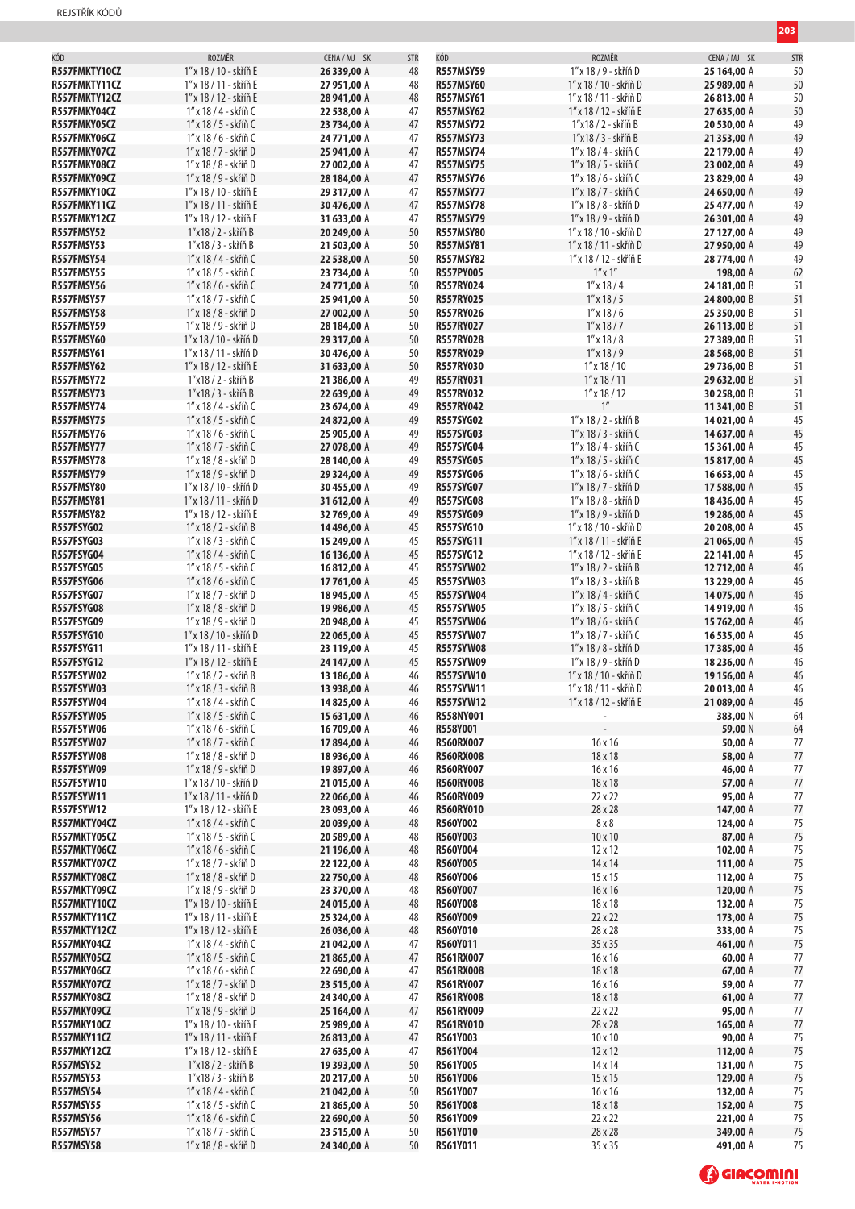| KÓD                 | ROZMĚR                 | CENA/MJ SK  | <b>STR</b> | KÓD              | ROZMĚR                 | CENA/MJ SK  | <b>STR</b> |
|---------------------|------------------------|-------------|------------|------------------|------------------------|-------------|------------|
| R557FMKTY10CZ       | 1" x 18 / 10 - skříň E | 26 339,00 A | 48         | <b>R557MSY59</b> | 1" x 18 / 9 - skříň D  | 25 164,00 A | 50         |
| R557FMKTY11CZ       | 1" x 18 / 11 - skříň E | 27 951,00 A | 48         | <b>R557MSY60</b> | 1″ x 18 / 10 - skříň D | 25 989,00 A | 50         |
| R557FMKTY12CZ       | 1" x 18 / 12 - skříň E | 28 941,00 A | 48         | <b>R557MSY61</b> | 1" x 18 / 11 - skříň D | 26813,00 A  | 50         |
| R557FMKY04CZ        | 1" x 18 / 4 - skříň C  | 22 538,00 A | 47         | <b>R557MSY62</b> | 1" x 18 / 12 - skříň E | 27 635,00 A | 50         |
|                     |                        |             |            | <b>R557MSY72</b> |                        |             |            |
| R557FMKY05CZ        | 1" x 18 / 5 - skříň C  | 23 734,00 A | 47         |                  | 1"x18 / 2 - skříň B    | 20 530,00 A | 49         |
| R557FMKY06CZ        | 1" x 18 / 6 - skříň C  | 24 771,00 A | 47         | <b>R557MSY73</b> | 1"x18 / 3 - skříň B    | 21 353,00 A | 49         |
| R557FMKY07CZ        | 1″ x 18 / 7 - skříň D  | 25 941,00 A | 47         | <b>R557MSY74</b> | 1″ x 18 / 4 - skříň C  | 22 179,00 A | 49         |
| R557FMKY08CZ        | 1″ x 18 / 8 - skříň D  | 27 002,00 A | 47         | <b>R557MSY75</b> | 1" x 18 / 5 - skříň C  | 23 002,00 A | 49         |
| R557FMKY09CZ        | 1" x 18 / 9 - skříň D  | 28 184,00 A | 47         | <b>R557MSY76</b> | 1" x 18 / 6 - skříň C  | 23 829,00 A | 49         |
| R557FMKY10CZ        | 1″ x 18 / 10 - skříň E | 29 317,00 A | 47         | <b>R557MSY77</b> | 1″ x 18 / 7 - skříň C  | 24 650,00 A | 49         |
| R557FMKY11CZ        | 1" x 18 / 11 - skříň E | 30476,00 A  | 47         | <b>R557MSY78</b> | 1″ x 18 / 8 - skříň D  | 25 477,00 A | 49         |
| R557FMKY12CZ        | 1" x 18 / 12 - skříň E | 31 633,00 A | 47         | <b>R557MSY79</b> | 1" x 18 / 9 - skříň D  | 26 301,00 A | 49         |
| <b>R557FMSY52</b>   | 1"x18 / 2 - skříň B    | 20 249,00 A | 50         | <b>R557MSY80</b> | 1" x 18 / 10 - skříň D | 27 127,00 A | 49         |
| <b>R557FMSY53</b>   | 1"x18 / 3 - skříň B    | 21 503,00 A | 50         | <b>R557MSY81</b> | 1" x 18 / 11 - skříň D | 27 950,00 A | 49         |
| <b>R557FMSY54</b>   | 1" x 18 / 4 - skříň C  | 22 538,00 A | 50         | <b>R557MSY82</b> | 1" x 18 / 12 - skříň E | 28 774,00 A | 49         |
| <b>R557FMSY55</b>   | 1" x 18 / 5 - skříň C  | 23 734,00 A | 50         | <b>R557PY005</b> | $1''$ x $1''$          | 198,00 A    | 62         |
| <b>R557FMSY56</b>   | 1" x 18 / 6 - skříň C  | 24 771,00 A | 50         | <b>R557RY024</b> | $1''$ x 18 / 4         | 24 181,00 B | 51         |
| <b>R557FMSY57</b>   | 1″ x 18 / 7 - skříň C  | 25 941,00 A | 50         | <b>R557RY025</b> | $1''$ x 18 / 5         | 24 800,00 B | 51         |
|                     |                        |             |            |                  |                        |             |            |
| <b>R557FMSY58</b>   | 1″ x 18 / 8 - skříň D  | 27 002,00 A | 50         | <b>R557RY026</b> | $1''$ x $18/6$         | 25 350,00 B | 51         |
| <b>R557FMSY59</b>   | 1″ x 18 / 9 - skříň D  | 28 184,00 A | 50         | <b>R557RY027</b> | $1''$ x $18/7$         | 26 113,00 B | 51         |
| <b>R557FMSY60</b>   | 1" x 18 / 10 - skříň D | 29 317,00 A | 50         | <b>R557RY028</b> | $1''$ x $18/8$         | 27 389,00 B | 51         |
| <b>R557FMSY61</b>   | 1" x 18 / 11 - skříň D | 30476,00 A  | 50         | <b>R557RY029</b> | $1''$ x 18 / 9         | 28 568,00 B | 51         |
| <b>R557FMSY62</b>   | 1" x 18 / 12 - skříň E | 31 633,00 A | 50         | <b>R557RY030</b> | $1''$ x $18/10$        | 29 736,00 B | 51         |
| <b>R557FMSY72</b>   | 1"x18 / 2 - skříň B    | 21 386,00 A | 49         | <b>R557RY031</b> | $1''$ x $18/11$        | 29 632,00 B | 51         |
| <b>R557FMSY73</b>   | 1"x18 / 3 - skříň B    | 22 639,00 A | 49         | <b>R557RY032</b> | $1''$ x 18 / 12        | 30 258,00 B | 51         |
| <b>R557FMSY74</b>   | 1″ x 18 / 4 - skříň C  | 23 674,00 A | 49         | <b>R557RY042</b> | 1 <sup>''</sup>        | 11 341,00 B | 51         |
| <b>R557FMSY75</b>   | 1″ x 18 / 5 - skříň C  | 24 872,00 A | 49         | <b>R557SYG02</b> | 1" x 18 / 2 - skříň B  | 14 021,00 A | 45         |
| <b>R557FMSY76</b>   | 1″ x 18 / 6 - skříň C  | 25 905,00 A | 49         | <b>R557SYG03</b> | 1" x 18 / 3 - skříň C  | 14 637,00 A | 45         |
| <b>R557FMSY77</b>   | 1" x 18 / 7 - skříň C  | 27 078,00 A | 49         | <b>R557SYG04</b> | 1" x 18 / 4 - skříň C  | 15 361,00 A | 45         |
| <b>R557FMSY78</b>   | 1" x 18 / 8 - skříň D  | 28 140,00 A | 49         | <b>R557SYG05</b> | 1" x 18 / 5 - skříň C  | 15 817,00 A | 45         |
| <b>R557FMSY79</b>   | 1" x 18 / 9 - skříň D  | 29 324,00 A | 49         | <b>R557SYG06</b> | 1" x 18 / 6 - skříň C  | 16 653,00 A | 45         |
| <b>R557FMSY80</b>   | 1" x 18 / 10 - skříň D | 30455,00 A  | 49         | <b>R557SYG07</b> | 1" x 18 / 7 - skříň D  | 17 588,00 A | 45         |
| <b>R557FMSY81</b>   | 1" x 18 / 11 - skříň D | 31 612,00 A | 49         | <b>R557SYG08</b> | 1" x 18 / 8 - skříň D  | 18 436,00 A | 45         |
|                     |                        |             |            |                  |                        |             |            |
| <b>R557FMSY82</b>   | 1" x 18 / 12 - skříň E | 32 769,00 A | 49         | <b>R557SYG09</b> | 1" x 18 / 9 - skříň D  | 19 286,00 A | 45         |
| <b>R557FSYG02</b>   | 1" x 18 / 2 - skříň B  | 14496,00 A  | 45         | <b>R557SYG10</b> | 1″ x 18 / 10 - skříň D | 20 208,00 A | 45         |
| <b>R557FSYG03</b>   | 1″ x 18 / 3 - skříň C  | 15 249,00 A | 45         | <b>R557SYG11</b> | 1" x 18 / 11 - skříň E | 21 065,00 A | 45         |
| R557FSYG04          | 1" x 18 / 4 - skříň C  | 16 136,00 A | 45         | <b>R557SYG12</b> | 1" x 18 / 12 - skříň E | 22 141,00 A | 45         |
| <b>R557FSYG05</b>   | 1" x 18 / 5 - skříň C  | 16812,00 A  | 45         | <b>R557SYW02</b> | 1" x 18 / 2 - skříň B  | 12712,00 A  | 46         |
| <b>R557FSYG06</b>   | 1" x 18 / 6 - skříň C  | 17 761,00 A | 45         | <b>R557SYW03</b> | 1" x 18 / 3 - skříň B  | 13 229,00 A | 46         |
| <b>R557FSYG07</b>   | 1″ x 18 / 7 - skříň D  | 18945,00 A  | 45         | <b>R557SYW04</b> | 1" x 18 / 4 - skříň C  | 14 075,00 A | 46         |
| <b>R557FSYG08</b>   | 1" x 18 / 8 - skříň D  | 19 986,00 A | 45         | <b>R557SYW05</b> | 1" x 18 / 5 - skříň C  | 14 919,00 A | 46         |
| <b>R557FSYG09</b>   | 1" x 18 / 9 - skříň D  | 20 948,00 A | 45         | <b>R557SYW06</b> | 1" x 18 / 6 - skříň C  | 15 762,00 A | 46         |
| <b>R557FSYG10</b>   | 1″ x 18 / 10 - skříň D | 22 065,00 A | 45         | <b>R557SYW07</b> | 1″ x 18 / 7 - skříň C  | 16 535,00 A | 46         |
| <b>R557FSYG11</b>   | 1" x 18 / 11 - skříň E | 23 119,00 A | 45         | <b>R557SYW08</b> | 1″ x 18 / 8 - skříň D  | 17 385,00 A | 46         |
| <b>R557FSYG12</b>   | 1" x 18 / 12 - skříň E | 24 147,00 A | 45         | <b>R557SYW09</b> | 1" x 18 / 9 - skříň D  | 18 236,00 A | 46         |
| <b>R557FSYW02</b>   | 1" x 18 / 2 - skříň B  | 13 186,00 A | 46         | <b>R557SYW10</b> | 1″ x 18 / 10 - skříň D | 19 156,00 A | 46         |
| <b>R557FSYW03</b>   | 1" x 18 / 3 - skříň B  | 13 938,00 A | 46         | R557SYW11        | 1″ x 18 / 11 - skříň D | 20 013,00 A | 46         |
| R557FSYW04          | 1" x 18 / 4 - skříň C  | 14825,00 A  | 46         | R557SYW12        | 1" x 18 / 12 - skříň E | 21 089,00 A | 46         |
| <b>R557FSYW05</b>   | 1" x 18 / 5 - skříň C  | 15 631,00 A | 46         | R558NY001        |                        | 383,00 N    | 64         |
| <b>R557FSYW06</b>   | 1" x 18 / 6 - skříň C  | 16 709,00 A | 46         | R558Y001         |                        | 59,00 N     | 64         |
| <b>R557FSYW07</b>   | 1" x 18 / 7 - skříň C  | 17894,00 A  | 46         | <b>R560RX007</b> | 16 x 16                | 50,00 A     | 77         |
| <b>R557FSYW08</b>   |                        | 18936,00 A  |            | <b>R560RX008</b> |                        | 58,00 A     | 77         |
|                     | 1″ x 18 / 8 - skříň D  |             | 46         |                  | 18 x 18                |             |            |
| <b>R557FSYW09</b>   | 1" x 18 / 9 - skříň D  | 19897,00 A  | 46         | <b>R560RY007</b> | 16 x 16                | 46,00 A     | 77         |
| <b>R557FSYW10</b>   | 1" x 18 / 10 - skříň D | 21 015,00 A | 46         | <b>R560RY008</b> | 18 x 18                | 57,00 A     | 77         |
| <b>R557FSYW11</b>   | 1" x 18 / 11 - skříň D | 22 066,00 A | 46         | <b>R560RY009</b> | 22 x 22                | 95,00 A     | 77         |
| <b>R557FSYW12</b>   | 1" x 18 / 12 - skříň E | 23 093,00 A | 46         | <b>R560RY010</b> | 28 x 28                | 147,00 A    | 77         |
| R557MKTY04CZ        | 1" x 18 / 4 - skříň C  | 20 039,00 A | 48         | R560Y002         | 8x8                    | 124,00 A    | 75         |
| R557MKTY05CZ        | 1" x 18 / 5 - skříň C  | 20 589,00 A | 48         | R560Y003         | $10 \times 10$         | 87,00 A     | 75         |
| R557MKTY06CZ        | 1" x 18 / 6 - skříň C  | 21 196,00 A | 48         | R560Y004         | $12 \times 12$         | 102,00 A    | 75         |
| R557MKTY07CZ        | 1″ x 18 / 7 - skříň D  | 22 122,00 A | 48         | <b>R560Y005</b>  | 14 x 14                | 111,00 A    | 75         |
| R557MKTY08CZ        | 1" x 18 / 8 - skříň D  | 22 750,00 A | 48         | R560Y006         | 15 x 15                | 112,00 A    | 75         |
| R557MKTY09CZ        | 1" x 18 / 9 - skříň D  | 23 370,00 A | 48         | R560Y007         | 16 x 16                | 120,00 A    | 75         |
| R557MKTY10CZ        | 1" x 18 / 10 - skříň E | 24 015,00 A | 48         | <b>R560Y008</b>  | 18 x 18                | 132,00 A    | 75         |
| R557MKTY11CZ        | 1" x 18 / 11 - skříň E | 25 324,00 A | 48         | R560Y009         | 22 x 22                | 173,00 A    | 75         |
| <b>R557MKTY12CZ</b> | 1" x 18 / 12 - skříň E | 26 036,00 A | 48         | R560Y010         | 28 x 28                | 333,00 A    | 75         |
| R557MKY04CZ         | 1" x 18 / 4 - skříň C  | 21 042,00 A | 47         | R560Y011         | 35 x 35                | 461,00 A    | 75         |
| R557MKY05CZ         | 1" x 18 / 5 - skříň C  | 21865,00 A  | 47         | R561RX007        | 16x16                  | 60,00 A     | 77         |
| <b>R557MKY06CZ</b>  | 1" x 18 / 6 - skříň C  | 22 690,00 A | 47         | <b>R561RX008</b> | 18 x 18                | 67,00 A     | 77         |
| R557MKY07CZ         | 1″ x 18 / 7 - skříň D  | 23 515,00 A | 47         | R561RY007        | 16 x 16                | 59,00 A     | 77         |
| R557MKY08CZ         | 1″ x 18 / 8 - skříň D  | 24 340,00 A | 47         | <b>R561RY008</b> | 18 x 18                | 61,00 A     | 77         |
| R557MKY09CZ         | 1" x 18 / 9 - skříň D  | 25 164,00 A | 47         | R561RY009        | 22 x 22                | 95,00 A     | 77         |
| <b>R557MKY10CZ</b>  | 1" x 18 / 10 - skříň E | 25 989,00 A | 47         | <b>R561RY010</b> | 28 x 28                | 165,00 A    | 77         |
| <b>R557MKY11CZ</b>  | 1" x 18 / 11 - skříň E |             | 47         | R561Y003         | $10 \times 10$         | 90,00 A     | 75         |
|                     |                        | 26813,00 A  |            |                  |                        |             |            |
| <b>R557MKY12CZ</b>  | 1" x 18 / 12 - skříň E | 27 635,00 A | 47         | R561Y004         | $12 \times 12$         | 112,00 A    | 75         |
| <b>R557MSY52</b>    | 1"x18 / 2 - skříň B    | 19 393,00 A | 50         | R561Y005         | 14 x 14                | 131,00 A    | 75         |
| <b>R557MSY53</b>    | 1″x18 / 3 - skříň B    | 20 217,00 A | 50         | R561Y006         | 15 x 15                | 129,00 A    | 75         |
| <b>R557MSY54</b>    | 1″ x 18 / 4 - skříň C  | 21 042,00 A | 50         | R561Y007         | 16 x 16                | 132,00 A    | 75         |
| <b>R557MSY55</b>    | 1″ x 18 / 5 - skříň C  | 21865,00 A  | 50         | R561Y008         | 18 x 18                | 152,00 A    | 75         |
| <b>R557MSY56</b>    | 1" x 18 / 6 - skříň C  | 22 690,00 A | 50         | R561Y009         | 22 x 22                | 221,00 A    | 75         |
| <b>R557MSY57</b>    | 1" x 18 / 7 - skříň C  | 23 515,00 A | 50         | R561Y010         | 28 x 28                | 349,00 A    | 75         |
| <b>R557MSY58</b>    | 1" x 18 / 8 - skříň D  | 24 340,00 A | 50         | R561Y011         | 35 x 35                | 491,00 A    | 75         |
|                     |                        |             |            |                  |                        |             |            |

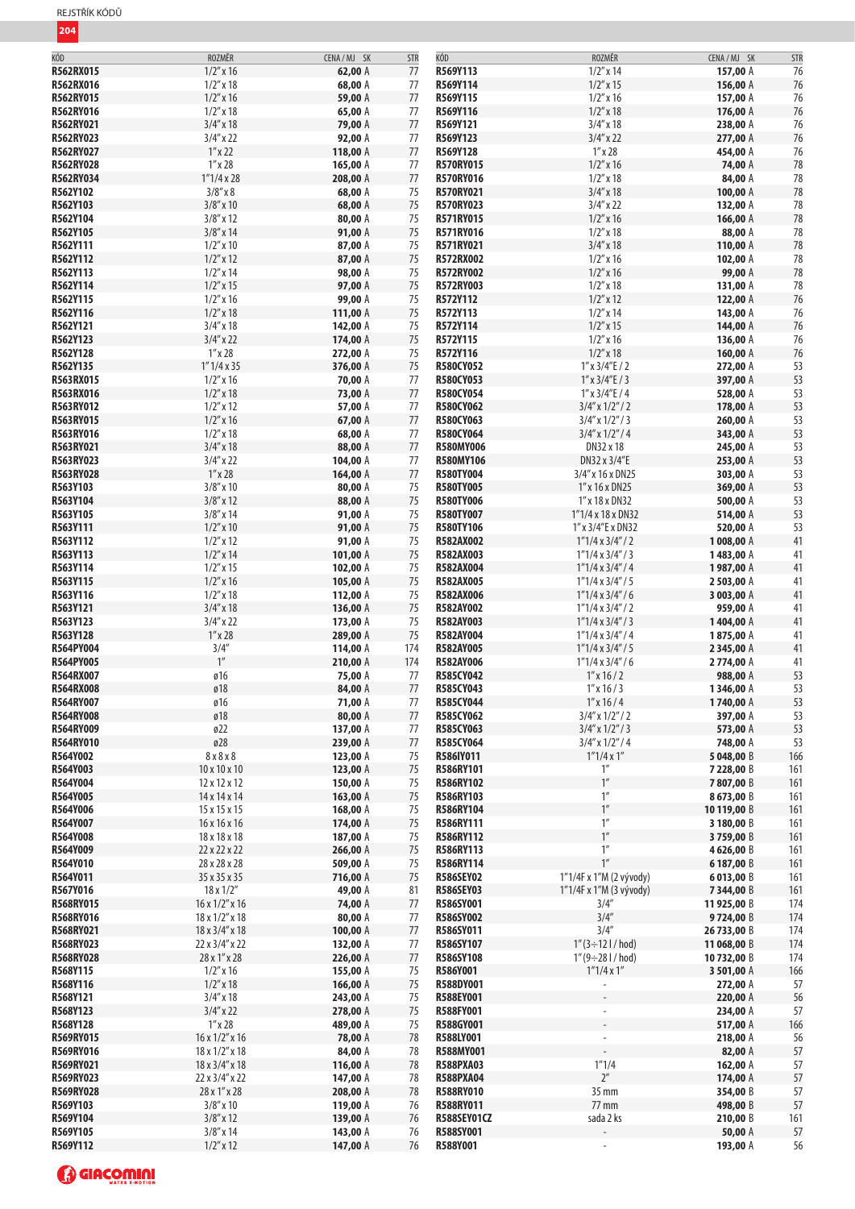| KÓD              | ROZMĚR                         | CENA / MJ SK | <b>STR</b> | KÓD              | ROZMĚR                         | CENA / MJ SK | <b>STR</b> |
|------------------|--------------------------------|--------------|------------|------------------|--------------------------------|--------------|------------|
| R562RX015        | $1/2''$ x 16                   | 62,00 A      | 77         | R569Y113         | $1/2''$ x 14                   |              | 76         |
|                  |                                |              |            |                  |                                | 157,00 A     |            |
| R562RX016        | $1/2''$ x 18                   | 68,00 A      | 77         | R569Y114         | $1/2''$ x 15                   | 156,00 A     | 76         |
| R562RY015        | $1/2$ " x 16                   | 59,00 A      | 77         | R569Y115         | $1/2$ " x 16                   | 157,00 A     | 76         |
| R562RY016        | $1/2$ " x 18                   | 65,00 A      | 77         | R569Y116         | $1/2$ " x 18                   | 176,00 A     | 76         |
| R562RY021        | $3/4''$ x 18                   | 79,00 A      | 77         | R569Y121         | $3/4''$ x 18                   |              | 76         |
|                  |                                |              |            |                  |                                | 238,00 A     |            |
| R562RY023        | $3/4''$ x 22                   | 92,00 A      | 77         | R569Y123         | $3/4''$ x 22                   | 277,00 A     | 76         |
| R562RY027        | $1''$ x 22                     | 118,00 A     | 77         | R569Y128         | $1''$ x 28                     | 454,00 A     | 76         |
| R562RY028        | $1''$ x 28                     | 165,00 A     | 77         | <b>R570RY015</b> | $1/2$ " x 16                   | 74,00 A      | 78         |
| R562RY034        | 1''1/4x28                      | 208,00 A     | 77         | <b>R570RY016</b> | $1/2''$ x 18                   | 84,00 A      | 78         |
|                  |                                |              |            |                  |                                |              |            |
| R562Y102         | $3/8''$ x $8$                  | 68,00 A      | 75         | <b>R570RY021</b> | $3/4''$ x 18                   | 100,00 A     | 78         |
| R562Y103         | $3/8''$ x 10                   | 68,00 A      | 75         | <b>R570RY023</b> | $3/4''$ x 22                   | 132,00 A     | 78         |
| R562Y104         | $3/8''$ x 12                   | 80,00 A      | 75         | R571RY015        | $1/2''$ x 16                   | 166,00 A     | 78         |
| R562Y105         | $3/8''$ x 14                   | 91,00 A      | 75         | R571RY016        | $1/2''$ x 18                   | 88,00 A      | 78         |
|                  |                                |              |            |                  |                                |              |            |
| R562Y111         | $1/2''$ x 10                   | 87,00 A      | $75\,$     | R571RY021        | $3/4''$ x 18                   | 110,00 A     | 78         |
| R562Y112         | $1/2''$ x 12                   | 87,00 A      | 75         | R572RX002        | $1/2''$ x 16                   | 102,00 A     | 78         |
| R562Y113         | $1/2''$ x 14                   | 98,00 A      | 75         | <b>R572RY002</b> | $1/2''$ x 16                   | 99,00 A      | 78         |
| R562Y114         | $1/2''$ x 15                   | 97,00 A      | 75         | R572RY003        | $1/2$ " x 18                   | 131,00 A     | 78         |
|                  |                                |              |            |                  |                                |              |            |
| R562Y115         | $1/2$ " x 16                   | 99,00 A      | 75         | R572Y112         | $1/2''$ x 12                   | 122,00 A     | 76         |
| R562Y116         | $1/2''$ x 18                   | 111,00 A     | 75         | R572Y113         | $1/2''$ x 14                   | 143,00 A     | 76         |
| R562Y121         | $3/4''$ x 18                   | 142,00 A     | 75         | R572Y114         | $1/2''$ x 15                   | 144,00 A     | 76         |
| R562Y123         | $3/4''$ x 22                   | 174,00 A     | 75         | R572Y115         | $1/2''$ x 16                   | 136,00 A     | 76         |
|                  |                                |              |            |                  |                                |              |            |
| R562Y128         | $1''$ x 28                     | 272,00 A     | 75         | R572Y116         | $1/2''$ x 18                   | 160,00 A     | 76         |
| R562Y135         | $1''$ 1/4 x 35                 | 376,00 A     | 75         | <b>R580CY052</b> | $1''$ x $3/4''$ E / 2          | 272,00 A     | 53         |
| R563RX015        | $1/2''$ x 16                   | 70,00 A      | 77         | R580CY053        | $1''$ x $3/4''$ E / 3          | 397,00 A     | 53         |
| R563RX016        | $1/2''$ x 18                   | 73,00 A      | 77         | <b>R580CY054</b> | $1''$ x $3/4''$ E / 4          | 528,00 A     | 53         |
| R563RY012        | $1/2''$ x 12                   |              | 77         | R580CY062        |                                |              | 53         |
|                  |                                | 57,00 A      |            |                  | $3/4''$ x $1/2''/2$            | 178,00 A     |            |
| R563RY015        | $1/2''$ x 16                   | 67,00 A      | 77         | <b>R580CY063</b> | $3/4''$ x $1/2''/3$            | 260,00 A     | 53         |
| R563RY016        | $1/2''$ x 18                   | 68,00 A      | 77         | R580CY064        | $3/4''$ x $1/2''/4$            | 343,00 A     | 53         |
| R563RY021        | $3/4''$ x 18                   | 88,00 A      | 77         | <b>R580MY006</b> | DN32 x 18                      | 245,00 A     | 53         |
| R563RY023        |                                | 104,00 A     | 77         | <b>R580MY106</b> | DN32 x 3/4"E                   | 253,00 A     | 53         |
|                  | $3/4''$ x 22                   |              |            |                  |                                |              |            |
| R563RY028        | $1''$ x 28                     | 164,00 A     | 77         | R580TY004        | 3/4" x 16 x DN25               | 303,00 A     | 53         |
| R563Y103         | $3/8''$ x 10                   | 80,00 A      | 75         | <b>R580TY005</b> | 1" x 16 x DN25                 | 369,00 A     | 53         |
| R563Y104         | $3/8''$ x 12                   | 88,00 A      | 75         | R580TY006        | 1" x 18 x DN32                 | 500,00 A     | 53         |
| R563Y105         | $3/8''$ x 14                   | 91,00 A      | 75         | <b>R580TY007</b> | 1"1/4 x 18 x DN32              | 514,00 A     | 53         |
|                  |                                |              |            |                  |                                |              |            |
| R563Y111         | $1/2''$ x 10                   | 91,00 A      | 75         | <b>R580TY106</b> | 1" x 3/4" E x DN32             | 520,00 A     | 53         |
| R563Y112         | $1/2''$ x 12                   | 91,00 A      | 75         | <b>R582AX002</b> | $1"1/4 \times 3/4" / 2$        | 1008,00 A    | 41         |
| R563Y113         | $1/2''$ x 14                   | 101,00 A     | 75         | R582AX003        | $1"1/4 \times 3/4" / 3$        | 1483,00 A    | 41         |
| R563Y114         | $1/2''$ x 15                   | 102,00 A     | 75         | R582AX004        | $1"1/4 \times 3/4" / 4$        | 1987,00 A    | 41         |
| R563Y115         | $1/2''$ x 16                   | 105,00 A     | 75         | R582AX005        | $1"1/4 \times 3/4" / 5$        |              | 41         |
|                  |                                |              |            |                  |                                | 2 503,00 A   |            |
| R563Y116         | $1/2''$ x 18                   | 112,00 A     | 75         | R582AX006        | $1"1/4 \times 3/4" / 6$        | 3 003,00 A   | 41         |
| R563Y121         | $3/4''$ x 18                   | 136,00 A     | 75         | R582AY002        | $1"1/4 \times 3/4" / 2$        | 959,00 A     | 41         |
| R563Y123         | $3/4''$ x 22                   | 173,00 A     | 75         | R582AY003        | $1"1/4 \times 3/4" / 3$        | 1404,00 A    | 41         |
| R563Y128         | $1''$ x 28                     | 289,00 A     | 75         | R582AY004        | $1"1/4 \times 3/4" / 4$        | 1875,00 A    | 41         |
|                  |                                |              |            |                  |                                |              |            |
| R564PY004        | $3/4''$<br>$1''$               | 114,00 A     | 174        | <b>R582AY005</b> | 1"1/4 x 3/4" / 5               | 2345,00 A    | 41         |
| R564PY005        |                                | 210,00 A     | 174        | R582AY006        | $1"1/4 \times 3/4" / 6$        | 2774,00 A    | 41         |
| R564RX007        | ø16                            | 75,00 A      | 77         | <b>R585CY042</b> | $1''$ x 16 / 2                 | 988,00 A     | 53         |
| <b>R564RX008</b> | ø18                            | 84,00 A      | 77         | R585CY043        | $1''$ x 16 / 3                 | 1346,00 A    | 53         |
|                  |                                |              | 77         | R585CY044        |                                |              | 53         |
| R564RY007        | ø16                            | 71,00 A      |            |                  | $1''$ x 16 / 4                 | 1740,00 A    |            |
| R564RY008        | $\boldsymbol{\mathfrak{g}}$ 18 | 80,00 A      | 77         | R585CY062        | $3/4''$ x $1/2''/2$            | 397,00 A     | 53         |
| <b>R564RY009</b> | ø22                            | 137,00 A     | 77         | R585CY063        | $3/4''$ x $1/2''/3$            | 573,00 A     | 53         |
| R564RY010        | ø28                            | 239,00 A     | 77         | R585CY064        | $3/4''$ x $1/2''/4$            | 748,00 A     | 53         |
| R564Y002         | 8 x 8 x 8                      | 123,00 A     | 75         | R586IY011        | $1''1/4 \times 1''$            | 5 048,00 B   | 166        |
|                  |                                |              |            |                  |                                |              |            |
| R564Y003         | 10 x 10 x 10                   | 123,00 A     | 75         | R586RY101        | $1^{\prime\prime}$             | 7 228,00 B   | 161        |
| R564Y004         | 12 x 12 x 12                   | 150,00 A     | 75         | <b>R586RY102</b> | $1^{\prime\prime}$             | 7807,00 B    | 161        |
| R564Y005         | 14 x 14 x 14                   | 163,00 A     | 75         | R586RY103        | 1''                            | 8673,00 B    | 161        |
| R564Y006         | 15 x 15 x 15                   | 168,00 A     | 75         | <b>R586RY104</b> | $1^{\prime\prime}$             | 10119,00 B   | 161        |
|                  | 16 x 16 x 16                   |              |            |                  | 1''                            |              |            |
| R564Y007         |                                | 174,00 A     | 75         | R586RY111        |                                | 3 180,00 B   | 161        |
| R564Y008         | 18 x 18 x 18                   | 187,00 A     | 75         | <b>R586RY112</b> | $1^{\prime\prime}$             | 3759,00 B    | 161        |
| R564Y009         | 22 x 22 x 22                   | 266,00 A     | 75         | R586RY113        | $1^{\prime\prime}$             | 4626,00 B    | 161        |
| R564Y010         | 28 x 28 x 28                   | 509,00 A     | 75         | R586RY114        | 1''                            | 6187,00 B    | 161        |
| R564Y011         | 35 x 35 x 35                   | 716,00 A     | 75         | <b>R586SEY02</b> | 1"1/4F x 1"M (2 vývody)        | 6013,00B     | 161        |
|                  |                                |              |            |                  |                                |              |            |
| R567Y016         | $18 \times 1/2"$               | 49,00 A      | 81         | <b>R586SEY03</b> | 1"1/4F x 1"M (3 vývody)        | 7344,00 B    | 161        |
| R568RY015        | $16 \times 1/2$ " x 16         | 74,00 A      | 77         | R586SY001        | 3/4''                          | 11 925,00 B  | 174        |
| R568RY016        | 18 x 1/2" x 18                 | 80,00 A      | 77         | <b>R586SY002</b> | 3/4''                          | 9724,00 B    | 174        |
| R568RY021        | 18 x 3/4" x 18                 | 100,00 A     | 77         | R586SY011        | 3/4''                          | 26 733,00 B  | 174        |
| R568RY023        | 22 x 3/4" x 22                 | 132,00 A     | 77         | R586SY107        | $1''(3 \div 121 / \text{hod})$ | 11 068,00 B  | 174        |
|                  |                                |              |            |                  |                                |              |            |
| <b>R568RY028</b> | 28 x 1" x 28                   | 226,00 A     | 77         | R586SY108        | $1''(9 \div 281 / \text{hod})$ | 10732,00 B   | 174        |
| R568Y115         | $1/2$ " x 16                   | 155,00 A     | 75         | R586Y001         | $1''1/4 \times 1''$            | 3 501,00 A   | 166        |
| R568Y116         | $1/2$ " x 18                   | 166,00 A     | 75         | R588DY001        | L,                             | 272,00 A     | 57         |
| R568Y121         | $3/4''$ x 18                   | 243,00 A     | 75         | <b>R588EY001</b> |                                | 220,00 A     | 56         |
| R568Y123         | $3/4''$ x 22                   | 278,00 A     | 75         | <b>R588FY001</b> | $\overline{\phantom{a}}$       | 234,00 A     | 57         |
|                  |                                |              |            |                  |                                |              |            |
| R568Y128         | $1^{\prime\prime}$ x 28        | 489,00 A     | 75         | R588GY001        |                                | 517,00 A     | 166        |
| R569RY015        | 16 x 1/2" x 16                 | 78,00 A      | 78         | R588LY001        | $\overline{\phantom{a}}$       | 218,00 A     | 56         |
| R569RY016        | 18 x 1/2" x 18                 | 84,00 A      | 78         | R588MY001        |                                | 82,00 A      | 57         |
| R569RY021        | 18 x 3/4" x 18                 | 116,00 A     | 78         | <b>R588PXA03</b> | 1''1/4                         | 162,00 A     | 57         |
|                  |                                |              |            |                  |                                |              |            |
| R569RY023        | 22 x 3/4" x 22                 | 147,00 A     | 78         | <b>R588PXA04</b> | $2^{\prime\prime}$             | 174,00 A     | 57         |
| <b>R569RY028</b> | 28 x 1" x 28                   | 208,00 A     | 78         | <b>R588RY010</b> | 35 mm                          | 354,00 B     | 57         |
| R569Y103         | $3/8''$ x 10                   | 119,00 A     | 76         | <b>R588RY011</b> | 77 mm                          | 498,00 B     | 57         |
| R569Y104         | $3/8''$ x 12                   | 139,00 A     | 76         | R588SEY01CZ      | sada 2 ks                      | 210,00 B     | 161        |
|                  |                                |              |            |                  |                                |              |            |
| R569Y105         | $3/8''$ x 14                   | 143,00 A     | 76         | R588SY001        |                                | 50,00 A      | 57<br>56   |
| R569Y112         | $1/2''$ x 12                   | 147,00 A     | 76         | R588Y001         |                                | 193,00 A     |            |

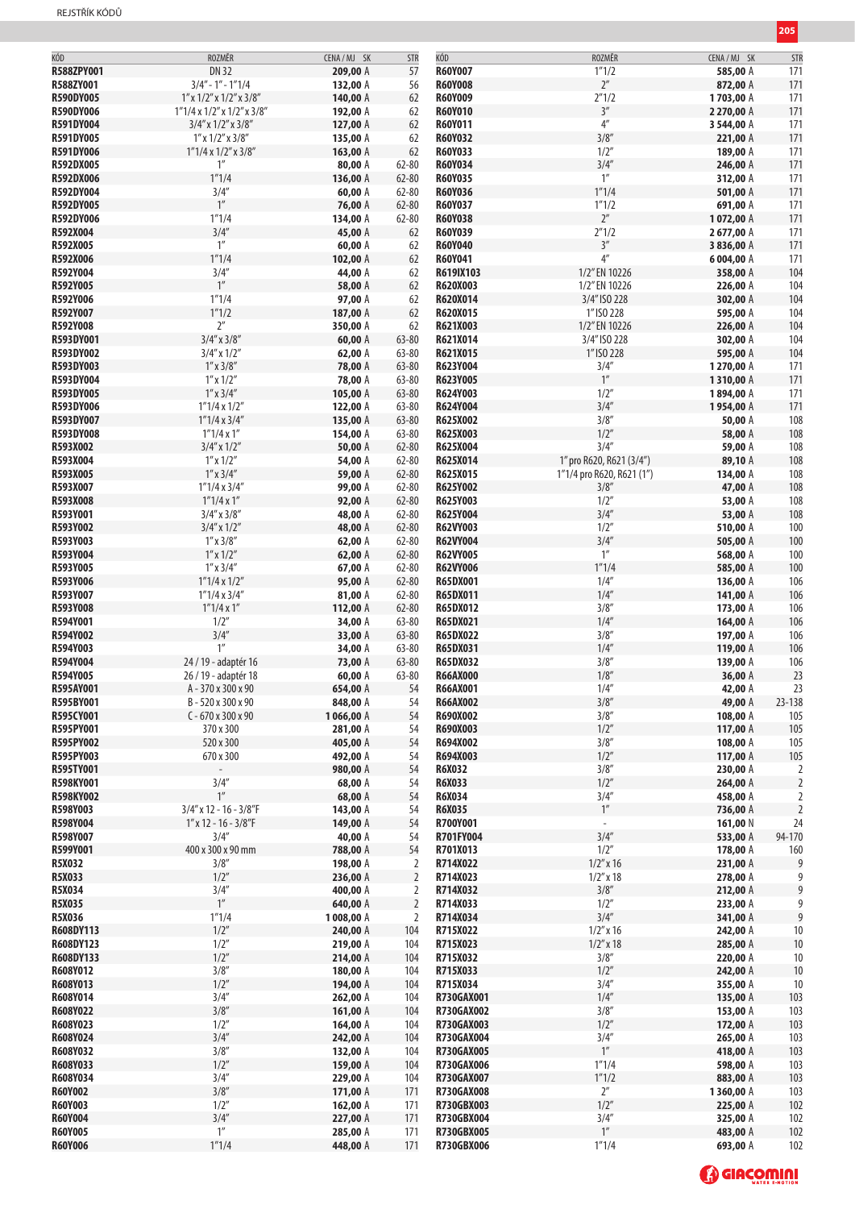| $\mathcal{L}^{\text{max}}_{\text{max}}$ and $\mathcal{L}^{\text{max}}_{\text{max}}$ and $\mathcal{L}^{\text{max}}_{\text{max}}$<br><b>Contract Contract Contract Contract Contract Contract Contract Contract Contract Contract Contract Contract Co</b><br><b>Service Service Service Service Service</b> |  |
|------------------------------------------------------------------------------------------------------------------------------------------------------------------------------------------------------------------------------------------------------------------------------------------------------------|--|
|                                                                                                                                                                                                                                                                                                            |  |
|                                                                                                                                                                                                                                                                                                            |  |

| KÓD              | ROZMĚR                                      | CENA / MJ SK | <b>STR</b>     | KÓD               | ROZMĚR                    | CENA / MJ SK | STR              |
|------------------|---------------------------------------------|--------------|----------------|-------------------|---------------------------|--------------|------------------|
| R588ZPY001       | DN 32                                       | 209,00 A     | 57             | <b>R60Y007</b>    | 1''1/2                    | 585,00 A     | 171              |
| R588ZY001        | $3/4" - 1" - 1"1/4$                         | 132,00 A     | 56             | <b>R60Y008</b>    | $2^{\prime\prime}$        | 872,00 A     | 171              |
| <b>R590DY005</b> | $1''$ x $1/2''$ x $1/2''$ x $3/8''$         | 140,00 A     | 62             | <b>R60Y009</b>    | 2''1/2                    | 1703,00 A    | 171              |
| <b>R590DY006</b> | $1"1/4 \times 1/2" \times 1/2" \times 3/8"$ | 192,00 A     | 62             | <b>R60Y010</b>    | 3''                       | 2 270,00 A   | 171              |
|                  |                                             |              |                |                   | $4^{\prime\prime}$        |              |                  |
| R591DY004        | $3/4''$ x $1/2''$ x $3/8''$                 | 127,00 A     | 62             | R60Y011           |                           | 3 544,00 A   | 171              |
| R591DY005        | $1''$ x $1/2''$ x $3/8''$                   | 135,00 A     | 62             | <b>R60Y032</b>    | 3/8''                     | 221,00 A     | 171              |
| R591DY006        | $1"1/4 \times 1/2" \times 3/8"$             | 163,00 A     | 62             | R60Y033           | 1/2"                      | 189,00 A     | 171              |
| R592DX005        | $1^{\prime\prime}$                          | 80,00 A      | $62 - 80$      | <b>R60Y034</b>    | 3/4''                     | 246,00 A     | 171              |
| R592DX006        | 1''1/4                                      | 136,00 A     | $62 - 80$      | <b>R60Y035</b>    | 1''                       | 312,00 A     | 171              |
| R592DY004        | 3/4''                                       | 60,00 A      | $62 - 80$      | R60Y036           | 1''1/4                    | 501,00 A     | 171              |
| R592DY005        | $1^{\prime\prime}$                          | 76,00 A      | $62 - 80$      | <b>R60Y037</b>    | 1''1/2                    | 691,00 A     | 171              |
| R592DY006        | 1''1/4                                      | 134,00 A     | $62 - 80$      | <b>R60Y038</b>    | $2^{\prime\prime}$        | 1072,00 A    | 171              |
|                  |                                             |              |                |                   |                           |              |                  |
| R592X004         | 3/4''                                       | 45,00 A      | 62             | <b>R60Y039</b>    | 2''1/2                    | 2677,00 A    | 171              |
| R592X005         | 1 <sup>''</sup>                             | 60,00 A      | 62             | R60Y040           | 3''                       | 3836,00 A    | 171              |
| R592X006         | 1''1/4                                      | 102,00 A     | 62             | R60Y041           | 4 <sup>''</sup>           | 6004,00 A    | 171              |
| R592Y004         | 3/4''                                       | 44,00 A      | 62             | R619IX103         | 1/2" EN 10226             | 358,00 A     | 104              |
| R592Y005         | $1^{\prime\prime}$                          | 58,00 A      | 62             | R620X003          | 1/2" EN 10226             | 226,00 A     | 104              |
| R592Y006         | 1''1/4                                      | 97,00 A      | 62             | R620X014          | 3/4" ISO 228              | 302,00 A     | 104              |
| R592Y007         | 1''1/2                                      | 187,00 A     | 62             | R620X015          | 1" ISO 228                | 595,00 A     | 104              |
|                  | 2 <sup>''</sup>                             |              |                |                   |                           |              |                  |
| R592Y008         |                                             | 350,00 A     | 62             | R621X003          | 1/2" EN 10226             | 226,00 A     | 104              |
| R593DY001        | $3/4''$ x $3/8''$                           | 60,00 A      | $63 - 80$      | R621X014          | 3/4" ISO 228              | 302,00 A     | 104              |
| R593DY002        | $3/4''$ x $1/2''$                           | 62,00 A      | $63 - 80$      | R621X015          | 1" ISO 228                | 595,00 A     | 104              |
| R593DY003        | $1''$ x $3/8''$                             | 78,00 A      | $63 - 80$      | R623Y004          | 3/4''                     | 1270,00 A    | 171              |
| R593DY004        | $1''$ x $1/2''$                             | 78,00 A      | $63 - 80$      | R623Y005          | $1^{\prime\prime}$        | 1310,00 A    | 171              |
| R593DY005        | $1''$ x $3/4''$                             | 105,00 A     | $63 - 80$      | R624Y003          | 1/2"                      | 1894,00 A    | 171              |
| R593DY006        | $1"1/4 \times 1/2"$                         | 122,00 A     | $63 - 80$      | R624Y004          | 3/4''                     | 1954,00 A    | 171              |
| R593DY007        | 1"1/4 x 3/4"                                | 135,00 A     | $63 - 80$      | R625X002          | 3/8''                     | 50,00 A      | 108              |
|                  |                                             |              |                |                   |                           |              |                  |
| R593DY008        | $1''1/4 \times 1''$                         | 154,00 A     | $63 - 80$      | R625X003          | 1/2''                     | 58,00 A      | 108              |
| R593X002         | $3/4''$ x $1/2''$                           | 50,00 A      | $62 - 80$      | R625X004          | 3/4''                     | 59,00 A      | 108              |
| R593X004         | $1''$ x $1/2''$                             | 54,00 A      | $62 - 80$      | R625X014          | 1" pro R620, R621 (3/4")  | 89,10 A      | 108              |
| R593X005         | $1''$ x $3/4''$                             | 59,00 A      | $62 - 80$      | R625X015          | 1"1/4 pro R620, R621 (1") | 134,00 A     | 108              |
| R593X007         | $1"1/4 \times 3/4"$                         | 99,00 A      | $62 - 80$      | R625Y002          | 3/8''                     | 47,00 A      | 108              |
| R593X008         | $1''1/4 \times 1''$                         | 92,00 A      | $62 - 80$      | R625Y003          | 1/2"                      | 53,00 A      | 108              |
| R593Y001         | $3/4''$ x $3/8''$                           | 48,00 A      | $62 - 80$      | R625Y004          | 3/4''                     | 53,00 A      | 108              |
| R593Y002         | $3/4''$ x $1/2''$                           | 48,00 A      | $62 - 80$      | <b>R62VY003</b>   | 1/2"                      | 510,00 A     | 100              |
| R593Y003         | $1''$ x $3/8''$                             |              | $62 - 80$      | <b>R62VY004</b>   | 3/4''                     | 505,00 A     | 100              |
|                  |                                             | 62,00 A      |                |                   |                           |              |                  |
| R593Y004         | $1''$ x $1/2''$                             | 62,00 A      | $62 - 80$      | <b>R62VY005</b>   | $1''$                     | 568,00 A     | 100              |
| R593Y005         | $1''$ x $3/4''$                             | 67,00 A      | $62 - 80$      | <b>R62VY006</b>   | 1''1/4                    | 585,00 A     | 100              |
| R593Y006         | $1"1/4 \times 1/2"$                         | 95,00 A      | $62 - 80$      | <b>R65DX001</b>   | 1/4''                     | 136,00 A     | 106              |
| R593Y007         | $1"1/4 \times 3/4"$                         | 81,00 A      | $62 - 80$      | <b>R65DX011</b>   | 1/4''                     | 141,00 A     | 106              |
| R593Y008         | $1''1/4 \times 1''$                         | 112,00 A     | $62 - 80$      | <b>R65DX012</b>   | 3/8''                     | 173,00 A     | 106              |
| R594Y001         | 1/2"                                        | 34,00 A      | $63 - 80$      | R65DX021          | 1/4''                     | 164,00 A     | 106              |
| R594Y002         | 3/4''                                       | 33,00 A      | $63 - 80$      | <b>R65DX022</b>   | 3/8''                     | 197,00 A     | 106              |
| R594Y003         | 1 <sup>''</sup>                             | 34,00 A      | $63 - 80$      | <b>R65DX031</b>   | 1/4''                     | 119,00 A     | 106              |
|                  |                                             |              |                |                   | 3/8''                     |              |                  |
| R594Y004         | 24 / 19 - adaptér 16                        | 73,00 A      | $63 - 80$      | R65DX032          |                           | 139,00 A     | 106              |
| R594Y005         | 26 / 19 - adaptér 18                        | 60,00 A      | $63 - 80$      | <b>R66AX000</b>   | 1/8''                     | 36,00 A      | 23               |
| R595AY001        | A-370 x 300 x 90                            | 654,00 A     | 54             | <b>R66AX001</b>   | 1/4''                     | 42,00 A      | 23               |
| R595BY001        | B-520 x 300 x 90                            | 848,00 A     | 54             | <b>R66AX002</b>   | 3/8''                     | 49,00 A      | 23-138           |
| R595CY001        | $C - 670 \times 300 \times 90$              | 1066,00 A    | 54             | R690X002          | 3/8''                     | 108,00 A     | 105              |
| R595PY001        | 370 x 300                                   | 281,00 A     | 54             | R690X003          | 1/2''                     | 117,00 A     | 105              |
| R595PY002        | 520 x 300                                   | 405,00 A     | 54             | R694X002          | 3/8''                     | 108,00 A     | 105              |
| R595PY003        | 670 x 300                                   | 492,00 A     | 54             | R694X003          | 1/2''                     | 117,00 A     | 105              |
|                  |                                             |              |                |                   |                           |              |                  |
| R595TY001        |                                             | 980,00 A     | 54             | <b>R6X032</b>     | 3/8''                     | 230,00 A     | 2                |
| R598KY001        | 3/4''                                       | 68,00 A      | 54             | <b>R6X033</b>     | 1/2''                     | 264,00 A     | $\overline{2}$   |
| <b>R598KY002</b> | 1 <sup>''</sup>                             | 68,00 A      | 54             | <b>R6X034</b>     | 3/4''                     | 458,00 A     | 2                |
| R598Y003         | $3/4''$ x 12 - 16 - 3/8"F                   | 143,00 A     | 54             | <b>R6X035</b>     | $1''$                     | 736,00 A     | $\overline{2}$   |
| R598Y004         | $1''$ x 12 - 16 - 3/8"F                     | 149,00 A     | 54             | R700Y001          | $\overline{\phantom{a}}$  | 161,00 N     | 24               |
| R598Y007         | 3/4''                                       | 40,00 A      | 54             | R701FY004         | 3/4''                     | 533,00 A     | 94-170           |
| R599Y001         | 400 x 300 x 90 mm                           | 788,00 A     | 54             | R701X013          | 1/2''                     | 178,00 A     | 160              |
| R5X032           | 3/8''                                       | 198,00 A     | 2              | R714X022          | $1/2''$ x 16              | 231,00 A     | 9                |
| R5X033           | 1/2''                                       | 236,00 A     | $\overline{2}$ | R714X023          | $1/2''$ x 18              | 278,00 A     | 9                |
| R5X034           | 3/4''                                       | 400,00 A     |                | R714X032          | 3/8''                     | 212,00 A     | $\boldsymbol{9}$ |
|                  |                                             |              | 2              |                   |                           |              |                  |
| <b>R5X035</b>    | $1''$                                       | 640,00 A     | $\overline{2}$ | R714X033          | 1/2"                      | 233,00 A     | 9                |
| <b>R5X036</b>    | 1''1/4                                      | 1008,00 A    | 2              | R714X034          | 3/4''                     | 341,00 A     | $9\,$            |
| R608DY113        | 1/2"                                        | 240,00 A     | 104            | R715X022          | $1/2''$ x 16              | 242,00 A     | $10$             |
| R608DY123        | 1/2''                                       | 219,00 A     | 104            | R715X023          | $1/2''$ x 18              | 285,00 A     | 10               |
| R608DY133        | 1/2''                                       | 214,00 A     | 104            | R715X032          | 3/8''                     | 220,00 A     | 10               |
| R608Y012         | 3/8''                                       | 180,00 A     | 104            | R715X033          | 1/2''                     | 242,00 A     | 10               |
| R608Y013         | 1/2"                                        | 194,00 A     | 104            | R715X034          | 3/4''                     | 355,00 A     | 10               |
| R608Y014         | 3/4''                                       | 262,00 A     | 104            | R730GAX001        | 1/4''                     | 135,00 A     | 103              |
|                  |                                             |              |                |                   |                           |              |                  |
| R608Y022         | 3/8''                                       | 161,00 A     | 104            | <b>R730GAX002</b> | 3/8''                     | 153,00 A     | 103              |
| R608Y023         | 1/2"                                        | 164,00 A     | 104            | R730GAX003        | 1/2"                      | 172,00 A     | 103              |
| R608Y024         | 3/4''                                       | 242,00 A     | 104            | <b>R730GAX004</b> | 3/4''                     | 265,00 A     | 103              |
| R608Y032         | 3/8''                                       | 132,00 A     | 104            | <b>R730GAX005</b> | $1^{\prime\prime}$        | 418,00 A     | 103              |
| R608Y033         | 1/2''                                       | 159,00 A     | 104            | R730GAX006        | 1''1/4                    | 598,00 A     | 103              |
| R608Y034         | 3/4''                                       | 229,00 A     | 104            | R730GAX007        | 1''1/2                    | 883,00 A     | 103              |
| <b>R60Y002</b>   | 3/8''                                       | 171,00 A     | 171            | <b>R730GAX008</b> | $2^{\prime\prime}$        | 1360,00 A    | 103              |
| R60Y003          | 1/2"                                        | 162,00 A     | 171            | <b>R730GBX003</b> | 1/2''                     | 225,00 A     | 102              |
|                  |                                             |              |                |                   |                           |              |                  |
| <b>R60Y004</b>   | 3/4''                                       | 227,00 A     | 171            | <b>R730GBX004</b> | 3/4''                     | 325,00 A     | 102              |
| R60Y005          | 1''                                         | 285,00 A     | 171            | <b>R730GBX005</b> | $1''$                     | 483,00 A     | 102              |
| R60Y006          | 1''1/4                                      | 448,00 A     | 171            | <b>R730GBX006</b> | 1''1/4                    | 693,00 A     | 102              |

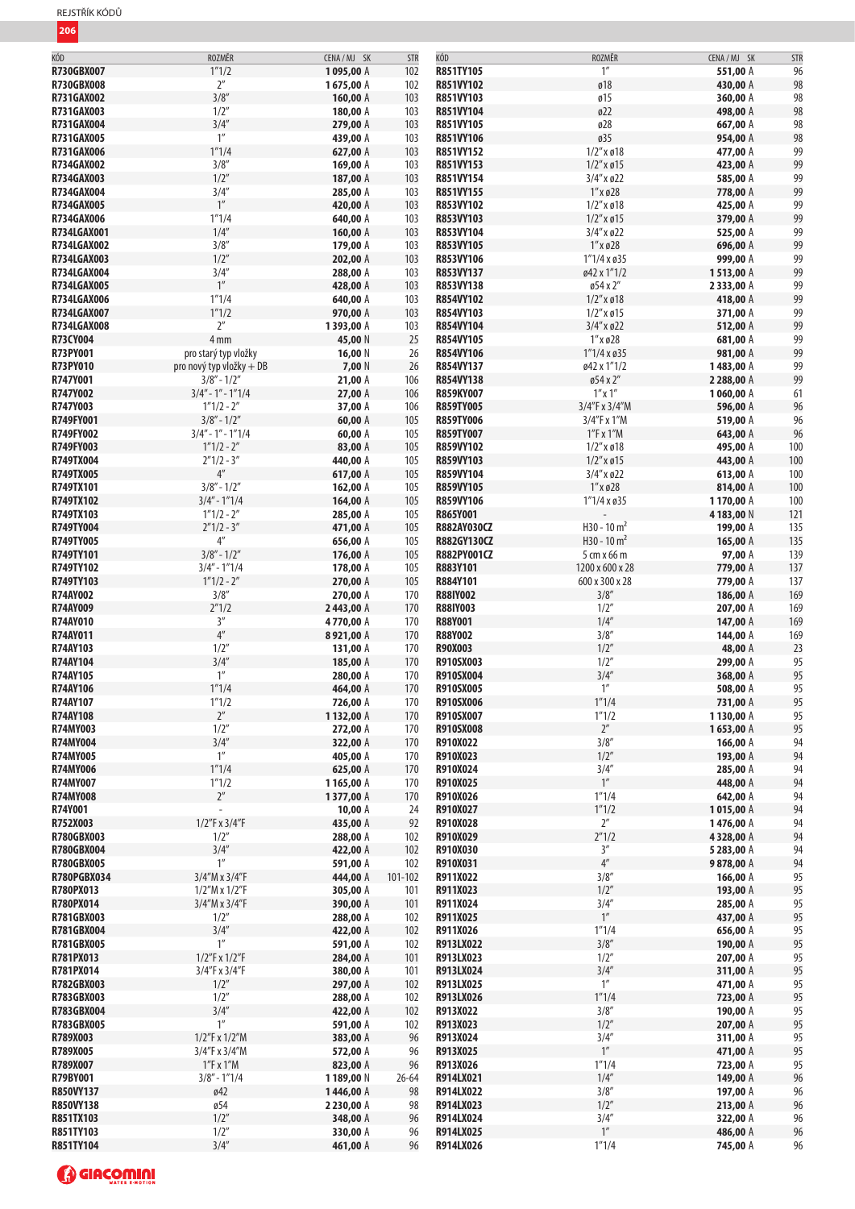| KÓD                | ROZMĚR                   | CENA / MJ SK | <b>STR</b> | KÓD              | ROZMĚR              | CENA/MJ SK | <b>STR</b> |
|--------------------|--------------------------|--------------|------------|------------------|---------------------|------------|------------|
| <b>R730GBX007</b>  | 1''1/2                   | 1095,00 A    | 102        | R851TY105        | 1''                 | 551,00 A   | 96         |
|                    |                          |              |            |                  |                     |            |            |
| R730GBX008         | 2 <sup>''</sup>          | 1675,00 A    | 102        | R851VY102        | Ø18                 | 430,00 A   | 98         |
| <b>R731GAX002</b>  | 3/8''                    | 160,00 A     | 103        | R851VY103        | Ø15                 | 360,00 A   | 98         |
| R731GAX003         | 1/2''                    | 180,00 A     | 103        | R851VY104        | Ø22                 | 498,00 A   | 98         |
| <b>R731GAX004</b>  | 3/4''                    | 279,00 A     | 103        | R851VY105        | ø28                 | 667,00 A   | 98         |
|                    |                          |              |            |                  |                     |            |            |
| <b>R731GAX005</b>  | $1''$                    | 439,00 A     | 103        | R851VY106        | ø35                 | 954,00 A   | 98         |
| <b>R731GAX006</b>  | 1''1/4                   | 627,00 A     | 103        | R851VY152        | $1/2''$ x ø $18$    | 477,00 A   | 99         |
| R734GAX002         | 3/8''                    | 169,00 A     | 103        | R851VY153        | $1/2$ " x ø $15$    | 423,00 A   | 99         |
| R734GAX003         | 1/2''                    | 187,00 A     | 103        | R851VY154        | 3/4" x ø22          | 585,00 A   | 99         |
|                    |                          |              |            |                  |                     |            |            |
| R734GAX004         | 3/4''                    | 285,00 A     | 103        | R851VY155        | $1''$ x ø28         | 778,00 A   | 99         |
| <b>R734GAX005</b>  | 1''                      | 420,00 A     | 103        | R853VY102        | $1/2''$ x ø $18$    | 425,00 A   | 99         |
| R734GAX006         | 1''1/4                   | 640,00 A     | 103        | R853VY103        | $1/2''$ x ø $15$    | 379,00 A   | 99         |
| R734LGAX001        | 1/4''                    | 160,00 A     | 103        | R853VY104        | 3/4" x ø22          | 525,00 A   | 99         |
|                    |                          |              |            |                  |                     |            |            |
| <b>R734LGAX002</b> | 3/8''                    | 179,00 A     | 103        | R853VY105        | $1''$ x ø28         | 696,00 A   | 99         |
| <b>R734LGAX003</b> | 1/2''                    | 202,00 A     | 103        | R853VY106        | $1''1/4 \times 035$ | 999,00 A   | 99         |
| R734LGAX004        | 3/4''                    | 288,00 A     | 103        | R853VY137        | ø42 x 1"1/2         | 1513,00 A  | 99         |
| <b>R734LGAX005</b> | 1''                      | 428,00 A     | 103        | R853VY138        | ø54 x 2"            | 2333,00 A  | 99         |
|                    |                          |              |            |                  |                     |            |            |
| <b>R734LGAX006</b> | 1''1/4                   | 640,00 A     | 103        | R854VY102        | $1/2''$ x ø $18$    | 418,00 A   | 99         |
| R734LGAX007        | 1''1/2                   | 970,00 A     | 103        | R854VY103        | $1/2''$ x ø $15$    | 371,00 A   | 99         |
| <b>R734LGAX008</b> | $2^{\prime\prime}$       | 1393,00 A    | 103        | R854VY104        | $3/4''$ x ø22       | 512,00 A   | 99         |
| R73CY004           | 4 <sub>mm</sub>          | 45,00 N      | 25         | R854VY105        | $1''$ x ø28         | 681,00 A   | 99         |
|                    |                          |              |            |                  |                     |            | 99         |
| R73PY001           | pro starý typ vložky     | 16,00 N      | 26         | R854VY106        | $1''1/4 \times 035$ | 981,00 A   |            |
| R73PY010           | pro nový typ vložky + DB | 7,00 N       | 26         | R854VY137        | ø42 x 1"1/2         | 1483,00 A  | 99         |
| R747Y001           | $3/8" - 1/2"$            | 21,00 A      | 106        | R854VY138        | ø54 x 2"            | 2 288,00 A | 99         |
| R747Y002           | $3/4" - 1" - 1"1/4$      | 27,00 A      | 106        | R859KY007        | $1''$ x $1''$       | 1060,00 A  | 61         |
| R747Y003           | $1''1/2 - 2''$           |              |            |                  |                     |            |            |
|                    |                          | 37,00 A      | 106        | <b>R859TY005</b> | 3/4"F x 3/4"M       | 596,00 A   | 96         |
| R749FY001          | $3/8'' - 1/2''$          | 60,00 A      | 105        | <b>R859TY006</b> | 3/4"F x 1"M         | 519,00 A   | 96         |
| R749FY002          | $3/4" - 1" - 1"1/4$      | 60,00 A      | 105        | <b>R859TY007</b> | $1''$ F x $1''M$    | 643,00 A   | 96         |
| R749FY003          | $1''1/2 - 2''$           | 83,00 A      | 105        | R859VY102        | $1/2''$ x ø18       | 495,00 A   | 100        |
|                    |                          |              |            |                  |                     |            |            |
| R749TX004          | $2''1/2 - 3''$           | 440,00 A     | 105        | R859VY103        | $1/2''$ x ø $15$    | 443,00 A   | 100        |
| <b>R749TX005</b>   | $4^{\prime\prime}$       | 617,00 A     | 105        | R859VY104        | 3/4" x ø22          | 613,00 A   | 100        |
| R749TX101          | $3/8" - 1/2"$            | 162,00 A     | 105        | R859VY105        | $1''$ x ø28         | 814,00 A   | 100        |
| R749TX102          | $3/4" - 1"1/4$           | 164,00 A     | 105        | R859VY106        | $1''1/4 \times 035$ | 1170,00 A  | 100        |
| R749TX103          |                          |              |            |                  |                     |            |            |
|                    | $1''1/2 - 2''$           | 285,00 A     | 105        | R865Y001         |                     | 4183,00 N  | 121        |
| R749TY004          | $2''1/2 - 3''$           | 471,00 A     | 105        | R882AY030CZ      | $H30 - 10 m2$       | 199,00 A   | 135        |
| R749TY005          | $4^{\prime\prime}$       | 656,00 A     | 105        | R882GY130CZ      | $H30 - 10 m2$       | 165,00 A   | 135        |
| R749TY101          | $3/8" - 1/2"$            | 176,00 A     | 105        | R882PY001CZ      | 5 cm x 66 m         | 97,00 A    | 139        |
| R749TY102          | $3/4" - 1"1/4$           | 178,00 A     | 105        | R883Y101         | 1200 x 600 x 28     | 779,00 A   | 137        |
|                    |                          |              |            |                  |                     |            |            |
| R749TY103          | $1''1/2 - 2''$           | 270,00 A     | 105        | R884Y101         | 600 x 300 x 28      | 779,00 A   | 137        |
| <b>R74AY002</b>    | 3/8''                    | 270,00 A     | 170        | <b>R88IY002</b>  | 3/8''               | 186,00 A   | 169        |
| R74AY009           | 2''1/2                   | 2443,00 A    | 170        | <b>R88IY003</b>  | 1/2"                | 207,00 A   | 169        |
| R74AY010           | 3''                      | 4770,00 A    | 170        | R88Y001          | 1/4''               | 147,00 A   | 169        |
|                    |                          |              |            |                  |                     |            |            |
| R74AY011           | $4^{\prime\prime}$       | 8921,00 A    | 170        | <b>R88Y002</b>   | 3/8''               | 144,00 A   | 169        |
| <b>R74AY103</b>    | 1/2"                     | 131,00 A     | 170        | R90X003          | 1/2"                | 48,00 A    | 23         |
| <b>R74AY104</b>    | 3/4''                    | 185,00 A     | 170        | R910SX003        | 1/2''               | 299,00 A   | 95         |
| R74AY105           | 1''                      | 280,00 A     | 170        | R910SX004        | 3/4''               | 368,00 A   | 95         |
|                    | 1''1/4                   |              |            |                  | 1 <sup>''</sup>     |            |            |
| <b>R74AY106</b>    |                          | 464,00 A     | 170        | <b>R910SX005</b> |                     | 508,00 A   | 95         |
| R74AY107           | 1"1/2                    | 726,00 A     | 170        | <b>R910SX006</b> | 1"1/4               | 731,00 A   | 95         |
| <b>R74AY108</b>    | $2^{\prime\prime}$       | 1132,00 A    | 170        | R910SX007        | 1''1/2              | 1130,00 A  | 95         |
| R74MY003           | 1/2''                    | 272,00 A     | 170        | R910SX008        | $2^{\prime\prime}$  | 1653,00 A  | 95         |
| R74MY004           | 3/4''                    | 322,00 A     | 170        | R910X022         | 3/8''               | 166,00 A   | 94         |
|                    |                          |              |            |                  |                     |            |            |
| <b>R74MY005</b>    | $1^{\prime\prime}$       | 405,00 A     | 170        | R910X023         | 1/2''               | 193,00 A   | 94         |
| <b>R74MY006</b>    | 1''1/4                   | 625,00 A     | 170        | R910X024         | 3/4''               | 285,00 A   | 94         |
| R74MY007           | 1''1/2                   | 1165,00 A    | 170        | R910X025         | 1''                 | 448,00 A   | 94         |
| <b>R74MY008</b>    | $2^{\prime\prime}$       |              | 170        | R910X026         | 1''1/4              | 642,00 A   | 94         |
|                    |                          | 1377,00 A    |            |                  |                     |            |            |
| R74Y001            |                          | 10,00 A      | 24         | R910X027         | 1''1/2              | 1015,00 A  | 94         |
| R752X003           | 1/2"F x 3/4"F            | 435,00 A     | 92         | R910X028         | $2^{\prime\prime}$  | 1476,00 A  | 94         |
| R780GBX003         | 1/2"                     | 288,00 A     | 102        | R910X029         | 2''1/2              | 4328,00 A  | 94         |
| <b>R780GBX004</b>  | 3/4''                    | 422,00 A     | 102        | R910X030         | $3^{\prime\prime}$  | 5 283,00 A | 94         |
|                    |                          |              |            |                  | $4^{\prime\prime}$  |            |            |
| R780GBX005         | $1^{\prime\prime}$       | 591,00 A     | 102        | R910X031         |                     | 9878,00 A  | 94         |
| <b>R780PGBX034</b> | $3/4''M \times 3/4''F$   | 444,00 A     | 101-102    | R911X022         | 3/8''               | 166,00 A   | 95         |
| R780PX013          | $1/2''M \times 1/2''F$   | 305,00 A     | 101        | R911X023         | 1/2"                | 193,00 A   | 95         |
| R780PX014          | 3/4''M x 3/4''F          | 390,00 A     | 101        | R911X024         | 3/4''               | 285,00 A   | 95         |
| <b>R781GBX003</b>  | 1/2"                     | 288,00 A     | 102        | R911X025         | $1^{\prime\prime}$  | 437,00 A   | 95         |
|                    |                          |              |            |                  |                     |            |            |
| R781GBX004         | 3/4''                    | 422,00 A     | 102        | R911X026         | 1''1/4              | 656,00 A   | 95         |
| <b>R781GBX005</b>  | 1''                      | 591,00 A     | 102        | R913LX022        | 3/8''               | 190,00 A   | 95         |
| R781PX013          | 1/2"F x 1/2"F            | 284,00 A     | 101        | R913LX023        | 1/2"                | 207,00 A   | 95         |
| R781PX014          | 3/4"F x 3/4"F            | 380,00 A     | 101        | R913LX024        | 3/4''               | 311,00 A   | 95         |
|                    | 1/2''                    |              |            |                  | $1^{\prime\prime}$  |            | 95         |
| R782GBX003         |                          | 297,00 A     | 102        | R913LX025        |                     | 471,00 A   |            |
| R783GBX003         | 1/2"                     | 288,00 A     | 102        | R913LX026        | 1''1/4              | 723,00 A   | 95         |
| R783GBX004         | 3/4''                    | 422,00 A     | 102        | R913X022         | 3/8''               | 190,00 A   | 95         |
| <b>R783GBX005</b>  | 1''                      | 591,00 A     | 102        | R913X023         | 1/2''               | 207,00 A   | 95         |
|                    |                          |              |            |                  | 3/4''               |            |            |
| R789X003           | 1/2"F x 1/2"M            | 383,00 A     | 96         | R913X024         |                     | 311,00 A   | 95         |
| R789X005           | 3/4"F x 3/4"M            | 572,00 A     | 96         | R913X025         | $1^{\prime\prime}$  | 471,00 A   | 95         |
| R789X007           | $1''F$ x $1''M$          | 823,00 A     | 96         | R913X026         | 1''1/4              | 723,00 A   | 95         |
| R79BY001           | $3/8" - 1"1/4$           | 1189,00 N    | $26 - 64$  | R914LX021        | 1/4''               | 149,00 A   | 96         |
| R850VY137          | ø42                      | 1446,00 A    | 98         | R914LX022        | 3/8''               | 197,00 A   | 96         |
|                    |                          |              |            |                  |                     |            |            |
| R850VY138          | ø54                      | 2 230,00 A   | 98         | R914LX023        | 1/2"                | 213,00 A   | 96         |
| R851TX103          | 1/2"                     | 348,00 A     | 96         | R914LX024        | 3/4''               | 322,00 A   | 96         |
| R851TY103          | 1/2''                    | 330,00 A     | 96         | R914LX025        | $1^{\prime\prime}$  | 486,00 A   | 96         |
| R851TY104          | 3/4''                    | 461,00 A     | 96         | R914LX026        | 1''1/4              | 745,00 A   | 96         |
|                    |                          |              |            |                  |                     |            |            |

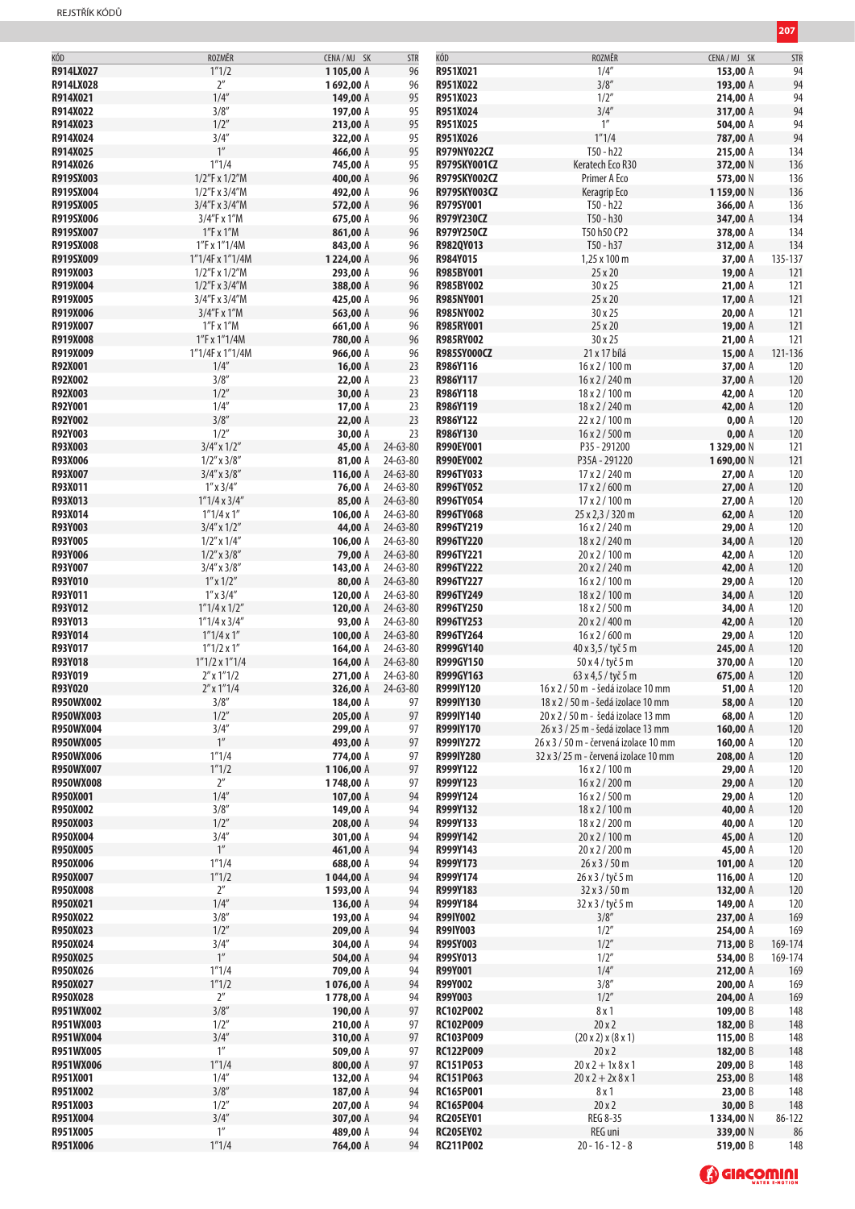| KÓD              | ROZMĚR                | CENA/MJ SK | <b>STR</b> | KÓD                 | ROZMĚR                                | CENA / MJ SK | STR     |
|------------------|-----------------------|------------|------------|---------------------|---------------------------------------|--------------|---------|
| R914LX027        | 1''1/2                |            |            |                     | 1/4''                                 |              |         |
|                  |                       | 1105,00 A  | 96         | R951X021            |                                       | 153,00 A     | 94      |
| R914LX028        | $2^{\prime\prime}$    | 1692,00 A  | 96         | R951X022            | 3/8''                                 | 193,00 A     | 94      |
| R914X021         | 1/4''                 | 149,00 A   | 95         | R951X023            | 1/2''                                 | 214,00 A     | 94      |
| R914X022         | 3/8''                 | 197,00 A   | 95         | R951X024            | 3/4''                                 | 317,00 A     | 94      |
|                  |                       |            |            |                     |                                       |              |         |
| R914X023         | 1/2''                 | 213,00 A   | 95         | R951X025            | $1^{\prime\prime}$                    | 504,00 A     | 94      |
| R914X024         | 3/4''                 | 322,00 A   | 95         | R951X026            | 1''1/4                                | 787,00 A     | 94      |
| R914X025         | 1 <sup>''</sup>       | 466,00 A   | 95         | R979NY022CZ         | T50 - h22                             | 215,00 A     | 134     |
| R914X026         | 1''1/4                |            |            |                     | Keratech Eco R30                      |              |         |
|                  |                       | 745,00 A   | 95         | <b>R979SKY001CZ</b> |                                       | 372,00 N     | 136     |
| R919SX003        | 1/2"F x 1/2"M         | 400,00 A   | 96         | R979SKY002CZ        | Primer A Eco                          | 573,00 N     | 136     |
| R919SX004        | 1/2"F x 3/4"M         | 492,00 A   | 96         | R979SKY003CZ        | Keragrip Eco                          | 1159,00 N    | 136     |
| R919SX005        | 3/4"F x 3/4"M         | 572,00 A   |            | R979SY001           | T50 - h22                             |              |         |
|                  |                       |            | 96         |                     |                                       | 366,00 A     | 136     |
| R919SX006        | 3/4"F x 1"M           | 675,00 A   | 96         | R979Y230CZ          | T50 - h30                             | 347,00 A     | 134     |
| R919SX007        | 1"F x 1"M             | 861,00 A   | 96         | R979Y250CZ          | T50 h50 CP2                           | 378,00 A     | 134     |
| R919SX008        | 1"F x 1"1/4M          | 843,00 A   | 96         | R982QY013           | T50 - h37                             | 312,00 A     | 134     |
|                  |                       |            |            |                     |                                       |              |         |
| R919SX009        | 1"1/4F x 1"1/4M       | 1224,00 A  | 96         | R984Y015            | 1,25 x 100 m                          | 37,00 A      | 135-137 |
| R919X003         | 1/2"F x 1/2"M         | 293,00 A   | 96         | R985BY001           | 25 x 20                               | 19,00 A      | 121     |
| R919X004         | 1/2"F x 3/4"M         | 388,00 A   | 96         | R985BY002           | 30 x 25                               | 21,00 A      | 121     |
|                  |                       |            |            |                     |                                       |              |         |
| R919X005         | 3/4"F x 3/4"M         | 425,00 A   | 96         | R985NY001           | 25 x 20                               | 17,00 A      | 121     |
| R919X006         | 3/4"F x 1"M           | 563,00 A   | 96         | <b>R985NY002</b>    | 30 x 25                               | 20,00 A      | 121     |
| R919X007         | 1"F x 1"M             | 661,00 A   | 96         | <b>R985RY001</b>    | 25 x 20                               | 19,00 A      | 121     |
|                  |                       |            |            |                     |                                       |              |         |
| R919X008         | 1"F x 1"1/4M          | 780,00 A   | 96         | <b>R985RY002</b>    | 30 x 25                               | 21,00 A      | 121     |
| R919X009         | 1"1/4F x 1"1/4M       | 966,00 A   | 96         | R985SY000CZ         | 21 x 17 bílá                          | 15,00 A      | 121-136 |
| R92X001          | 1/4''                 | 16,00A     | 23         | R986Y116            | $16 \times 2 / 100$ m                 | 37,00 A      | 120     |
| R92X002          | 3/8''                 | 22,00 A    | 23         | R986Y117            | $16 \times 2 / 240$ m                 | 37,00 A      |         |
|                  |                       |            |            |                     |                                       |              | 120     |
| R92X003          | 1/2"                  | 30,00 A    | 23         | R986Y118            | 18 x 2 / 100 m                        | 42,00 A      | 120     |
| R92Y001          | 1/4''                 | 17,00 A    | 23         | R986Y119            | 18 x 2 / 240 m                        | 42,00 A      | 120     |
| R92Y002          | 3/8''                 | 22,00A     | 23         | R986Y122            | 22x2/100m                             | 0,00A        | 120     |
|                  |                       |            |            |                     |                                       |              |         |
| R92Y003          | 1/2''                 | 30,00 A    | 23         | R986Y130            | $16 \times 2 / 500$ m                 | 0,00A        | 120     |
| R93X003          | $3/4''$ x $1/2''$     | 45,00 A    | 24-63-80   | R990EY001           | P35 - 291200                          | 1329,00 N    | 121     |
| R93X006          | $1/2$ " x $3/8$ "     | 81,00 A    | 24-63-80   | R990EY002           | P35A - 291220                         | 1690,00 N    | 121     |
|                  |                       |            |            | R996TY033           |                                       |              |         |
| R93X007          | $3/4''$ x $3/8''$     | 116,00 A   | 24-63-80   |                     | 17 x 2 / 240 m                        | 27,00 A      | 120     |
| R93X011          | $1''$ x $3/4''$       | 76,00 A    | 24-63-80   | R996TY052           | $17 \times 2 / 600$ m                 | 27,00 A      | 120     |
| R93X013          | 1"1/4 x 3/4"          | 85,00 A    | 24-63-80   | R996TY054           | $17 \times 2 / 100$ m                 | 27,00 A      | 120     |
| R93X014          | $1''1/4 \times 1''$   | 106,00 A   | 24-63-80   | <b>R996TY068</b>    | 25 x 2,3 / 320 m                      |              | 120     |
|                  |                       |            |            |                     |                                       | 62,00 A      |         |
| R93Y003          | $3/4''$ x $1/2''$     | 44,00 A    | 24-63-80   | R996TY219           | $16 \times 2 / 240$ m                 | 29,00 A      | 120     |
| R93Y005          | $1/2''$ x $1/4''$     | 106,00 A   | 24-63-80   | R996TY220           | 18 x 2 / 240 m                        | 34,00 A      | 120     |
| R93Y006          | $1/2$ " x $3/8$ "     | 79,00 A    | 24-63-80   | R996TY221           | 20 x 2 / 100 m                        | 42,00 A      | 120     |
|                  |                       |            |            |                     |                                       |              |         |
| R93Y007          | $3/4''$ x $3/8''$     | 143,00 A   | 24-63-80   | R996TY222           | 20 x 2 / 240 m                        | 42,00 A      | 120     |
| R93Y010          | $1''$ x $1/2''$       | 80,00 A    | 24-63-80   | R996TY227           | $16 \times 2 / 100$ m                 | 29,00 A      | 120     |
| R93Y011          | $1''$ x $3/4''$       | 120,00 A   | 24-63-80   | R996TY249           | 18 x 2 / 100 m                        | 34,00 A      | 120     |
| R93Y012          | $1''1/4 \times 1/2''$ |            | 24-63-80   | R996TY250           | 18 x 2 / 500 m                        |              |         |
|                  |                       | 120,00 A   |            |                     |                                       | 34,00 A      | 120     |
| R93Y013          | 1"1/4 x 3/4"          | 93,00 A    | 24-63-80   | R996TY253           | 20 x 2 / 400 m                        | 42,00 A      | 120     |
| R93Y014          | $1''1/4 \times 1''$   | 100,00 A   | 24-63-80   | R996TY264           | $16 \times 2 / 600$ m                 | 29,00 A      | 120     |
| R93Y017          | $1''1/2 \times 1''$   | 164,00 A   | 24-63-80   | R999GY140           |                                       |              |         |
|                  |                       |            |            |                     | 40 x 3,5 / tyč 5 m                    | 245,00 A     | 120     |
| R93Y018          | $1"1/2 \times 1"1/4$  | 164,00 A   | 24-63-80   | R999GY150           | $50x4/$ tyč 5 m                       | 370,00 A     | 120     |
| R93Y019          | $2''$ x $1''$ 1/2     | 271,00 A   | 24-63-80   | R999GY163           | 63 x 4,5 / tyč 5 m                    | 675,00 A     | 120     |
| R93Y020          | $2''$ x 1"1/4         | 326,00 A   | 24-63-80   | R999IY120           | 16 x 2 / 50 m - šedá izolace 10 mm    | 51,00 A      | 120     |
|                  |                       |            |            |                     |                                       |              |         |
| R950WX002        | 3/8''                 | 184,00 A   | 97         | R999IY130           | 18 x 2 / 50 m - šedá izolace 10 mm    | 58,00 A      | 120     |
| R950WX003        | 1/2"                  | 205,00 A   | 97         | R999IY140           | 20 x 2 / 50 m - šedá izolace 13 mm    | 68,00 A      | 120     |
| R950WX004        | 3/4''                 | 299,00 A   | 97         | R999IY170           | 26 x 3 / 25 m - šedá izolace 13 mm    | 160,00 A     | 120     |
| <b>R950WX005</b> | $1^{\prime\prime}$    | 493,00 A   | 97         | R999IY272           | 26 x 3 / 50 m - červená izolace 10 mm | 160,00 A     | 120     |
|                  |                       |            |            |                     |                                       |              |         |
| R950WX006        | 1''1/4                | 774,00 A   | 97         | R999IY280           | 32 x 3/25 m - červená izolace 10 mm   | 208,00 A     | 120     |
| <b>R950WX007</b> | 1''1/2                | 1106,00 A  | 97         | R999Y122            | $16 \times 2 / 100$ m                 | 29,00 A      | 120     |
| <b>R950WX008</b> | $2^{\prime\prime}$    | 1748,00 A  | 97         | R999Y123            | 16 x 2 / 200 m                        | 29,00 A      | 120     |
|                  | 1/4''                 |            |            |                     |                                       |              |         |
| R950X001         |                       | 107,00 A   | 94         | R999Y124            | $16 \times 2 / 500$ m                 | 29,00 A      | 120     |
| R950X002         | 3/8''                 | 149,00 A   | 94         | R999Y132            | 18 x 2 / 100 m                        | 40,00 A      | 120     |
| R950X003         | 1/2''                 | 208,00 A   | 94         | R999Y133            | 18 x 2 / 200 m                        | 40,00 A      | 120     |
| R950X004         | 3/4''                 | 301,00 A   | 94         | R999Y142            | 20 x 2 / 100 m                        | 45,00 A      | 120     |
|                  | $1^{\prime\prime}$    |            |            | R999Y143            |                                       |              |         |
| R950X005         |                       | 461,00 A   | 94         |                     | 20 x 2 / 200 m                        | 45,00 A      | 120     |
| R950X006         | 1''1/4                | 688,00 A   | 94         | R999Y173            | $26 \times 3 / 50$ m                  | 101,00 A     | 120     |
| R950X007         | 1''1/2                | 1044,00 A  | 94         | R999Y174            | $26 \times 3 /$ tyč 5 m               | 116,00 A     | 120     |
| R950X008         | $2^{\prime\prime}$    | 1593,00 A  | 94         | R999Y183            | $32 \times 3 / 50$ m                  | 132,00 A     | 120     |
|                  | 1/4''                 |            |            |                     |                                       |              |         |
| R950X021         |                       | 136,00 A   | 94         | R999Y184            | 32 x 3 / tyč 5 m                      | 149,00 A     | 120     |
| R950X022         | 3/8''                 | 193,00 A   | 94         | <b>R99IY002</b>     | 3/8''                                 | 237,00 A     | 169     |
| R950X023         | 1/2''                 | 209,00 A   | 94         | <b>R99IY003</b>     | 1/2"                                  | 254,00 A     | 169     |
| R950X024         | 3/4''                 | 304,00 A   | 94         | <b>R99SY003</b>     | 1/2"                                  | 713,00 B     | 169-174 |
|                  | $1^{\prime\prime}$    |            |            |                     |                                       |              |         |
| R950X025         |                       | 504,00 A   | 94         | R99SY013            | 1/2''                                 | 534,00 B     | 169-174 |
| R950X026         | 1''1/4                | 709,00 A   | 94         | R99Y001             | 1/4''                                 | 212,00 A     | 169     |
| R950X027         | 1''1/2                | 1076,00 A  | 94         | R99Y002             | 3/8''                                 | 200,00 A     | 169     |
| R950X028         | $2^{\prime\prime}$    |            |            | R99Y003             | 1/2''                                 |              |         |
|                  |                       | 1778,00 A  | 94         |                     |                                       | 204,00 A     | 169     |
| R951WX002        | 3/8''                 | 190,00 A   | 97         | RC102P002           | 8x1                                   | 109,00 B     | 148     |
| R951WX003        | 1/2"                  | 210,00 A   | 97         | <b>RC102P009</b>    | 20x2                                  | 182,00 B     | 148     |
| R951WX004        | 3/4''                 | 310,00 A   | 97         | RC103P009           | (20 x 2) x (8 x 1)                    | 115,00 B     | 148     |
|                  |                       |            |            |                     |                                       |              |         |
| R951WX005        | 1''                   | 509,00 A   | 97         | <b>RC122P009</b>    | 20x2                                  | 182,00 B     | 148     |
| R951WX006        | 1''1/4                | 800,00 A   | 97         | RC151P053           | $20x2 + 1x8x1$                        | 209,00 B     | 148     |
| R951X001         | 1/4''                 | 132,00 A   | 94         | RC151P063           | $20x2 + 2x8x1$                        | 253,00 B     | 148     |
|                  |                       |            |            |                     |                                       |              |         |
| R951X002         | 3/8''                 | 187,00 A   | 94         | <b>RC165P001</b>    | 8x1                                   | 23,00 B      | 148     |
| R951X003         | 1/2"                  | 207,00 A   | 94         | <b>RC165P004</b>    | 20x2                                  | 30,00 B      | 148     |
| R951X004         | 3/4''                 | 307,00 A   | 94         | <b>RC205EY01</b>    | REG 8-35                              | 1334,00 N    | 86-122  |
| R951X005         | $1^{\prime\prime}$    | 489,00 A   | 94         | <b>RC205EY02</b>    | REG uni                               | 339,00 N     | 86      |
|                  |                       |            |            |                     |                                       |              |         |
| R951X006         | 1''1/4                | 764,00 A   | 94         | RC211P002           | $20 - 16 - 12 - 8$                    | 519,00 B     | 148     |

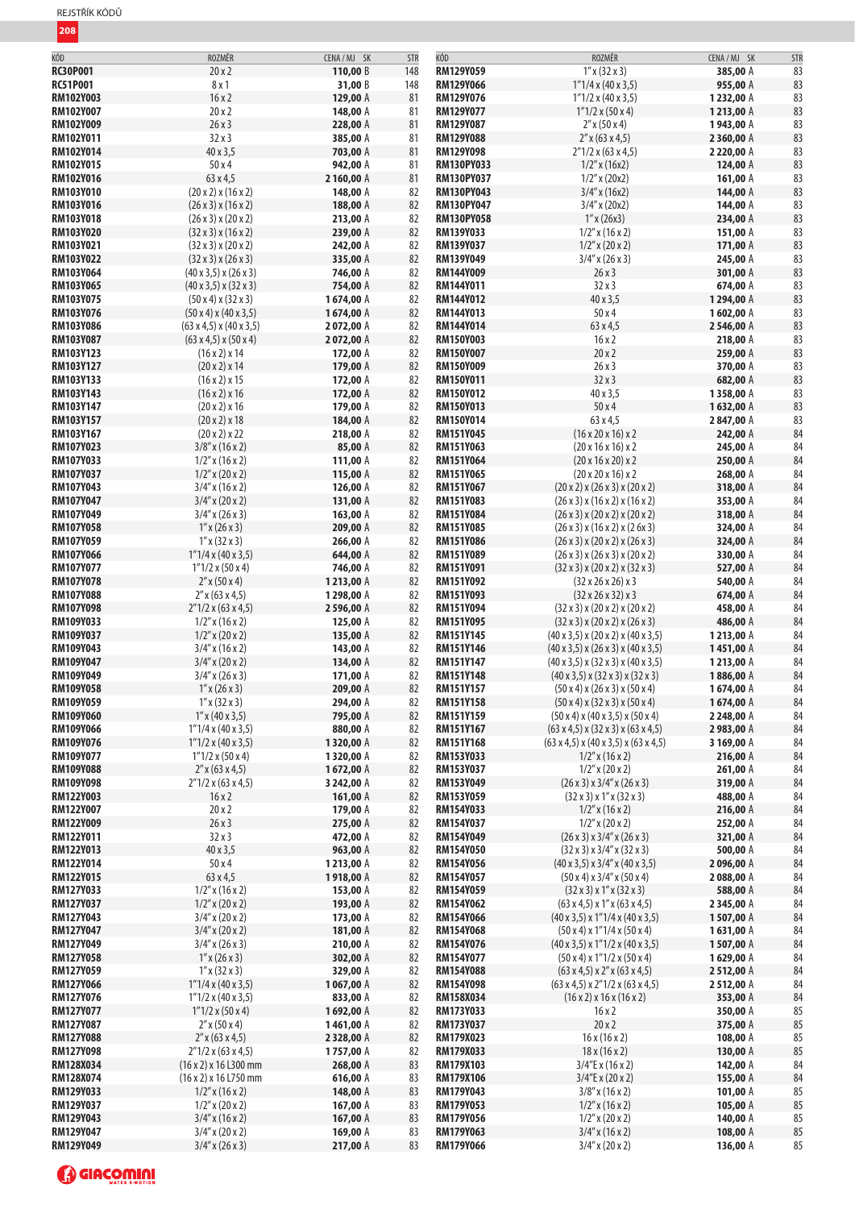| REJSTŘÍK KÓDŮ |  |
|---------------|--|
|---------------|--|

| KÓD                           | ROZMĚR                                                              | CENA / MJ SK           | <b>STR</b> | KÓD                           | ROZMĚR                                                                                                                             | CENA / MJ SK           | <b>STR</b> |
|-------------------------------|---------------------------------------------------------------------|------------------------|------------|-------------------------------|------------------------------------------------------------------------------------------------------------------------------------|------------------------|------------|
| <b>RC30P001</b>               | 20x2                                                                | 110,00 B               | 148        | RM129Y059                     | $1''$ x (32 x 3)                                                                                                                   | 385,00 A               | 83         |
| <b>RC51P001</b>               | 8x1                                                                 | 31,00 B                | 148        | RM129Y066                     | 1"1/4x(40x3,5)                                                                                                                     | 955,00 A               | 83         |
| <b>RM102Y003</b>              | 16x2                                                                | 129,00 A               | 81         | RM129Y076                     | $1"1/2 \times (40 \times 3,5)$                                                                                                     | 1232,00 A              | 83         |
| <b>RM102Y007</b>              | 20x2                                                                | 148,00 A               | 81         | RM129Y077                     | $1"1/2 \times (50 \times 4)$                                                                                                       | 1213,00 A              | 83         |
| <b>RM102Y009</b>              | 26x3                                                                | 228,00 A               | 81         | RM129Y087                     | $2''$ x (50 x 4)                                                                                                                   | 1943,00 A              | 83         |
| RM102Y011                     | 32x3                                                                | 385,00 A               | 81         | <b>RM129Y088</b>              | $2''$ x (63 x 4,5)                                                                                                                 | 2 360,00 A             | 83         |
| <b>RM102Y014</b>              | 40 x 3,5                                                            | 703,00 A               | 81         | RM129Y098                     | $2''1/2$ x (63 x 4,5)                                                                                                              | 2 220,00 A             | 83         |
| <b>RM102Y015</b>              | 50x4                                                                | 942,00 A               | 81         | <b>RM130PY033</b>             | $1/2$ " x (16x2)                                                                                                                   | 124,00 A               | 83         |
| RM102Y016                     | 63 x 4,5                                                            | 2160,00 A              | 81         | RM130PY037                    | $1/2''$ x (20x2)                                                                                                                   | 161,00 A               | 83         |
| <b>RM103Y010</b>              | (20x2)x(16x2)                                                       | 148,00 A               | 82         | RM130PY043                    | $3/4''$ x (16x2)                                                                                                                   | 144,00 A               | 83         |
| RM103Y016                     | (26x3)x(16x2)                                                       | 188,00 A               | 82         | <b>RM130PY047</b>             | $3/4''$ x (20x2)                                                                                                                   | 144,00 A               | 83         |
| <b>RM103Y018</b>              | (26x3)x(20x2)                                                       | 213,00 A               | 82         | <b>RM130PY058</b>             | $1''$ x (26x3)                                                                                                                     | 234,00 A               | 83         |
| <b>RM103Y020</b>              | (32x3)x(16x2)                                                       | 239,00 A               | 82         | RM139Y033                     | $1/2''$ x (16 x 2)                                                                                                                 | 151,00 A               | 83         |
| RM103Y021                     | $(32 \times 3) \times (20 \times 2)$                                | 242,00 A               | 82         | RM139Y037                     | $1/2''$ x (20 x 2)                                                                                                                 | 171,00 A               | 83         |
| <b>RM103Y022</b>              | (32x3)x(26x3)                                                       | 335,00 A               | 82         | RM139Y049                     | $3/4''$ x (26 x 3)                                                                                                                 | 245,00 A               | 83         |
| RM103Y064                     | $(40 \times 3, 5) \times (26 \times 3)$                             | 746,00 A               | 82         | RM144Y009                     | 26x3                                                                                                                               | 301,00 A               | 83         |
| <b>RM103Y065</b>              | $(40 \times 3, 5) \times (32 \times 3)$                             | 754,00 A               | 82         | RM144Y011                     | 32x3                                                                                                                               | 674,00 A               | 83         |
| RM103Y075                     | (50x4)x(32x3)                                                       | 1674,00 A              | 82         | RM144Y012                     | 40 x 3,5<br>50x4                                                                                                                   | 1294,00 A              | 83         |
| <b>RM103Y076</b>              | $(50 \times 4) \times (40 \times 3,5)$<br>(63 x 4, 5) x (40 x 3, 5) | 1674,00 A              | 82         | RM144Y013                     |                                                                                                                                    | 1602,00 A              | 83         |
| RM103Y086<br><b>RM103Y087</b> |                                                                     | 2072,00 A              | 82<br>82   | RM144Y014<br><b>RM150Y003</b> | 63 x 4,5<br>16x2                                                                                                                   | 2546,00 A<br>218,00 A  | 83<br>83   |
| RM103Y123                     | (63 x 4, 5) x (50 x 4)<br>$(16 \times 2) \times 14$                 | 2072,00 A<br>172,00 A  | 82         | <b>RM150Y007</b>              | 20x2                                                                                                                               | 259,00 A               | 83         |
| <b>RM103Y127</b>              | (20 x 2) x 14                                                       | 179,00 A               | 82         | <b>RM150Y009</b>              | 26x3                                                                                                                               | 370,00 A               | 83         |
| RM103Y133                     | $(16 \times 2) \times 15$                                           | 172,00 A               | 82         | <b>RM150Y011</b>              | 32x3                                                                                                                               | 682,00 A               | 83         |
| <b>RM103Y143</b>              | $(16 \times 2) \times 16$                                           | 172,00 A               | 82         | <b>RM150Y012</b>              | 40 x 3,5                                                                                                                           | 1358,00 A              | 83         |
| RM103Y147                     | (20x2)x16                                                           | 179,00 A               | 82         | RM150Y013                     | 50x4                                                                                                                               | 1632,00 A              | 83         |
| <b>RM103Y157</b>              | (20 x 2) x 18                                                       | 184,00 A               | 82         | RM150Y014                     | 63 x 4,5                                                                                                                           | 2847,00 A              | 83         |
| RM103Y167                     | (20 x 2) x 22                                                       | 218,00 A               | 82         | RM151Y045                     | $(16 \times 20 \times 16) \times 2$                                                                                                | 242,00 A               | 84         |
| <b>RM107Y023</b>              | $3/8''$ x (16 x 2)                                                  | 85,00 A                | 82         | RM151Y063                     | $(20 \times 16 \times 16) \times 2$                                                                                                | 245,00 A               | 84         |
| RM107Y033                     | $1/2''$ x (16 x 2)                                                  | 111,00 A               | 82         | RM151Y064                     | $(20 \times 16 \times 20) \times 2$                                                                                                | 250,00 A               | 84         |
| <b>RM107Y037</b>              | $1/2''$ x (20 x 2)                                                  | 115,00 A               | 82         | RM151Y065                     | $(20 \times 20 \times 16) \times 2$                                                                                                | 268,00 A               | 84         |
| RM107Y043                     | $3/4''$ x (16 x 2)                                                  | 126,00 A               | 82         | RM151Y067                     | (20x2)x(26x3)x(20x2)                                                                                                               | 318,00 A               | 84         |
| <b>RM107Y047</b>              | $3/4''$ x (20 x 2)                                                  | 131,00 A               | 82         | RM151Y083                     | (26x3)x(16x2)x(16x2)                                                                                                               | 353,00 A               | 84         |
| <b>RM107Y049</b>              | $3/4''$ x (26 x 3)                                                  | 163,00 A               | 82         | RM151Y084                     | (26x3)x(20x2)x(20x2)                                                                                                               | 318,00 A               | 84         |
| <b>RM107Y058</b>              | $1''$ x (26 x 3)                                                    | 209,00 A               | 82         | RM151Y085                     | $(26 \times 3) \times (16 \times 2) \times (2 \times 3)$                                                                           | 324,00 A               | 84         |
| <b>RM107Y059</b>              | $1''$ x (32 x 3)                                                    | 266,00 A               | 82         | <b>RM151Y086</b>              | (26x3)x(20x2)x(26x3)                                                                                                               | 324,00 A               | 84         |
| <b>RM107Y066</b>              | 1"1/4x(40x3,5)                                                      | 644,00 A               | 82         | RM151Y089                     | (26x3)x(26x3)x(20x2)                                                                                                               | 330,00 A               | 84         |
| <b>RM107Y077</b>              | $1"1/2 \times (50 \times 4)$                                        | 746,00 A               | 82         | RM151Y091                     | $(32 \times 3) \times (20 \times 2) \times (32 \times 3)$                                                                          | 527,00 A               | 84         |
| <b>RM107Y078</b>              | $2''$ x (50 x 4)                                                    | 1213,00 A              | 82         | RM151Y092                     | $(32 \times 26 \times 26) \times 3$                                                                                                | 540,00 A               | 84         |
| <b>RM107Y088</b>              | $2''$ x (63 x 4,5)                                                  | 1298,00 A              | 82         | RM151Y093                     | $(32 \times 26 \times 32) \times 3$                                                                                                | 674,00 A               | 84         |
| <b>RM107Y098</b>              | $2''1/2 \times (63 \times 4, 5)$                                    | 2 596,00 A             | 82         | RM151Y094                     | $(32 \times 3) \times (20 \times 2) \times (20 \times 2)$                                                                          | 458,00 A               | 84         |
| RM109Y033                     | $1/2''$ x (16 x 2)                                                  | 125,00 A               | 82         | RM151Y095                     | (32x3)x(20x2)x(26x3)                                                                                                               | 486,00 A               | 84         |
| RM109Y037                     | $1/2''$ x (20 x 2)                                                  | 135,00 A               | 82         | RM151Y145                     | $(40 \times 3, 5) \times (20 \times 2) \times (40 \times 3, 5)$                                                                    | 1213,00 A              | 84         |
| RM109Y043<br>RM109Y047        | $3/4''$ x (16 x 2)<br>$3/4''$ x (20 x 2)                            | 143,00 A<br>134,00 A   | 82<br>82   | RM151Y146<br>RM151Y147        | $(40 \times 3, 5) \times (26 \times 3) \times (40 \times 3, 5)$<br>$(40 \times 3, 5) \times (32 \times 3) \times (40 \times 3, 5)$ | 1451,00 A<br>1213,00 A | 84<br>84   |
| RM109Y049                     | $3/4''$ x (26 x 3)                                                  | 171,00 A               | 82         | <b>RM151Y148</b>              | $(40 \times 3, 5) \times (32 \times 3) \times (32 \times 3)$                                                                       | 1886,00 A              | 84         |
| <b>RM109Y058</b>              | $1''$ x (26 x 3)                                                    | 209,00 A               | 82         | RM151Y157                     | (50x4)x(26x3)x(50x4)                                                                                                               | 1674,00 A              | 84         |
| RM109Y059                     | $1''$ x (32 x 3)                                                    | 294,00 A               | 82         | RM151Y158                     | (50x4)x(32x3)x(50x4)                                                                                                               | 1674,00 A              | 84         |
| RM109Y060                     | $1''$ x (40 x 3,5)                                                  | 795,00 A               | 82         | RM151Y159                     | $(50 \times 4) \times (40 \times 3,5) \times (50 \times 4)$                                                                        | 2 248,00 A             | 84         |
| RM109Y066                     | $1"1/4 \times (40 \times 3, 5)$                                     | 880,00 A               | 82         | RM151Y167                     | $(63 \times 4, 5) \times (32 \times 3) \times (63 \times 4, 5)$                                                                    | 2983,00 A              | 84         |
| <b>RM109Y076</b>              | $1"1/2 \times (40 \times 3, 5)$                                     | 1320,00 A              | 82         | RM151Y168                     | $(63 \times 4, 5) \times (40 \times 3, 5) \times (63 \times 4, 5)$                                                                 | 3 169,00 A             | 84         |
| RM109Y077                     | $1"1/2 \times (50 \times 4)$                                        | 1320,00 A              | 82         | RM153Y033                     | $1/2''$ x (16 x 2)                                                                                                                 | 216,00 A               | 84         |
| <b>RM109Y088</b>              | $2''$ x (63 x 4,5)                                                  | 1672,00 A              | 82         | RM153Y037                     | $1/2$ " x (20 x 2)                                                                                                                 | 261,00 A               | 84         |
| <b>RM109Y098</b>              | $2''1/2$ x (63 x 4,5)                                               | 3 242,00 A             | 82         | RM153Y049                     | (26x3)x3/4"x(26x3)                                                                                                                 | 319,00 A               | 84         |
| <b>RM122Y003</b>              | 16x2                                                                | 161,00 A               | 82         | RM153Y059                     | $(32 \times 3) \times 1'' \times (32 \times 3)$                                                                                    | 488,00 A               | 84         |
| <b>RM122Y007</b>              | 20x2                                                                | 179,00 A               | 82         | RM154Y033                     | $1/2''$ x (16 x 2)                                                                                                                 | 216,00 A               | 84         |
| <b>RM122Y009</b>              | 26x3                                                                | 275,00 A               | 82         | RM154Y037                     | $1/2$ " x (20 x 2)                                                                                                                 | 252,00 A               | 84         |
| RM122Y011                     | 32x3                                                                | 472,00 A               | 82         | RM154Y049                     | (26x3)x3/4"x(26x3)                                                                                                                 | 321,00 A               | 84         |
| <b>RM122Y013</b>              | 40 x 3,5<br>50x4                                                    | 963,00 A               | 82         | RM154Y050                     | $(32 \times 3) \times 3/4'' \times (32 \times 3)$                                                                                  | 500,00 A<br>2096,00 A  | 84<br>84   |
| RM122Y014<br>RM122Y015        | 63 x 4,5                                                            | 1213,00 A<br>1918,00 A | 82         | RM154Y056<br>RM154Y057        | $(40 \times 3, 5) \times 3/4'' \times (40 \times 3, 5)$                                                                            |                        | 84         |
| RM127Y033                     | $1/2''$ x (16 x 2)                                                  | 153,00 A               | 82<br>82   | RM154Y059                     | (50x4)x3/4''x(50x4)<br>$(32 \times 3) \times 1'' \times (32 \times 3)$                                                             | 2088,00 A<br>588,00 A  | 84         |
| RM127Y037                     | $1/2''$ x (20 x 2)                                                  | 193,00 A               | 82         | <b>RM154Y062</b>              | $(63 \times 4, 5) \times 1'' \times (63 \times 4, 5)$                                                                              | 2345,00 A              | 84         |
| RM127Y043                     | $3/4''$ x (20 x 2)                                                  | 173,00 A               | 82         | RM154Y066                     | $(40 \times 3, 5) \times 1''$ 1/4 x $(40 \times 3, 5)$                                                                             | 1507,00 A              | 84         |
| <b>RM127Y047</b>              | $3/4''$ x (20 x 2)                                                  | 181,00 A               | 82         | RM154Y068                     | $(50 \times 4) \times 1''$ 1/4 x $(50 \times 4)$                                                                                   | 1631,00 A              | 84         |
| RM127Y049                     | $3/4''$ x (26 x 3)                                                  | 210,00 A               | 82         | RM154Y076                     | $(40 \times 3, 5) \times 1''$ 1/2 x $(40 \times 3, 5)$                                                                             | 1507,00 A              | 84         |
| <b>RM127Y058</b>              | $1''$ x (26 x 3)                                                    | 302,00 A               | 82         | RM154Y077                     | $(50 \times 4) \times 1''$ 1/2 x $(50 \times 4)$                                                                                   | 1629,00 A              | 84         |
| RM127Y059                     | $1''$ x (32 x 3)                                                    | 329,00 A               | 82         | <b>RM154Y088</b>              | $(63 \times 4, 5) \times 2'' \times (63 \times 4, 5)$                                                                              | 2 512,00 A             | 84         |
| <b>RM127Y066</b>              | $1"1/4 \times (40 \times 3,5)$                                      | 1067,00 A              | 82         | RM154Y098                     | $(63 \times 4, 5) \times 2''$ 1/2 x $(63 \times 4, 5)$                                                                             | 2512,00 A              | 84         |
| RM127Y076                     | $1"1/2 \times (40 \times 3, 5)$                                     | 833,00 A               | 82         | RM158X034                     | $(16 \times 2) \times 16 \times (16 \times 2)$                                                                                     | 353,00 A               | 84         |
| RM127Y077                     | $1"1/2 \times (50 \times 4)$                                        | 1692,00 A              | 82         | RM173Y033                     | 16x2                                                                                                                               | 350,00 A               | 85         |
| RM127Y087                     | $2''$ x (50 x 4)                                                    | 1461,00 A              | 82         | RM173Y037                     | 20x2                                                                                                                               | 375,00 A               | 85         |
| <b>RM127Y088</b>              | $2''$ x (63 x 4,5)                                                  | 2328,00 A              | 82         | RM179X023                     | 16x(16x2)                                                                                                                          | 108,00 A               | 85         |
| <b>RM127Y098</b>              | $2''1/2$ x (63 x 4,5)                                               | 1757,00 A              | 82         | RM179X033                     | 18x(16x2)                                                                                                                          | 130,00 A               | 85         |
| RM128X034                     | (16 x 2) x 16 L300 mm                                               | 268,00 A               | 83         | RM179X103                     | $3/4$ "E x (16 x 2)                                                                                                                | 142,00 A               | 84         |
| RM128X074                     | (16 x 2) x 16 L750 mm                                               | 616,00 A               | 83         | <b>RM179X106</b>              | 3/4"E x (20 x 2)                                                                                                                   | 155,00 A               | 84         |
| RM129Y033                     | $1/2''$ x (16 x 2)                                                  | 148,00 A               | 83         | RM179Y043                     | $3/8''$ x (16 x 2)                                                                                                                 | 101,00 A               | 85         |
| RM129Y037                     | $1/2$ " x (20 x 2)                                                  | 167,00 A               | 83         | RM179Y053                     | $1/2$ " x (16 x 2)                                                                                                                 | 105,00 A               | 85         |
| RM129Y043<br>RM129Y047        | $3/4''$ x (16 x 2)                                                  | 167,00 A<br>169,00 A   | 83         | RM179Y056<br>RM179Y063        | $1/2''$ x (20 x 2)<br>$3/4''$ x (16 x 2)                                                                                           | 140,00 A<br>108,00 A   | 85<br>85   |
| RM129Y049                     | $3/4''$ x (20 x 2)<br>$3/4''$ x (26 x 3)                            | 217,00 A               | 83<br>83   | RM179Y066                     | $3/4''$ x (20 x 2)                                                                                                                 | 136,00 A               | 85         |
|                               |                                                                     |                        |            |                               |                                                                                                                                    |                        |            |

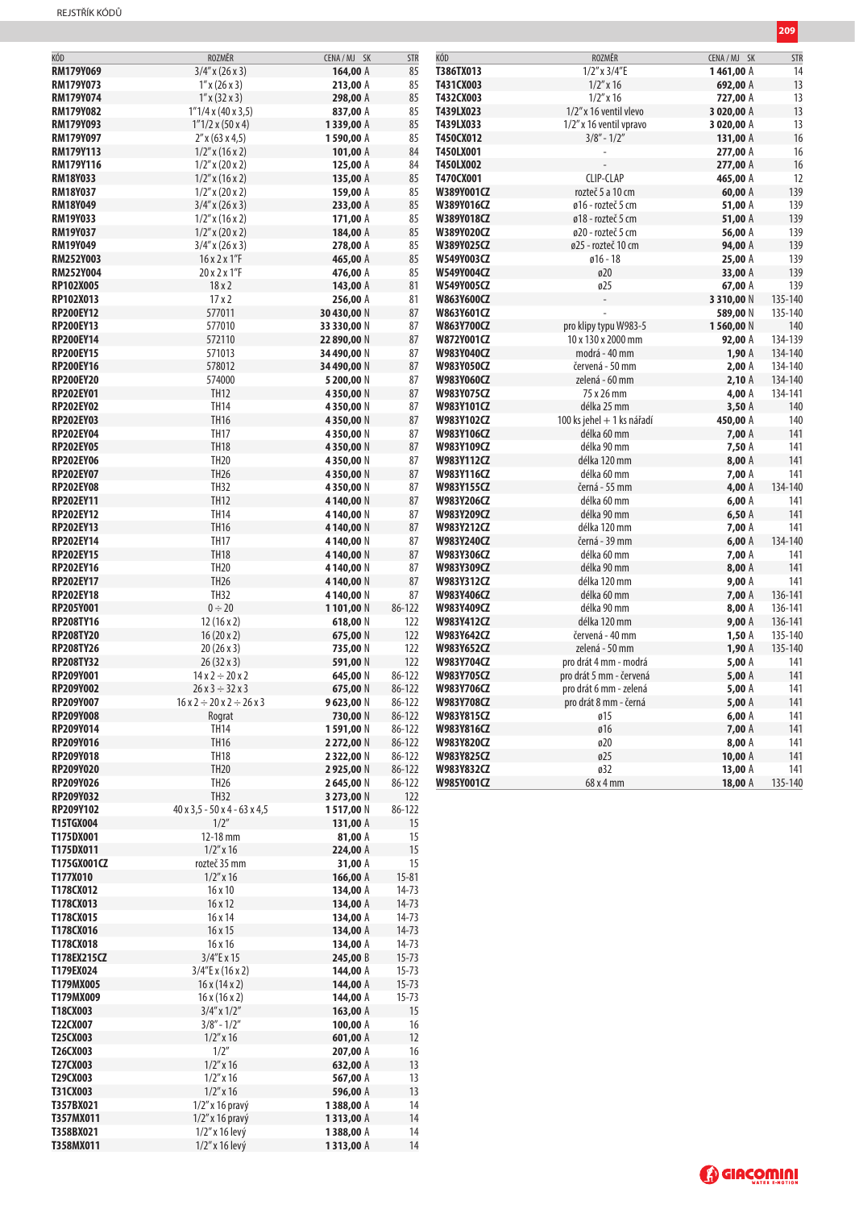| RM179Y069<br>$3/4''$ x (26 x 3)<br>85<br>T386TX013<br>$1/2''$ x $3/4''$ E<br>164,00 A<br>1461,00 A<br>RM179Y073<br>$1''$ x (26 x 3)<br>213,00 A<br>85<br>T431CX003<br>$1/2$ " x 16<br>692,00 A<br>RM179Y074<br>$1''$ x (32 x 3)<br>298,00 A<br>85<br>T432CX003<br>$1/2''$ x 16<br>727,00 A<br>85<br>T439LX023<br><b>RM179Y082</b><br>1"1/4x(40x3,5)<br>837,00 A<br>1/2" x 16 ventil vlevo<br>3 020,00 A<br>T439LX033<br><b>RM179Y093</b><br>$1"1/2 \times (50 \times 4)$<br>1339,00 A<br>85<br>1/2" x 16 ventil vpravo<br>3 020,00 A<br>$3/8" - 1/2"$<br>RM179Y097<br>$2''$ x (63 x 4,5)<br>1590,00 A<br>85<br>T450CX012<br>131,00 A<br><b>RM179Y113</b><br>$1/2''$ x (16 x 2)<br>101,00 A<br>84<br>T450LX001<br>277,00 A<br>RM179Y116<br>$1/2''$ x (20 x 2)<br>84<br>T450LX002<br>277,00 A<br>125,00 A<br>CLIP-CLAP<br>85<br><b>RM18Y033</b><br>$1/2''$ x (16 x 2)<br>135,00 A<br>T470CX001<br>465,00 A<br>RM18Y037<br>85<br>W389Y001CZ<br>rozteč 5 a 10 cm<br>$1/2''$ x (20 x 2)<br>159,00 A<br>60,00 A<br>85<br><b>RM18Y049</b><br>$3/4''$ x (26 x 3)<br>W389Y016CZ<br>ø16 - rozteč 5 cm<br>51,00 A<br>233,00 A<br><b>RM19Y033</b><br>$1/2''$ x (16 x 2)<br>171,00 A<br>85<br>W389Y018CZ<br>ø18 - rozteč 5 cm<br>51,00 A<br>85<br><b>RM19Y037</b><br>$1/2''$ x (20 x 2)<br>184,00 A<br>W389Y020CZ<br>ø20 - rozteč 5 cm<br>56,00 A<br><b>RM19Y049</b><br>278,00 A<br>85<br>W389Y025CZ<br>ø25 - rozteč 10 cm<br>94,00 A<br>$3/4''$ x (26 x 3)<br><b>RM252Y003</b><br>16 x 2 x 1"F<br>465,00 A<br>85<br>W549Y003CZ<br>$ø16 - 18$<br>25,00 A<br>ø20<br><b>RM252Y004</b><br>20 x 2 x 1"F<br>476,00 A<br>85<br>W549Y004CZ<br>33,00 A<br>RP102X005<br>18x2<br>81<br>W549Y005CZ<br>ø25<br>143,00 A<br>67,00 A<br>17x2<br>RP102X013<br>256,00 A<br>81<br>W863Y600CZ<br>3 3 1 0,00 N<br>577011<br><b>RP200EY12</b><br>30 430,00 N<br>87<br>W863Y601CZ<br>589,00 N<br>577010<br><b>RP200EY13</b><br>87<br>W863Y700CZ<br>pro klipy typu W983-5<br>1560,00 N<br>33 330,00 N<br>572110<br>87<br>134-139<br><b>RP200EY14</b><br>22 890,00 N<br>W872Y001CZ<br>10 x 130 x 2000 mm<br>92,00 A<br>571013<br>134-140<br><b>RP200EY15</b><br>87<br>W983Y040CZ<br>modrá - 40 mm<br>34 490,00 N<br>1,90A<br>578012<br>87<br><b>RP200EY16</b><br>34 490,00 N<br>W983Y050CZ<br>červená - 50 mm<br>2,00A<br><b>RP200EY20</b><br>574000<br>87<br>W983Y060CZ<br>zelená - 60 mm<br>2,10A<br>5 200,00 N<br><b>TH12</b><br>87<br>75 x 26 mm<br><b>RP202EY01</b><br>W983Y075CZ<br>4,00 A<br>4350,00 N<br><b>TH14</b><br>RP202EY02<br>87<br>4350,00 N<br>W983Y101CZ<br>délka 25 mm<br>3,50A<br><b>TH16</b><br>87<br><b>RP202EY03</b><br>W983Y102CZ<br>100 ks jehel + 1 ks nářadí<br>4350,00 N<br>450,00 A<br><b>TH17</b><br><b>RP202EY04</b><br>87<br>W983Y106CZ<br>délka 60 mm<br>7,00 A<br>4350,00 N<br><b>TH18</b><br>87<br><b>RP202EY05</b><br>W983Y109CZ<br>délka 90 mm<br>7,50 A<br>4350,00 N<br><b>TH20</b><br><b>RP202EY06</b><br>4350,00 N<br>87<br>W983Y112CZ<br>délka 120 mm<br>8,00 A<br><b>TH26</b><br>87<br><b>RP202EY07</b><br>W983Y116CZ<br>délka 60 mm<br>7,00 A<br>4350,00 N<br><b>TH32</b><br><b>RP202EY08</b><br>4350,00 N<br>87<br>W983Y155CZ<br>černá - 55 mm<br>4,00 A<br><b>TH12</b><br><b>RP202EY11</b><br>87<br>W983Y206CZ<br>délka 60 mm<br>4140,00N<br>6,00A<br><b>TH14</b><br><b>RP202EY12</b><br>87<br>W983Y209CZ<br>délka 90 mm<br>4 140,00 N<br>6,50A<br><b>TH16</b><br><b>RP202EY13</b><br>87<br>4140,00N<br>W983Y212CZ<br>délka 120 mm<br>7,00 A<br><b>TH17</b><br><b>RP202EY14</b><br>87<br>W983Y240CZ<br>černá - 39 mm<br>134-140<br>4 140,00 N<br>6,00A<br><b>TH18</b><br>87<br><b>RP202EY15</b><br>W983Y306CZ<br>délka 60 mm<br>4140,00N<br>7,00 A<br><b>TH20</b><br><b>RP202EY16</b><br>87<br>W983Y309CZ<br>délka 90 mm<br>4 140,00 N<br>8,00A<br><b>TH26</b><br><b>RP202EY17</b><br>87<br>W983Y312CZ<br>délka 120 mm<br>4140,00N<br>9,00A<br><b>TH32</b><br><b>RP202EY18</b><br>87<br>W983Y406CZ<br>délka 60 mm<br>4 140,00 N<br><b>7,00 A</b><br>$0 \div 20$<br><b>RP205Y001</b><br>86-122<br>W983Y409CZ<br>délka 90 mm<br>8,00 A<br>136-141<br>1101,00N<br><b>RP208TY16</b><br>12(16x2)<br>618,00 N<br>122<br>W983Y412CZ<br>délka 120 mm<br>9,00A<br>136-141<br><b>RP208TY20</b><br>červená - 40 mm<br>16(20x2)<br>675,00 N<br>122<br>W983Y642CZ<br>1,50A<br>135-140<br><b>RP208TY26</b><br>20(26x3)<br>W983Y652CZ<br>zelená - 50 mm<br>1,90A<br>135-140<br>735,00 N<br>122<br><b>RP208TY32</b><br>122<br>5,00A<br>$26(32 \times 3)$<br>591,00 N<br>W983Y704CZ<br>pro drát 4 mm - modrá<br>RP209Y001<br>$14x2 \div 20x2$<br>86-122<br>W983Y705CZ<br>pro drát 5 mm - červená<br>5,00A<br>645,00 N<br><b>RP209Y002</b><br>86-122<br>W983Y706CZ<br>$26x3 \div 32x3$<br>675,00 N<br>pro drát 6 mm - zelená<br>5,00 A<br>9623,00 N<br>5,00 A<br>86-122<br>RP209Y007<br>$16x2 \div 20x2 \div 26x3$<br>W983Y708CZ<br>pro drát 8 mm - černá<br><b>RP209Y008</b><br>730,00 N<br>86-122<br>W983Y815CZ<br>6,00A<br>Rograt<br>ø15<br><b>TH14</b><br>ø16<br>RP209Y014<br>1591,00 N<br>86-122<br>W983Y816CZ<br>7,00 A<br><b>TH16</b><br>RP209Y016<br>86-122<br>ø20<br>8,00 A<br>2 272,00 N<br>W983Y820CZ<br><b>TH18</b><br>ø25<br><b>RP209Y018</b><br>2 3 2 2 , 0 0 N<br>86-122<br>W983Y825CZ<br>10,00A<br><b>TH20</b><br>RP209Y020<br>2925,00 N<br>86-122<br>W983Y832CZ<br>ø32<br>13,00 $A$<br>TH <sub>26</sub><br>RP209Y026<br>2 645,00 N<br>86-122<br>68 x 4 mm<br>W985Y001CZ<br>18,00 A<br><b>TH32</b><br>RP209Y032<br>122<br>3 273,00 N<br>40 x 3,5 - 50 x 4 - 63 x 4,5<br>RP209Y102<br>1517,00 N<br>86-122<br>1/2"<br><b>T15TGX004</b><br>131,00 A<br>15<br>T175DX001<br>12-18 mm<br>81,00 A<br>15<br>15<br>T175DX011<br>$1/2$ " x 16<br>224,00 A<br>15<br>T175GX001CZ<br>rozteč 35 mm<br>31,00 A<br>T177X010<br>$1/2$ " x 16<br>166,00 A<br>$15 - 81$<br>T178CX012<br>16x10<br>134,00 A<br>$14 - 73$<br>T178CX013<br>16x12<br>134,00 A<br>$14 - 73$<br>T178CX015<br>16 x 14<br>134,00 A<br>$14 - 73$<br>T178CX016<br>16x15<br>$14 - 73$<br>134,00 A<br>T178CX018<br>16x16<br>134,00 A<br>$14 - 73$<br>T178EX215CZ<br>3/4"E x 15<br>245,00 B<br>$15 - 73$<br>T179EX024<br>$15 - 73$<br>$3/4$ "E x (16 x 2)<br>144,00 A<br>$15 - 73$<br>T179MX005<br>16x(14x2)<br>144,00 A<br>T179MX009<br>16x(16x2)<br>144,00 A<br>$15 - 73$<br>T18CX003<br>15<br>$3/4''$ x $1/2''$<br>163,00 A<br>T22CX007<br>$3/8" - 1/2"$<br>100,00 A<br>16<br>T25CX003<br>$1/2$ " x 16<br>601,00 A<br>12<br>1/2"<br>T26CX003<br>207,00 A<br>16<br>T27CX003<br>$1/2''$ x 16<br>13<br>632,00 A<br>T29CX003<br>$1/2$ " x 16<br>13<br>567,00 A<br>13<br>T31CX003<br>$1/2$ " x 16<br>596,00 A<br>T357BX021<br>$1/2$ " x 16 pravý<br>14<br>1388,00 A<br>14<br>T357MX011<br>$1/2$ " x 16 pravý<br>1313,00 A<br>T358BX021<br>1/2" x 16 levý<br>1388,00 A<br>14 | KÓD       | ROZMĚR         | CENA / MJ SK | <b>STR</b> | KÓD | ROZMĚR | CENA / MJ SK | STF            |
|--------------------------------------------------------------------------------------------------------------------------------------------------------------------------------------------------------------------------------------------------------------------------------------------------------------------------------------------------------------------------------------------------------------------------------------------------------------------------------------------------------------------------------------------------------------------------------------------------------------------------------------------------------------------------------------------------------------------------------------------------------------------------------------------------------------------------------------------------------------------------------------------------------------------------------------------------------------------------------------------------------------------------------------------------------------------------------------------------------------------------------------------------------------------------------------------------------------------------------------------------------------------------------------------------------------------------------------------------------------------------------------------------------------------------------------------------------------------------------------------------------------------------------------------------------------------------------------------------------------------------------------------------------------------------------------------------------------------------------------------------------------------------------------------------------------------------------------------------------------------------------------------------------------------------------------------------------------------------------------------------------------------------------------------------------------------------------------------------------------------------------------------------------------------------------------------------------------------------------------------------------------------------------------------------------------------------------------------------------------------------------------------------------------------------------------------------------------------------------------------------------------------------------------------------------------------------------------------------------------------------------------------------------------------------------------------------------------------------------------------------------------------------------------------------------------------------------------------------------------------------------------------------------------------------------------------------------------------------------------------------------------------------------------------------------------------------------------------------------------------------------------------------------------------------------------------------------------------------------------------------------------------------------------------------------------------------------------------------------------------------------------------------------------------------------------------------------------------------------------------------------------------------------------------------------------------------------------------------------------------------------------------------------------------------------------------------------------------------------------------------------------------------------------------------------------------------------------------------------------------------------------------------------------------------------------------------------------------------------------------------------------------------------------------------------------------------------------------------------------------------------------------------------------------------------------------------------------------------------------------------------------------------------------------------------------------------------------------------------------------------------------------------------------------------------------------------------------------------------------------------------------------------------------------------------------------------------------------------------------------------------------------------------------------------------------------------------------------------------------------------------------------------------------------------------------------------------------------------------------------------------------------------------------------------------------------------------------------------------------------------------------------------------------------------------------------------------------------------------------------------------------------------------------------------------------------------------------------------------------------------------------------------------------------------------------------------------------------------------------------------------------------------------------------------------------------------------------------------------------------------------------------------------------------------------------------------------------------------------------------------------------------------------------------------------------------------------------------------------------------------------------------------------------------------------------------------------------------------------------------------------------------------------------------------------------------------------------------------------------------------------------------------------------------------------------------------------------------------------------------------------------------------------------------------------------------------------------------------------------------------------------------------------------------------------------------------------------------------------------------------------------------------------------------------------------------------------------------------------------------------------------------------------------------------------------------------------------------------------------------------------------------------------------------------------------------------------------------------------|-----------|----------------|--------------|------------|-----|--------|--------------|----------------|
|                                                                                                                                                                                                                                                                                                                                                                                                                                                                                                                                                                                                                                                                                                                                                                                                                                                                                                                                                                                                                                                                                                                                                                                                                                                                                                                                                                                                                                                                                                                                                                                                                                                                                                                                                                                                                                                                                                                                                                                                                                                                                                                                                                                                                                                                                                                                                                                                                                                                                                                                                                                                                                                                                                                                                                                                                                                                                                                                                                                                                                                                                                                                                                                                                                                                                                                                                                                                                                                                                                                                                                                                                                                                                                                                                                                                                                                                                                                                                                                                                                                                                                                                                                                                                                                                                                                                                                                                                                                                                                                                                                                                                                                                                                                                                                                                                                                                                                                                                                                                                                                                                                                                                                                                                                                                                                                                                                                                                                                                                                                                                                                                                                                                                                                                                                                                                                                                                                                                                                                                                                                                                                                                                                                                                                                                                                                                                                                                                                                                                                                                                                                                                                                                                                                                |           |                |              |            |     |        |              |                |
|                                                                                                                                                                                                                                                                                                                                                                                                                                                                                                                                                                                                                                                                                                                                                                                                                                                                                                                                                                                                                                                                                                                                                                                                                                                                                                                                                                                                                                                                                                                                                                                                                                                                                                                                                                                                                                                                                                                                                                                                                                                                                                                                                                                                                                                                                                                                                                                                                                                                                                                                                                                                                                                                                                                                                                                                                                                                                                                                                                                                                                                                                                                                                                                                                                                                                                                                                                                                                                                                                                                                                                                                                                                                                                                                                                                                                                                                                                                                                                                                                                                                                                                                                                                                                                                                                                                                                                                                                                                                                                                                                                                                                                                                                                                                                                                                                                                                                                                                                                                                                                                                                                                                                                                                                                                                                                                                                                                                                                                                                                                                                                                                                                                                                                                                                                                                                                                                                                                                                                                                                                                                                                                                                                                                                                                                                                                                                                                                                                                                                                                                                                                                                                                                                                                                |           |                |              |            |     |        |              | 14             |
|                                                                                                                                                                                                                                                                                                                                                                                                                                                                                                                                                                                                                                                                                                                                                                                                                                                                                                                                                                                                                                                                                                                                                                                                                                                                                                                                                                                                                                                                                                                                                                                                                                                                                                                                                                                                                                                                                                                                                                                                                                                                                                                                                                                                                                                                                                                                                                                                                                                                                                                                                                                                                                                                                                                                                                                                                                                                                                                                                                                                                                                                                                                                                                                                                                                                                                                                                                                                                                                                                                                                                                                                                                                                                                                                                                                                                                                                                                                                                                                                                                                                                                                                                                                                                                                                                                                                                                                                                                                                                                                                                                                                                                                                                                                                                                                                                                                                                                                                                                                                                                                                                                                                                                                                                                                                                                                                                                                                                                                                                                                                                                                                                                                                                                                                                                                                                                                                                                                                                                                                                                                                                                                                                                                                                                                                                                                                                                                                                                                                                                                                                                                                                                                                                                                                |           |                |              |            |     |        |              | 1 <sup>3</sup> |
|                                                                                                                                                                                                                                                                                                                                                                                                                                                                                                                                                                                                                                                                                                                                                                                                                                                                                                                                                                                                                                                                                                                                                                                                                                                                                                                                                                                                                                                                                                                                                                                                                                                                                                                                                                                                                                                                                                                                                                                                                                                                                                                                                                                                                                                                                                                                                                                                                                                                                                                                                                                                                                                                                                                                                                                                                                                                                                                                                                                                                                                                                                                                                                                                                                                                                                                                                                                                                                                                                                                                                                                                                                                                                                                                                                                                                                                                                                                                                                                                                                                                                                                                                                                                                                                                                                                                                                                                                                                                                                                                                                                                                                                                                                                                                                                                                                                                                                                                                                                                                                                                                                                                                                                                                                                                                                                                                                                                                                                                                                                                                                                                                                                                                                                                                                                                                                                                                                                                                                                                                                                                                                                                                                                                                                                                                                                                                                                                                                                                                                                                                                                                                                                                                                                                |           |                |              |            |     |        |              | 13             |
|                                                                                                                                                                                                                                                                                                                                                                                                                                                                                                                                                                                                                                                                                                                                                                                                                                                                                                                                                                                                                                                                                                                                                                                                                                                                                                                                                                                                                                                                                                                                                                                                                                                                                                                                                                                                                                                                                                                                                                                                                                                                                                                                                                                                                                                                                                                                                                                                                                                                                                                                                                                                                                                                                                                                                                                                                                                                                                                                                                                                                                                                                                                                                                                                                                                                                                                                                                                                                                                                                                                                                                                                                                                                                                                                                                                                                                                                                                                                                                                                                                                                                                                                                                                                                                                                                                                                                                                                                                                                                                                                                                                                                                                                                                                                                                                                                                                                                                                                                                                                                                                                                                                                                                                                                                                                                                                                                                                                                                                                                                                                                                                                                                                                                                                                                                                                                                                                                                                                                                                                                                                                                                                                                                                                                                                                                                                                                                                                                                                                                                                                                                                                                                                                                                                                |           |                |              |            |     |        |              | 13             |
|                                                                                                                                                                                                                                                                                                                                                                                                                                                                                                                                                                                                                                                                                                                                                                                                                                                                                                                                                                                                                                                                                                                                                                                                                                                                                                                                                                                                                                                                                                                                                                                                                                                                                                                                                                                                                                                                                                                                                                                                                                                                                                                                                                                                                                                                                                                                                                                                                                                                                                                                                                                                                                                                                                                                                                                                                                                                                                                                                                                                                                                                                                                                                                                                                                                                                                                                                                                                                                                                                                                                                                                                                                                                                                                                                                                                                                                                                                                                                                                                                                                                                                                                                                                                                                                                                                                                                                                                                                                                                                                                                                                                                                                                                                                                                                                                                                                                                                                                                                                                                                                                                                                                                                                                                                                                                                                                                                                                                                                                                                                                                                                                                                                                                                                                                                                                                                                                                                                                                                                                                                                                                                                                                                                                                                                                                                                                                                                                                                                                                                                                                                                                                                                                                                                                |           |                |              |            |     |        |              | 13             |
|                                                                                                                                                                                                                                                                                                                                                                                                                                                                                                                                                                                                                                                                                                                                                                                                                                                                                                                                                                                                                                                                                                                                                                                                                                                                                                                                                                                                                                                                                                                                                                                                                                                                                                                                                                                                                                                                                                                                                                                                                                                                                                                                                                                                                                                                                                                                                                                                                                                                                                                                                                                                                                                                                                                                                                                                                                                                                                                                                                                                                                                                                                                                                                                                                                                                                                                                                                                                                                                                                                                                                                                                                                                                                                                                                                                                                                                                                                                                                                                                                                                                                                                                                                                                                                                                                                                                                                                                                                                                                                                                                                                                                                                                                                                                                                                                                                                                                                                                                                                                                                                                                                                                                                                                                                                                                                                                                                                                                                                                                                                                                                                                                                                                                                                                                                                                                                                                                                                                                                                                                                                                                                                                                                                                                                                                                                                                                                                                                                                                                                                                                                                                                                                                                                                                |           |                |              |            |     |        |              | 16             |
|                                                                                                                                                                                                                                                                                                                                                                                                                                                                                                                                                                                                                                                                                                                                                                                                                                                                                                                                                                                                                                                                                                                                                                                                                                                                                                                                                                                                                                                                                                                                                                                                                                                                                                                                                                                                                                                                                                                                                                                                                                                                                                                                                                                                                                                                                                                                                                                                                                                                                                                                                                                                                                                                                                                                                                                                                                                                                                                                                                                                                                                                                                                                                                                                                                                                                                                                                                                                                                                                                                                                                                                                                                                                                                                                                                                                                                                                                                                                                                                                                                                                                                                                                                                                                                                                                                                                                                                                                                                                                                                                                                                                                                                                                                                                                                                                                                                                                                                                                                                                                                                                                                                                                                                                                                                                                                                                                                                                                                                                                                                                                                                                                                                                                                                                                                                                                                                                                                                                                                                                                                                                                                                                                                                                                                                                                                                                                                                                                                                                                                                                                                                                                                                                                                                                |           |                |              |            |     |        |              | 16             |
|                                                                                                                                                                                                                                                                                                                                                                                                                                                                                                                                                                                                                                                                                                                                                                                                                                                                                                                                                                                                                                                                                                                                                                                                                                                                                                                                                                                                                                                                                                                                                                                                                                                                                                                                                                                                                                                                                                                                                                                                                                                                                                                                                                                                                                                                                                                                                                                                                                                                                                                                                                                                                                                                                                                                                                                                                                                                                                                                                                                                                                                                                                                                                                                                                                                                                                                                                                                                                                                                                                                                                                                                                                                                                                                                                                                                                                                                                                                                                                                                                                                                                                                                                                                                                                                                                                                                                                                                                                                                                                                                                                                                                                                                                                                                                                                                                                                                                                                                                                                                                                                                                                                                                                                                                                                                                                                                                                                                                                                                                                                                                                                                                                                                                                                                                                                                                                                                                                                                                                                                                                                                                                                                                                                                                                                                                                                                                                                                                                                                                                                                                                                                                                                                                                                                |           |                |              |            |     |        |              | 16             |
|                                                                                                                                                                                                                                                                                                                                                                                                                                                                                                                                                                                                                                                                                                                                                                                                                                                                                                                                                                                                                                                                                                                                                                                                                                                                                                                                                                                                                                                                                                                                                                                                                                                                                                                                                                                                                                                                                                                                                                                                                                                                                                                                                                                                                                                                                                                                                                                                                                                                                                                                                                                                                                                                                                                                                                                                                                                                                                                                                                                                                                                                                                                                                                                                                                                                                                                                                                                                                                                                                                                                                                                                                                                                                                                                                                                                                                                                                                                                                                                                                                                                                                                                                                                                                                                                                                                                                                                                                                                                                                                                                                                                                                                                                                                                                                                                                                                                                                                                                                                                                                                                                                                                                                                                                                                                                                                                                                                                                                                                                                                                                                                                                                                                                                                                                                                                                                                                                                                                                                                                                                                                                                                                                                                                                                                                                                                                                                                                                                                                                                                                                                                                                                                                                                                                |           |                |              |            |     |        |              |                |
|                                                                                                                                                                                                                                                                                                                                                                                                                                                                                                                                                                                                                                                                                                                                                                                                                                                                                                                                                                                                                                                                                                                                                                                                                                                                                                                                                                                                                                                                                                                                                                                                                                                                                                                                                                                                                                                                                                                                                                                                                                                                                                                                                                                                                                                                                                                                                                                                                                                                                                                                                                                                                                                                                                                                                                                                                                                                                                                                                                                                                                                                                                                                                                                                                                                                                                                                                                                                                                                                                                                                                                                                                                                                                                                                                                                                                                                                                                                                                                                                                                                                                                                                                                                                                                                                                                                                                                                                                                                                                                                                                                                                                                                                                                                                                                                                                                                                                                                                                                                                                                                                                                                                                                                                                                                                                                                                                                                                                                                                                                                                                                                                                                                                                                                                                                                                                                                                                                                                                                                                                                                                                                                                                                                                                                                                                                                                                                                                                                                                                                                                                                                                                                                                                                                                |           |                |              |            |     |        |              | 12             |
|                                                                                                                                                                                                                                                                                                                                                                                                                                                                                                                                                                                                                                                                                                                                                                                                                                                                                                                                                                                                                                                                                                                                                                                                                                                                                                                                                                                                                                                                                                                                                                                                                                                                                                                                                                                                                                                                                                                                                                                                                                                                                                                                                                                                                                                                                                                                                                                                                                                                                                                                                                                                                                                                                                                                                                                                                                                                                                                                                                                                                                                                                                                                                                                                                                                                                                                                                                                                                                                                                                                                                                                                                                                                                                                                                                                                                                                                                                                                                                                                                                                                                                                                                                                                                                                                                                                                                                                                                                                                                                                                                                                                                                                                                                                                                                                                                                                                                                                                                                                                                                                                                                                                                                                                                                                                                                                                                                                                                                                                                                                                                                                                                                                                                                                                                                                                                                                                                                                                                                                                                                                                                                                                                                                                                                                                                                                                                                                                                                                                                                                                                                                                                                                                                                                                |           |                |              |            |     |        |              | 139            |
|                                                                                                                                                                                                                                                                                                                                                                                                                                                                                                                                                                                                                                                                                                                                                                                                                                                                                                                                                                                                                                                                                                                                                                                                                                                                                                                                                                                                                                                                                                                                                                                                                                                                                                                                                                                                                                                                                                                                                                                                                                                                                                                                                                                                                                                                                                                                                                                                                                                                                                                                                                                                                                                                                                                                                                                                                                                                                                                                                                                                                                                                                                                                                                                                                                                                                                                                                                                                                                                                                                                                                                                                                                                                                                                                                                                                                                                                                                                                                                                                                                                                                                                                                                                                                                                                                                                                                                                                                                                                                                                                                                                                                                                                                                                                                                                                                                                                                                                                                                                                                                                                                                                                                                                                                                                                                                                                                                                                                                                                                                                                                                                                                                                                                                                                                                                                                                                                                                                                                                                                                                                                                                                                                                                                                                                                                                                                                                                                                                                                                                                                                                                                                                                                                                                                |           |                |              |            |     |        |              | 139            |
|                                                                                                                                                                                                                                                                                                                                                                                                                                                                                                                                                                                                                                                                                                                                                                                                                                                                                                                                                                                                                                                                                                                                                                                                                                                                                                                                                                                                                                                                                                                                                                                                                                                                                                                                                                                                                                                                                                                                                                                                                                                                                                                                                                                                                                                                                                                                                                                                                                                                                                                                                                                                                                                                                                                                                                                                                                                                                                                                                                                                                                                                                                                                                                                                                                                                                                                                                                                                                                                                                                                                                                                                                                                                                                                                                                                                                                                                                                                                                                                                                                                                                                                                                                                                                                                                                                                                                                                                                                                                                                                                                                                                                                                                                                                                                                                                                                                                                                                                                                                                                                                                                                                                                                                                                                                                                                                                                                                                                                                                                                                                                                                                                                                                                                                                                                                                                                                                                                                                                                                                                                                                                                                                                                                                                                                                                                                                                                                                                                                                                                                                                                                                                                                                                                                                |           |                |              |            |     |        |              | 139            |
|                                                                                                                                                                                                                                                                                                                                                                                                                                                                                                                                                                                                                                                                                                                                                                                                                                                                                                                                                                                                                                                                                                                                                                                                                                                                                                                                                                                                                                                                                                                                                                                                                                                                                                                                                                                                                                                                                                                                                                                                                                                                                                                                                                                                                                                                                                                                                                                                                                                                                                                                                                                                                                                                                                                                                                                                                                                                                                                                                                                                                                                                                                                                                                                                                                                                                                                                                                                                                                                                                                                                                                                                                                                                                                                                                                                                                                                                                                                                                                                                                                                                                                                                                                                                                                                                                                                                                                                                                                                                                                                                                                                                                                                                                                                                                                                                                                                                                                                                                                                                                                                                                                                                                                                                                                                                                                                                                                                                                                                                                                                                                                                                                                                                                                                                                                                                                                                                                                                                                                                                                                                                                                                                                                                                                                                                                                                                                                                                                                                                                                                                                                                                                                                                                                                                |           |                |              |            |     |        |              | 139            |
|                                                                                                                                                                                                                                                                                                                                                                                                                                                                                                                                                                                                                                                                                                                                                                                                                                                                                                                                                                                                                                                                                                                                                                                                                                                                                                                                                                                                                                                                                                                                                                                                                                                                                                                                                                                                                                                                                                                                                                                                                                                                                                                                                                                                                                                                                                                                                                                                                                                                                                                                                                                                                                                                                                                                                                                                                                                                                                                                                                                                                                                                                                                                                                                                                                                                                                                                                                                                                                                                                                                                                                                                                                                                                                                                                                                                                                                                                                                                                                                                                                                                                                                                                                                                                                                                                                                                                                                                                                                                                                                                                                                                                                                                                                                                                                                                                                                                                                                                                                                                                                                                                                                                                                                                                                                                                                                                                                                                                                                                                                                                                                                                                                                                                                                                                                                                                                                                                                                                                                                                                                                                                                                                                                                                                                                                                                                                                                                                                                                                                                                                                                                                                                                                                                                                |           |                |              |            |     |        |              | 139            |
|                                                                                                                                                                                                                                                                                                                                                                                                                                                                                                                                                                                                                                                                                                                                                                                                                                                                                                                                                                                                                                                                                                                                                                                                                                                                                                                                                                                                                                                                                                                                                                                                                                                                                                                                                                                                                                                                                                                                                                                                                                                                                                                                                                                                                                                                                                                                                                                                                                                                                                                                                                                                                                                                                                                                                                                                                                                                                                                                                                                                                                                                                                                                                                                                                                                                                                                                                                                                                                                                                                                                                                                                                                                                                                                                                                                                                                                                                                                                                                                                                                                                                                                                                                                                                                                                                                                                                                                                                                                                                                                                                                                                                                                                                                                                                                                                                                                                                                                                                                                                                                                                                                                                                                                                                                                                                                                                                                                                                                                                                                                                                                                                                                                                                                                                                                                                                                                                                                                                                                                                                                                                                                                                                                                                                                                                                                                                                                                                                                                                                                                                                                                                                                                                                                                                |           |                |              |            |     |        |              |                |
|                                                                                                                                                                                                                                                                                                                                                                                                                                                                                                                                                                                                                                                                                                                                                                                                                                                                                                                                                                                                                                                                                                                                                                                                                                                                                                                                                                                                                                                                                                                                                                                                                                                                                                                                                                                                                                                                                                                                                                                                                                                                                                                                                                                                                                                                                                                                                                                                                                                                                                                                                                                                                                                                                                                                                                                                                                                                                                                                                                                                                                                                                                                                                                                                                                                                                                                                                                                                                                                                                                                                                                                                                                                                                                                                                                                                                                                                                                                                                                                                                                                                                                                                                                                                                                                                                                                                                                                                                                                                                                                                                                                                                                                                                                                                                                                                                                                                                                                                                                                                                                                                                                                                                                                                                                                                                                                                                                                                                                                                                                                                                                                                                                                                                                                                                                                                                                                                                                                                                                                                                                                                                                                                                                                                                                                                                                                                                                                                                                                                                                                                                                                                                                                                                                                                |           |                |              |            |     |        |              | 139            |
|                                                                                                                                                                                                                                                                                                                                                                                                                                                                                                                                                                                                                                                                                                                                                                                                                                                                                                                                                                                                                                                                                                                                                                                                                                                                                                                                                                                                                                                                                                                                                                                                                                                                                                                                                                                                                                                                                                                                                                                                                                                                                                                                                                                                                                                                                                                                                                                                                                                                                                                                                                                                                                                                                                                                                                                                                                                                                                                                                                                                                                                                                                                                                                                                                                                                                                                                                                                                                                                                                                                                                                                                                                                                                                                                                                                                                                                                                                                                                                                                                                                                                                                                                                                                                                                                                                                                                                                                                                                                                                                                                                                                                                                                                                                                                                                                                                                                                                                                                                                                                                                                                                                                                                                                                                                                                                                                                                                                                                                                                                                                                                                                                                                                                                                                                                                                                                                                                                                                                                                                                                                                                                                                                                                                                                                                                                                                                                                                                                                                                                                                                                                                                                                                                                                                |           |                |              |            |     |        |              | 139            |
|                                                                                                                                                                                                                                                                                                                                                                                                                                                                                                                                                                                                                                                                                                                                                                                                                                                                                                                                                                                                                                                                                                                                                                                                                                                                                                                                                                                                                                                                                                                                                                                                                                                                                                                                                                                                                                                                                                                                                                                                                                                                                                                                                                                                                                                                                                                                                                                                                                                                                                                                                                                                                                                                                                                                                                                                                                                                                                                                                                                                                                                                                                                                                                                                                                                                                                                                                                                                                                                                                                                                                                                                                                                                                                                                                                                                                                                                                                                                                                                                                                                                                                                                                                                                                                                                                                                                                                                                                                                                                                                                                                                                                                                                                                                                                                                                                                                                                                                                                                                                                                                                                                                                                                                                                                                                                                                                                                                                                                                                                                                                                                                                                                                                                                                                                                                                                                                                                                                                                                                                                                                                                                                                                                                                                                                                                                                                                                                                                                                                                                                                                                                                                                                                                                                                |           |                |              |            |     |        |              | 139            |
|                                                                                                                                                                                                                                                                                                                                                                                                                                                                                                                                                                                                                                                                                                                                                                                                                                                                                                                                                                                                                                                                                                                                                                                                                                                                                                                                                                                                                                                                                                                                                                                                                                                                                                                                                                                                                                                                                                                                                                                                                                                                                                                                                                                                                                                                                                                                                                                                                                                                                                                                                                                                                                                                                                                                                                                                                                                                                                                                                                                                                                                                                                                                                                                                                                                                                                                                                                                                                                                                                                                                                                                                                                                                                                                                                                                                                                                                                                                                                                                                                                                                                                                                                                                                                                                                                                                                                                                                                                                                                                                                                                                                                                                                                                                                                                                                                                                                                                                                                                                                                                                                                                                                                                                                                                                                                                                                                                                                                                                                                                                                                                                                                                                                                                                                                                                                                                                                                                                                                                                                                                                                                                                                                                                                                                                                                                                                                                                                                                                                                                                                                                                                                                                                                                                                |           |                |              |            |     |        |              | 135-140        |
|                                                                                                                                                                                                                                                                                                                                                                                                                                                                                                                                                                                                                                                                                                                                                                                                                                                                                                                                                                                                                                                                                                                                                                                                                                                                                                                                                                                                                                                                                                                                                                                                                                                                                                                                                                                                                                                                                                                                                                                                                                                                                                                                                                                                                                                                                                                                                                                                                                                                                                                                                                                                                                                                                                                                                                                                                                                                                                                                                                                                                                                                                                                                                                                                                                                                                                                                                                                                                                                                                                                                                                                                                                                                                                                                                                                                                                                                                                                                                                                                                                                                                                                                                                                                                                                                                                                                                                                                                                                                                                                                                                                                                                                                                                                                                                                                                                                                                                                                                                                                                                                                                                                                                                                                                                                                                                                                                                                                                                                                                                                                                                                                                                                                                                                                                                                                                                                                                                                                                                                                                                                                                                                                                                                                                                                                                                                                                                                                                                                                                                                                                                                                                                                                                                                                |           |                |              |            |     |        |              | 135-140        |
|                                                                                                                                                                                                                                                                                                                                                                                                                                                                                                                                                                                                                                                                                                                                                                                                                                                                                                                                                                                                                                                                                                                                                                                                                                                                                                                                                                                                                                                                                                                                                                                                                                                                                                                                                                                                                                                                                                                                                                                                                                                                                                                                                                                                                                                                                                                                                                                                                                                                                                                                                                                                                                                                                                                                                                                                                                                                                                                                                                                                                                                                                                                                                                                                                                                                                                                                                                                                                                                                                                                                                                                                                                                                                                                                                                                                                                                                                                                                                                                                                                                                                                                                                                                                                                                                                                                                                                                                                                                                                                                                                                                                                                                                                                                                                                                                                                                                                                                                                                                                                                                                                                                                                                                                                                                                                                                                                                                                                                                                                                                                                                                                                                                                                                                                                                                                                                                                                                                                                                                                                                                                                                                                                                                                                                                                                                                                                                                                                                                                                                                                                                                                                                                                                                                                |           |                |              |            |     |        |              | 140            |
|                                                                                                                                                                                                                                                                                                                                                                                                                                                                                                                                                                                                                                                                                                                                                                                                                                                                                                                                                                                                                                                                                                                                                                                                                                                                                                                                                                                                                                                                                                                                                                                                                                                                                                                                                                                                                                                                                                                                                                                                                                                                                                                                                                                                                                                                                                                                                                                                                                                                                                                                                                                                                                                                                                                                                                                                                                                                                                                                                                                                                                                                                                                                                                                                                                                                                                                                                                                                                                                                                                                                                                                                                                                                                                                                                                                                                                                                                                                                                                                                                                                                                                                                                                                                                                                                                                                                                                                                                                                                                                                                                                                                                                                                                                                                                                                                                                                                                                                                                                                                                                                                                                                                                                                                                                                                                                                                                                                                                                                                                                                                                                                                                                                                                                                                                                                                                                                                                                                                                                                                                                                                                                                                                                                                                                                                                                                                                                                                                                                                                                                                                                                                                                                                                                                                |           |                |              |            |     |        |              |                |
|                                                                                                                                                                                                                                                                                                                                                                                                                                                                                                                                                                                                                                                                                                                                                                                                                                                                                                                                                                                                                                                                                                                                                                                                                                                                                                                                                                                                                                                                                                                                                                                                                                                                                                                                                                                                                                                                                                                                                                                                                                                                                                                                                                                                                                                                                                                                                                                                                                                                                                                                                                                                                                                                                                                                                                                                                                                                                                                                                                                                                                                                                                                                                                                                                                                                                                                                                                                                                                                                                                                                                                                                                                                                                                                                                                                                                                                                                                                                                                                                                                                                                                                                                                                                                                                                                                                                                                                                                                                                                                                                                                                                                                                                                                                                                                                                                                                                                                                                                                                                                                                                                                                                                                                                                                                                                                                                                                                                                                                                                                                                                                                                                                                                                                                                                                                                                                                                                                                                                                                                                                                                                                                                                                                                                                                                                                                                                                                                                                                                                                                                                                                                                                                                                                                                |           |                |              |            |     |        |              |                |
|                                                                                                                                                                                                                                                                                                                                                                                                                                                                                                                                                                                                                                                                                                                                                                                                                                                                                                                                                                                                                                                                                                                                                                                                                                                                                                                                                                                                                                                                                                                                                                                                                                                                                                                                                                                                                                                                                                                                                                                                                                                                                                                                                                                                                                                                                                                                                                                                                                                                                                                                                                                                                                                                                                                                                                                                                                                                                                                                                                                                                                                                                                                                                                                                                                                                                                                                                                                                                                                                                                                                                                                                                                                                                                                                                                                                                                                                                                                                                                                                                                                                                                                                                                                                                                                                                                                                                                                                                                                                                                                                                                                                                                                                                                                                                                                                                                                                                                                                                                                                                                                                                                                                                                                                                                                                                                                                                                                                                                                                                                                                                                                                                                                                                                                                                                                                                                                                                                                                                                                                                                                                                                                                                                                                                                                                                                                                                                                                                                                                                                                                                                                                                                                                                                                                |           |                |              |            |     |        |              |                |
|                                                                                                                                                                                                                                                                                                                                                                                                                                                                                                                                                                                                                                                                                                                                                                                                                                                                                                                                                                                                                                                                                                                                                                                                                                                                                                                                                                                                                                                                                                                                                                                                                                                                                                                                                                                                                                                                                                                                                                                                                                                                                                                                                                                                                                                                                                                                                                                                                                                                                                                                                                                                                                                                                                                                                                                                                                                                                                                                                                                                                                                                                                                                                                                                                                                                                                                                                                                                                                                                                                                                                                                                                                                                                                                                                                                                                                                                                                                                                                                                                                                                                                                                                                                                                                                                                                                                                                                                                                                                                                                                                                                                                                                                                                                                                                                                                                                                                                                                                                                                                                                                                                                                                                                                                                                                                                                                                                                                                                                                                                                                                                                                                                                                                                                                                                                                                                                                                                                                                                                                                                                                                                                                                                                                                                                                                                                                                                                                                                                                                                                                                                                                                                                                                                                                |           |                |              |            |     |        |              | 134-140        |
|                                                                                                                                                                                                                                                                                                                                                                                                                                                                                                                                                                                                                                                                                                                                                                                                                                                                                                                                                                                                                                                                                                                                                                                                                                                                                                                                                                                                                                                                                                                                                                                                                                                                                                                                                                                                                                                                                                                                                                                                                                                                                                                                                                                                                                                                                                                                                                                                                                                                                                                                                                                                                                                                                                                                                                                                                                                                                                                                                                                                                                                                                                                                                                                                                                                                                                                                                                                                                                                                                                                                                                                                                                                                                                                                                                                                                                                                                                                                                                                                                                                                                                                                                                                                                                                                                                                                                                                                                                                                                                                                                                                                                                                                                                                                                                                                                                                                                                                                                                                                                                                                                                                                                                                                                                                                                                                                                                                                                                                                                                                                                                                                                                                                                                                                                                                                                                                                                                                                                                                                                                                                                                                                                                                                                                                                                                                                                                                                                                                                                                                                                                                                                                                                                                                                |           |                |              |            |     |        |              | 134-140        |
|                                                                                                                                                                                                                                                                                                                                                                                                                                                                                                                                                                                                                                                                                                                                                                                                                                                                                                                                                                                                                                                                                                                                                                                                                                                                                                                                                                                                                                                                                                                                                                                                                                                                                                                                                                                                                                                                                                                                                                                                                                                                                                                                                                                                                                                                                                                                                                                                                                                                                                                                                                                                                                                                                                                                                                                                                                                                                                                                                                                                                                                                                                                                                                                                                                                                                                                                                                                                                                                                                                                                                                                                                                                                                                                                                                                                                                                                                                                                                                                                                                                                                                                                                                                                                                                                                                                                                                                                                                                                                                                                                                                                                                                                                                                                                                                                                                                                                                                                                                                                                                                                                                                                                                                                                                                                                                                                                                                                                                                                                                                                                                                                                                                                                                                                                                                                                                                                                                                                                                                                                                                                                                                                                                                                                                                                                                                                                                                                                                                                                                                                                                                                                                                                                                                                |           |                |              |            |     |        |              | 134-141        |
|                                                                                                                                                                                                                                                                                                                                                                                                                                                                                                                                                                                                                                                                                                                                                                                                                                                                                                                                                                                                                                                                                                                                                                                                                                                                                                                                                                                                                                                                                                                                                                                                                                                                                                                                                                                                                                                                                                                                                                                                                                                                                                                                                                                                                                                                                                                                                                                                                                                                                                                                                                                                                                                                                                                                                                                                                                                                                                                                                                                                                                                                                                                                                                                                                                                                                                                                                                                                                                                                                                                                                                                                                                                                                                                                                                                                                                                                                                                                                                                                                                                                                                                                                                                                                                                                                                                                                                                                                                                                                                                                                                                                                                                                                                                                                                                                                                                                                                                                                                                                                                                                                                                                                                                                                                                                                                                                                                                                                                                                                                                                                                                                                                                                                                                                                                                                                                                                                                                                                                                                                                                                                                                                                                                                                                                                                                                                                                                                                                                                                                                                                                                                                                                                                                                                |           |                |              |            |     |        |              | 140            |
|                                                                                                                                                                                                                                                                                                                                                                                                                                                                                                                                                                                                                                                                                                                                                                                                                                                                                                                                                                                                                                                                                                                                                                                                                                                                                                                                                                                                                                                                                                                                                                                                                                                                                                                                                                                                                                                                                                                                                                                                                                                                                                                                                                                                                                                                                                                                                                                                                                                                                                                                                                                                                                                                                                                                                                                                                                                                                                                                                                                                                                                                                                                                                                                                                                                                                                                                                                                                                                                                                                                                                                                                                                                                                                                                                                                                                                                                                                                                                                                                                                                                                                                                                                                                                                                                                                                                                                                                                                                                                                                                                                                                                                                                                                                                                                                                                                                                                                                                                                                                                                                                                                                                                                                                                                                                                                                                                                                                                                                                                                                                                                                                                                                                                                                                                                                                                                                                                                                                                                                                                                                                                                                                                                                                                                                                                                                                                                                                                                                                                                                                                                                                                                                                                                                                |           |                |              |            |     |        |              | 140            |
|                                                                                                                                                                                                                                                                                                                                                                                                                                                                                                                                                                                                                                                                                                                                                                                                                                                                                                                                                                                                                                                                                                                                                                                                                                                                                                                                                                                                                                                                                                                                                                                                                                                                                                                                                                                                                                                                                                                                                                                                                                                                                                                                                                                                                                                                                                                                                                                                                                                                                                                                                                                                                                                                                                                                                                                                                                                                                                                                                                                                                                                                                                                                                                                                                                                                                                                                                                                                                                                                                                                                                                                                                                                                                                                                                                                                                                                                                                                                                                                                                                                                                                                                                                                                                                                                                                                                                                                                                                                                                                                                                                                                                                                                                                                                                                                                                                                                                                                                                                                                                                                                                                                                                                                                                                                                                                                                                                                                                                                                                                                                                                                                                                                                                                                                                                                                                                                                                                                                                                                                                                                                                                                                                                                                                                                                                                                                                                                                                                                                                                                                                                                                                                                                                                                                |           |                |              |            |     |        |              |                |
|                                                                                                                                                                                                                                                                                                                                                                                                                                                                                                                                                                                                                                                                                                                                                                                                                                                                                                                                                                                                                                                                                                                                                                                                                                                                                                                                                                                                                                                                                                                                                                                                                                                                                                                                                                                                                                                                                                                                                                                                                                                                                                                                                                                                                                                                                                                                                                                                                                                                                                                                                                                                                                                                                                                                                                                                                                                                                                                                                                                                                                                                                                                                                                                                                                                                                                                                                                                                                                                                                                                                                                                                                                                                                                                                                                                                                                                                                                                                                                                                                                                                                                                                                                                                                                                                                                                                                                                                                                                                                                                                                                                                                                                                                                                                                                                                                                                                                                                                                                                                                                                                                                                                                                                                                                                                                                                                                                                                                                                                                                                                                                                                                                                                                                                                                                                                                                                                                                                                                                                                                                                                                                                                                                                                                                                                                                                                                                                                                                                                                                                                                                                                                                                                                                                                |           |                |              |            |     |        |              | 141            |
|                                                                                                                                                                                                                                                                                                                                                                                                                                                                                                                                                                                                                                                                                                                                                                                                                                                                                                                                                                                                                                                                                                                                                                                                                                                                                                                                                                                                                                                                                                                                                                                                                                                                                                                                                                                                                                                                                                                                                                                                                                                                                                                                                                                                                                                                                                                                                                                                                                                                                                                                                                                                                                                                                                                                                                                                                                                                                                                                                                                                                                                                                                                                                                                                                                                                                                                                                                                                                                                                                                                                                                                                                                                                                                                                                                                                                                                                                                                                                                                                                                                                                                                                                                                                                                                                                                                                                                                                                                                                                                                                                                                                                                                                                                                                                                                                                                                                                                                                                                                                                                                                                                                                                                                                                                                                                                                                                                                                                                                                                                                                                                                                                                                                                                                                                                                                                                                                                                                                                                                                                                                                                                                                                                                                                                                                                                                                                                                                                                                                                                                                                                                                                                                                                                                                |           |                |              |            |     |        |              | 141            |
|                                                                                                                                                                                                                                                                                                                                                                                                                                                                                                                                                                                                                                                                                                                                                                                                                                                                                                                                                                                                                                                                                                                                                                                                                                                                                                                                                                                                                                                                                                                                                                                                                                                                                                                                                                                                                                                                                                                                                                                                                                                                                                                                                                                                                                                                                                                                                                                                                                                                                                                                                                                                                                                                                                                                                                                                                                                                                                                                                                                                                                                                                                                                                                                                                                                                                                                                                                                                                                                                                                                                                                                                                                                                                                                                                                                                                                                                                                                                                                                                                                                                                                                                                                                                                                                                                                                                                                                                                                                                                                                                                                                                                                                                                                                                                                                                                                                                                                                                                                                                                                                                                                                                                                                                                                                                                                                                                                                                                                                                                                                                                                                                                                                                                                                                                                                                                                                                                                                                                                                                                                                                                                                                                                                                                                                                                                                                                                                                                                                                                                                                                                                                                                                                                                                                |           |                |              |            |     |        |              | 141            |
|                                                                                                                                                                                                                                                                                                                                                                                                                                                                                                                                                                                                                                                                                                                                                                                                                                                                                                                                                                                                                                                                                                                                                                                                                                                                                                                                                                                                                                                                                                                                                                                                                                                                                                                                                                                                                                                                                                                                                                                                                                                                                                                                                                                                                                                                                                                                                                                                                                                                                                                                                                                                                                                                                                                                                                                                                                                                                                                                                                                                                                                                                                                                                                                                                                                                                                                                                                                                                                                                                                                                                                                                                                                                                                                                                                                                                                                                                                                                                                                                                                                                                                                                                                                                                                                                                                                                                                                                                                                                                                                                                                                                                                                                                                                                                                                                                                                                                                                                                                                                                                                                                                                                                                                                                                                                                                                                                                                                                                                                                                                                                                                                                                                                                                                                                                                                                                                                                                                                                                                                                                                                                                                                                                                                                                                                                                                                                                                                                                                                                                                                                                                                                                                                                                                                |           |                |              |            |     |        |              | 141            |
|                                                                                                                                                                                                                                                                                                                                                                                                                                                                                                                                                                                                                                                                                                                                                                                                                                                                                                                                                                                                                                                                                                                                                                                                                                                                                                                                                                                                                                                                                                                                                                                                                                                                                                                                                                                                                                                                                                                                                                                                                                                                                                                                                                                                                                                                                                                                                                                                                                                                                                                                                                                                                                                                                                                                                                                                                                                                                                                                                                                                                                                                                                                                                                                                                                                                                                                                                                                                                                                                                                                                                                                                                                                                                                                                                                                                                                                                                                                                                                                                                                                                                                                                                                                                                                                                                                                                                                                                                                                                                                                                                                                                                                                                                                                                                                                                                                                                                                                                                                                                                                                                                                                                                                                                                                                                                                                                                                                                                                                                                                                                                                                                                                                                                                                                                                                                                                                                                                                                                                                                                                                                                                                                                                                                                                                                                                                                                                                                                                                                                                                                                                                                                                                                                                                                |           |                |              |            |     |        |              | 134-140        |
|                                                                                                                                                                                                                                                                                                                                                                                                                                                                                                                                                                                                                                                                                                                                                                                                                                                                                                                                                                                                                                                                                                                                                                                                                                                                                                                                                                                                                                                                                                                                                                                                                                                                                                                                                                                                                                                                                                                                                                                                                                                                                                                                                                                                                                                                                                                                                                                                                                                                                                                                                                                                                                                                                                                                                                                                                                                                                                                                                                                                                                                                                                                                                                                                                                                                                                                                                                                                                                                                                                                                                                                                                                                                                                                                                                                                                                                                                                                                                                                                                                                                                                                                                                                                                                                                                                                                                                                                                                                                                                                                                                                                                                                                                                                                                                                                                                                                                                                                                                                                                                                                                                                                                                                                                                                                                                                                                                                                                                                                                                                                                                                                                                                                                                                                                                                                                                                                                                                                                                                                                                                                                                                                                                                                                                                                                                                                                                                                                                                                                                                                                                                                                                                                                                                                |           |                |              |            |     |        |              | 141            |
|                                                                                                                                                                                                                                                                                                                                                                                                                                                                                                                                                                                                                                                                                                                                                                                                                                                                                                                                                                                                                                                                                                                                                                                                                                                                                                                                                                                                                                                                                                                                                                                                                                                                                                                                                                                                                                                                                                                                                                                                                                                                                                                                                                                                                                                                                                                                                                                                                                                                                                                                                                                                                                                                                                                                                                                                                                                                                                                                                                                                                                                                                                                                                                                                                                                                                                                                                                                                                                                                                                                                                                                                                                                                                                                                                                                                                                                                                                                                                                                                                                                                                                                                                                                                                                                                                                                                                                                                                                                                                                                                                                                                                                                                                                                                                                                                                                                                                                                                                                                                                                                                                                                                                                                                                                                                                                                                                                                                                                                                                                                                                                                                                                                                                                                                                                                                                                                                                                                                                                                                                                                                                                                                                                                                                                                                                                                                                                                                                                                                                                                                                                                                                                                                                                                                |           |                |              |            |     |        |              | 141            |
|                                                                                                                                                                                                                                                                                                                                                                                                                                                                                                                                                                                                                                                                                                                                                                                                                                                                                                                                                                                                                                                                                                                                                                                                                                                                                                                                                                                                                                                                                                                                                                                                                                                                                                                                                                                                                                                                                                                                                                                                                                                                                                                                                                                                                                                                                                                                                                                                                                                                                                                                                                                                                                                                                                                                                                                                                                                                                                                                                                                                                                                                                                                                                                                                                                                                                                                                                                                                                                                                                                                                                                                                                                                                                                                                                                                                                                                                                                                                                                                                                                                                                                                                                                                                                                                                                                                                                                                                                                                                                                                                                                                                                                                                                                                                                                                                                                                                                                                                                                                                                                                                                                                                                                                                                                                                                                                                                                                                                                                                                                                                                                                                                                                                                                                                                                                                                                                                                                                                                                                                                                                                                                                                                                                                                                                                                                                                                                                                                                                                                                                                                                                                                                                                                                                                |           |                |              |            |     |        |              |                |
|                                                                                                                                                                                                                                                                                                                                                                                                                                                                                                                                                                                                                                                                                                                                                                                                                                                                                                                                                                                                                                                                                                                                                                                                                                                                                                                                                                                                                                                                                                                                                                                                                                                                                                                                                                                                                                                                                                                                                                                                                                                                                                                                                                                                                                                                                                                                                                                                                                                                                                                                                                                                                                                                                                                                                                                                                                                                                                                                                                                                                                                                                                                                                                                                                                                                                                                                                                                                                                                                                                                                                                                                                                                                                                                                                                                                                                                                                                                                                                                                                                                                                                                                                                                                                                                                                                                                                                                                                                                                                                                                                                                                                                                                                                                                                                                                                                                                                                                                                                                                                                                                                                                                                                                                                                                                                                                                                                                                                                                                                                                                                                                                                                                                                                                                                                                                                                                                                                                                                                                                                                                                                                                                                                                                                                                                                                                                                                                                                                                                                                                                                                                                                                                                                                                                |           |                |              |            |     |        |              | 141            |
|                                                                                                                                                                                                                                                                                                                                                                                                                                                                                                                                                                                                                                                                                                                                                                                                                                                                                                                                                                                                                                                                                                                                                                                                                                                                                                                                                                                                                                                                                                                                                                                                                                                                                                                                                                                                                                                                                                                                                                                                                                                                                                                                                                                                                                                                                                                                                                                                                                                                                                                                                                                                                                                                                                                                                                                                                                                                                                                                                                                                                                                                                                                                                                                                                                                                                                                                                                                                                                                                                                                                                                                                                                                                                                                                                                                                                                                                                                                                                                                                                                                                                                                                                                                                                                                                                                                                                                                                                                                                                                                                                                                                                                                                                                                                                                                                                                                                                                                                                                                                                                                                                                                                                                                                                                                                                                                                                                                                                                                                                                                                                                                                                                                                                                                                                                                                                                                                                                                                                                                                                                                                                                                                                                                                                                                                                                                                                                                                                                                                                                                                                                                                                                                                                                                                |           |                |              |            |     |        |              |                |
|                                                                                                                                                                                                                                                                                                                                                                                                                                                                                                                                                                                                                                                                                                                                                                                                                                                                                                                                                                                                                                                                                                                                                                                                                                                                                                                                                                                                                                                                                                                                                                                                                                                                                                                                                                                                                                                                                                                                                                                                                                                                                                                                                                                                                                                                                                                                                                                                                                                                                                                                                                                                                                                                                                                                                                                                                                                                                                                                                                                                                                                                                                                                                                                                                                                                                                                                                                                                                                                                                                                                                                                                                                                                                                                                                                                                                                                                                                                                                                                                                                                                                                                                                                                                                                                                                                                                                                                                                                                                                                                                                                                                                                                                                                                                                                                                                                                                                                                                                                                                                                                                                                                                                                                                                                                                                                                                                                                                                                                                                                                                                                                                                                                                                                                                                                                                                                                                                                                                                                                                                                                                                                                                                                                                                                                                                                                                                                                                                                                                                                                                                                                                                                                                                                                                |           |                |              |            |     |        |              | 141            |
|                                                                                                                                                                                                                                                                                                                                                                                                                                                                                                                                                                                                                                                                                                                                                                                                                                                                                                                                                                                                                                                                                                                                                                                                                                                                                                                                                                                                                                                                                                                                                                                                                                                                                                                                                                                                                                                                                                                                                                                                                                                                                                                                                                                                                                                                                                                                                                                                                                                                                                                                                                                                                                                                                                                                                                                                                                                                                                                                                                                                                                                                                                                                                                                                                                                                                                                                                                                                                                                                                                                                                                                                                                                                                                                                                                                                                                                                                                                                                                                                                                                                                                                                                                                                                                                                                                                                                                                                                                                                                                                                                                                                                                                                                                                                                                                                                                                                                                                                                                                                                                                                                                                                                                                                                                                                                                                                                                                                                                                                                                                                                                                                                                                                                                                                                                                                                                                                                                                                                                                                                                                                                                                                                                                                                                                                                                                                                                                                                                                                                                                                                                                                                                                                                                                                |           |                |              |            |     |        |              | 141            |
|                                                                                                                                                                                                                                                                                                                                                                                                                                                                                                                                                                                                                                                                                                                                                                                                                                                                                                                                                                                                                                                                                                                                                                                                                                                                                                                                                                                                                                                                                                                                                                                                                                                                                                                                                                                                                                                                                                                                                                                                                                                                                                                                                                                                                                                                                                                                                                                                                                                                                                                                                                                                                                                                                                                                                                                                                                                                                                                                                                                                                                                                                                                                                                                                                                                                                                                                                                                                                                                                                                                                                                                                                                                                                                                                                                                                                                                                                                                                                                                                                                                                                                                                                                                                                                                                                                                                                                                                                                                                                                                                                                                                                                                                                                                                                                                                                                                                                                                                                                                                                                                                                                                                                                                                                                                                                                                                                                                                                                                                                                                                                                                                                                                                                                                                                                                                                                                                                                                                                                                                                                                                                                                                                                                                                                                                                                                                                                                                                                                                                                                                                                                                                                                                                                                                |           |                |              |            |     |        |              | 141            |
|                                                                                                                                                                                                                                                                                                                                                                                                                                                                                                                                                                                                                                                                                                                                                                                                                                                                                                                                                                                                                                                                                                                                                                                                                                                                                                                                                                                                                                                                                                                                                                                                                                                                                                                                                                                                                                                                                                                                                                                                                                                                                                                                                                                                                                                                                                                                                                                                                                                                                                                                                                                                                                                                                                                                                                                                                                                                                                                                                                                                                                                                                                                                                                                                                                                                                                                                                                                                                                                                                                                                                                                                                                                                                                                                                                                                                                                                                                                                                                                                                                                                                                                                                                                                                                                                                                                                                                                                                                                                                                                                                                                                                                                                                                                                                                                                                                                                                                                                                                                                                                                                                                                                                                                                                                                                                                                                                                                                                                                                                                                                                                                                                                                                                                                                                                                                                                                                                                                                                                                                                                                                                                                                                                                                                                                                                                                                                                                                                                                                                                                                                                                                                                                                                                                                |           |                |              |            |     |        |              | 136-141        |
|                                                                                                                                                                                                                                                                                                                                                                                                                                                                                                                                                                                                                                                                                                                                                                                                                                                                                                                                                                                                                                                                                                                                                                                                                                                                                                                                                                                                                                                                                                                                                                                                                                                                                                                                                                                                                                                                                                                                                                                                                                                                                                                                                                                                                                                                                                                                                                                                                                                                                                                                                                                                                                                                                                                                                                                                                                                                                                                                                                                                                                                                                                                                                                                                                                                                                                                                                                                                                                                                                                                                                                                                                                                                                                                                                                                                                                                                                                                                                                                                                                                                                                                                                                                                                                                                                                                                                                                                                                                                                                                                                                                                                                                                                                                                                                                                                                                                                                                                                                                                                                                                                                                                                                                                                                                                                                                                                                                                                                                                                                                                                                                                                                                                                                                                                                                                                                                                                                                                                                                                                                                                                                                                                                                                                                                                                                                                                                                                                                                                                                                                                                                                                                                                                                                                |           |                |              |            |     |        |              |                |
|                                                                                                                                                                                                                                                                                                                                                                                                                                                                                                                                                                                                                                                                                                                                                                                                                                                                                                                                                                                                                                                                                                                                                                                                                                                                                                                                                                                                                                                                                                                                                                                                                                                                                                                                                                                                                                                                                                                                                                                                                                                                                                                                                                                                                                                                                                                                                                                                                                                                                                                                                                                                                                                                                                                                                                                                                                                                                                                                                                                                                                                                                                                                                                                                                                                                                                                                                                                                                                                                                                                                                                                                                                                                                                                                                                                                                                                                                                                                                                                                                                                                                                                                                                                                                                                                                                                                                                                                                                                                                                                                                                                                                                                                                                                                                                                                                                                                                                                                                                                                                                                                                                                                                                                                                                                                                                                                                                                                                                                                                                                                                                                                                                                                                                                                                                                                                                                                                                                                                                                                                                                                                                                                                                                                                                                                                                                                                                                                                                                                                                                                                                                                                                                                                                                                |           |                |              |            |     |        |              |                |
|                                                                                                                                                                                                                                                                                                                                                                                                                                                                                                                                                                                                                                                                                                                                                                                                                                                                                                                                                                                                                                                                                                                                                                                                                                                                                                                                                                                                                                                                                                                                                                                                                                                                                                                                                                                                                                                                                                                                                                                                                                                                                                                                                                                                                                                                                                                                                                                                                                                                                                                                                                                                                                                                                                                                                                                                                                                                                                                                                                                                                                                                                                                                                                                                                                                                                                                                                                                                                                                                                                                                                                                                                                                                                                                                                                                                                                                                                                                                                                                                                                                                                                                                                                                                                                                                                                                                                                                                                                                                                                                                                                                                                                                                                                                                                                                                                                                                                                                                                                                                                                                                                                                                                                                                                                                                                                                                                                                                                                                                                                                                                                                                                                                                                                                                                                                                                                                                                                                                                                                                                                                                                                                                                                                                                                                                                                                                                                                                                                                                                                                                                                                                                                                                                                                                |           |                |              |            |     |        |              |                |
|                                                                                                                                                                                                                                                                                                                                                                                                                                                                                                                                                                                                                                                                                                                                                                                                                                                                                                                                                                                                                                                                                                                                                                                                                                                                                                                                                                                                                                                                                                                                                                                                                                                                                                                                                                                                                                                                                                                                                                                                                                                                                                                                                                                                                                                                                                                                                                                                                                                                                                                                                                                                                                                                                                                                                                                                                                                                                                                                                                                                                                                                                                                                                                                                                                                                                                                                                                                                                                                                                                                                                                                                                                                                                                                                                                                                                                                                                                                                                                                                                                                                                                                                                                                                                                                                                                                                                                                                                                                                                                                                                                                                                                                                                                                                                                                                                                                                                                                                                                                                                                                                                                                                                                                                                                                                                                                                                                                                                                                                                                                                                                                                                                                                                                                                                                                                                                                                                                                                                                                                                                                                                                                                                                                                                                                                                                                                                                                                                                                                                                                                                                                                                                                                                                                                |           |                |              |            |     |        |              |                |
|                                                                                                                                                                                                                                                                                                                                                                                                                                                                                                                                                                                                                                                                                                                                                                                                                                                                                                                                                                                                                                                                                                                                                                                                                                                                                                                                                                                                                                                                                                                                                                                                                                                                                                                                                                                                                                                                                                                                                                                                                                                                                                                                                                                                                                                                                                                                                                                                                                                                                                                                                                                                                                                                                                                                                                                                                                                                                                                                                                                                                                                                                                                                                                                                                                                                                                                                                                                                                                                                                                                                                                                                                                                                                                                                                                                                                                                                                                                                                                                                                                                                                                                                                                                                                                                                                                                                                                                                                                                                                                                                                                                                                                                                                                                                                                                                                                                                                                                                                                                                                                                                                                                                                                                                                                                                                                                                                                                                                                                                                                                                                                                                                                                                                                                                                                                                                                                                                                                                                                                                                                                                                                                                                                                                                                                                                                                                                                                                                                                                                                                                                                                                                                                                                                                                |           |                |              |            |     |        |              |                |
|                                                                                                                                                                                                                                                                                                                                                                                                                                                                                                                                                                                                                                                                                                                                                                                                                                                                                                                                                                                                                                                                                                                                                                                                                                                                                                                                                                                                                                                                                                                                                                                                                                                                                                                                                                                                                                                                                                                                                                                                                                                                                                                                                                                                                                                                                                                                                                                                                                                                                                                                                                                                                                                                                                                                                                                                                                                                                                                                                                                                                                                                                                                                                                                                                                                                                                                                                                                                                                                                                                                                                                                                                                                                                                                                                                                                                                                                                                                                                                                                                                                                                                                                                                                                                                                                                                                                                                                                                                                                                                                                                                                                                                                                                                                                                                                                                                                                                                                                                                                                                                                                                                                                                                                                                                                                                                                                                                                                                                                                                                                                                                                                                                                                                                                                                                                                                                                                                                                                                                                                                                                                                                                                                                                                                                                                                                                                                                                                                                                                                                                                                                                                                                                                                                                                |           |                |              |            |     |        |              | 141            |
|                                                                                                                                                                                                                                                                                                                                                                                                                                                                                                                                                                                                                                                                                                                                                                                                                                                                                                                                                                                                                                                                                                                                                                                                                                                                                                                                                                                                                                                                                                                                                                                                                                                                                                                                                                                                                                                                                                                                                                                                                                                                                                                                                                                                                                                                                                                                                                                                                                                                                                                                                                                                                                                                                                                                                                                                                                                                                                                                                                                                                                                                                                                                                                                                                                                                                                                                                                                                                                                                                                                                                                                                                                                                                                                                                                                                                                                                                                                                                                                                                                                                                                                                                                                                                                                                                                                                                                                                                                                                                                                                                                                                                                                                                                                                                                                                                                                                                                                                                                                                                                                                                                                                                                                                                                                                                                                                                                                                                                                                                                                                                                                                                                                                                                                                                                                                                                                                                                                                                                                                                                                                                                                                                                                                                                                                                                                                                                                                                                                                                                                                                                                                                                                                                                                                |           |                |              |            |     |        |              | 141            |
|                                                                                                                                                                                                                                                                                                                                                                                                                                                                                                                                                                                                                                                                                                                                                                                                                                                                                                                                                                                                                                                                                                                                                                                                                                                                                                                                                                                                                                                                                                                                                                                                                                                                                                                                                                                                                                                                                                                                                                                                                                                                                                                                                                                                                                                                                                                                                                                                                                                                                                                                                                                                                                                                                                                                                                                                                                                                                                                                                                                                                                                                                                                                                                                                                                                                                                                                                                                                                                                                                                                                                                                                                                                                                                                                                                                                                                                                                                                                                                                                                                                                                                                                                                                                                                                                                                                                                                                                                                                                                                                                                                                                                                                                                                                                                                                                                                                                                                                                                                                                                                                                                                                                                                                                                                                                                                                                                                                                                                                                                                                                                                                                                                                                                                                                                                                                                                                                                                                                                                                                                                                                                                                                                                                                                                                                                                                                                                                                                                                                                                                                                                                                                                                                                                                                |           |                |              |            |     |        |              | 141            |
|                                                                                                                                                                                                                                                                                                                                                                                                                                                                                                                                                                                                                                                                                                                                                                                                                                                                                                                                                                                                                                                                                                                                                                                                                                                                                                                                                                                                                                                                                                                                                                                                                                                                                                                                                                                                                                                                                                                                                                                                                                                                                                                                                                                                                                                                                                                                                                                                                                                                                                                                                                                                                                                                                                                                                                                                                                                                                                                                                                                                                                                                                                                                                                                                                                                                                                                                                                                                                                                                                                                                                                                                                                                                                                                                                                                                                                                                                                                                                                                                                                                                                                                                                                                                                                                                                                                                                                                                                                                                                                                                                                                                                                                                                                                                                                                                                                                                                                                                                                                                                                                                                                                                                                                                                                                                                                                                                                                                                                                                                                                                                                                                                                                                                                                                                                                                                                                                                                                                                                                                                                                                                                                                                                                                                                                                                                                                                                                                                                                                                                                                                                                                                                                                                                                                |           |                |              |            |     |        |              | 141            |
|                                                                                                                                                                                                                                                                                                                                                                                                                                                                                                                                                                                                                                                                                                                                                                                                                                                                                                                                                                                                                                                                                                                                                                                                                                                                                                                                                                                                                                                                                                                                                                                                                                                                                                                                                                                                                                                                                                                                                                                                                                                                                                                                                                                                                                                                                                                                                                                                                                                                                                                                                                                                                                                                                                                                                                                                                                                                                                                                                                                                                                                                                                                                                                                                                                                                                                                                                                                                                                                                                                                                                                                                                                                                                                                                                                                                                                                                                                                                                                                                                                                                                                                                                                                                                                                                                                                                                                                                                                                                                                                                                                                                                                                                                                                                                                                                                                                                                                                                                                                                                                                                                                                                                                                                                                                                                                                                                                                                                                                                                                                                                                                                                                                                                                                                                                                                                                                                                                                                                                                                                                                                                                                                                                                                                                                                                                                                                                                                                                                                                                                                                                                                                                                                                                                                |           |                |              |            |     |        |              | 141            |
|                                                                                                                                                                                                                                                                                                                                                                                                                                                                                                                                                                                                                                                                                                                                                                                                                                                                                                                                                                                                                                                                                                                                                                                                                                                                                                                                                                                                                                                                                                                                                                                                                                                                                                                                                                                                                                                                                                                                                                                                                                                                                                                                                                                                                                                                                                                                                                                                                                                                                                                                                                                                                                                                                                                                                                                                                                                                                                                                                                                                                                                                                                                                                                                                                                                                                                                                                                                                                                                                                                                                                                                                                                                                                                                                                                                                                                                                                                                                                                                                                                                                                                                                                                                                                                                                                                                                                                                                                                                                                                                                                                                                                                                                                                                                                                                                                                                                                                                                                                                                                                                                                                                                                                                                                                                                                                                                                                                                                                                                                                                                                                                                                                                                                                                                                                                                                                                                                                                                                                                                                                                                                                                                                                                                                                                                                                                                                                                                                                                                                                                                                                                                                                                                                                                                |           |                |              |            |     |        |              | 141            |
|                                                                                                                                                                                                                                                                                                                                                                                                                                                                                                                                                                                                                                                                                                                                                                                                                                                                                                                                                                                                                                                                                                                                                                                                                                                                                                                                                                                                                                                                                                                                                                                                                                                                                                                                                                                                                                                                                                                                                                                                                                                                                                                                                                                                                                                                                                                                                                                                                                                                                                                                                                                                                                                                                                                                                                                                                                                                                                                                                                                                                                                                                                                                                                                                                                                                                                                                                                                                                                                                                                                                                                                                                                                                                                                                                                                                                                                                                                                                                                                                                                                                                                                                                                                                                                                                                                                                                                                                                                                                                                                                                                                                                                                                                                                                                                                                                                                                                                                                                                                                                                                                                                                                                                                                                                                                                                                                                                                                                                                                                                                                                                                                                                                                                                                                                                                                                                                                                                                                                                                                                                                                                                                                                                                                                                                                                                                                                                                                                                                                                                                                                                                                                                                                                                                                |           |                |              |            |     |        |              | 141            |
|                                                                                                                                                                                                                                                                                                                                                                                                                                                                                                                                                                                                                                                                                                                                                                                                                                                                                                                                                                                                                                                                                                                                                                                                                                                                                                                                                                                                                                                                                                                                                                                                                                                                                                                                                                                                                                                                                                                                                                                                                                                                                                                                                                                                                                                                                                                                                                                                                                                                                                                                                                                                                                                                                                                                                                                                                                                                                                                                                                                                                                                                                                                                                                                                                                                                                                                                                                                                                                                                                                                                                                                                                                                                                                                                                                                                                                                                                                                                                                                                                                                                                                                                                                                                                                                                                                                                                                                                                                                                                                                                                                                                                                                                                                                                                                                                                                                                                                                                                                                                                                                                                                                                                                                                                                                                                                                                                                                                                                                                                                                                                                                                                                                                                                                                                                                                                                                                                                                                                                                                                                                                                                                                                                                                                                                                                                                                                                                                                                                                                                                                                                                                                                                                                                                                |           |                |              |            |     |        |              |                |
|                                                                                                                                                                                                                                                                                                                                                                                                                                                                                                                                                                                                                                                                                                                                                                                                                                                                                                                                                                                                                                                                                                                                                                                                                                                                                                                                                                                                                                                                                                                                                                                                                                                                                                                                                                                                                                                                                                                                                                                                                                                                                                                                                                                                                                                                                                                                                                                                                                                                                                                                                                                                                                                                                                                                                                                                                                                                                                                                                                                                                                                                                                                                                                                                                                                                                                                                                                                                                                                                                                                                                                                                                                                                                                                                                                                                                                                                                                                                                                                                                                                                                                                                                                                                                                                                                                                                                                                                                                                                                                                                                                                                                                                                                                                                                                                                                                                                                                                                                                                                                                                                                                                                                                                                                                                                                                                                                                                                                                                                                                                                                                                                                                                                                                                                                                                                                                                                                                                                                                                                                                                                                                                                                                                                                                                                                                                                                                                                                                                                                                                                                                                                                                                                                                                                |           |                |              |            |     |        |              | 141            |
|                                                                                                                                                                                                                                                                                                                                                                                                                                                                                                                                                                                                                                                                                                                                                                                                                                                                                                                                                                                                                                                                                                                                                                                                                                                                                                                                                                                                                                                                                                                                                                                                                                                                                                                                                                                                                                                                                                                                                                                                                                                                                                                                                                                                                                                                                                                                                                                                                                                                                                                                                                                                                                                                                                                                                                                                                                                                                                                                                                                                                                                                                                                                                                                                                                                                                                                                                                                                                                                                                                                                                                                                                                                                                                                                                                                                                                                                                                                                                                                                                                                                                                                                                                                                                                                                                                                                                                                                                                                                                                                                                                                                                                                                                                                                                                                                                                                                                                                                                                                                                                                                                                                                                                                                                                                                                                                                                                                                                                                                                                                                                                                                                                                                                                                                                                                                                                                                                                                                                                                                                                                                                                                                                                                                                                                                                                                                                                                                                                                                                                                                                                                                                                                                                                                                |           |                |              |            |     |        |              | 141            |
|                                                                                                                                                                                                                                                                                                                                                                                                                                                                                                                                                                                                                                                                                                                                                                                                                                                                                                                                                                                                                                                                                                                                                                                                                                                                                                                                                                                                                                                                                                                                                                                                                                                                                                                                                                                                                                                                                                                                                                                                                                                                                                                                                                                                                                                                                                                                                                                                                                                                                                                                                                                                                                                                                                                                                                                                                                                                                                                                                                                                                                                                                                                                                                                                                                                                                                                                                                                                                                                                                                                                                                                                                                                                                                                                                                                                                                                                                                                                                                                                                                                                                                                                                                                                                                                                                                                                                                                                                                                                                                                                                                                                                                                                                                                                                                                                                                                                                                                                                                                                                                                                                                                                                                                                                                                                                                                                                                                                                                                                                                                                                                                                                                                                                                                                                                                                                                                                                                                                                                                                                                                                                                                                                                                                                                                                                                                                                                                                                                                                                                                                                                                                                                                                                                                                |           |                |              |            |     |        |              | 135-140        |
|                                                                                                                                                                                                                                                                                                                                                                                                                                                                                                                                                                                                                                                                                                                                                                                                                                                                                                                                                                                                                                                                                                                                                                                                                                                                                                                                                                                                                                                                                                                                                                                                                                                                                                                                                                                                                                                                                                                                                                                                                                                                                                                                                                                                                                                                                                                                                                                                                                                                                                                                                                                                                                                                                                                                                                                                                                                                                                                                                                                                                                                                                                                                                                                                                                                                                                                                                                                                                                                                                                                                                                                                                                                                                                                                                                                                                                                                                                                                                                                                                                                                                                                                                                                                                                                                                                                                                                                                                                                                                                                                                                                                                                                                                                                                                                                                                                                                                                                                                                                                                                                                                                                                                                                                                                                                                                                                                                                                                                                                                                                                                                                                                                                                                                                                                                                                                                                                                                                                                                                                                                                                                                                                                                                                                                                                                                                                                                                                                                                                                                                                                                                                                                                                                                                                |           |                |              |            |     |        |              |                |
|                                                                                                                                                                                                                                                                                                                                                                                                                                                                                                                                                                                                                                                                                                                                                                                                                                                                                                                                                                                                                                                                                                                                                                                                                                                                                                                                                                                                                                                                                                                                                                                                                                                                                                                                                                                                                                                                                                                                                                                                                                                                                                                                                                                                                                                                                                                                                                                                                                                                                                                                                                                                                                                                                                                                                                                                                                                                                                                                                                                                                                                                                                                                                                                                                                                                                                                                                                                                                                                                                                                                                                                                                                                                                                                                                                                                                                                                                                                                                                                                                                                                                                                                                                                                                                                                                                                                                                                                                                                                                                                                                                                                                                                                                                                                                                                                                                                                                                                                                                                                                                                                                                                                                                                                                                                                                                                                                                                                                                                                                                                                                                                                                                                                                                                                                                                                                                                                                                                                                                                                                                                                                                                                                                                                                                                                                                                                                                                                                                                                                                                                                                                                                                                                                                                                |           |                |              |            |     |        |              |                |
|                                                                                                                                                                                                                                                                                                                                                                                                                                                                                                                                                                                                                                                                                                                                                                                                                                                                                                                                                                                                                                                                                                                                                                                                                                                                                                                                                                                                                                                                                                                                                                                                                                                                                                                                                                                                                                                                                                                                                                                                                                                                                                                                                                                                                                                                                                                                                                                                                                                                                                                                                                                                                                                                                                                                                                                                                                                                                                                                                                                                                                                                                                                                                                                                                                                                                                                                                                                                                                                                                                                                                                                                                                                                                                                                                                                                                                                                                                                                                                                                                                                                                                                                                                                                                                                                                                                                                                                                                                                                                                                                                                                                                                                                                                                                                                                                                                                                                                                                                                                                                                                                                                                                                                                                                                                                                                                                                                                                                                                                                                                                                                                                                                                                                                                                                                                                                                                                                                                                                                                                                                                                                                                                                                                                                                                                                                                                                                                                                                                                                                                                                                                                                                                                                                                                |           |                |              |            |     |        |              |                |
|                                                                                                                                                                                                                                                                                                                                                                                                                                                                                                                                                                                                                                                                                                                                                                                                                                                                                                                                                                                                                                                                                                                                                                                                                                                                                                                                                                                                                                                                                                                                                                                                                                                                                                                                                                                                                                                                                                                                                                                                                                                                                                                                                                                                                                                                                                                                                                                                                                                                                                                                                                                                                                                                                                                                                                                                                                                                                                                                                                                                                                                                                                                                                                                                                                                                                                                                                                                                                                                                                                                                                                                                                                                                                                                                                                                                                                                                                                                                                                                                                                                                                                                                                                                                                                                                                                                                                                                                                                                                                                                                                                                                                                                                                                                                                                                                                                                                                                                                                                                                                                                                                                                                                                                                                                                                                                                                                                                                                                                                                                                                                                                                                                                                                                                                                                                                                                                                                                                                                                                                                                                                                                                                                                                                                                                                                                                                                                                                                                                                                                                                                                                                                                                                                                                                |           |                |              |            |     |        |              |                |
|                                                                                                                                                                                                                                                                                                                                                                                                                                                                                                                                                                                                                                                                                                                                                                                                                                                                                                                                                                                                                                                                                                                                                                                                                                                                                                                                                                                                                                                                                                                                                                                                                                                                                                                                                                                                                                                                                                                                                                                                                                                                                                                                                                                                                                                                                                                                                                                                                                                                                                                                                                                                                                                                                                                                                                                                                                                                                                                                                                                                                                                                                                                                                                                                                                                                                                                                                                                                                                                                                                                                                                                                                                                                                                                                                                                                                                                                                                                                                                                                                                                                                                                                                                                                                                                                                                                                                                                                                                                                                                                                                                                                                                                                                                                                                                                                                                                                                                                                                                                                                                                                                                                                                                                                                                                                                                                                                                                                                                                                                                                                                                                                                                                                                                                                                                                                                                                                                                                                                                                                                                                                                                                                                                                                                                                                                                                                                                                                                                                                                                                                                                                                                                                                                                                                |           |                |              |            |     |        |              |                |
|                                                                                                                                                                                                                                                                                                                                                                                                                                                                                                                                                                                                                                                                                                                                                                                                                                                                                                                                                                                                                                                                                                                                                                                                                                                                                                                                                                                                                                                                                                                                                                                                                                                                                                                                                                                                                                                                                                                                                                                                                                                                                                                                                                                                                                                                                                                                                                                                                                                                                                                                                                                                                                                                                                                                                                                                                                                                                                                                                                                                                                                                                                                                                                                                                                                                                                                                                                                                                                                                                                                                                                                                                                                                                                                                                                                                                                                                                                                                                                                                                                                                                                                                                                                                                                                                                                                                                                                                                                                                                                                                                                                                                                                                                                                                                                                                                                                                                                                                                                                                                                                                                                                                                                                                                                                                                                                                                                                                                                                                                                                                                                                                                                                                                                                                                                                                                                                                                                                                                                                                                                                                                                                                                                                                                                                                                                                                                                                                                                                                                                                                                                                                                                                                                                                                |           |                |              |            |     |        |              |                |
|                                                                                                                                                                                                                                                                                                                                                                                                                                                                                                                                                                                                                                                                                                                                                                                                                                                                                                                                                                                                                                                                                                                                                                                                                                                                                                                                                                                                                                                                                                                                                                                                                                                                                                                                                                                                                                                                                                                                                                                                                                                                                                                                                                                                                                                                                                                                                                                                                                                                                                                                                                                                                                                                                                                                                                                                                                                                                                                                                                                                                                                                                                                                                                                                                                                                                                                                                                                                                                                                                                                                                                                                                                                                                                                                                                                                                                                                                                                                                                                                                                                                                                                                                                                                                                                                                                                                                                                                                                                                                                                                                                                                                                                                                                                                                                                                                                                                                                                                                                                                                                                                                                                                                                                                                                                                                                                                                                                                                                                                                                                                                                                                                                                                                                                                                                                                                                                                                                                                                                                                                                                                                                                                                                                                                                                                                                                                                                                                                                                                                                                                                                                                                                                                                                                                |           |                |              |            |     |        |              |                |
|                                                                                                                                                                                                                                                                                                                                                                                                                                                                                                                                                                                                                                                                                                                                                                                                                                                                                                                                                                                                                                                                                                                                                                                                                                                                                                                                                                                                                                                                                                                                                                                                                                                                                                                                                                                                                                                                                                                                                                                                                                                                                                                                                                                                                                                                                                                                                                                                                                                                                                                                                                                                                                                                                                                                                                                                                                                                                                                                                                                                                                                                                                                                                                                                                                                                                                                                                                                                                                                                                                                                                                                                                                                                                                                                                                                                                                                                                                                                                                                                                                                                                                                                                                                                                                                                                                                                                                                                                                                                                                                                                                                                                                                                                                                                                                                                                                                                                                                                                                                                                                                                                                                                                                                                                                                                                                                                                                                                                                                                                                                                                                                                                                                                                                                                                                                                                                                                                                                                                                                                                                                                                                                                                                                                                                                                                                                                                                                                                                                                                                                                                                                                                                                                                                                                |           |                |              |            |     |        |              |                |
|                                                                                                                                                                                                                                                                                                                                                                                                                                                                                                                                                                                                                                                                                                                                                                                                                                                                                                                                                                                                                                                                                                                                                                                                                                                                                                                                                                                                                                                                                                                                                                                                                                                                                                                                                                                                                                                                                                                                                                                                                                                                                                                                                                                                                                                                                                                                                                                                                                                                                                                                                                                                                                                                                                                                                                                                                                                                                                                                                                                                                                                                                                                                                                                                                                                                                                                                                                                                                                                                                                                                                                                                                                                                                                                                                                                                                                                                                                                                                                                                                                                                                                                                                                                                                                                                                                                                                                                                                                                                                                                                                                                                                                                                                                                                                                                                                                                                                                                                                                                                                                                                                                                                                                                                                                                                                                                                                                                                                                                                                                                                                                                                                                                                                                                                                                                                                                                                                                                                                                                                                                                                                                                                                                                                                                                                                                                                                                                                                                                                                                                                                                                                                                                                                                                                |           |                |              |            |     |        |              |                |
|                                                                                                                                                                                                                                                                                                                                                                                                                                                                                                                                                                                                                                                                                                                                                                                                                                                                                                                                                                                                                                                                                                                                                                                                                                                                                                                                                                                                                                                                                                                                                                                                                                                                                                                                                                                                                                                                                                                                                                                                                                                                                                                                                                                                                                                                                                                                                                                                                                                                                                                                                                                                                                                                                                                                                                                                                                                                                                                                                                                                                                                                                                                                                                                                                                                                                                                                                                                                                                                                                                                                                                                                                                                                                                                                                                                                                                                                                                                                                                                                                                                                                                                                                                                                                                                                                                                                                                                                                                                                                                                                                                                                                                                                                                                                                                                                                                                                                                                                                                                                                                                                                                                                                                                                                                                                                                                                                                                                                                                                                                                                                                                                                                                                                                                                                                                                                                                                                                                                                                                                                                                                                                                                                                                                                                                                                                                                                                                                                                                                                                                                                                                                                                                                                                                                |           |                |              |            |     |        |              |                |
|                                                                                                                                                                                                                                                                                                                                                                                                                                                                                                                                                                                                                                                                                                                                                                                                                                                                                                                                                                                                                                                                                                                                                                                                                                                                                                                                                                                                                                                                                                                                                                                                                                                                                                                                                                                                                                                                                                                                                                                                                                                                                                                                                                                                                                                                                                                                                                                                                                                                                                                                                                                                                                                                                                                                                                                                                                                                                                                                                                                                                                                                                                                                                                                                                                                                                                                                                                                                                                                                                                                                                                                                                                                                                                                                                                                                                                                                                                                                                                                                                                                                                                                                                                                                                                                                                                                                                                                                                                                                                                                                                                                                                                                                                                                                                                                                                                                                                                                                                                                                                                                                                                                                                                                                                                                                                                                                                                                                                                                                                                                                                                                                                                                                                                                                                                                                                                                                                                                                                                                                                                                                                                                                                                                                                                                                                                                                                                                                                                                                                                                                                                                                                                                                                                                                |           |                |              |            |     |        |              |                |
|                                                                                                                                                                                                                                                                                                                                                                                                                                                                                                                                                                                                                                                                                                                                                                                                                                                                                                                                                                                                                                                                                                                                                                                                                                                                                                                                                                                                                                                                                                                                                                                                                                                                                                                                                                                                                                                                                                                                                                                                                                                                                                                                                                                                                                                                                                                                                                                                                                                                                                                                                                                                                                                                                                                                                                                                                                                                                                                                                                                                                                                                                                                                                                                                                                                                                                                                                                                                                                                                                                                                                                                                                                                                                                                                                                                                                                                                                                                                                                                                                                                                                                                                                                                                                                                                                                                                                                                                                                                                                                                                                                                                                                                                                                                                                                                                                                                                                                                                                                                                                                                                                                                                                                                                                                                                                                                                                                                                                                                                                                                                                                                                                                                                                                                                                                                                                                                                                                                                                                                                                                                                                                                                                                                                                                                                                                                                                                                                                                                                                                                                                                                                                                                                                                                                |           |                |              |            |     |        |              |                |
|                                                                                                                                                                                                                                                                                                                                                                                                                                                                                                                                                                                                                                                                                                                                                                                                                                                                                                                                                                                                                                                                                                                                                                                                                                                                                                                                                                                                                                                                                                                                                                                                                                                                                                                                                                                                                                                                                                                                                                                                                                                                                                                                                                                                                                                                                                                                                                                                                                                                                                                                                                                                                                                                                                                                                                                                                                                                                                                                                                                                                                                                                                                                                                                                                                                                                                                                                                                                                                                                                                                                                                                                                                                                                                                                                                                                                                                                                                                                                                                                                                                                                                                                                                                                                                                                                                                                                                                                                                                                                                                                                                                                                                                                                                                                                                                                                                                                                                                                                                                                                                                                                                                                                                                                                                                                                                                                                                                                                                                                                                                                                                                                                                                                                                                                                                                                                                                                                                                                                                                                                                                                                                                                                                                                                                                                                                                                                                                                                                                                                                                                                                                                                                                                                                                                |           |                |              |            |     |        |              |                |
|                                                                                                                                                                                                                                                                                                                                                                                                                                                                                                                                                                                                                                                                                                                                                                                                                                                                                                                                                                                                                                                                                                                                                                                                                                                                                                                                                                                                                                                                                                                                                                                                                                                                                                                                                                                                                                                                                                                                                                                                                                                                                                                                                                                                                                                                                                                                                                                                                                                                                                                                                                                                                                                                                                                                                                                                                                                                                                                                                                                                                                                                                                                                                                                                                                                                                                                                                                                                                                                                                                                                                                                                                                                                                                                                                                                                                                                                                                                                                                                                                                                                                                                                                                                                                                                                                                                                                                                                                                                                                                                                                                                                                                                                                                                                                                                                                                                                                                                                                                                                                                                                                                                                                                                                                                                                                                                                                                                                                                                                                                                                                                                                                                                                                                                                                                                                                                                                                                                                                                                                                                                                                                                                                                                                                                                                                                                                                                                                                                                                                                                                                                                                                                                                                                                                |           |                |              |            |     |        |              |                |
|                                                                                                                                                                                                                                                                                                                                                                                                                                                                                                                                                                                                                                                                                                                                                                                                                                                                                                                                                                                                                                                                                                                                                                                                                                                                                                                                                                                                                                                                                                                                                                                                                                                                                                                                                                                                                                                                                                                                                                                                                                                                                                                                                                                                                                                                                                                                                                                                                                                                                                                                                                                                                                                                                                                                                                                                                                                                                                                                                                                                                                                                                                                                                                                                                                                                                                                                                                                                                                                                                                                                                                                                                                                                                                                                                                                                                                                                                                                                                                                                                                                                                                                                                                                                                                                                                                                                                                                                                                                                                                                                                                                                                                                                                                                                                                                                                                                                                                                                                                                                                                                                                                                                                                                                                                                                                                                                                                                                                                                                                                                                                                                                                                                                                                                                                                                                                                                                                                                                                                                                                                                                                                                                                                                                                                                                                                                                                                                                                                                                                                                                                                                                                                                                                                                                |           |                |              |            |     |        |              |                |
|                                                                                                                                                                                                                                                                                                                                                                                                                                                                                                                                                                                                                                                                                                                                                                                                                                                                                                                                                                                                                                                                                                                                                                                                                                                                                                                                                                                                                                                                                                                                                                                                                                                                                                                                                                                                                                                                                                                                                                                                                                                                                                                                                                                                                                                                                                                                                                                                                                                                                                                                                                                                                                                                                                                                                                                                                                                                                                                                                                                                                                                                                                                                                                                                                                                                                                                                                                                                                                                                                                                                                                                                                                                                                                                                                                                                                                                                                                                                                                                                                                                                                                                                                                                                                                                                                                                                                                                                                                                                                                                                                                                                                                                                                                                                                                                                                                                                                                                                                                                                                                                                                                                                                                                                                                                                                                                                                                                                                                                                                                                                                                                                                                                                                                                                                                                                                                                                                                                                                                                                                                                                                                                                                                                                                                                                                                                                                                                                                                                                                                                                                                                                                                                                                                                                |           |                |              |            |     |        |              |                |
|                                                                                                                                                                                                                                                                                                                                                                                                                                                                                                                                                                                                                                                                                                                                                                                                                                                                                                                                                                                                                                                                                                                                                                                                                                                                                                                                                                                                                                                                                                                                                                                                                                                                                                                                                                                                                                                                                                                                                                                                                                                                                                                                                                                                                                                                                                                                                                                                                                                                                                                                                                                                                                                                                                                                                                                                                                                                                                                                                                                                                                                                                                                                                                                                                                                                                                                                                                                                                                                                                                                                                                                                                                                                                                                                                                                                                                                                                                                                                                                                                                                                                                                                                                                                                                                                                                                                                                                                                                                                                                                                                                                                                                                                                                                                                                                                                                                                                                                                                                                                                                                                                                                                                                                                                                                                                                                                                                                                                                                                                                                                                                                                                                                                                                                                                                                                                                                                                                                                                                                                                                                                                                                                                                                                                                                                                                                                                                                                                                                                                                                                                                                                                                                                                                                                |           |                |              |            |     |        |              |                |
|                                                                                                                                                                                                                                                                                                                                                                                                                                                                                                                                                                                                                                                                                                                                                                                                                                                                                                                                                                                                                                                                                                                                                                                                                                                                                                                                                                                                                                                                                                                                                                                                                                                                                                                                                                                                                                                                                                                                                                                                                                                                                                                                                                                                                                                                                                                                                                                                                                                                                                                                                                                                                                                                                                                                                                                                                                                                                                                                                                                                                                                                                                                                                                                                                                                                                                                                                                                                                                                                                                                                                                                                                                                                                                                                                                                                                                                                                                                                                                                                                                                                                                                                                                                                                                                                                                                                                                                                                                                                                                                                                                                                                                                                                                                                                                                                                                                                                                                                                                                                                                                                                                                                                                                                                                                                                                                                                                                                                                                                                                                                                                                                                                                                                                                                                                                                                                                                                                                                                                                                                                                                                                                                                                                                                                                                                                                                                                                                                                                                                                                                                                                                                                                                                                                                |           |                |              |            |     |        |              |                |
|                                                                                                                                                                                                                                                                                                                                                                                                                                                                                                                                                                                                                                                                                                                                                                                                                                                                                                                                                                                                                                                                                                                                                                                                                                                                                                                                                                                                                                                                                                                                                                                                                                                                                                                                                                                                                                                                                                                                                                                                                                                                                                                                                                                                                                                                                                                                                                                                                                                                                                                                                                                                                                                                                                                                                                                                                                                                                                                                                                                                                                                                                                                                                                                                                                                                                                                                                                                                                                                                                                                                                                                                                                                                                                                                                                                                                                                                                                                                                                                                                                                                                                                                                                                                                                                                                                                                                                                                                                                                                                                                                                                                                                                                                                                                                                                                                                                                                                                                                                                                                                                                                                                                                                                                                                                                                                                                                                                                                                                                                                                                                                                                                                                                                                                                                                                                                                                                                                                                                                                                                                                                                                                                                                                                                                                                                                                                                                                                                                                                                                                                                                                                                                                                                                                                |           |                |              |            |     |        |              |                |
|                                                                                                                                                                                                                                                                                                                                                                                                                                                                                                                                                                                                                                                                                                                                                                                                                                                                                                                                                                                                                                                                                                                                                                                                                                                                                                                                                                                                                                                                                                                                                                                                                                                                                                                                                                                                                                                                                                                                                                                                                                                                                                                                                                                                                                                                                                                                                                                                                                                                                                                                                                                                                                                                                                                                                                                                                                                                                                                                                                                                                                                                                                                                                                                                                                                                                                                                                                                                                                                                                                                                                                                                                                                                                                                                                                                                                                                                                                                                                                                                                                                                                                                                                                                                                                                                                                                                                                                                                                                                                                                                                                                                                                                                                                                                                                                                                                                                                                                                                                                                                                                                                                                                                                                                                                                                                                                                                                                                                                                                                                                                                                                                                                                                                                                                                                                                                                                                                                                                                                                                                                                                                                                                                                                                                                                                                                                                                                                                                                                                                                                                                                                                                                                                                                                                |           |                |              |            |     |        |              |                |
|                                                                                                                                                                                                                                                                                                                                                                                                                                                                                                                                                                                                                                                                                                                                                                                                                                                                                                                                                                                                                                                                                                                                                                                                                                                                                                                                                                                                                                                                                                                                                                                                                                                                                                                                                                                                                                                                                                                                                                                                                                                                                                                                                                                                                                                                                                                                                                                                                                                                                                                                                                                                                                                                                                                                                                                                                                                                                                                                                                                                                                                                                                                                                                                                                                                                                                                                                                                                                                                                                                                                                                                                                                                                                                                                                                                                                                                                                                                                                                                                                                                                                                                                                                                                                                                                                                                                                                                                                                                                                                                                                                                                                                                                                                                                                                                                                                                                                                                                                                                                                                                                                                                                                                                                                                                                                                                                                                                                                                                                                                                                                                                                                                                                                                                                                                                                                                                                                                                                                                                                                                                                                                                                                                                                                                                                                                                                                                                                                                                                                                                                                                                                                                                                                                                                |           |                |              |            |     |        |              |                |
|                                                                                                                                                                                                                                                                                                                                                                                                                                                                                                                                                                                                                                                                                                                                                                                                                                                                                                                                                                                                                                                                                                                                                                                                                                                                                                                                                                                                                                                                                                                                                                                                                                                                                                                                                                                                                                                                                                                                                                                                                                                                                                                                                                                                                                                                                                                                                                                                                                                                                                                                                                                                                                                                                                                                                                                                                                                                                                                                                                                                                                                                                                                                                                                                                                                                                                                                                                                                                                                                                                                                                                                                                                                                                                                                                                                                                                                                                                                                                                                                                                                                                                                                                                                                                                                                                                                                                                                                                                                                                                                                                                                                                                                                                                                                                                                                                                                                                                                                                                                                                                                                                                                                                                                                                                                                                                                                                                                                                                                                                                                                                                                                                                                                                                                                                                                                                                                                                                                                                                                                                                                                                                                                                                                                                                                                                                                                                                                                                                                                                                                                                                                                                                                                                                                                |           |                |              |            |     |        |              |                |
|                                                                                                                                                                                                                                                                                                                                                                                                                                                                                                                                                                                                                                                                                                                                                                                                                                                                                                                                                                                                                                                                                                                                                                                                                                                                                                                                                                                                                                                                                                                                                                                                                                                                                                                                                                                                                                                                                                                                                                                                                                                                                                                                                                                                                                                                                                                                                                                                                                                                                                                                                                                                                                                                                                                                                                                                                                                                                                                                                                                                                                                                                                                                                                                                                                                                                                                                                                                                                                                                                                                                                                                                                                                                                                                                                                                                                                                                                                                                                                                                                                                                                                                                                                                                                                                                                                                                                                                                                                                                                                                                                                                                                                                                                                                                                                                                                                                                                                                                                                                                                                                                                                                                                                                                                                                                                                                                                                                                                                                                                                                                                                                                                                                                                                                                                                                                                                                                                                                                                                                                                                                                                                                                                                                                                                                                                                                                                                                                                                                                                                                                                                                                                                                                                                                                |           |                |              |            |     |        |              |                |
|                                                                                                                                                                                                                                                                                                                                                                                                                                                                                                                                                                                                                                                                                                                                                                                                                                                                                                                                                                                                                                                                                                                                                                                                                                                                                                                                                                                                                                                                                                                                                                                                                                                                                                                                                                                                                                                                                                                                                                                                                                                                                                                                                                                                                                                                                                                                                                                                                                                                                                                                                                                                                                                                                                                                                                                                                                                                                                                                                                                                                                                                                                                                                                                                                                                                                                                                                                                                                                                                                                                                                                                                                                                                                                                                                                                                                                                                                                                                                                                                                                                                                                                                                                                                                                                                                                                                                                                                                                                                                                                                                                                                                                                                                                                                                                                                                                                                                                                                                                                                                                                                                                                                                                                                                                                                                                                                                                                                                                                                                                                                                                                                                                                                                                                                                                                                                                                                                                                                                                                                                                                                                                                                                                                                                                                                                                                                                                                                                                                                                                                                                                                                                                                                                                                                |           |                |              |            |     |        |              |                |
|                                                                                                                                                                                                                                                                                                                                                                                                                                                                                                                                                                                                                                                                                                                                                                                                                                                                                                                                                                                                                                                                                                                                                                                                                                                                                                                                                                                                                                                                                                                                                                                                                                                                                                                                                                                                                                                                                                                                                                                                                                                                                                                                                                                                                                                                                                                                                                                                                                                                                                                                                                                                                                                                                                                                                                                                                                                                                                                                                                                                                                                                                                                                                                                                                                                                                                                                                                                                                                                                                                                                                                                                                                                                                                                                                                                                                                                                                                                                                                                                                                                                                                                                                                                                                                                                                                                                                                                                                                                                                                                                                                                                                                                                                                                                                                                                                                                                                                                                                                                                                                                                                                                                                                                                                                                                                                                                                                                                                                                                                                                                                                                                                                                                                                                                                                                                                                                                                                                                                                                                                                                                                                                                                                                                                                                                                                                                                                                                                                                                                                                                                                                                                                                                                                                                |           |                |              |            |     |        |              |                |
|                                                                                                                                                                                                                                                                                                                                                                                                                                                                                                                                                                                                                                                                                                                                                                                                                                                                                                                                                                                                                                                                                                                                                                                                                                                                                                                                                                                                                                                                                                                                                                                                                                                                                                                                                                                                                                                                                                                                                                                                                                                                                                                                                                                                                                                                                                                                                                                                                                                                                                                                                                                                                                                                                                                                                                                                                                                                                                                                                                                                                                                                                                                                                                                                                                                                                                                                                                                                                                                                                                                                                                                                                                                                                                                                                                                                                                                                                                                                                                                                                                                                                                                                                                                                                                                                                                                                                                                                                                                                                                                                                                                                                                                                                                                                                                                                                                                                                                                                                                                                                                                                                                                                                                                                                                                                                                                                                                                                                                                                                                                                                                                                                                                                                                                                                                                                                                                                                                                                                                                                                                                                                                                                                                                                                                                                                                                                                                                                                                                                                                                                                                                                                                                                                                                                |           |                |              |            |     |        |              |                |
|                                                                                                                                                                                                                                                                                                                                                                                                                                                                                                                                                                                                                                                                                                                                                                                                                                                                                                                                                                                                                                                                                                                                                                                                                                                                                                                                                                                                                                                                                                                                                                                                                                                                                                                                                                                                                                                                                                                                                                                                                                                                                                                                                                                                                                                                                                                                                                                                                                                                                                                                                                                                                                                                                                                                                                                                                                                                                                                                                                                                                                                                                                                                                                                                                                                                                                                                                                                                                                                                                                                                                                                                                                                                                                                                                                                                                                                                                                                                                                                                                                                                                                                                                                                                                                                                                                                                                                                                                                                                                                                                                                                                                                                                                                                                                                                                                                                                                                                                                                                                                                                                                                                                                                                                                                                                                                                                                                                                                                                                                                                                                                                                                                                                                                                                                                                                                                                                                                                                                                                                                                                                                                                                                                                                                                                                                                                                                                                                                                                                                                                                                                                                                                                                                                                                |           |                |              |            |     |        |              |                |
|                                                                                                                                                                                                                                                                                                                                                                                                                                                                                                                                                                                                                                                                                                                                                                                                                                                                                                                                                                                                                                                                                                                                                                                                                                                                                                                                                                                                                                                                                                                                                                                                                                                                                                                                                                                                                                                                                                                                                                                                                                                                                                                                                                                                                                                                                                                                                                                                                                                                                                                                                                                                                                                                                                                                                                                                                                                                                                                                                                                                                                                                                                                                                                                                                                                                                                                                                                                                                                                                                                                                                                                                                                                                                                                                                                                                                                                                                                                                                                                                                                                                                                                                                                                                                                                                                                                                                                                                                                                                                                                                                                                                                                                                                                                                                                                                                                                                                                                                                                                                                                                                                                                                                                                                                                                                                                                                                                                                                                                                                                                                                                                                                                                                                                                                                                                                                                                                                                                                                                                                                                                                                                                                                                                                                                                                                                                                                                                                                                                                                                                                                                                                                                                                                                                                |           |                |              |            |     |        |              |                |
|                                                                                                                                                                                                                                                                                                                                                                                                                                                                                                                                                                                                                                                                                                                                                                                                                                                                                                                                                                                                                                                                                                                                                                                                                                                                                                                                                                                                                                                                                                                                                                                                                                                                                                                                                                                                                                                                                                                                                                                                                                                                                                                                                                                                                                                                                                                                                                                                                                                                                                                                                                                                                                                                                                                                                                                                                                                                                                                                                                                                                                                                                                                                                                                                                                                                                                                                                                                                                                                                                                                                                                                                                                                                                                                                                                                                                                                                                                                                                                                                                                                                                                                                                                                                                                                                                                                                                                                                                                                                                                                                                                                                                                                                                                                                                                                                                                                                                                                                                                                                                                                                                                                                                                                                                                                                                                                                                                                                                                                                                                                                                                                                                                                                                                                                                                                                                                                                                                                                                                                                                                                                                                                                                                                                                                                                                                                                                                                                                                                                                                                                                                                                                                                                                                                                |           |                |              |            |     |        |              |                |
|                                                                                                                                                                                                                                                                                                                                                                                                                                                                                                                                                                                                                                                                                                                                                                                                                                                                                                                                                                                                                                                                                                                                                                                                                                                                                                                                                                                                                                                                                                                                                                                                                                                                                                                                                                                                                                                                                                                                                                                                                                                                                                                                                                                                                                                                                                                                                                                                                                                                                                                                                                                                                                                                                                                                                                                                                                                                                                                                                                                                                                                                                                                                                                                                                                                                                                                                                                                                                                                                                                                                                                                                                                                                                                                                                                                                                                                                                                                                                                                                                                                                                                                                                                                                                                                                                                                                                                                                                                                                                                                                                                                                                                                                                                                                                                                                                                                                                                                                                                                                                                                                                                                                                                                                                                                                                                                                                                                                                                                                                                                                                                                                                                                                                                                                                                                                                                                                                                                                                                                                                                                                                                                                                                                                                                                                                                                                                                                                                                                                                                                                                                                                                                                                                                                                | T358MX011 | 1/2" x 16 levý | 1313,00 A    | 14         |     |        |              |                |